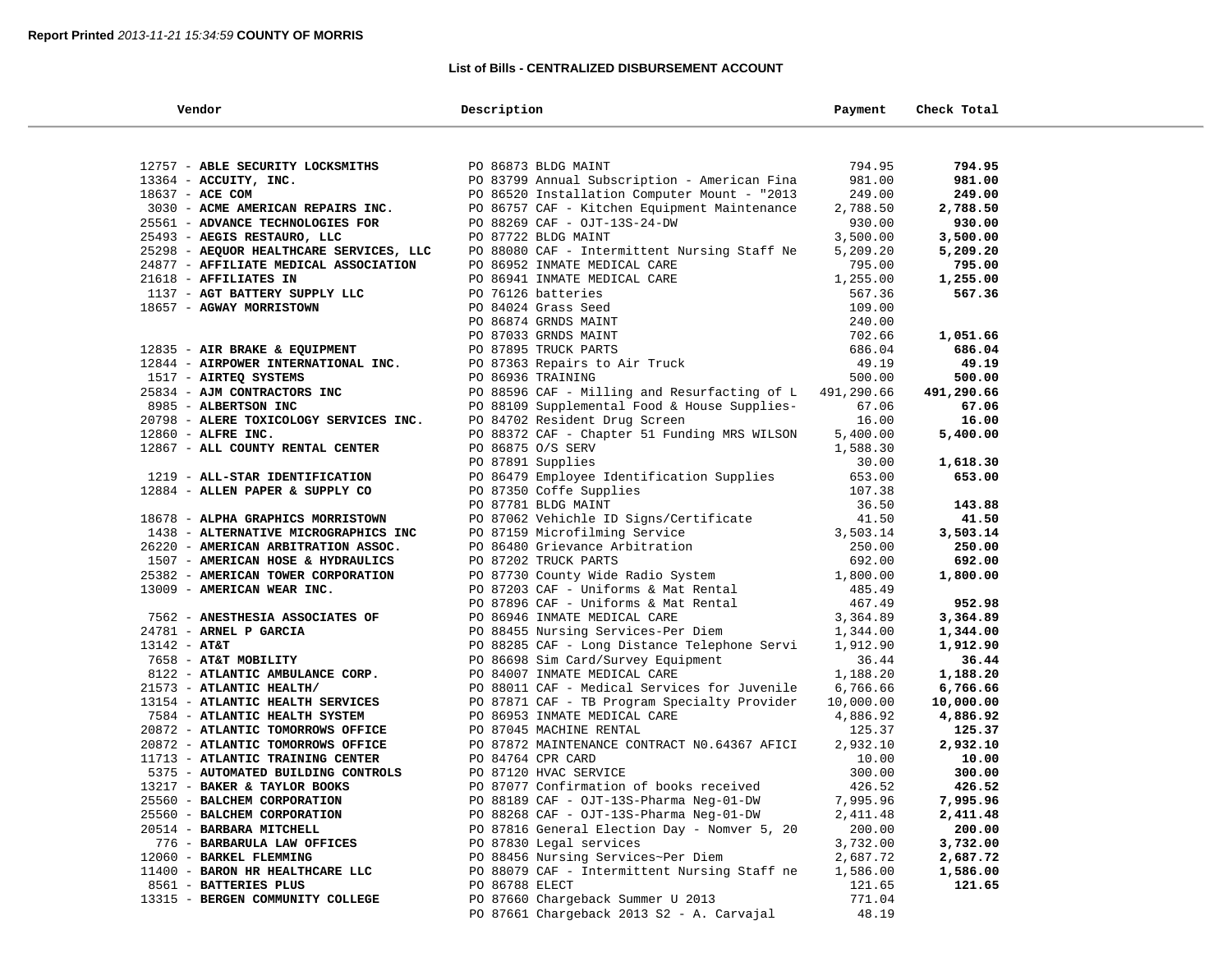#### **List of Bills - CENTRALIZED DISBURSEMENT ACCOUNT**

| Vendor                                                                | Description                                                                                                              | Payment            | Check Total       |
|-----------------------------------------------------------------------|--------------------------------------------------------------------------------------------------------------------------|--------------------|-------------------|
|                                                                       |                                                                                                                          |                    |                   |
| 12757 - ABLE SECURITY LOCKSMITHS                                      | PO 86873 BLDG MAINT                                                                                                      | 794.95             | 794.95            |
| 13364 - ACCUITY, INC.                                                 | PO 83799 Annual Subscription - American Fina                                                                             | 981.00             | 981.00            |
| 18637 - ACE COM                                                       | PO 86520 Installation Computer Mount - "2013                                                                             | 249.00             | 249.00            |
| 3030 - ACME AMERICAN REPAIRS INC.                                     | PO 86757 CAF - Kitchen Equipment Maintenance                                                                             | 2,788.50           | 2,788.50          |
| 25561 - ADVANCE TECHNOLOGIES FOR                                      | PO 88269 CAF - OJT-13S-24-DW                                                                                             | 930.00             | 930.00            |
| 25493 - AEGIS RESTAURO, LLC                                           | PO 87722 BLDG MAINT                                                                                                      | 3,500.00           | 3,500.00          |
| 25298 - AEQUOR HEALTHCARE SERVICES, LLC                               | PO 88080 CAF - Intermittent Nursing Staff Ne                                                                             | 5,209.20           | 5,209.20          |
| 24877 - AFFILIATE MEDICAL ASSOCIATION                                 | PO 86952 INMATE MEDICAL CARE                                                                                             | 795.00             | 795.00            |
| 21618 - AFFILIATES IN                                                 | PO 86941 INMATE MEDICAL CARE                                                                                             | 1,255.00           | 1,255.00          |
| 1137 - AGT BATTERY SUPPLY LLC                                         | PO 76126 batteries                                                                                                       | 567.36             | 567.36            |
| 18657 - AGWAY MORRISTOWN                                              | PO 84024 Grass Seed                                                                                                      | 109.00             |                   |
|                                                                       | PO 86874 GRNDS MAINT                                                                                                     | 240.00             |                   |
|                                                                       | PO 87033 GRNDS MAINT                                                                                                     | 702.66             | 1,051.66          |
| 12835 - AIR BRAKE & EQUIPMENT<br>12844 - AIRPOWER INTERNATIONAL INC.  | PO 87895 TRUCK PARTS                                                                                                     | 686.04             | 686.04            |
|                                                                       | PO 87363 Repairs to Air Truck                                                                                            | 49.19              | 49.19             |
| 1517 - AIRTEQ SYSTEMS                                                 | PO 86936 TRAINING                                                                                                        | 500.00             | 500.00            |
| 25834 - AJM CONTRACTORS INC                                           | PO 88596 CAF - Milling and Resurfacting of L 491,290.66                                                                  |                    | 491,290.66        |
| 8985 - ALBERTSON INC                                                  | PO 88109 Supplemental Food & House Supplies-                                                                             | 67.06              | 67.06             |
| 20798 - ALERE TOXICOLOGY SERVICES INC.                                | PO 84702 Resident Drug Screen                                                                                            | 16.00              | 16.00             |
| 12860 - ALFRE INC.                                                    | PO 88372 CAF - Chapter 51 Funding MRS WILSON                                                                             | 5,400.00           | 5,400.00          |
| 12867 - ALL COUNTY RENTAL CENTER                                      | PO 86875 O/S SERV                                                                                                        | 1,588.30           |                   |
|                                                                       | PO 87891 Supplies                                                                                                        | 30.00              | 1,618.30          |
| 1219 - ALL-STAR IDENTIFICATION                                        | PO 86479 Employee Identification Supplies                                                                                | 653.00             | 653.00            |
| 12884 - ALLEN PAPER & SUPPLY CO                                       | PO 87350 Coffe Supplies                                                                                                  | 107.38             |                   |
|                                                                       | PO 87781 BLDG MAINT                                                                                                      | 36.50              | 143.88            |
| 18678 - ALPHA GRAPHICS MORRISTOWN                                     | PO 87062 Vehichle ID Signs/Certificate                                                                                   | 41.50              | 41.50             |
| 1438 - ALTERNATIVE MICROGRAPHICS INC                                  | PO 87159 Microfilming Service                                                                                            | 3,503.14           | 3,503.14          |
| 26220 - AMERICAN ARBITRATION ASSOC.                                   | PO 86480 Grievance Arbitration                                                                                           | 250.00             | 250.00            |
| 1507 - AMERICAN HOSE & HYDRAULICS                                     | PO 87202 TRUCK PARTS                                                                                                     | 692.00             | 692.00            |
| 25382 - AMERICAN TOWER CORPORATION                                    | PO 87730 County Wide Radio System<br>PO 87730 County Wide Radio System<br>PO 87203 CAF - Uniforms & Mat Rental<br>485.49 |                    | 1,800.00          |
| 13009 - AMERICAN WEAR INC.                                            |                                                                                                                          |                    |                   |
|                                                                       | PO 87896 CAF - Uniforms & Mat Rental                                                                                     | 467.49             | 952.98            |
| 7562 - ANESTHESIA ASSOCIATES OF                                       | PO 86946 INMATE MEDICAL CARE                                                                                             | 3,364.89           | 3,364.89          |
| 24781 - ARNEL P GARCIA                                                | PO 88455 Nursing Services-Per Diem                                                                                       | 1,344.00           | 1,344.00          |
| $13142 - AT&T$                                                        | PO 88285 CAF - Long Distance Telephone Servi                                                                             | 1,912.90           | 1,912.90          |
| 7658 - AT&T MOBILITY                                                  | PO 86698 Sim Card/Survey Equipment                                                                                       | 36.44              | 36.44             |
| 8122 - ATLANTIC AMBULANCE CORP.                                       | PO 84007 INMATE MEDICAL CARE                                                                                             | 1,188.20           | 1,188.20          |
| 21573 - ATLANTIC HEALTH/                                              | PO 88011 CAF - Medical Services for Juvenile                                                                             | 6,766.66           | 6,766.66          |
| 13154 - ATLANTIC HEALTH SERVICES                                      | PO 87871 CAF - TB Program Specialty Provider                                                                             | 10,000.00          | 10,000.00         |
| 7584 - ATLANTIC HEALTH SYSTEM                                         | PO 86953 INMATE MEDICAL CARE<br>PO 87045 MACHINE RENTAL                                                                  | 4,886.92<br>125.37 | 4,886.92          |
| 20872 - ATLANTIC TOMORROWS OFFICE                                     | PO 87872 MAINTENANCE CONTRACT NO.64367 AFICI                                                                             |                    | 125.37            |
| 20872 - ATLANTIC TOMORROWS OFFICE<br>11713 - ATLANTIC TRAINING CENTER | PO 84764 CPR CARD                                                                                                        | 2,932.10<br>10.00  | 2,932.10<br>10.00 |
| 5375 - AUTOMATED BUILDING CONTROLS                                    | PO 87120 HVAC SERVICE                                                                                                    | 300.00             | 300.00            |
| 13217 - BAKER & TAYLOR BOOKS                                          | PO 87077 Confirmation of books received                                                                                  | 426.52             | 426.52            |
| 25560 - BALCHEM CORPORATION                                           | PO 88189 CAF - OJT-13S-Pharma Neg-01-DW                                                                                  | 7,995.96           | 7,995.96          |
| 25560 - BALCHEM CORPORATION                                           | PO 88268 CAF - OJT-13S-Pharma Neg-01-DW                                                                                  | 2,411.48           | 2,411.48          |
| 20514 - BARBARA MITCHELL                                              | PO 87816 General Election Day - Nomver 5, 20                                                                             | 200.00             | 200.00            |
| 776 - BARBARULA LAW OFFICES                                           | PO 87830 Legal services                                                                                                  | 3,732.00           | 3,732.00          |
| 12060 - BARKEL FLEMMING                                               | PO 88456 Nursing Services~Per Diem                                                                                       | 2,687.72           | 2,687.72          |
| 11400 - BARON HR HEALTHCARE LLC                                       | PO 88079 CAF - Intermittent Nursing Staff ne                                                                             | 1,586.00           | 1,586.00          |
| 8561 - BATTERIES PLUS                                                 | PO 86788 ELECT                                                                                                           | 121.65             | 121.65            |
| 13315 - BERGEN COMMUNITY COLLEGE                                      | PO 87660 Chargeback Summer U 2013                                                                                        | 771.04             |                   |
|                                                                       | PO 87661 Chargeback 2013 S2 - A. Carvajal                                                                                | 48.19              |                   |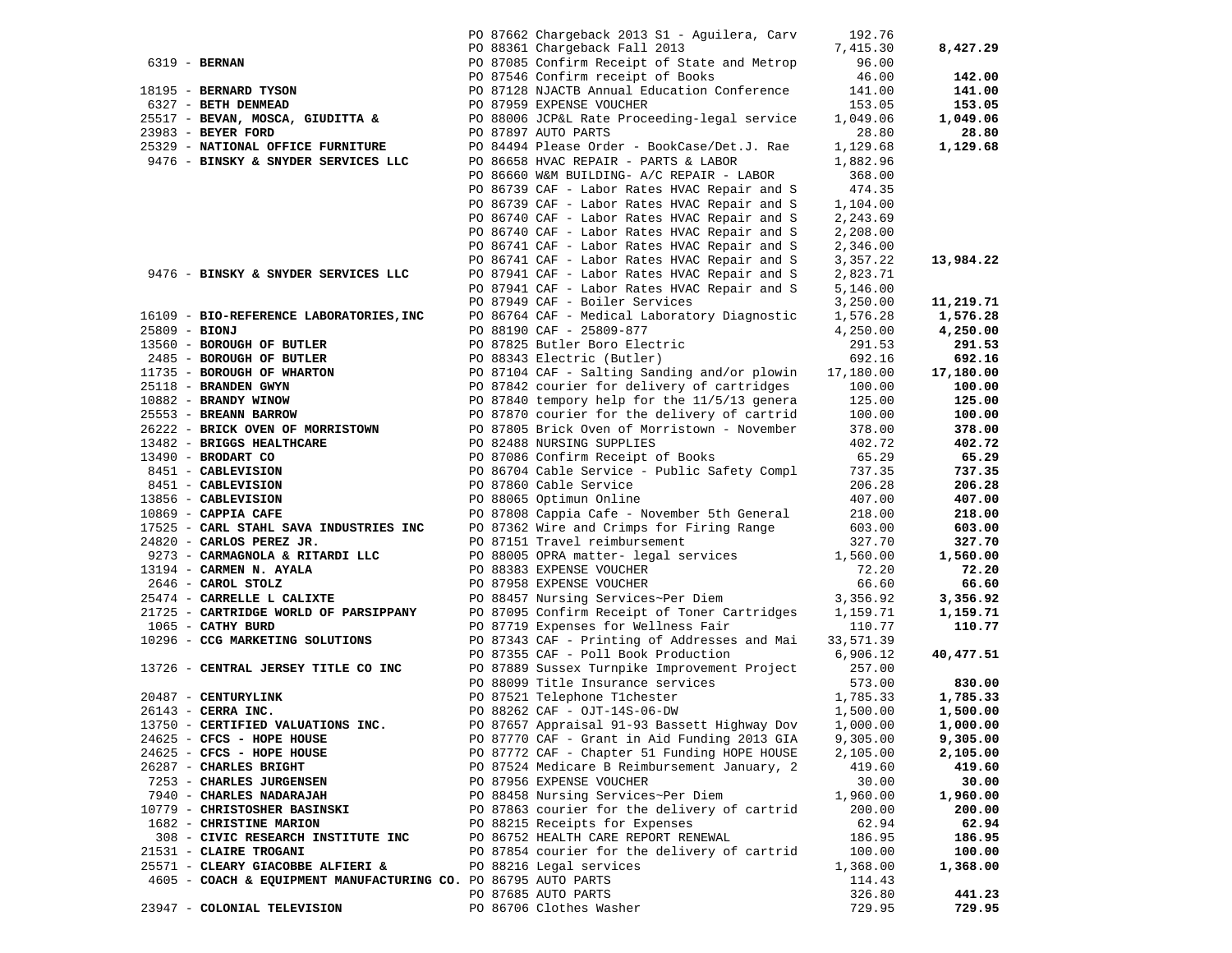|                     |                                                                                      |  | PO 87662 Chargeback 2013 S1 - Aguilera, Carv                                                                                                                                                                                                     | 192.76    |           |
|---------------------|--------------------------------------------------------------------------------------|--|--------------------------------------------------------------------------------------------------------------------------------------------------------------------------------------------------------------------------------------------------|-----------|-----------|
|                     |                                                                                      |  |                                                                                                                                                                                                                                                  |           |           |
|                     |                                                                                      |  | PO 88361 Chargeback Fall 2013                                                                                                                                                                                                                    | 7,415.30  | 8,427.29  |
| 6319 - BERNAN       |                                                                                      |  | PO 87085 Confirm Receipt of State and Metrop                                                                                                                                                                                                     | 96.00     |           |
|                     |                                                                                      |  | PO 87546 Confirm receipt of Books                                                                                                                                                                                                                | 46.00     | 142.00    |
|                     | 18195 - BERNARD TYSON                                                                |  | PO 87128 NJACTB Annual Education Conference<br>PO 87959 EXPENSE VOUCHER                                                                                                                                                                          | 141.00    | 141.00    |
|                     | 6327 - BETH DENMEAD                                                                  |  |                                                                                                                                                                                                                                                  | 153.05    | 153.05    |
|                     | 25517 - BEVAN, MOSCA, GIUDITTA &                                                     |  | PO 88006 JCP&L Rate Proceeding-legal service                                                                                                                                                                                                     | 1,049.06  | 1,049.06  |
| 23983 - BEYER FORD  |                                                                                      |  | PO 87897 AUTO PARTS                                                                                                                                                                                                                              | 28.80     | 28.80     |
|                     | 25329 - NATIONAL OFFICE FURNITURE                                                    |  | PO 84494 Please Order - BookCase/Det.J. Rae                                                                                                                                                                                                      | 1,129.68  | 1,129.68  |
|                     | 9476 - BINSKY & SNYDER SERVICES LLC                                                  |  | PO 86658 HVAC REPAIR - PARTS & LABOR                                                                                                                                                                                                             | 1,882.96  |           |
|                     |                                                                                      |  | PO 86660 W&M BUILDING- A/C REPAIR - LABOR                                                                                                                                                                                                        | 368.00    |           |
|                     |                                                                                      |  |                                                                                                                                                                                                                                                  |           |           |
|                     |                                                                                      |  | PO 86739 CAF - Labor Rates HVAC Repair and S                                                                                                                                                                                                     | 474.35    |           |
|                     |                                                                                      |  | PO 86739 CAF - Labor Rates HVAC Repair and S                                                                                                                                                                                                     | 1,104.00  |           |
|                     |                                                                                      |  | PO 86740 CAF - Labor Rates HVAC Repair and S                                                                                                                                                                                                     | 2,243.69  |           |
|                     |                                                                                      |  | PO 86740 CAF - Labor Rates HVAC Repair and S                                                                                                                                                                                                     | 2,208.00  |           |
|                     |                                                                                      |  | PO 86741 CAF - Labor Rates HVAC Repair and S                                                                                                                                                                                                     | 2,346.00  |           |
|                     |                                                                                      |  | PO 86741 CAF - Labor Rates HVAC Repair and S                                                                                                                                                                                                     | 3,357.22  | 13,984.22 |
|                     | 9476 - BINSKY & SNYDER SERVICES LLC                                                  |  | PO 87941 CAF - Labor Rates HVAC Repair and S                                                                                                                                                                                                     | 2,823.71  |           |
|                     |                                                                                      |  | PO 87941 CAF - Labor Rates HVAC Repair and S                                                                                                                                                                                                     | 5,146.00  |           |
|                     |                                                                                      |  | PO 87949 CAF - Boiler Services                                                                                                                                                                                                                   | 3,250.00  | 11,219.71 |
|                     | 16109 - BIO-REFERENCE LABORATORIES, INC                                              |  | PO 86764 CAF - Medical Laboratory Diagnostic                                                                                                                                                                                                     | 1,576.28  | 1,576.28  |
| $25809 - BIONJ$     |                                                                                      |  | PO 88190 CAF - 25809-877                                                                                                                                                                                                                         | 4,250.00  | 4,250.00  |
|                     | 13560 - BOROUGH OF BUTLER                                                            |  | PO 87825 Butler Boro Electric                                                                                                                                                                                                                    | 291.53    | 291.53    |
|                     |                                                                                      |  | PO 87825 Butler Boro Biccode<br>PO 88343 Electric (Butler)                                                                                                                                                                                       | 692.16    | 692.16    |
|                     |                                                                                      |  |                                                                                                                                                                                                                                                  | 17,180.00 | 17,180.00 |
|                     |                                                                                      |  |                                                                                                                                                                                                                                                  | 100.00    | 100.00    |
|                     |                                                                                      |  |                                                                                                                                                                                                                                                  | 125.00    | 125.00    |
|                     |                                                                                      |  |                                                                                                                                                                                                                                                  | 100.00    |           |
|                     |                                                                                      |  | 2485 - BOROUGH OF BUTLER<br>11735 - BOROUGH OF WHARTON<br>25118 - BRANDEN GWYN<br>2682 - BRANDY WINOW<br>27573 - PRANDY WINOW<br>27573 - PRANDY WINOW<br>27573 - PRANDY WINOW<br>27682 - PRANDY NARROW<br>27682 - PRANDY RARROW<br>27682 - PRAND |           | 100.00    |
|                     |                                                                                      |  | 26222 - BRICK OVEN OF MORRISTOWN PO 87805 Brick Oven of Morristown - November                                                                                                                                                                    | 378.00    | 378.00    |
|                     | 13482 - BRIGGS HEALTHCARE                                                            |  | PO 82488 NURSING SUPPLIES                                                                                                                                                                                                                        | 402.72    | 402.72    |
|                     |                                                                                      |  | PO 87086 Confirm Receipt of Books                                                                                                                                                                                                                | 65.29     | 65.29     |
|                     |                                                                                      |  | PO 86704 Cable Service - Public Safety Compl                                                                                                                                                                                                     | 737.35    | 737.35    |
|                     | 13490 - BRODART CO<br>8451 - CABLEVISION<br>8451 - CABLEVISION<br>2011 - CABLEVISION |  | PO 87860 Cable Service                                                                                                                                                                                                                           | 206.28    | 206.28    |
|                     |                                                                                      |  | PO 88065 Optimun Online                                                                                                                                                                                                                          | 407.00    | 407.00    |
|                     | 13856 - CABLEVISION<br>10869 - CAPPIA CAFE<br>17525 - CARL STAHL SAVA INDUSTRIES INC |  | PO 87808 Cappia Cafe - November 5th General 218.00                                                                                                                                                                                               |           | 218.00    |
|                     |                                                                                      |  | PO 87362 Wire and Crimps for Firing Range                                                                                                                                                                                                        | 603.00    | 603.00    |
|                     |                                                                                      |  | PO 87151 Travel reimbursement                                                                                                                                                                                                                    | 327.70    | 327.70    |
|                     | 9273 - CARMAGNOLA & RITARDI LLC                                                      |  |                                                                                                                                                                                                                                                  |           | 1,560.00  |
|                     | 13194 - CARMEN N. AYALA                                                              |  |                                                                                                                                                                                                                                                  |           | 72.20     |
| 2646 - CAROL STOLZ  |                                                                                      |  | PO 88005 OPRA matter- legal services<br>PO 88383 EXPENSE VOUCHER<br>PO 87958 EXPENSE VOUCHER<br>PO 87958 EXPENSE VOUCHER<br>66.60                                                                                                                |           | 66.60     |
|                     | 25474 - CARRELLE L CALIXTE                                                           |  | PO 88457 Nursing Services~Per Diem                                                                                                                                                                                                               | 3,356.92  | 3,356.92  |
|                     | 21725 - CARTRIDGE WORLD OF PARSIPPANY                                                |  | PO 87095 Confirm Receipt of Toner Cartridges                                                                                                                                                                                                     | 1,159.71  | 1,159.71  |
| 1065 - CATHY BURD   |                                                                                      |  | PO 87719 Expenses for Wellness Fair                                                                                                                                                                                                              | 110.77    | 110.77    |
|                     | 10296 - CCG MARKETING SOLUTIONS                                                      |  | PO 87343 CAF - Printing of Addresses and Mai 33,571.39                                                                                                                                                                                           |           |           |
|                     |                                                                                      |  | PO 87355 CAF - Poll Book Production                                                                                                                                                                                                              | 6,906.12  | 40,477.51 |
|                     | 13726 - CENTRAL JERSEY TITLE CO INC                                                  |  | PO 87889 Sussex Turnpike Improvement Project                                                                                                                                                                                                     | 257.00    |           |
|                     |                                                                                      |  | PO 88099 Title Insurance services                                                                                                                                                                                                                | 573.00    | 830.00    |
| 20487 - CENTURYLINK |                                                                                      |  | PO 87521 Telephone T1chester                                                                                                                                                                                                                     | 1,785.33  | 1,785.33  |
| 26143 - CERRA INC.  |                                                                                      |  | PO 88262 CAF - OJT-14S-06-DW                                                                                                                                                                                                                     | 1,500.00  | 1,500.00  |
|                     | 13750 - CERTIFIED VALUATIONS INC.                                                    |  | PO 87657 Appraisal 91-93 Bassett Highway Dov 1,000.00                                                                                                                                                                                            |           |           |
|                     |                                                                                      |  |                                                                                                                                                                                                                                                  |           | 1,000.00  |
|                     | 24625 - CFCS - HOPE HOUSE                                                            |  | PO 87770 CAF - Grant in Aid Funding 2013 GIA                                                                                                                                                                                                     | 9,305.00  | 9,305.00  |
|                     | 24625 - CFCS - HOPE HOUSE                                                            |  | PO 87772 CAF - Chapter 51 Funding HOPE HOUSE                                                                                                                                                                                                     | 2,105.00  | 2,105.00  |
|                     | 26287 - CHARLES BRIGHT                                                               |  | PO 87524 Medicare B Reimbursement January, 2                                                                                                                                                                                                     | 419.60    | 419.60    |
|                     | 7253 - CHARLES JURGENSEN                                                             |  | PO 87956 EXPENSE VOUCHER                                                                                                                                                                                                                         | 30.00     | 30.00     |
|                     | 7940 - CHARLES NADARAJAH                                                             |  | PO 88458 Nursing Services~Per Diem                                                                                                                                                                                                               | 1,960.00  | 1,960.00  |
|                     | 10779 - CHRISTOSHER BASINSKI                                                         |  | PO 87863 courier for the delivery of cartrid                                                                                                                                                                                                     | 200.00    | 200.00    |
|                     | 1682 - CHRISTINE MARION                                                              |  | PO 88215 Receipts for Expenses                                                                                                                                                                                                                   | 62.94     | 62.94     |
|                     | 308 - CIVIC RESEARCH INSTITUTE INC                                                   |  | PO 86752 HEALTH CARE REPORT RENEWAL                                                                                                                                                                                                              | 186.95    | 186.95    |
|                     | 21531 - CLAIRE TROGANI                                                               |  | PO 87854 courier for the delivery of cartrid                                                                                                                                                                                                     | 100.00    | 100.00    |
|                     | 25571 - CLEARY GIACOBBE ALFIERI &                                                    |  | PO 88216 Legal services                                                                                                                                                                                                                          | 1,368.00  | 1,368.00  |
|                     | 4605 - COACH & EQUIPMENT MANUFACTURING CO. PO 86795 AUTO PARTS                       |  |                                                                                                                                                                                                                                                  | 114.43    |           |
|                     |                                                                                      |  | PO 87685 AUTO PARTS                                                                                                                                                                                                                              | 326.80    | 441.23    |
|                     | 23947 - COLONIAL TELEVISION                                                          |  | PO 86706 Clothes Washer                                                                                                                                                                                                                          | 729.95    | 729.95    |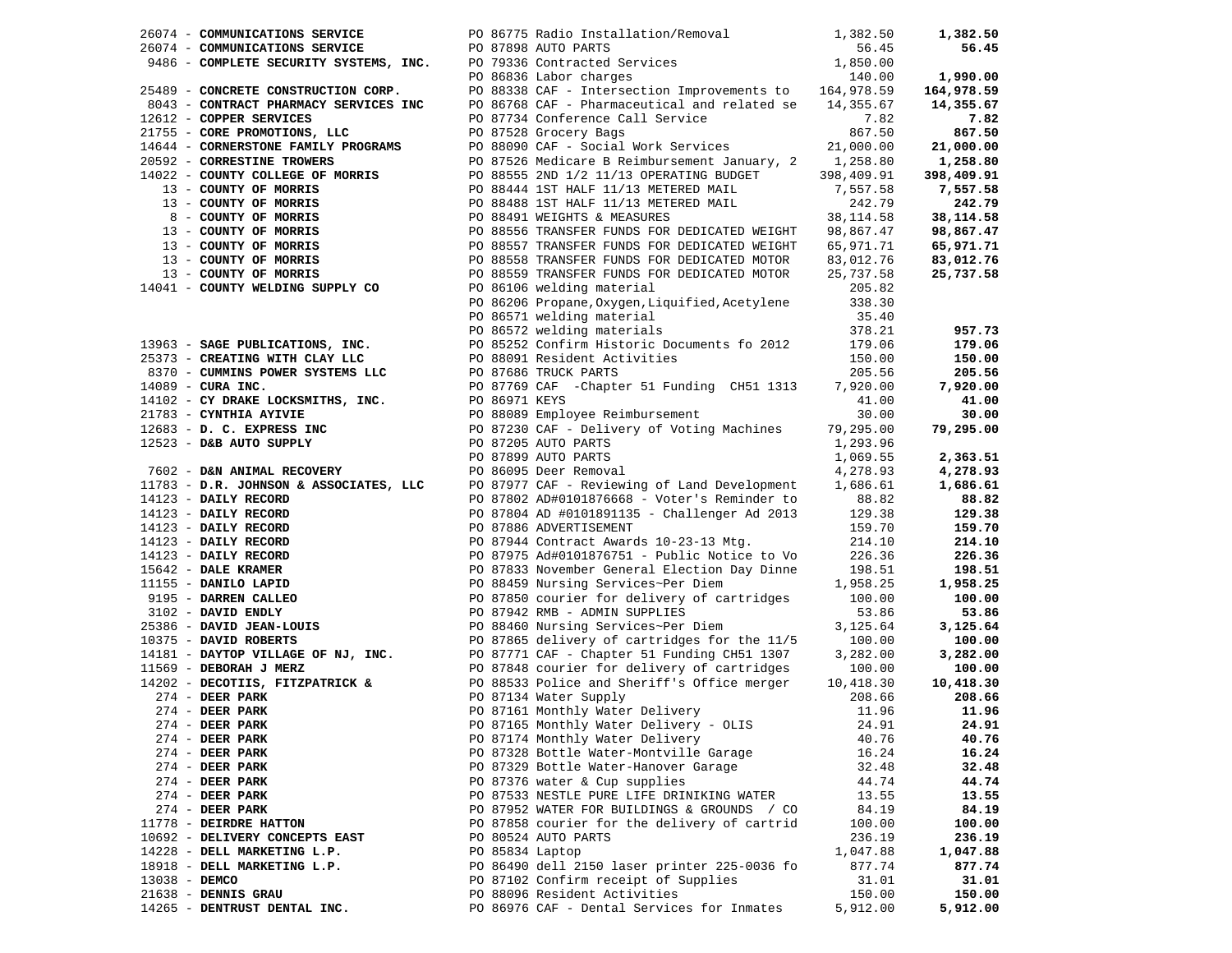|               | 26074 - COMMUNICATIONS SERVICE                                                                                                                                                      |                 | PO 86775 Radio Installation/Removal                                                                                                                                                                                                              | 1,382.50 | 1,382.50   |
|---------------|-------------------------------------------------------------------------------------------------------------------------------------------------------------------------------------|-----------------|--------------------------------------------------------------------------------------------------------------------------------------------------------------------------------------------------------------------------------------------------|----------|------------|
|               | 26074 - COMMUNICATIONS SERVICE                                                                                                                                                      |                 | 1,850.00 communications service<br>1,850.00 PARTS 26074 - COMMUNICATIONS SERVICE 2016.00<br>1,850.00 PO 79336 Contracted Services 21,850.00 PARTS 31,850.00 PARTS 20110.00                                                                       |          | 56.45      |
|               |                                                                                                                                                                                     |                 |                                                                                                                                                                                                                                                  |          |            |
|               |                                                                                                                                                                                     |                 |                                                                                                                                                                                                                                                  |          | 1,990.00   |
|               |                                                                                                                                                                                     |                 | 25489 - CONFILEI SECURITY SISTEMS, INC.<br>25489 - CONCRETE CONSTRUCTION CORP.<br>25489 - CONTRACT PHARMACY SERVICES INC<br>2008338 CAF - Intersection Improvements to 164,978.59<br>2008338 CAF - Pharmaceutical and related se 14,35           |          | 164,978.59 |
|               |                                                                                                                                                                                     |                 |                                                                                                                                                                                                                                                  |          | 14,355.67  |
|               |                                                                                                                                                                                     |                 |                                                                                                                                                                                                                                                  |          | 7.82       |
|               |                                                                                                                                                                                     |                 |                                                                                                                                                                                                                                                  |          | 867.50     |
|               |                                                                                                                                                                                     |                 |                                                                                                                                                                                                                                                  |          | 21,000.00  |
|               |                                                                                                                                                                                     |                 |                                                                                                                                                                                                                                                  |          | 1,258.80   |
|               |                                                                                                                                                                                     |                 |                                                                                                                                                                                                                                                  |          |            |
|               |                                                                                                                                                                                     |                 |                                                                                                                                                                                                                                                  |          | 398,409.91 |
|               |                                                                                                                                                                                     |                 |                                                                                                                                                                                                                                                  |          | 7,557.58   |
|               |                                                                                                                                                                                     |                 |                                                                                                                                                                                                                                                  |          | 242.79     |
|               |                                                                                                                                                                                     |                 |                                                                                                                                                                                                                                                  |          | 38,114.58  |
|               |                                                                                                                                                                                     |                 |                                                                                                                                                                                                                                                  |          | 98,867.47  |
|               |                                                                                                                                                                                     |                 |                                                                                                                                                                                                                                                  |          | 65,971.71  |
|               |                                                                                                                                                                                     |                 |                                                                                                                                                                                                                                                  |          | 83,012.76  |
|               |                                                                                                                                                                                     |                 | COUNTY OF MORRIS<br>13 - COUNTY OF MORRIS<br>13 - COUNTY OF MORRIS<br>13 - COUNTY OF MORRIS<br>13 - COUNTY OF MORRIS<br>13 - COUNTY OF MORRIS<br>13 - COUNTY OF MORRIS<br>13 - COUNTY OF MORRIS<br>13 - COUNTY OF MORRIS<br>13 - COUNTY OF MORRI |          | 25,737.58  |
|               |                                                                                                                                                                                     |                 |                                                                                                                                                                                                                                                  |          |            |
|               |                                                                                                                                                                                     |                 | PO 86206 Propane, Oxygen, Liquified, Acetylene 338.30                                                                                                                                                                                            |          |            |
|               |                                                                                                                                                                                     |                 | PO 86571 welding material                                                                                                                                                                                                                        | 35.40    |            |
|               |                                                                                                                                                                                     |                 | PO 86572 welding materials                                                                                                                                                                                                                       | 378.21   | 957.73     |
|               | 13963 - SAGE PUBLICATIONS, INC.                                                                                                                                                     |                 | PO 85252 Confirm Historic Documents fo 2012                                                                                                                                                                                                      | 179.06   | 179.06     |
|               |                                                                                                                                                                                     |                 |                                                                                                                                                                                                                                                  |          | 150.00     |
|               |                                                                                                                                                                                     |                 |                                                                                                                                                                                                                                                  |          |            |
|               |                                                                                                                                                                                     |                 |                                                                                                                                                                                                                                                  |          | 205.56     |
|               |                                                                                                                                                                                     |                 |                                                                                                                                                                                                                                                  |          | 7,920.00   |
|               |                                                                                                                                                                                     |                 |                                                                                                                                                                                                                                                  |          | 41.00      |
|               |                                                                                                                                                                                     |                 |                                                                                                                                                                                                                                                  |          | 30.00      |
|               |                                                                                                                                                                                     |                 |                                                                                                                                                                                                                                                  |          | 79,295.00  |
|               |                                                                                                                                                                                     |                 |                                                                                                                                                                                                                                                  |          |            |
|               |                                                                                                                                                                                     |                 |                                                                                                                                                                                                                                                  |          | 2,363.51   |
|               |                                                                                                                                                                                     |                 |                                                                                                                                                                                                                                                  |          | 4,278.93   |
|               |                                                                                                                                                                                     |                 |                                                                                                                                                                                                                                                  |          | 1,686.61   |
|               |                                                                                                                                                                                     |                 |                                                                                                                                                                                                                                                  |          | 88.82      |
|               |                                                                                                                                                                                     |                 |                                                                                                                                                                                                                                                  |          | 129.38     |
|               |                                                                                                                                                                                     |                 |                                                                                                                                                                                                                                                  |          | 159.70     |
|               |                                                                                                                                                                                     |                 |                                                                                                                                                                                                                                                  |          | 214.10     |
|               |                                                                                                                                                                                     |                 |                                                                                                                                                                                                                                                  |          | 226.36     |
|               |                                                                                                                                                                                     |                 |                                                                                                                                                                                                                                                  |          | 198.51     |
|               |                                                                                                                                                                                     |                 |                                                                                                                                                                                                                                                  |          |            |
|               |                                                                                                                                                                                     |                 |                                                                                                                                                                                                                                                  |          | 1,958.25   |
|               |                                                                                                                                                                                     |                 |                                                                                                                                                                                                                                                  |          | 100.00     |
|               |                                                                                                                                                                                     |                 |                                                                                                                                                                                                                                                  |          | 53.86      |
|               |                                                                                                                                                                                     |                 |                                                                                                                                                                                                                                                  |          | 3,125.64   |
|               |                                                                                                                                                                                     |                 |                                                                                                                                                                                                                                                  |          | 100.00     |
|               |                                                                                                                                                                                     |                 | 19963 - <b>SACE PUBLICATIONS, TKC.</b><br>2008/2321 Confirm Historic Documents fo 2012<br>2016 083731 COMMING WITH CLAY LOC 2008/08 Replace and<br>2018 - CVD DAKE LOCEMENTES, TKC.<br>2018 - CVD DAKE LOCEMENTES, TKC.<br>2018 - CVD DAKE       |          | 3,282.00   |
|               |                                                                                                                                                                                     |                 |                                                                                                                                                                                                                                                  |          | 100.00     |
|               |                                                                                                                                                                                     |                 |                                                                                                                                                                                                                                                  |          | 10,418.30  |
|               | 14202 - DECOTIIS, FITZPATRICK & PO 88533 Police and Sh<br>274 - DEER PARK PO 87134 Water Supply<br>274 - DEER PARK PO 87161 Monthly Water<br>274 - DEER PARK PO 87165 Monthly Water |                 |                                                                                                                                                                                                                                                  | 208.66   | 208.66     |
|               |                                                                                                                                                                                     |                 | PO 87161 Monthly Water Delivery                                                                                                                                                                                                                  | 11.96    | 11.96      |
|               | $274$ - DEER PARK                                                                                                                                                                   |                 | PO 87165 Monthly Water Delivery - OLIS                                                                                                                                                                                                           | 24.91    | 24.91      |
|               | $274$ - DEER PARK                                                                                                                                                                   |                 | PO 87174 Monthly Water Delivery                                                                                                                                                                                                                  | 40.76    | 40.76      |
|               | $274$ - DEER PARK                                                                                                                                                                   |                 | PO 87328 Bottle Water-Montville Garage                                                                                                                                                                                                           | 16.24    | 16.24      |
|               | $274$ - DEER PARK                                                                                                                                                                   |                 | PO 87329 Bottle Water-Hanover Garage                                                                                                                                                                                                             | 32.48    | 32.48      |
|               | $274$ - DEER PARK                                                                                                                                                                   |                 | PO 87376 water & Cup supplies                                                                                                                                                                                                                    | 44.74    | 44.74      |
|               | $274$ - DEER PARK                                                                                                                                                                   |                 | PO 87533 NESTLE PURE LIFE DRINIKING WATER                                                                                                                                                                                                        | 13.55    | 13.55      |
|               |                                                                                                                                                                                     |                 |                                                                                                                                                                                                                                                  |          |            |
|               | $274$ - DEER PARK                                                                                                                                                                   |                 | PO 87952 WATER FOR BUILDINGS & GROUNDS / CO                                                                                                                                                                                                      | 84.19    | 84.19      |
|               | 11778 - DEIRDRE HATTON                                                                                                                                                              |                 | PO 87858 courier for the delivery of cartrid                                                                                                                                                                                                     | 100.00   | 100.00     |
|               | 10692 - DELIVERY CONCEPTS EAST                                                                                                                                                      |                 | PO 80524 AUTO PARTS                                                                                                                                                                                                                              | 236.19   | 236.19     |
|               | 14228 - DELL MARKETING L.P.                                                                                                                                                         | PO 85834 Laptop |                                                                                                                                                                                                                                                  | 1,047.88 | 1,047.88   |
|               | 18918 - DELL MARKETING L.P.                                                                                                                                                         |                 | PO 86490 dell 2150 laser printer 225-0036 fo                                                                                                                                                                                                     | 877.74   | 877.74     |
| 13038 - DEMCO |                                                                                                                                                                                     |                 | PO 87102 Confirm receipt of Supplies                                                                                                                                                                                                             | 31.01    | 31.01      |
|               | 21638 - DENNIS GRAU                                                                                                                                                                 |                 | PO 88096 Resident Activities                                                                                                                                                                                                                     | 150.00   | 150.00     |
|               | 14265 - DENTRUST DENTAL INC.                                                                                                                                                        |                 | PO 86976 CAF - Dental Services for Inmates                                                                                                                                                                                                       | 5,912.00 | 5,912.00   |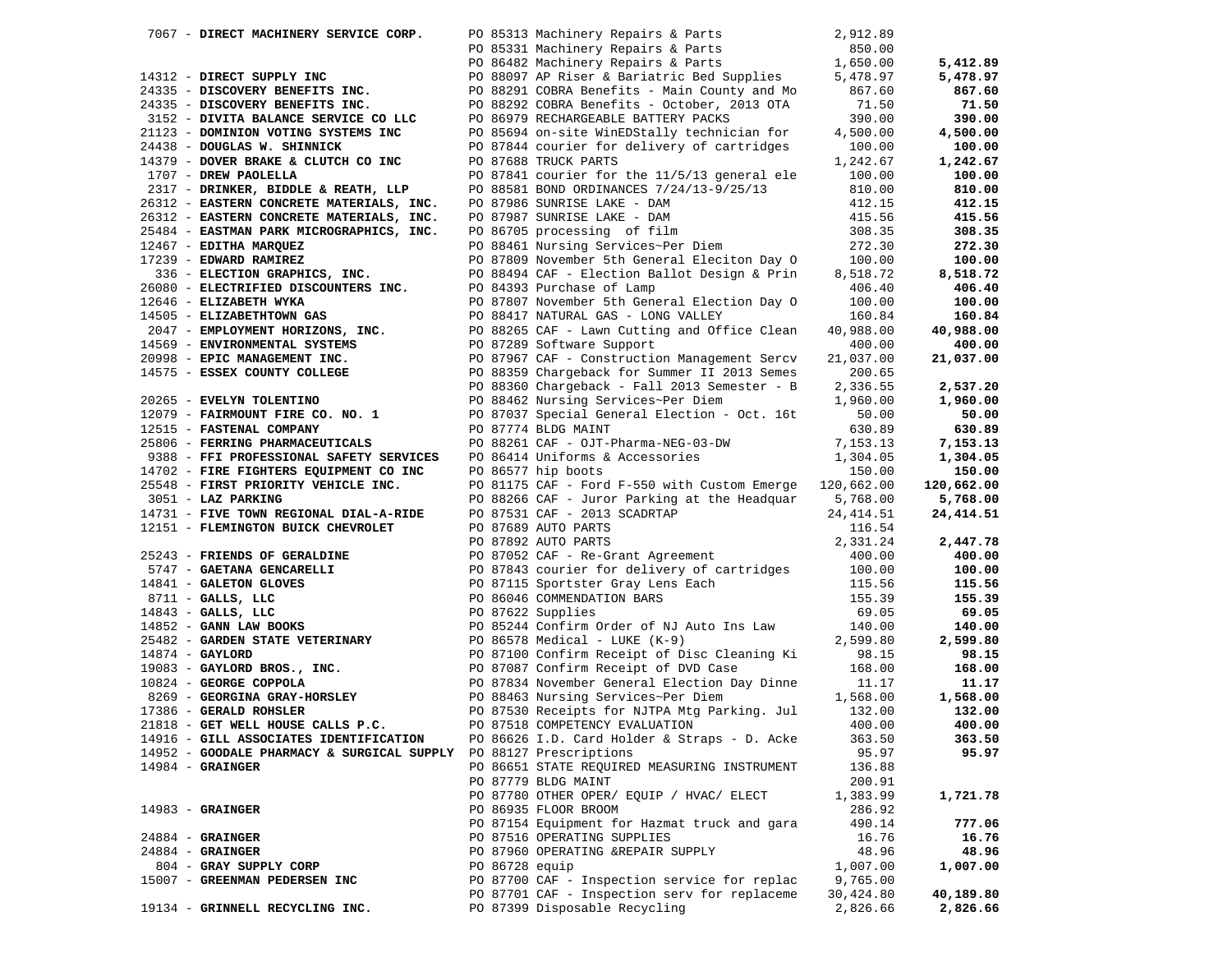| 7067 - DIRECT MACHINERY SERVICE CORP.                                      |  | PO 85313 Machinery Repairs & Parts                                                                                                                                                                                                             | 2,912.89  |            |
|----------------------------------------------------------------------------|--|------------------------------------------------------------------------------------------------------------------------------------------------------------------------------------------------------------------------------------------------|-----------|------------|
|                                                                            |  | PO 85331 Machinery Repairs & Parts (850.00)<br>PO 86482 Machinery Repairs & Parts (850.00)<br>PO 86482 Machinery Repairs & Parts (1,650.00)<br>PO 88097 AP Riser & Bariatric Bed Supplies (5,478.97<br>24335 - DISCOVERY BENETTS INC.<br>      |           |            |
|                                                                            |  |                                                                                                                                                                                                                                                |           | 5,412.89   |
|                                                                            |  |                                                                                                                                                                                                                                                |           | 5,478.97   |
|                                                                            |  |                                                                                                                                                                                                                                                |           | 867.60     |
| 24335 - DISCOVERY BENEFITS INC.                                            |  | PO 88292 COBRA Benefits - October, 2013 OTA                                                                                                                                                                                                    | 71.50     | 71.50      |
| 3152 - DIVITA BALANCE SERVICE CO LLC PO 86979 RECHARGEABLE BATTERY PACKS   |  |                                                                                                                                                                                                                                                | 390.00    | 390.00     |
| 21123 - DOMINION VOTING SYSTEMS INC                                        |  |                                                                                                                                                                                                                                                |           | 4,500.00   |
| 24438 - DOUGLAS W. SHINNICK                                                |  | PO 85694 on-site WinEDStally technician for 4,500.00<br>PO 87844 courier for delivery of cartridges 100.00                                                                                                                                     |           | 100.00     |
| 14379 - DOVER BRAKE & CLUTCH CO INC                                        |  | PO 87688 TRUCK PARTS                                                                                                                                                                                                                           | 1,242.67  | 1,242.67   |
| 1707 - DREW PAOLELLA                                                       |  | PO 87841 courier for the 11/5/13 general ele 100.00                                                                                                                                                                                            |           | 100.00     |
|                                                                            |  |                                                                                                                                                                                                                                                | 810.00    |            |
| 2317 - DRINKER, BIDDLE & REATH, LLP                                        |  | PO 88581 BOND ORDINANCES 7/24/13-9/25/13                                                                                                                                                                                                       |           | 810.00     |
| 26312 - EASTERN CONCRETE MATERIALS, INC.                                   |  | PO 87986 SUNRISE LAKE - DAM<br>PO 87987 SUNRISE LAKE - DAM<br>PO 86705 processing of film<br>PO 88461 Nursing Services~Per Diem                                                                                                                | 412.15    | 412.15     |
| 26312 - EASTERN CONCRETE MATERIALS, INC.                                   |  |                                                                                                                                                                                                                                                | 415.56    | 415.56     |
| 25484 - EASTMAN PARK MICROGRAPHICS, INC.                                   |  |                                                                                                                                                                                                                                                | 308.35    | 308.35     |
| 12467 - EDITHA MARQUEZ                                                     |  |                                                                                                                                                                                                                                                | 272.30    | 272.30     |
| $17239$ - EDWARD RAMIREZ                                                   |  | PO 87809 November 5th General Eleciton Day 0 100.00                                                                                                                                                                                            |           | 100.00     |
| 336 - ELECTION GRAPHICS, INC.<br>26080 - ELECTRIFIED DISCOUNTERS INC.      |  | PO 88494 CAF - Election Ballot Design & Prin                                                                                                                                                                                                   | 8,518.72  | 8,518.72   |
|                                                                            |  | PO 84393 Purchase of Lamp                                                                                                                                                                                                                      | 406.40    | 406.40     |
|                                                                            |  |                                                                                                                                                                                                                                                | 100.00    | 100.00     |
| 12646 - ELIZABETH WYKA<br>14505 - ELIZABETHTOWN GAS                        |  | PO 87807 November 5th General Election Day O<br>PO 88417 NATURAL GAS - LONG VALLEY                                                                                                                                                             | 160.84    | 160.84     |
|                                                                            |  |                                                                                                                                                                                                                                                | 40,988.00 | 40,988.00  |
|                                                                            |  |                                                                                                                                                                                                                                                | 400.00    | 400.00     |
|                                                                            |  | 2047 - EMPLOYMENT HORIZONS, INC.<br>2047 - EMPLOYMENT HORIZONS, INC.<br>20998 - EPIC MANAGEMENT INC.<br>20998 - EPIC MANAGEMENT INC.<br>20998 - EPIC MANAGEMENT INC.<br>20998 - ESSEX COUNTY COLLEGE<br>20098 - ESSEX COUNTY COLLEGE<br>2009   | 21,037.00 | 21,037.00  |
|                                                                            |  |                                                                                                                                                                                                                                                | 200.65    |            |
|                                                                            |  | PO 88360 Chargeback - Fall 2013 Semester - B                                                                                                                                                                                                   | 2,336.55  | 2,537.20   |
| 20265 - EVELYN TOLENTINO                                                   |  | PO 88462 Nursing Services~Per Diem                                                                                                                                                                                                             | 1,960.00  | 1,960.00   |
|                                                                            |  | PO 87037 Special General Election - Oct. 16t                                                                                                                                                                                                   | 50.00     | 50.00      |
| 12079 - FAIRMOUNT FIRE CO. NO. 1<br>12515 - FASTENAL COMPANY               |  | PO 87774 BLDG MAINT                                                                                                                                                                                                                            | 630.89    | 630.89     |
| 25806 - FERRING PHARMACEUTICALS                                            |  | PO 87771 LLC<br>PO 88261 CAF - OJT-Pharma-NEG-03-DW<br>PO 86414 Uniforms & Accessories                                                                                                                                                         | 7,153.13  | 7,153.13   |
|                                                                            |  |                                                                                                                                                                                                                                                |           | 1,304.05   |
| 9388 - FFI PROFESSIONAL SAFETY SERVICES                                    |  | PO 86577 hip boots                                                                                                                                                                                                                             | 1,304.05  |            |
| 9388 - FFI PROFESSIONAL DIRECT -<br>14702 - FIRE FIGHTERS EQUIPMENT CO INC |  |                                                                                                                                                                                                                                                | 150.00    | 150.00     |
|                                                                            |  | PO 81175 CAF - Ford F-550 with Custom Emerge 120,662.00                                                                                                                                                                                        |           | 120,662.00 |
|                                                                            |  |                                                                                                                                                                                                                                                |           | 5,768.00   |
|                                                                            |  |                                                                                                                                                                                                                                                |           | 24, 414.51 |
|                                                                            |  |                                                                                                                                                                                                                                                |           |            |
|                                                                            |  | 14731 - FIVE TOWN REGIONAL DIAL-A-RIDE<br>PO 88266 CAF - JUNCY CHEVROLET<br>PO 87531 CAF - 2013 SCADRTAP<br>PO 87689 AUTO PARTS<br>PO 87689 AUTO PARTS<br>PO 87689 AUTO PARTS<br>PO 87689 AUTO PARTS<br>PO 87689 AUTO PARTS<br>PO 876          |           | 2,447.78   |
|                                                                            |  |                                                                                                                                                                                                                                                |           | 400.00     |
|                                                                            |  |                                                                                                                                                                                                                                                |           | 100.00     |
|                                                                            |  |                                                                                                                                                                                                                                                |           | 115.56     |
|                                                                            |  |                                                                                                                                                                                                                                                |           | 155.39     |
|                                                                            |  |                                                                                                                                                                                                                                                |           | 69.05      |
|                                                                            |  |                                                                                                                                                                                                                                                |           | 140.00     |
|                                                                            |  |                                                                                                                                                                                                                                                |           | 2,599.80   |
|                                                                            |  |                                                                                                                                                                                                                                                |           | 98.15      |
|                                                                            |  | 19083 - GAYLORD BROS., INC.<br>19083 - GEORGE COPPOLA<br>190824 - GEORGE COPPOLA<br>2269 - GEORGINA GRAY-HORSLEY<br>17386 - GERALD ROHSLER<br>17386 - GERALD ROHSLER<br>17386 - CERALD ROHSLER<br>2269 - CERALD ROHSLER<br>2269 - CERALD ROHSL | 168.00    | 168.00     |
|                                                                            |  |                                                                                                                                                                                                                                                | 11.17     | 11.17      |
|                                                                            |  |                                                                                                                                                                                                                                                | 1,568.00  | 1,568.00   |
|                                                                            |  |                                                                                                                                                                                                                                                | 132.00    | 132.00     |
| 21818 - GET WELL HOUSE CALLS P.C.                                          |  | PO 87518 COMPETENCY EVALUATION                                                                                                                                                                                                                 | 400.00    | 400.00     |
| 14916 - GILL ASSOCIATES IDENTIFICATION                                     |  | PO 86626 I.D. Card Holder & Straps - D. Acke                                                                                                                                                                                                   | 363.50    | 363.50     |
| 14952 - GOODALE PHARMACY & SURGICAL SUPPLY                                 |  | PO 88127 Prescriptions                                                                                                                                                                                                                         | 95.97     | 95.97      |
| $14984$ - GRAINGER                                                         |  | PO 86651 STATE REQUIRED MEASURING INSTRUMENT                                                                                                                                                                                                   | 136.88    |            |
|                                                                            |  | PO 87779 BLDG MAINT                                                                                                                                                                                                                            | 200.91    |            |
|                                                                            |  | PO 87780 OTHER OPER/ EQUIP / HVAC/ ELECT                                                                                                                                                                                                       | 1,383.99  | 1,721.78   |
| $14983$ - GRAINGER                                                         |  | PO 86935 FLOOR BROOM                                                                                                                                                                                                                           | 286.92    |            |
|                                                                            |  | PO 87154 Equipment for Hazmat truck and gara                                                                                                                                                                                                   |           |            |
|                                                                            |  |                                                                                                                                                                                                                                                | 490.14    | 777.06     |
| $24884 -$ GRAINGER                                                         |  | PO 87516 OPERATING SUPPLIES                                                                                                                                                                                                                    | 16.76     | 16.76      |
| $24884$ - GRAINGER                                                         |  | PO 87960 OPERATING &REPAIR SUPPLY                                                                                                                                                                                                              | 48.96     | 48.96      |
| 804 - GRAY SUPPLY CORP                                                     |  | PO 86728 equip                                                                                                                                                                                                                                 | 1,007.00  | 1,007.00   |
| 15007 - GREENMAN PEDERSEN INC                                              |  | PO 87700 CAF - Inspection service for replac                                                                                                                                                                                                   | 9,765.00  |            |
|                                                                            |  | PO 87701 CAF - Inspection serv for replaceme                                                                                                                                                                                                   | 30,424.80 | 40,189.80  |
| 19134 - GRINNELL RECYCLING INC.                                            |  | PO 87399 Disposable Recycling                                                                                                                                                                                                                  | 2,826.66  | 2,826.66   |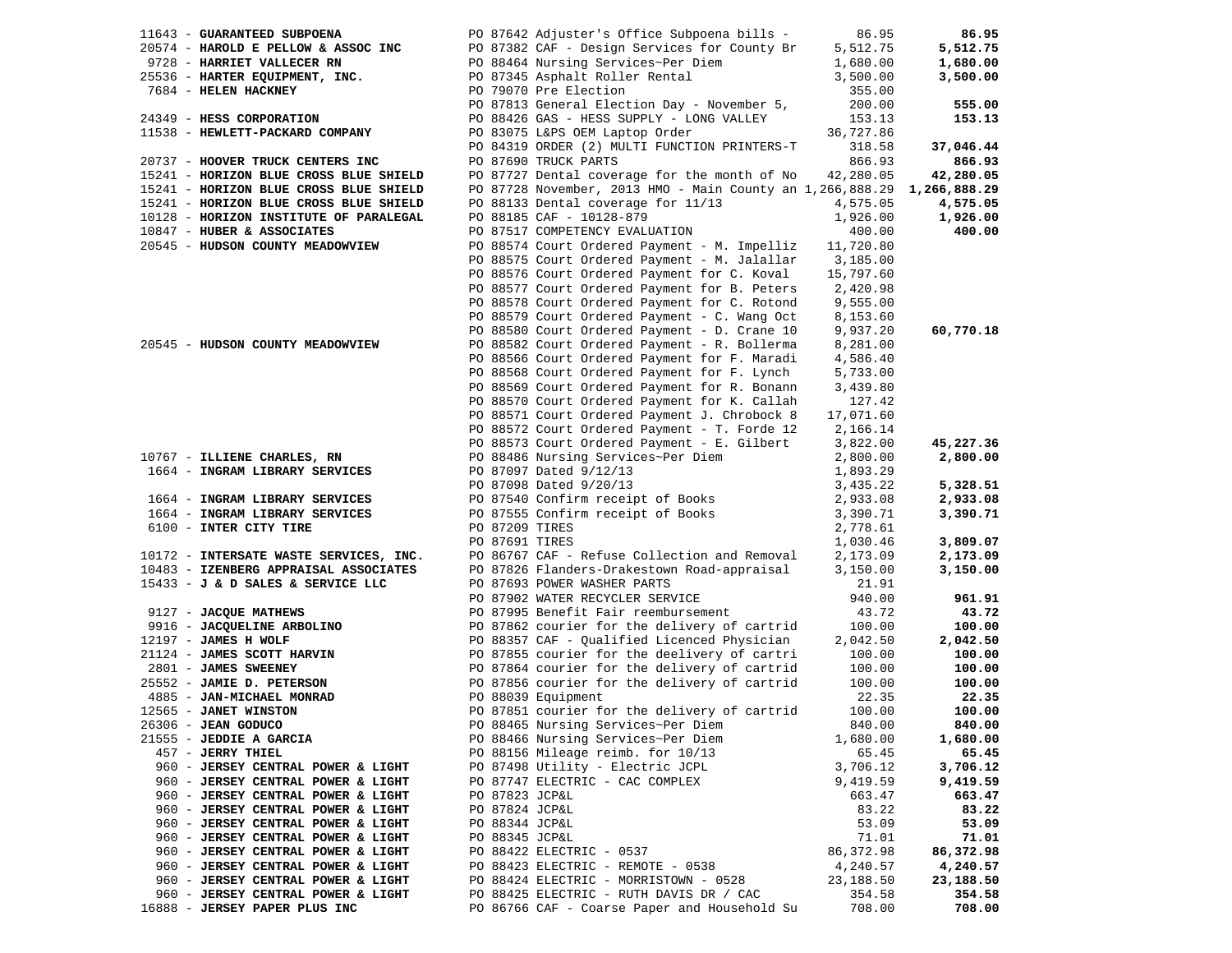| 11643 - GUARANTEED SUBPOENA            |                | PO 87642 Adjuster's Office Subpoena bills -                            | 86.95      | 86.95     |
|----------------------------------------|----------------|------------------------------------------------------------------------|------------|-----------|
| 20574 - HAROLD E PELLOW & ASSOC INC    |                | PO 87382 CAF - Design Services for County Br                           | 5,512.75   | 5,512.75  |
| 9728 - HARRIET VALLECER RN             |                | PO 88464 Nursing Services~Per Diem                                     | 1,680.00   | 1,680.00  |
| 25536 - HARTER EQUIPMENT, INC.         |                | PO 87345 Asphalt Roller Rental                                         | 3,500.00   | 3,500.00  |
| 7684 - HELEN HACKNEY                   |                | PO 79070 Pre Election                                                  | 355.00     |           |
|                                        |                | PO 87813 General Election Day - November 5,                            | 200.00     | 555.00    |
| 24349 - HESS CORPORATION               |                | PO 88426 GAS - HESS SUPPLY - LONG VALLEY                               | 153.13     | 153.13    |
| 11538 - HEWLETT-PACKARD COMPANY        |                | PO 83075 L&PS OEM Laptop Order                                         | 36,727.86  |           |
|                                        |                | PO 84319 ORDER (2) MULTI FUNCTION PRINTERS-T                           | 318.58     | 37,046.44 |
|                                        |                |                                                                        | 866.93     |           |
| 20737 - HOOVER TRUCK CENTERS INC       |                | PO 87690 TRUCK PARTS                                                   |            | 866.93    |
| 15241 - HORIZON BLUE CROSS BLUE SHIELD |                | PO 87727 Dental coverage for the month of No                           | 42,280.05  | 42,280.05 |
| 15241 - HORIZON BLUE CROSS BLUE SHIELD |                | PO 87728 November, 2013 HMO - Main County an 1,266,888.29 1,266,888.29 |            |           |
| 15241 - HORIZON BLUE CROSS BLUE SHIELD |                | PO 88133 Dental coverage for 11/13                                     | 4,575.05   | 4,575.05  |
| 10128 - HORIZON INSTITUTE OF PARALEGAL |                | PO 88185 CAF - 10128-879                                               | 1,926.00   | 1,926.00  |
| 10847 - HUBER & ASSOCIATES             |                | PO 87517 COMPETENCY EVALUATION                                         | 400.00     | 400.00    |
| 20545 - HUDSON COUNTY MEADOWVIEW       |                | PO 88574 Court Ordered Payment - M. Impelliz                           | 11,720.80  |           |
|                                        |                | PO 88575 Court Ordered Payment - M. Jalallar                           | 3,185.00   |           |
|                                        |                | PO 88576 Court Ordered Payment for C. Koval                            | 15,797.60  |           |
|                                        |                | PO 88577 Court Ordered Payment for B. Peters                           | 2,420.98   |           |
|                                        |                | PO 88578 Court Ordered Payment for C. Rotond                           | 9,555.00   |           |
|                                        |                | PO 88579 Court Ordered Payment - C. Wang Oct                           | 8,153.60   |           |
|                                        |                | PO 88580 Court Ordered Payment - D. Crane 10                           | 9,937.20   | 60,770.18 |
| 20545 - HUDSON COUNTY MEADOWVIEW       |                | PO 88582 Court Ordered Payment - R. Bollerma                           | 8,281.00   |           |
|                                        |                | PO 88566 Court Ordered Payment for F. Maradi                           |            |           |
|                                        |                | PO 88568 Court Ordered Payment for F. Lynch                            | 4,586.40   |           |
|                                        |                |                                                                        | 5,733.00   |           |
|                                        |                | PO 88569 Court Ordered Payment for R. Bonann                           | 3,439.80   |           |
|                                        |                | PO 88570 Court Ordered Payment for K. Callah                           | 127.42     |           |
|                                        |                | PO 88571 Court Ordered Payment J. Chrobock 8                           | 17,071.60  |           |
|                                        |                | PO 88572 Court Ordered Payment - T. Forde 12                           | 2,166.14   |           |
|                                        |                | PO 88573 Court Ordered Payment - E. Gilbert                            | 3,822.00   | 45,227.36 |
| 10767 - ILLIENE CHARLES, RN            |                | PO 88486 Nursing Services~Per Diem                                     | 2,800.00   | 2,800.00  |
| 1664 - INGRAM LIBRARY SERVICES         |                | PO 87097 Dated 9/12/13                                                 | 1,893.29   |           |
|                                        |                | PO 87098 Dated 9/20/13                                                 | 3,435.22   | 5,328.51  |
| 1664 - INGRAM LIBRARY SERVICES         |                | PO 87540 Confirm receipt of Books                                      | 2,933.08   | 2,933.08  |
| 1664 - INGRAM LIBRARY SERVICES         |                | PO 87555 Confirm receipt of Books                                      | 3,390.71   | 3,390.71  |
| 6100 - INTER CITY TIRE                 | PO 87209 TIRES |                                                                        | 2,778.61   |           |
|                                        | PO 87691 TIRES |                                                                        | 1,030.46   | 3,809.07  |
| 10172 - INTERSATE WASTE SERVICES, INC. |                | PO 86767 CAF - Refuse Collection and Removal                           | 2,173.09   | 2,173.09  |
| 10483 - IZENBERG APPRAISAL ASSOCIATES  |                | PO 87826 Flanders-Drakestown Road-appraisal                            | 3,150.00   | 3,150.00  |
| 15433 - J & D SALES & SERVICE LLC      |                | PO 87693 POWER WASHER PARTS                                            | 21.91      |           |
|                                        |                | PO 87902 WATER RECYCLER SERVICE                                        | 940.00     | 961.91    |
|                                        |                | PO 87995 Benefit Fair reembursement                                    | 43.72      | 43.72     |
| 9127 - JACQUE MATHEWS                  |                |                                                                        |            |           |
| 9916 - JACQUELINE ARBOLINO             |                | PO 87862 courier for the delivery of cartrid                           | 100.00     | 100.00    |
| 12197 - JAMES H WOLF                   |                | PO 88357 CAF - Qualified Licenced Physician                            | 2,042.50   | 2,042.50  |
| 21124 - JAMES SCOTT HARVIN             |                | PO 87855 courier for the deelivery of cartri                           | 100.00     | 100.00    |
| 2801 - JAMES SWEENEY                   |                | PO 87864 courier for the delivery of cartrid                           | 100.00     | 100.00    |
| 25552 - JAMIE D. PETERSON              |                | PO 87856 courier for the delivery of cartrid                           | 100.00     | 100.00    |
| 4885 - JAN-MICHAEL MONRAD              |                | PO 88039 Equipment                                                     | 22.35      | 22.35     |
| 12565 - JANET WINSTON                  |                | PO 87851 courier for the delivery of cartrid                           | 100.00     | 100.00    |
| 26306 - JEAN GODUCO                    |                | PO 88465 Nursing Services~Per Diem                                     | 840.00     | 840.00    |
| 21555 - JEDDIE A GARCIA                |                | PO 88466 Nursing Services~Per Diem                                     | 1,680.00   | 1,680.00  |
| 457 - JERRY THIEL                      |                | PO 88156 Mileage reimb. for 10/13                                      | 65.45      | 65.45     |
| 960 - JERSEY CENTRAL POWER & LIGHT     |                | PO 87498 Utility - Electric JCPL                                       | 3,706.12   | 3,706.12  |
| 960 - JERSEY CENTRAL POWER & LIGHT     |                | PO 87747 ELECTRIC - CAC COMPLEX                                        | 9,419.59   | 9,419.59  |
| 960 - JERSEY CENTRAL POWER & LIGHT     | PO 87823 JCP&L |                                                                        | 663.47     | 663.47    |
| 960 - JERSEY CENTRAL POWER & LIGHT     | PO 87824 JCP&L |                                                                        | 83.22      | 83.22     |
| 960 - JERSEY CENTRAL POWER & LIGHT     | PO 88344 JCP&L |                                                                        | 53.09      | 53.09     |
| 960 - JERSEY CENTRAL POWER & LIGHT     | PO 88345 JCP&L |                                                                        | 71.01      | 71.01     |
| 960 - JERSEY CENTRAL POWER & LIGHT     |                | PO 88422 ELECTRIC - 0537                                               | 86, 372.98 | 86,372.98 |
| 960 - JERSEY CENTRAL POWER & LIGHT     |                |                                                                        | 4,240.57   | 4,240.57  |
|                                        |                | PO 88423 ELECTRIC - REMOTE - 0538                                      |            |           |
| 960 - JERSEY CENTRAL POWER & LIGHT     |                | PO 88424 ELECTRIC - MORRISTOWN - 0528                                  | 23,188.50  | 23,188.50 |
| 960 - JERSEY CENTRAL POWER & LIGHT     |                | PO 88425 ELECTRIC - RUTH DAVIS DR / CAC                                | 354.58     | 354.58    |
| 16888 - JERSEY PAPER PLUS INC          |                | PO 86766 CAF - Coarse Paper and Household Su                           | 708.00     | 708.00    |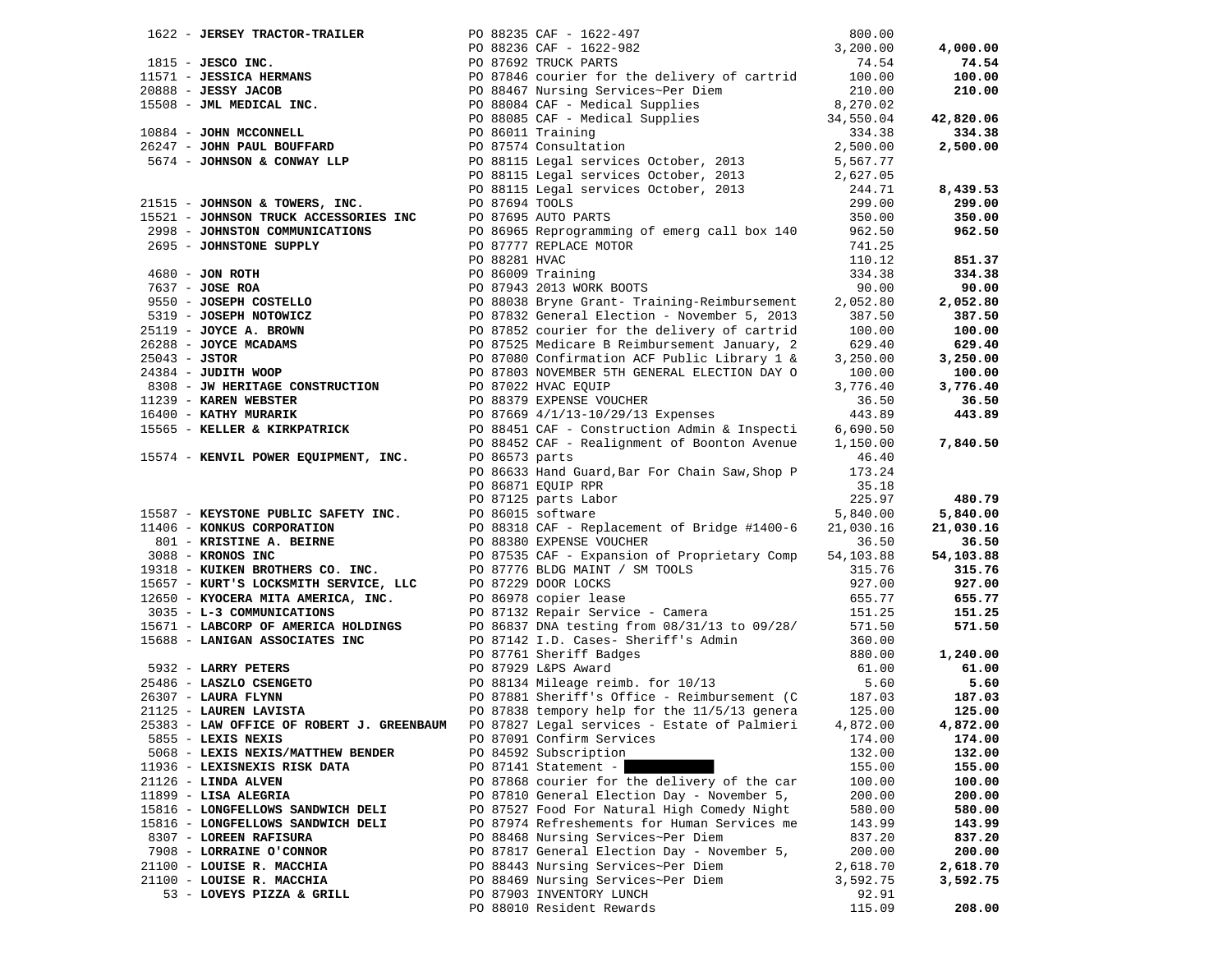| 1622 - JERSEY TRACTOR-TRAILER                                                                                                                   |                                                                                                                                                                                                                                        |                                                                                                                                                                                                                                                                                 | 800.00    |           |
|-------------------------------------------------------------------------------------------------------------------------------------------------|----------------------------------------------------------------------------------------------------------------------------------------------------------------------------------------------------------------------------------------|---------------------------------------------------------------------------------------------------------------------------------------------------------------------------------------------------------------------------------------------------------------------------------|-----------|-----------|
|                                                                                                                                                 |                                                                                                                                                                                                                                        | PO 88235 CAF - 1622-497<br>PO 88236 CAF - 1622-982<br>PO 87692 TRUCK PARTS                                                                                                                                                                                                      | 3,200.00  | 4,000.00  |
|                                                                                                                                                 |                                                                                                                                                                                                                                        |                                                                                                                                                                                                                                                                                 |           | 74.54     |
|                                                                                                                                                 |                                                                                                                                                                                                                                        | 1815 - <b>JESCO INC.</b><br>19088236 CAF - 1622-982<br>200.00<br>19087692 TRUCK PARTS<br>20088 - <b>JESSICA HERMANS</b><br>20088 - <b>JESSICA HERMANS</b><br>200.00<br>200.00<br>200.00<br>200.00<br>200.00<br>200.00<br>200.00<br>200.00<br>200.00<br>200.00<br>200.00<br>200. |           | 100.00    |
|                                                                                                                                                 |                                                                                                                                                                                                                                        |                                                                                                                                                                                                                                                                                 |           | 210.00    |
|                                                                                                                                                 |                                                                                                                                                                                                                                        |                                                                                                                                                                                                                                                                                 |           |           |
|                                                                                                                                                 |                                                                                                                                                                                                                                        |                                                                                                                                                                                                                                                                                 |           |           |
|                                                                                                                                                 |                                                                                                                                                                                                                                        |                                                                                                                                                                                                                                                                                 |           | 42,820.06 |
|                                                                                                                                                 |                                                                                                                                                                                                                                        |                                                                                                                                                                                                                                                                                 |           | 334.38    |
|                                                                                                                                                 |                                                                                                                                                                                                                                        |                                                                                                                                                                                                                                                                                 |           | 2,500.00  |
|                                                                                                                                                 |                                                                                                                                                                                                                                        |                                                                                                                                                                                                                                                                                 |           |           |
|                                                                                                                                                 |                                                                                                                                                                                                                                        | PO 88115 Legal services October, 2013                                                                                                                                                                                                                                           | 2,627.05  |           |
|                                                                                                                                                 |                                                                                                                                                                                                                                        | PO 88115 Legal services October, 2013                                                                                                                                                                                                                                           | 244.71    | 8,439.53  |
|                                                                                                                                                 |                                                                                                                                                                                                                                        |                                                                                                                                                                                                                                                                                 | 299.00    | 299.00    |
|                                                                                                                                                 |                                                                                                                                                                                                                                        |                                                                                                                                                                                                                                                                                 | 350.00    | 350.00    |
|                                                                                                                                                 |                                                                                                                                                                                                                                        | PO 86965 Reprogramming of emerg call box 140 962.50                                                                                                                                                                                                                             |           | 962.50    |
|                                                                                                                                                 |                                                                                                                                                                                                                                        |                                                                                                                                                                                                                                                                                 | 741.25    |           |
| 2998 - JOHNSTON COMMUNICATION                                                                                                                   | 21515 - JOHNSON & TOWERS, INC.<br>15521 - JOHNSON TRUCK ACCESSORIES INC<br>2998 - JOHNSTON COMMUNICATIONS<br>TOWERS, THE POST OF STATE POST OF STATE POST OF STATE POST OF STATE POST OF STATE POST OF STATE POST OF STATE<br>TOWER TH |                                                                                                                                                                                                                                                                                 |           |           |
|                                                                                                                                                 |                                                                                                                                                                                                                                        |                                                                                                                                                                                                                                                                                 | 110.12    | 851.37    |
|                                                                                                                                                 |                                                                                                                                                                                                                                        |                                                                                                                                                                                                                                                                                 | 334.38    | 334.38    |
|                                                                                                                                                 |                                                                                                                                                                                                                                        |                                                                                                                                                                                                                                                                                 | 90.00     | 90.00     |
|                                                                                                                                                 |                                                                                                                                                                                                                                        |                                                                                                                                                                                                                                                                                 | 2,052.80  | 2,052.80  |
|                                                                                                                                                 |                                                                                                                                                                                                                                        |                                                                                                                                                                                                                                                                                 | 387.50    | 387.50    |
|                                                                                                                                                 |                                                                                                                                                                                                                                        |                                                                                                                                                                                                                                                                                 | 100.00    | 100.00    |
|                                                                                                                                                 |                                                                                                                                                                                                                                        |                                                                                                                                                                                                                                                                                 | 629.40    | 629.40    |
|                                                                                                                                                 |                                                                                                                                                                                                                                        | 90 88281 HVAC<br>PO 88281 HVAC<br>PO 86009 Training<br>PO 86009 Training<br>PO 87943 2013 WORK BOOTS<br>9550 - <b>JOSEPH COSTELLO</b><br>9550 - <b>JOSEPH COSTELLO</b><br>9579 - <b>JOSEPH NOTOWICZ</b><br>9519 - <b>JOSEPH NOTOWICZ</b><br>9519 - <b>JOSEPH NOTOWICZ</b>       | 3,250.00  | 3,250.00  |
|                                                                                                                                                 |                                                                                                                                                                                                                                        |                                                                                                                                                                                                                                                                                 | 100.00    | 100.00    |
|                                                                                                                                                 |                                                                                                                                                                                                                                        |                                                                                                                                                                                                                                                                                 | 3,776.40  | 3,776.40  |
| 11239 - KAREN WEBSTER                                                                                                                           |                                                                                                                                                                                                                                        | 8308 - JW HERITAGE CONSTRUCTION<br>8308 - JW HERITAGE CONSTRUCTION<br>11239 - KAREN WEBSTER                                                                                                                                                                                     | 36.50     | 36.50     |
| 16400 - KATHY MURARIK                                                                                                                           |                                                                                                                                                                                                                                        | PO 87669 4/1/13-10/29/13 Expenses                                                                                                                                                                                                                                               | 443.89    | 443.89    |
|                                                                                                                                                 |                                                                                                                                                                                                                                        |                                                                                                                                                                                                                                                                                 |           |           |
| 15565 - KELLER & KIRKPATRICK                                                                                                                    |                                                                                                                                                                                                                                        | PO 88451 CAF - Construction Admin & Inspecti                                                                                                                                                                                                                                    | 6,690.50  |           |
|                                                                                                                                                 |                                                                                                                                                                                                                                        | PO 88452 CAF - Realignment of Boonton Avenue 1,150.00                                                                                                                                                                                                                           |           | 7,840.50  |
| 15574 - KENVIL POWER EQUIPMENT, INC.                                                                                                            |                                                                                                                                                                                                                                        | PO 86573 parts                                                                                                                                                                                                                                                                  | 46.40     |           |
|                                                                                                                                                 |                                                                                                                                                                                                                                        | PO 86633 Hand Guard, Bar For Chain Saw, Shop P                                                                                                                                                                                                                                  | 173.24    |           |
|                                                                                                                                                 |                                                                                                                                                                                                                                        | PO 86871 EQUIP RPR                                                                                                                                                                                                                                                              | 35.18     |           |
|                                                                                                                                                 |                                                                                                                                                                                                                                        | PO 87125 parts Labor                                                                                                                                                                                                                                                            | 225.97    | 480.79    |
| 15587 - KEYSTONE PUBLIC DAN ---<br>11406 - KONKUS CORPORATION<br>2007 ---- 2008 ---- 2008                                                       |                                                                                                                                                                                                                                        | PO 86015 software                                                                                                                                                                                                                                                               | 5,840.00  | 5,840.00  |
|                                                                                                                                                 |                                                                                                                                                                                                                                        | PO 88318 CAF - Replacement of Bridge #1400-6                                                                                                                                                                                                                                    | 21,030.16 | 21,030.16 |
|                                                                                                                                                 |                                                                                                                                                                                                                                        | PO 88380 EXPENSE VOUCHER                                                                                                                                                                                                                                                        | 36.50     | 36.50     |
| 3088 - KRONOS INC<br>19318 - KUIKEN BROTHERS CO. INC.                                                                                           |                                                                                                                                                                                                                                        | PO 87535 CAF - Expansion of Proprietary Comp                                                                                                                                                                                                                                    | 54,103.88 | 54,103.88 |
|                                                                                                                                                 |                                                                                                                                                                                                                                        |                                                                                                                                                                                                                                                                                 | 315.76    | 315.76    |
| 15657 - KURT'S LOCKSMITH SERVICE, LLC<br>12650 - KYOCERA MITA AMERICA, INC.<br>3035 - L-3 COMMUNICATIONS<br>15671 - LABCORP OF AMERICA HOLDINGS |                                                                                                                                                                                                                                        | PO 87776 BLDG MAINT / SM TOOLS<br>PO 87229 DOOR LOCKS<br>PO 86978 copier lease                                                                                                                                                                                                  | 927.00    | 927.00    |
|                                                                                                                                                 |                                                                                                                                                                                                                                        |                                                                                                                                                                                                                                                                                 | 655.77    | 655.77    |
|                                                                                                                                                 |                                                                                                                                                                                                                                        | PO 87132 Repair Service - Camera                                                                                                                                                                                                                                                | 151.25    | 151.25    |
|                                                                                                                                                 |                                                                                                                                                                                                                                        | PO 86837 DNA testing from 08/31/13 to 09/28/                                                                                                                                                                                                                                    | 571.50    | 571.50    |
| 15688 - LANIGAN ASSOCIATES INC                                                                                                                  |                                                                                                                                                                                                                                        | PO 87142 I.D. Cases- Sheriff's Admin                                                                                                                                                                                                                                            | 360.00    |           |
|                                                                                                                                                 |                                                                                                                                                                                                                                        | PO 87761 Sheriff Badges                                                                                                                                                                                                                                                         | 880.00    | 1,240.00  |
| 5932 - LARRY PETERS                                                                                                                             |                                                                                                                                                                                                                                        | PO 87929 L&PS Award                                                                                                                                                                                                                                                             | 61.00     | 61.00     |
|                                                                                                                                                 |                                                                                                                                                                                                                                        |                                                                                                                                                                                                                                                                                 |           | 5.60      |
|                                                                                                                                                 |                                                                                                                                                                                                                                        | PO 88134 Mileage reimb. for 10/13<br>DO 87991 Shawiff: 1001                                                                                                                                                                                                                     |           |           |
| 25486 - LASZLO CSENGETO<br>26307 - LAURA FLYNN<br>21125 - LAUREN LAVISTA                                                                        |                                                                                                                                                                                                                                        | PO 88134 Mileage reimb. for $10/13$<br>PO 87881 Sheriff's Office - Reimbursement (C 187.03<br>PO 87881 Sheriff's Office - Reimbursement (C 187.03                                                                                                                               |           | 187.03    |
|                                                                                                                                                 |                                                                                                                                                                                                                                        |                                                                                                                                                                                                                                                                                 |           | 125.00    |
| 25383 - LAW OFFICE OF ROBERT J. GREENBAUM                                                                                                       |                                                                                                                                                                                                                                        | PO 87827 Legal services - Estate of Palmieri                                                                                                                                                                                                                                    | 4,872.00  | 4,872.00  |
| 5855 - LEXIS NEXIS                                                                                                                              |                                                                                                                                                                                                                                        | PO 87091 Confirm Services                                                                                                                                                                                                                                                       | 174.00    | 174.00    |
| 5068 - LEXIS NEXIS/MATTHEW BENDER                                                                                                               |                                                                                                                                                                                                                                        | PO 84592 Subscription                                                                                                                                                                                                                                                           | 132.00    | 132.00    |
| 11936 - LEXISNEXIS RISK DATA                                                                                                                    |                                                                                                                                                                                                                                        | $PO 87141 Statement -$                                                                                                                                                                                                                                                          | 155.00    | 155.00    |
| 21126 - LINDA ALVEN                                                                                                                             |                                                                                                                                                                                                                                        | PO 87868 courier for the delivery of the car                                                                                                                                                                                                                                    | 100.00    | 100.00    |
| 11899 - LISA ALEGRIA                                                                                                                            |                                                                                                                                                                                                                                        | PO 87810 General Election Day - November 5,                                                                                                                                                                                                                                     | 200.00    | 200.00    |
| 15816 - LONGFELLOWS SANDWICH DELI                                                                                                               |                                                                                                                                                                                                                                        | PO 87527 Food For Natural High Comedy Night                                                                                                                                                                                                                                     | 580.00    | 580.00    |
| 15816 - LONGFELLOWS SANDWICH DELI                                                                                                               |                                                                                                                                                                                                                                        | PO 87974 Refreshements for Human Services me                                                                                                                                                                                                                                    | 143.99    | 143.99    |
| 8307 - LOREEN RAFISURA                                                                                                                          |                                                                                                                                                                                                                                        | PO 88468 Nursing Services~Per Diem                                                                                                                                                                                                                                              | 837.20    | 837.20    |
| 7908 - LORRAINE O'CONNOR                                                                                                                        |                                                                                                                                                                                                                                        | PO 87817 General Election Day - November 5,                                                                                                                                                                                                                                     | 200.00    | 200.00    |
| 21100 - LOUISE R. MACCHIA                                                                                                                       |                                                                                                                                                                                                                                        | PO 88443 Nursing Services~Per Diem                                                                                                                                                                                                                                              | 2,618.70  | 2,618.70  |
| 21100 - LOUISE R. MACCHIA                                                                                                                       |                                                                                                                                                                                                                                        | PO 88469 Nursing Services~Per Diem                                                                                                                                                                                                                                              | 3,592.75  | 3,592.75  |
| 53 - LOVEYS PIZZA & GRILL                                                                                                                       |                                                                                                                                                                                                                                        | PO 87903 INVENTORY LUNCH                                                                                                                                                                                                                                                        | 92.91     |           |
|                                                                                                                                                 |                                                                                                                                                                                                                                        | PO 88010 Resident Rewards                                                                                                                                                                                                                                                       | 115.09    | 208.00    |
|                                                                                                                                                 |                                                                                                                                                                                                                                        |                                                                                                                                                                                                                                                                                 |           |           |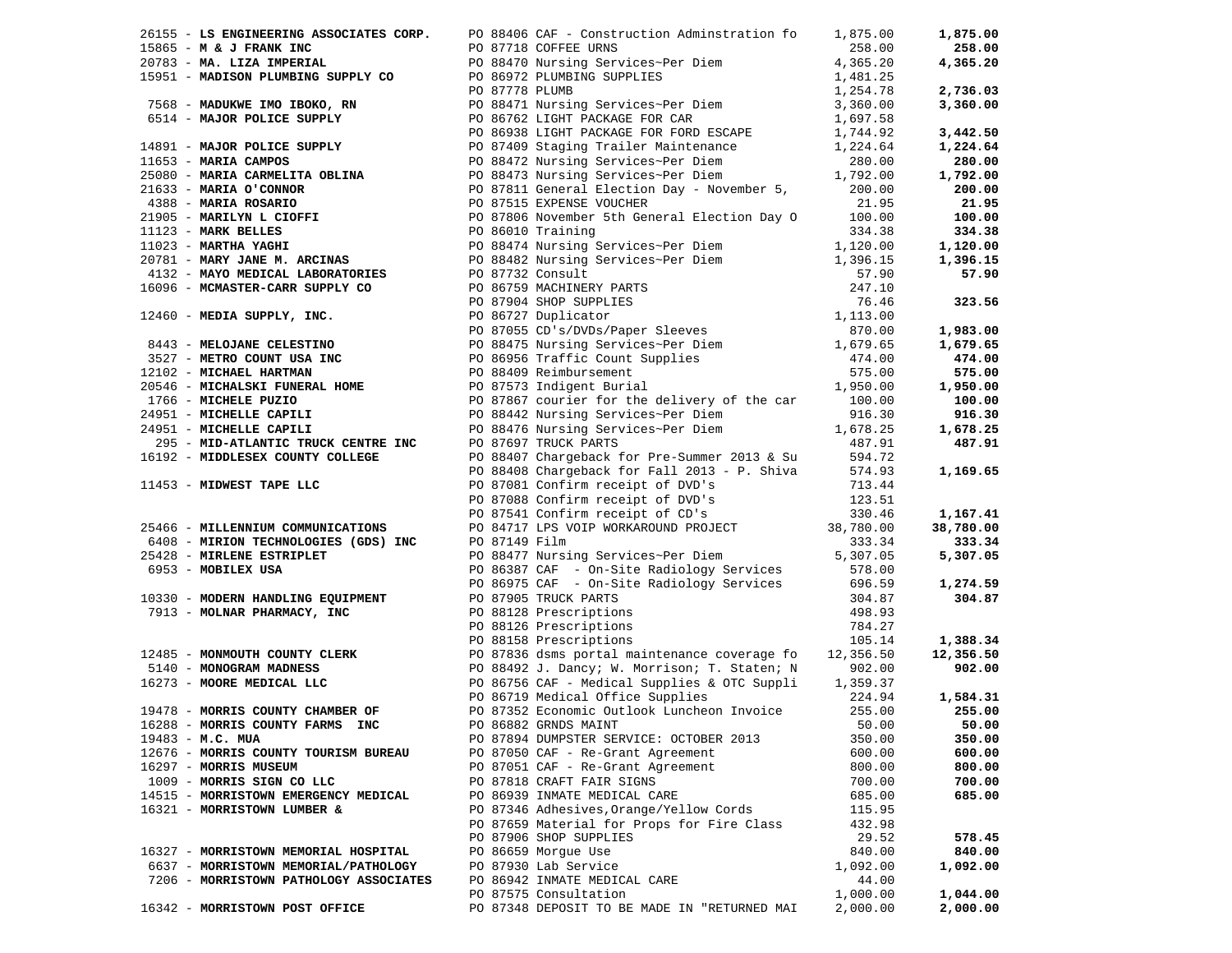|                                                                                                              | 26155 - LS ENGINEERING ASSOCIATES CORP. PO 88406 CAF - Construction Adminstration fo 1,875.00                                                                                                                                                               |          | 1,875.00  |
|--------------------------------------------------------------------------------------------------------------|-------------------------------------------------------------------------------------------------------------------------------------------------------------------------------------------------------------------------------------------------------------|----------|-----------|
|                                                                                                              | 26155 - 16 NORTHER MESOCIATES CORP. FO 88470 Nursing Services-Per Diem<br>19865 - 16 A JENARY INC 100 2008 - 100 2008 - 100 2008 - 100 2008 - 100 2008 - 100 2008 - 100 2008 - 100 2008 - 100 2008 - 100 2008 - 100 2008 - 100                              |          | 258.00    |
|                                                                                                              |                                                                                                                                                                                                                                                             |          | 4,365.20  |
|                                                                                                              |                                                                                                                                                                                                                                                             |          |           |
|                                                                                                              |                                                                                                                                                                                                                                                             |          | 2,736.03  |
|                                                                                                              |                                                                                                                                                                                                                                                             |          | 3,360.00  |
|                                                                                                              |                                                                                                                                                                                                                                                             |          |           |
|                                                                                                              |                                                                                                                                                                                                                                                             |          | 3,442.50  |
|                                                                                                              |                                                                                                                                                                                                                                                             |          | 1,224.64  |
|                                                                                                              |                                                                                                                                                                                                                                                             |          | 280.00    |
|                                                                                                              |                                                                                                                                                                                                                                                             |          |           |
|                                                                                                              |                                                                                                                                                                                                                                                             |          | 1,792.00  |
|                                                                                                              |                                                                                                                                                                                                                                                             |          | 200.00    |
|                                                                                                              |                                                                                                                                                                                                                                                             |          | 21.95     |
|                                                                                                              |                                                                                                                                                                                                                                                             |          | 100.00    |
|                                                                                                              |                                                                                                                                                                                                                                                             |          | 334.38    |
|                                                                                                              |                                                                                                                                                                                                                                                             |          | 1,120.00  |
|                                                                                                              |                                                                                                                                                                                                                                                             |          | 1,396.15  |
|                                                                                                              |                                                                                                                                                                                                                                                             |          | 57.90     |
|                                                                                                              |                                                                                                                                                                                                                                                             |          |           |
|                                                                                                              |                                                                                                                                                                                                                                                             |          | 323.56    |
|                                                                                                              |                                                                                                                                                                                                                                                             |          |           |
|                                                                                                              |                                                                                                                                                                                                                                                             |          | 1,983.00  |
|                                                                                                              |                                                                                                                                                                                                                                                             |          | 1,679.65  |
|                                                                                                              |                                                                                                                                                                                                                                                             |          | 474.00    |
|                                                                                                              |                                                                                                                                                                                                                                                             |          | 575.00    |
|                                                                                                              |                                                                                                                                                                                                                                                             |          |           |
|                                                                                                              |                                                                                                                                                                                                                                                             |          | 1,950.00  |
|                                                                                                              |                                                                                                                                                                                                                                                             |          | 100.00    |
|                                                                                                              |                                                                                                                                                                                                                                                             |          | 916.30    |
|                                                                                                              |                                                                                                                                                                                                                                                             |          | 1,678.25  |
|                                                                                                              | 24951 - ALLER CENTRE INC<br>295 - MID-ATLANTIC TRUCK CENTRE INC<br>295 - MID-ATLANTIC TRUCK CENTRE INC<br>295 - MIDDLESEX COUNTY COLLEGE<br>2013 - P. Shiva<br>2013 - P. Shiva<br>201453 - MIDWEST TAPE LLC<br>201453 - MIDWEST TAPE LLC<br>20              |          | 487.91    |
|                                                                                                              |                                                                                                                                                                                                                                                             |          |           |
|                                                                                                              |                                                                                                                                                                                                                                                             |          | 1,169.65  |
|                                                                                                              |                                                                                                                                                                                                                                                             |          |           |
|                                                                                                              |                                                                                                                                                                                                                                                             |          |           |
|                                                                                                              |                                                                                                                                                                                                                                                             |          | 1,167.41  |
|                                                                                                              |                                                                                                                                                                                                                                                             |          | 38,780.00 |
|                                                                                                              |                                                                                                                                                                                                                                                             |          | 333.34    |
|                                                                                                              |                                                                                                                                                                                                                                                             |          | 5,307.05  |
|                                                                                                              |                                                                                                                                                                                                                                                             |          |           |
|                                                                                                              |                                                                                                                                                                                                                                                             |          | 1,274.59  |
|                                                                                                              |                                                                                                                                                                                                                                                             |          | 304.87    |
| 10330 - MODERN HANDLING EQUIPMENT PO 87905 TRUCK PARTS<br>7913 - MOLNAR PHARMACY, INC 90 88128 Prescriptions |                                                                                                                                                                                                                                                             | 498.93   |           |
|                                                                                                              |                                                                                                                                                                                                                                                             |          |           |
|                                                                                                              | PO 88128 Prescriptions<br>PO 88126 Prescriptions<br>PO 88158 Prescriptions                                                                                                                                                                                  |          |           |
|                                                                                                              |                                                                                                                                                                                                                                                             |          | 1,388.34  |
|                                                                                                              |                                                                                                                                                                                                                                                             |          | 12,356.50 |
|                                                                                                              |                                                                                                                                                                                                                                                             |          | 902.00    |
|                                                                                                              | 23485 - <b>MONMOUTH COUNTY CLERK</b><br>PO 88158 Prescriptions<br>PO 87836 dsms portal maintenance coverage fo<br>12,356.50<br>5140 - <b>MONOGRAM MADNESS</b><br>16273 - <b>MOORE MEDICAL LLC</b><br>PO 86756 CAF - Medical Supplies & OTC Suppline<br>PO 8 |          |           |
|                                                                                                              |                                                                                                                                                                                                                                                             |          | 1,584.31  |
| 19478 - MORRIS COUNTY CHAMBER OF                                                                             | PO 87352 Economic Outlook Luncheon Invoice                                                                                                                                                                                                                  | 255.00   | 255.00    |
| 16288 - MORRIS COUNTY FARMS INC                                                                              | PO 86882 GRNDS MAINT                                                                                                                                                                                                                                        | 50.00    | 50.00     |
| 19483 - M.C. MUA                                                                                             | PO 87894 DUMPSTER SERVICE: OCTOBER 2013                                                                                                                                                                                                                     | 350.00   | 350.00    |
| 12676 - MORRIS COUNTY TOURISM BUREAU                                                                         | PO 87050 CAF - Re-Grant Agreement                                                                                                                                                                                                                           | 600.00   | 600.00    |
| 16297 - MORRIS MUSEUM                                                                                        | PO 87051 CAF - Re-Grant Agreement                                                                                                                                                                                                                           | 800.00   | 800.00    |
| 1009 - MORRIS SIGN CO LLC                                                                                    | PO 87818 CRAFT FAIR SIGNS                                                                                                                                                                                                                                   | 700.00   | 700.00    |
| 14515 - MORRISTOWN EMERGENCY MEDICAL                                                                         | PO 86939 INMATE MEDICAL CARE                                                                                                                                                                                                                                | 685.00   | 685.00    |
| 16321 - MORRISTOWN LUMBER &                                                                                  | PO 87346 Adhesives, Orange/Yellow Cords                                                                                                                                                                                                                     | 115.95   |           |
|                                                                                                              | PO 87659 Material for Props for Fire Class                                                                                                                                                                                                                  | 432.98   |           |
|                                                                                                              | PO 87906 SHOP SUPPLIES                                                                                                                                                                                                                                      | 29.52    | 578.45    |
|                                                                                                              | PO 86659 Morgue Use                                                                                                                                                                                                                                         |          |           |
| 16327 - MORRISTOWN MEMORIAL HOSPITAL                                                                         |                                                                                                                                                                                                                                                             | 840.00   | 840.00    |
| 6637 - MORRISTOWN MEMORIAL/PATHOLOGY                                                                         | PO 87930 Lab Service                                                                                                                                                                                                                                        | 1,092.00 | 1,092.00  |
| 7206 - MORRISTOWN PATHOLOGY ASSOCIATES                                                                       | PO 86942 INMATE MEDICAL CARE                                                                                                                                                                                                                                | 44.00    |           |
|                                                                                                              | PO 87575 Consultation                                                                                                                                                                                                                                       | 1,000.00 | 1,044.00  |
| 16342 - MORRISTOWN POST OFFICE                                                                               | PO 87348 DEPOSIT TO BE MADE IN "RETURNED MAI                                                                                                                                                                                                                | 2,000.00 | 2,000.00  |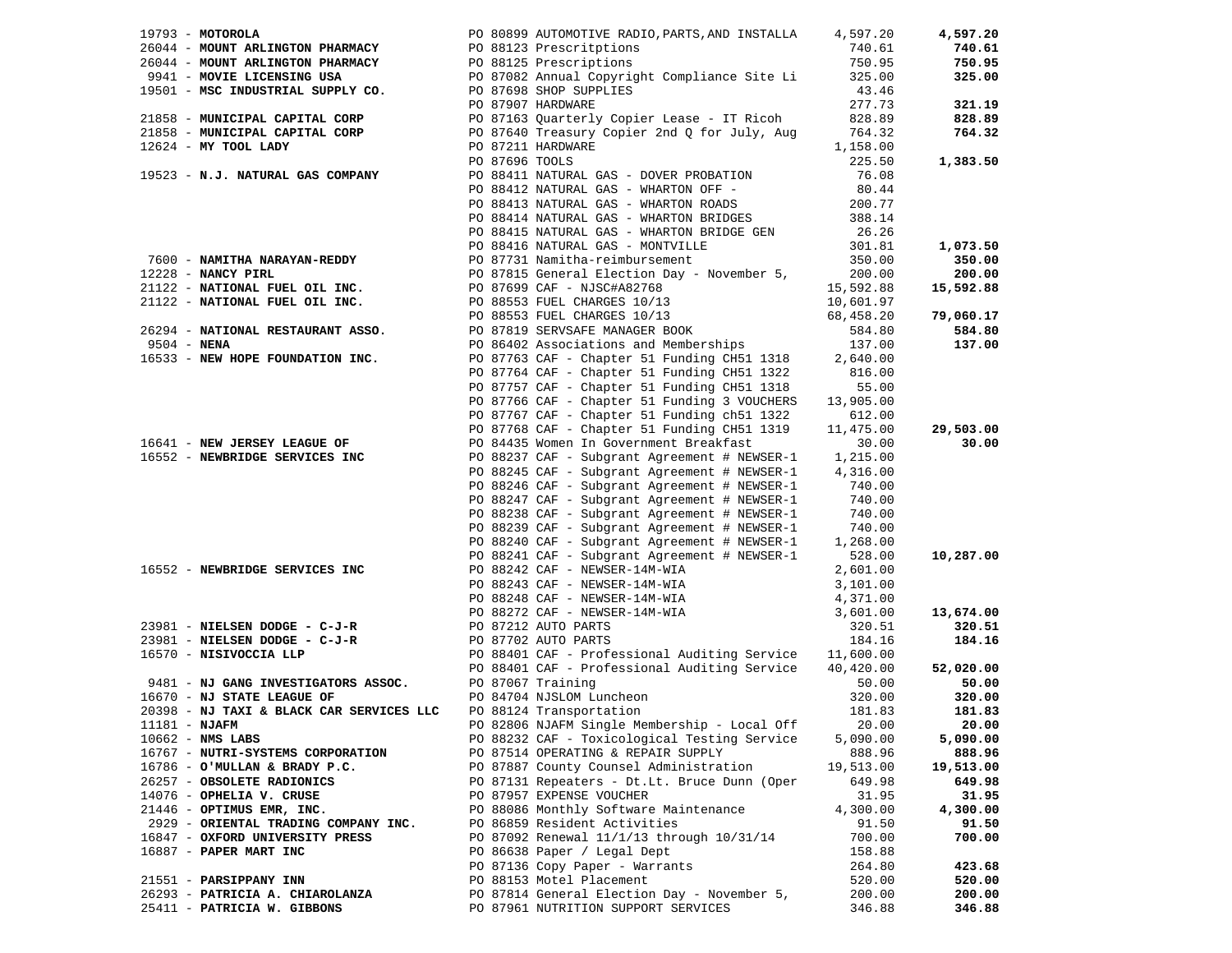| $19793 - MOTOROLA$                                                  | PO 80899 AUTOMOTIVE RADIO, PARTS, AND INSTALLA 4,597.20                                                                                                                                                                                      |                                                        | 4,597.20  |
|---------------------------------------------------------------------|----------------------------------------------------------------------------------------------------------------------------------------------------------------------------------------------------------------------------------------------|--------------------------------------------------------|-----------|
|                                                                     |                                                                                                                                                                                                                                              |                                                        | 740.61    |
|                                                                     |                                                                                                                                                                                                                                              |                                                        | 750.95    |
|                                                                     |                                                                                                                                                                                                                                              |                                                        | 325.00    |
|                                                                     |                                                                                                                                                                                                                                              |                                                        |           |
|                                                                     |                                                                                                                                                                                                                                              |                                                        | 321.19    |
|                                                                     |                                                                                                                                                                                                                                              |                                                        | 828.89    |
|                                                                     |                                                                                                                                                                                                                                              |                                                        | 764.32    |
|                                                                     | 19793 - MOTOROLA PO 80899 AUTOMOTIVE RADIO, PARTS, AND INSTALLA $4$ , $99$ , $20$<br>19793 - MONNT ARLINGTON PHARMACY PO 8123 Prescriptions 750.95<br>19601 - MOVIE LICENSING USA PO 87082 Annual Copyright Compliance Site Li 325.          |                                                        |           |
|                                                                     |                                                                                                                                                                                                                                              |                                                        | 1,383.50  |
|                                                                     |                                                                                                                                                                                                                                              |                                                        |           |
|                                                                     | PO 88412 NATURAL GAS - WHARTON OFF -<br>PO 88413 NATURAL GAS - WHARTON ROADS                                                                                                                                                                 | $80.44$<br>$200.77$                                    |           |
|                                                                     |                                                                                                                                                                                                                                              |                                                        |           |
|                                                                     | PO 88414 NATURAL GAS - WHARTON BRIDGES<br>288.14 PO 88414 NATURAL GAS - WHARTON BRIDGES                                                                                                                                                      |                                                        |           |
|                                                                     |                                                                                                                                                                                                                                              |                                                        |           |
|                                                                     |                                                                                                                                                                                                                                              |                                                        | 1,073.50  |
|                                                                     | 90 88414 NATURAL GAS - WHARTON BRIDGES<br>90 88415 NATURAL GAS - WHARTON BRIDGE GEN<br>90 88415 NATURAL GAS - MONTVILLE<br>90 87311 Namitha-reimbursement<br>90 87731 Namitha-reimbursement<br>90 87815 General Election Day - November      |                                                        | 350.00    |
|                                                                     |                                                                                                                                                                                                                                              |                                                        | 200.00    |
|                                                                     |                                                                                                                                                                                                                                              |                                                        | 15,592.88 |
|                                                                     |                                                                                                                                                                                                                                              |                                                        |           |
|                                                                     |                                                                                                                                                                                                                                              |                                                        | 79,060.17 |
|                                                                     |                                                                                                                                                                                                                                              |                                                        | 584.80    |
|                                                                     |                                                                                                                                                                                                                                              |                                                        | 137.00    |
|                                                                     |                                                                                                                                                                                                                                              |                                                        |           |
|                                                                     | PO 87764 CAF - Chapter 51 Funding CH51 1322 816.00                                                                                                                                                                                           |                                                        |           |
|                                                                     | PO 87757 CAF - Chapter 51 Funding CH51 1318                                                                                                                                                                                                  | 55.00                                                  |           |
|                                                                     | PO 87766 CAF - Chapter 51 Funding 3 VOUCHERS                                                                                                                                                                                                 | 13,905.00                                              |           |
|                                                                     | PO 87767 CAF - Chapter 51 Funding ch51 1322                                                                                                                                                                                                  | 612.00                                                 |           |
|                                                                     | PO 87768 CAF - Chapter 51 Funding CH51 1319                                                                                                                                                                                                  | 11,475.00                                              | 29,503.00 |
| 16641 - NEW JERSEY LEAGUE OF PO 84435 Women In Government Breakfast |                                                                                                                                                                                                                                              | 30.00                                                  | 30.00     |
| 16552 - NEWBRIDGE SERVICES INC                                      | PO 88237 CAF - Subgrant Agreement # NEWSER-1 1,215.00                                                                                                                                                                                        |                                                        |           |
|                                                                     | PO 88245 CAF - Subgrant Agreement # NEWSER-1 4,316.00                                                                                                                                                                                        |                                                        |           |
|                                                                     | PO 88246 CAF - Subgrant Agreement # NEWSER-1                                                                                                                                                                                                 | 740.00                                                 |           |
|                                                                     | PO 88247 CAF - Subgrant Agreement # NEWSER-1                                                                                                                                                                                                 | 740.00                                                 |           |
|                                                                     | PO 88238 CAF - Subgrant Agreement # NEWSER-1                                                                                                                                                                                                 | 740.00                                                 |           |
|                                                                     | PO 88239 CAF - Subgrant Agreement # NEWSER-1                                                                                                                                                                                                 | 740.00                                                 |           |
|                                                                     | PO 88240 CAF - Subgrant Agreement # NEWSER-1                                                                                                                                                                                                 | 1,268.00                                               |           |
|                                                                     | PO 88241 CAF - Subgrant Agreement # NEWSER-1 528.00                                                                                                                                                                                          |                                                        | 10,287.00 |
| 16552 - NEWBRIDGE SERVICES INC                                      |                                                                                                                                                                                                                                              | 2,601.00<br>3,101.00<br>4,371.00<br>3,601.00<br>501.00 |           |
|                                                                     | PO 88242 CAF - NEWSER-14M-WIA<br>PO 88243 CAF - NEWSER-14M-WIA                                                                                                                                                                               |                                                        |           |
|                                                                     |                                                                                                                                                                                                                                              |                                                        |           |
|                                                                     |                                                                                                                                                                                                                                              |                                                        | 13,674.00 |
|                                                                     |                                                                                                                                                                                                                                              |                                                        | 320.51    |
|                                                                     |                                                                                                                                                                                                                                              |                                                        | 184.16    |
|                                                                     |                                                                                                                                                                                                                                              |                                                        |           |
|                                                                     | 23981 - NIELSEN DODGE - C-J-R<br>23981 - NIELSEN DODGE - C-J-R<br>23981 - NIELSEN DODGE - C-J-R<br>23981 - NIELSEN DODGE - C-J-R<br>23981 - NIELSEN DODGE - C-J-R<br>23981 - NIELSEN DODGE - C-J-R<br>23981 - NIELSEN DODGE - C-J-R<br>23981 |                                                        | 52,020.00 |
|                                                                     |                                                                                                                                                                                                                                              |                                                        | 50.00     |
|                                                                     |                                                                                                                                                                                                                                              |                                                        | 320.00    |
|                                                                     |                                                                                                                                                                                                                                              |                                                        | 181.83    |
| 11181 - <b>NJAFM</b>                                                | PO 82806 NJAFM Single Membership - Local Off 20.00                                                                                                                                                                                           |                                                        | 20.00     |
| $10662$ - NMS LABS                                                  | PO 88232 CAF - Toxicological Testing Service                                                                                                                                                                                                 | 5,090.00                                               | 5,090.00  |
| 16767 - NUTRI-SYSTEMS CORPORATION                                   | PO 87514 OPERATING & REPAIR SUPPLY                                                                                                                                                                                                           | 888.96                                                 | 888.96    |
| $16786 -$ O'MULLAN & BRADY P.C.                                     | PO 87887 County Counsel Administration                                                                                                                                                                                                       | 19,513.00                                              | 19,513.00 |
| 26257 - OBSOLETE RADIONICS                                          | PO 87131 Repeaters - Dt.Lt. Bruce Dunn (Oper                                                                                                                                                                                                 | 649.98                                                 | 649.98    |
| 14076 - OPHELIA V. CRUSE                                            | PO 87957 EXPENSE VOUCHER                                                                                                                                                                                                                     | 31.95                                                  | 31.95     |
| 21446 - OPTIMUS EMR, INC.                                           | PO 88086 Monthly Software Maintenance                                                                                                                                                                                                        | 4,300.00                                               | 4,300.00  |
| 2929 - ORIENTAL TRADING COMPANY INC.                                | PO 86859 Resident Activities                                                                                                                                                                                                                 | 91.50                                                  | 91.50     |
| 16847 - OXFORD UNIVERSITY PRESS                                     | PO 87092 Renewal 11/1/13 through 10/31/14                                                                                                                                                                                                    | 700.00                                                 | 700.00    |
| 16887 - PAPER MART INC                                              | PO 86638 Paper / Legal Dept                                                                                                                                                                                                                  | 158.88                                                 |           |
|                                                                     | PO 87136 Copy Paper - Warrants                                                                                                                                                                                                               | 264.80                                                 | 423.68    |
| 21551 - PARSIPPANY INN                                              | PO 88153 Motel Placement                                                                                                                                                                                                                     | 520.00                                                 | 520.00    |
| 26293 - PATRICIA A. CHIAROLANZA                                     | PO 87814 General Election Day - November 5,                                                                                                                                                                                                  | 200.00                                                 | 200.00    |
| 25411 - PATRICIA W. GIBBONS                                         | PO 87961 NUTRITION SUPPORT SERVICES                                                                                                                                                                                                          | 346.88                                                 | 346.88    |
|                                                                     |                                                                                                                                                                                                                                              |                                                        |           |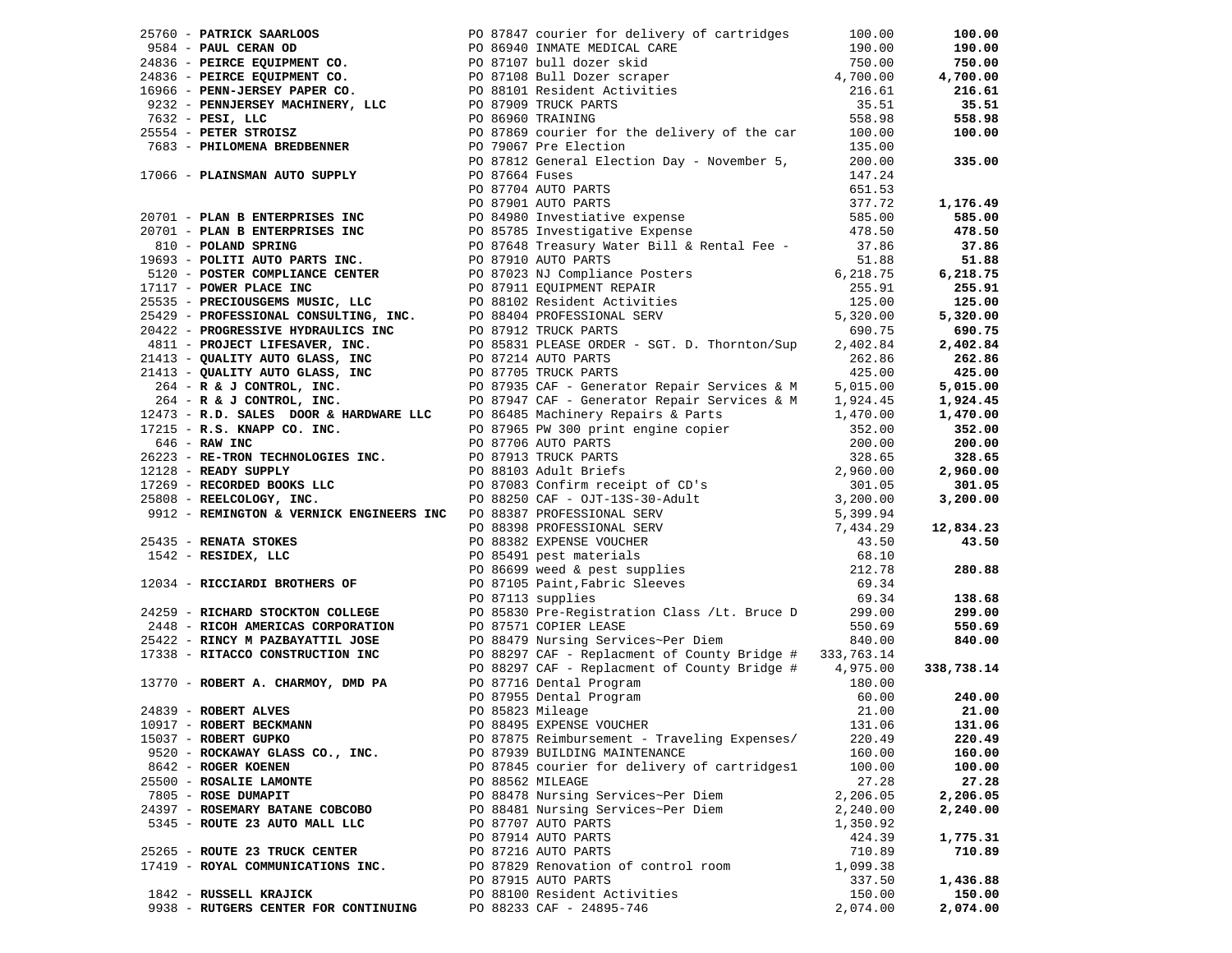|                                      |  |                                                                                                                                                                                                                                  |          | 100.00     |
|--------------------------------------|--|----------------------------------------------------------------------------------------------------------------------------------------------------------------------------------------------------------------------------------|----------|------------|
|                                      |  |                                                                                                                                                                                                                                  |          | 190.00     |
|                                      |  |                                                                                                                                                                                                                                  |          | 750.00     |
|                                      |  |                                                                                                                                                                                                                                  |          | 4,700.00   |
|                                      |  |                                                                                                                                                                                                                                  |          | 216.61     |
|                                      |  |                                                                                                                                                                                                                                  |          | 35.51      |
|                                      |  |                                                                                                                                                                                                                                  |          | 558.98     |
|                                      |  |                                                                                                                                                                                                                                  |          | 100.00     |
|                                      |  |                                                                                                                                                                                                                                  |          |            |
|                                      |  |                                                                                                                                                                                                                                  |          | 335.00     |
|                                      |  |                                                                                                                                                                                                                                  |          |            |
|                                      |  |                                                                                                                                                                                                                                  |          |            |
|                                      |  |                                                                                                                                                                                                                                  |          | 1,176.49   |
|                                      |  |                                                                                                                                                                                                                                  |          |            |
|                                      |  |                                                                                                                                                                                                                                  |          | 585.00     |
|                                      |  |                                                                                                                                                                                                                                  |          | 478.50     |
|                                      |  |                                                                                                                                                                                                                                  |          | 37.86      |
|                                      |  |                                                                                                                                                                                                                                  |          | 51.88      |
|                                      |  |                                                                                                                                                                                                                                  |          | 6,218.75   |
|                                      |  |                                                                                                                                                                                                                                  |          | 255.91     |
|                                      |  |                                                                                                                                                                                                                                  |          | 125.00     |
|                                      |  |                                                                                                                                                                                                                                  |          | 5,320.00   |
|                                      |  |                                                                                                                                                                                                                                  |          | 690.75     |
|                                      |  |                                                                                                                                                                                                                                  |          | 2,402.84   |
|                                      |  |                                                                                                                                                                                                                                  |          | 262.86     |
|                                      |  |                                                                                                                                                                                                                                  |          | 425.00     |
|                                      |  |                                                                                                                                                                                                                                  |          | 5,015.00   |
|                                      |  |                                                                                                                                                                                                                                  |          | 1,924.45   |
|                                      |  |                                                                                                                                                                                                                                  |          | 1,470.00   |
|                                      |  |                                                                                                                                                                                                                                  |          | 352.00     |
|                                      |  |                                                                                                                                                                                                                                  |          | 200.00     |
|                                      |  |                                                                                                                                                                                                                                  |          | 328.65     |
|                                      |  |                                                                                                                                                                                                                                  |          | 2,960.00   |
|                                      |  |                                                                                                                                                                                                                                  |          | 301.05     |
|                                      |  |                                                                                                                                                                                                                                  |          | 3,200.00   |
|                                      |  |                                                                                                                                                                                                                                  |          |            |
|                                      |  |                                                                                                                                                                                                                                  |          | 12,834.23  |
|                                      |  |                                                                                                                                                                                                                                  |          | 43.50      |
|                                      |  |                                                                                                                                                                                                                                  |          |            |
|                                      |  |                                                                                                                                                                                                                                  |          | 280.88     |
|                                      |  |                                                                                                                                                                                                                                  |          |            |
|                                      |  |                                                                                                                                                                                                                                  |          | 138.68     |
|                                      |  | PO 87113 supplies<br>24259 - RICHARD STOCKTON COLLEGE PO 85830 Pre-Registration Class /Lt. Bruce D 299.00                                                                                                                        |          | 299.00     |
|                                      |  |                                                                                                                                                                                                                                  |          |            |
|                                      |  |                                                                                                                                                                                                                                  |          | 550.69     |
|                                      |  |                                                                                                                                                                                                                                  |          | 840.00     |
|                                      |  |                                                                                                                                                                                                                                  |          |            |
|                                      |  | 2439 - RICHARD STOCKTON COLLEGE BOOT PRINCIPLE PRODUCTION AMERICAN COLLEGE BOOT PROPERT ACCORDITED BOOT PROPERT<br>2542 - RINCY M PAZBAYATTIL JOSE BOOT PROPERT BOOT PROPERT ACCORDITED BOOT PROPERT ACCORDITED PROPERT ACCORDIT |          | 338,738.14 |
|                                      |  |                                                                                                                                                                                                                                  |          |            |
|                                      |  |                                                                                                                                                                                                                                  |          | 240.00     |
|                                      |  |                                                                                                                                                                                                                                  |          | 21.00      |
|                                      |  |                                                                                                                                                                                                                                  |          | 131.06     |
| 15037 - ROBERT GUPKO                 |  | PO 87875 Reimbursement - Traveling Expenses/                                                                                                                                                                                     | 220.49   | 220.49     |
| 9520 - ROCKAWAY GLASS CO., INC.      |  | PO 87939 BUILDING MAINTENANCE                                                                                                                                                                                                    | 160.00   | 160.00     |
| 8642 - ROGER KOENEN                  |  | PO 87845 courier for delivery of cartridges1                                                                                                                                                                                     | 100.00   | 100.00     |
| 25500 - ROSALIE LAMONTE              |  | PO 88562 MILEAGE                                                                                                                                                                                                                 | 27.28    | 27.28      |
| 7805 - ROSE DUMAPIT                  |  | PO 88478 Nursing Services~Per Diem                                                                                                                                                                                               | 2,206.05 | 2,206.05   |
| 24397 - ROSEMARY BATANE COBCOBO      |  | PO 88481 Nursing Services~Per Diem                                                                                                                                                                                               | 2,240.00 | 2,240.00   |
| 5345 - ROUTE 23 AUTO MALL LLC        |  | PO 87707 AUTO PARTS                                                                                                                                                                                                              | 1,350.92 |            |
|                                      |  | PO 87914 AUTO PARTS                                                                                                                                                                                                              | 424.39   | 1,775.31   |
| 25265 - ROUTE 23 TRUCK CENTER        |  | PO 87216 AUTO PARTS                                                                                                                                                                                                              | 710.89   | 710.89     |
| 17419 - ROYAL COMMUNICATIONS INC.    |  | PO 87829 Renovation of control room                                                                                                                                                                                              | 1,099.38 |            |
|                                      |  | PO 87915 AUTO PARTS                                                                                                                                                                                                              | 337.50   | 1,436.88   |
| 1842 - RUSSELL KRAJICK               |  | PO 88100 Resident Activities                                                                                                                                                                                                     | 150.00   | 150.00     |
| 9938 - RUTGERS CENTER FOR CONTINUING |  | PO 88233 CAF - 24895-746                                                                                                                                                                                                         | 2,074.00 | 2,074.00   |
|                                      |  |                                                                                                                                                                                                                                  |          |            |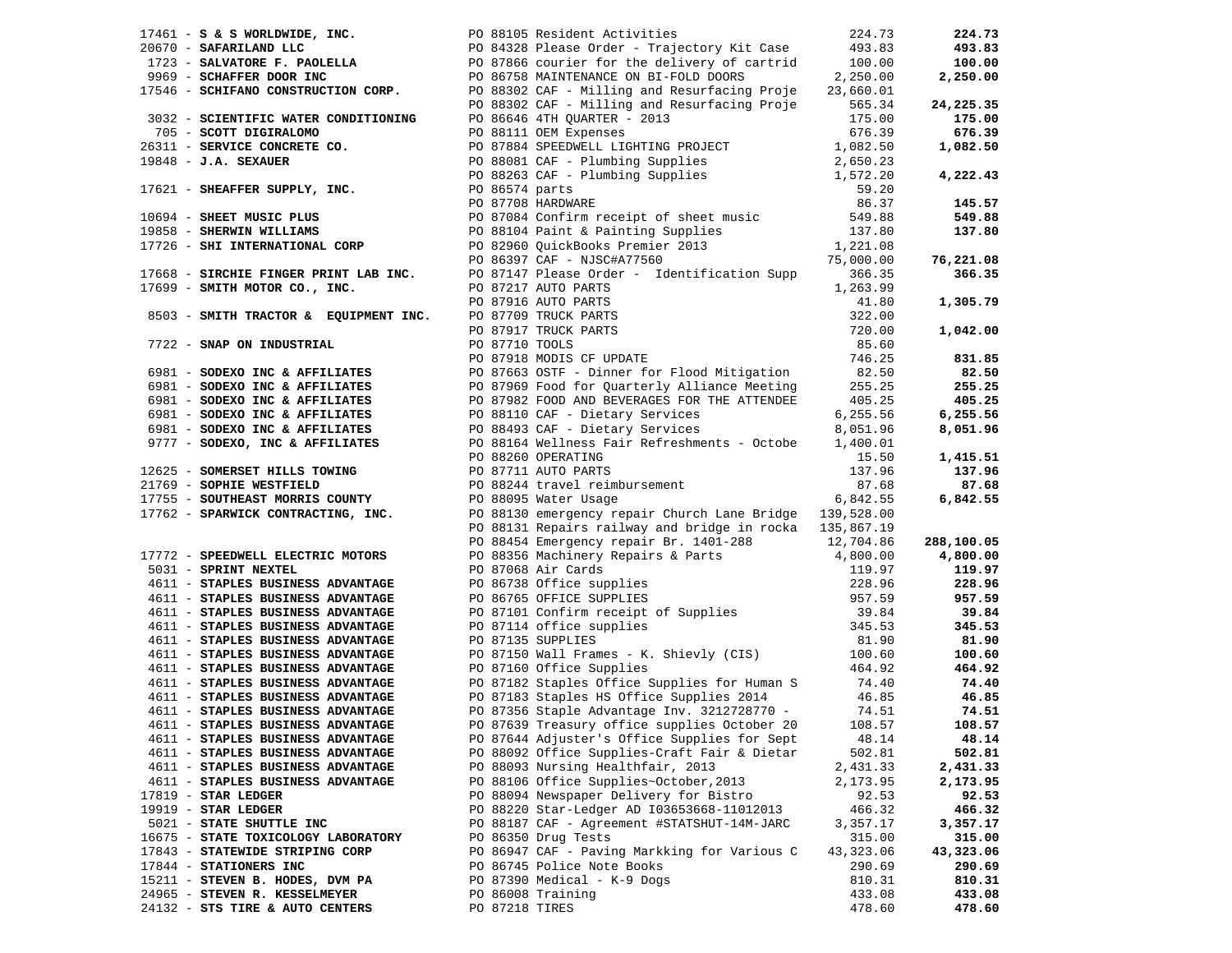| $17461 - S$ & S WORLDWIDE, INC.                                                                                                                                                                                                                                  |                | PO 88105 Resident Activities                                                                                                                                                                                                   | 224.73    | 224.73     |
|------------------------------------------------------------------------------------------------------------------------------------------------------------------------------------------------------------------------------------------------------------------|----------------|--------------------------------------------------------------------------------------------------------------------------------------------------------------------------------------------------------------------------------|-----------|------------|
|                                                                                                                                                                                                                                                                  |                |                                                                                                                                                                                                                                |           | 493.83     |
|                                                                                                                                                                                                                                                                  |                |                                                                                                                                                                                                                                |           | 100.00     |
|                                                                                                                                                                                                                                                                  |                |                                                                                                                                                                                                                                |           | 2,250.00   |
| 20670 - <b>SAFARILAND LLC</b><br>20670 - <b>SAFARILAND LLC</b><br>2969 - <b>SCHAFFER DOOR INC</b><br>2,250.00<br>2,250.00<br>2,250.00<br>2,250.00<br>2,250.00<br>2,250.00<br>2,250.00<br>2,250.00<br>2,250.00<br>2,250.00                                        |                |                                                                                                                                                                                                                                |           |            |
|                                                                                                                                                                                                                                                                  |                | PO 88302 CAF - Milling and Resurfacing Proje                                                                                                                                                                                   | 565.34    | 24, 225.35 |
| 3032 - SCIENTIFIC WATER CONDITIONING                                                                                                                                                                                                                             |                | PO 86646 4TH QUARTER - 2013                                                                                                                                                                                                    | 175.00    | 175.00     |
| 705 - SCOTT DIGIRALOMO                                                                                                                                                                                                                                           |                |                                                                                                                                                                                                                                | 676.39    | 676.39     |
| 26311 - SERVICE CONCRETE CO.                                                                                                                                                                                                                                     |                | PO 87884 SPEEDWELL LIGHTING PROJECT                                                                                                                                                                                            | 1,082.50  | 1,082.50   |
| $19848$ - J.A. SEXAUER                                                                                                                                                                                                                                           |                |                                                                                                                                                                                                                                |           |            |
|                                                                                                                                                                                                                                                                  |                | PO 88081 CAF - Plumbing Supplies<br>PO 88263 CAF - Plumbing Supplies<br>1,572.20<br>PO 86574 parts<br>59.20                                                                                                                    |           | 4,222.43   |
| 17621 - SHEAFFER SUPPLY, INC.                                                                                                                                                                                                                                    |                |                                                                                                                                                                                                                                |           |            |
| 17621 - SHEAFFER SUPPLY, INC.<br>19858 - SHEET MUSIC PLUS<br>19858 - SHERWIN WILLIAMS<br>19858 - SHERWIN WILLIAMS<br>19858 - SHERWIN WILLIAMS<br>19858 - SHERWIN WILLIAMS<br>19858 - SHERWIN WILLIAMS<br>19858 - SHERWIN WILLIAMS<br>19858 - S                   |                |                                                                                                                                                                                                                                |           | 145.57     |
|                                                                                                                                                                                                                                                                  |                |                                                                                                                                                                                                                                |           | 549.88     |
|                                                                                                                                                                                                                                                                  |                |                                                                                                                                                                                                                                |           | 137.80     |
|                                                                                                                                                                                                                                                                  |                |                                                                                                                                                                                                                                |           |            |
|                                                                                                                                                                                                                                                                  |                |                                                                                                                                                                                                                                |           | 76,221.08  |
| 17668 - SIRCHIE FINGER PRINT LAB INC.<br>17699 - SMITH MOTOR CO., INC.<br>17699 - SMITH MOTOR CO., INC.<br>19087217 AUTO PARTS<br>19087916 AUTO PARTS<br>19087916 AUTO PARTS                                                                                     |                |                                                                                                                                                                                                                                | 366.35    | 366.35     |
|                                                                                                                                                                                                                                                                  |                |                                                                                                                                                                                                                                | 1,263.99  |            |
|                                                                                                                                                                                                                                                                  |                |                                                                                                                                                                                                                                | 41.80     | 1,305.79   |
|                                                                                                                                                                                                                                                                  |                |                                                                                                                                                                                                                                | 322.00    |            |
|                                                                                                                                                                                                                                                                  |                |                                                                                                                                                                                                                                | 720.00    | 1,042.00   |
|                                                                                                                                                                                                                                                                  |                |                                                                                                                                                                                                                                | 85.60     |            |
|                                                                                                                                                                                                                                                                  |                | PO 87217 AUTO PARTS<br>PO 87217 AUTO PARTS<br>PO 87916 AUTO PARTS<br>PO 87917 TRUCK PARTS<br>PO 87917 TRUCK PARTS<br>PO 87918 MODIS CF UPDATE<br>PO 87918 MODIS CF UPDATE                                                      | 746.25    | 831.85     |
|                                                                                                                                                                                                                                                                  |                |                                                                                                                                                                                                                                | 82.50     | 82.50      |
|                                                                                                                                                                                                                                                                  |                |                                                                                                                                                                                                                                | 255.25    | 255.25     |
| The Sample of Contract of Present Contract Contract Contract Contract Contract Contract Contract Contract Contract Contract Contract Contract Contract Contract Contract Contract Contract Contract Contract Contract Contract<br>6981 - SODEXO INC & AFFILIATES |                |                                                                                                                                                                                                                                | 405.25    | 405.25     |
| e contains the contract of the contract of the contract of the contract of the contract of the contract of the<br>6981 - SODEXO INC & AFFILIATES TO 88493 CAF - Dietary Services                                                                                 |                |                                                                                                                                                                                                                                | 6,255.56  | 6,255.56   |
| 6981 - SODEXO INC & AFFILIATES                                                                                                                                                                                                                                   |                | PO 88493 CAF - Dietary Services                                                                                                                                                                                                | 8,051.96  | 8,051.96   |
| 9777 - SODEXO, INC & AFFILIATES                                                                                                                                                                                                                                  |                | PO 88164 Wellness Fair Refreshments - Octobe                                                                                                                                                                                   | 1,400.01  |            |
|                                                                                                                                                                                                                                                                  |                | PO 88260 OPERATING                                                                                                                                                                                                             | 15.50     | 1,415.51   |
| 12625 - SOMERSET HILLS TOWING                                                                                                                                                                                                                                    |                | PO 87711 AUTO PARTS                                                                                                                                                                                                            | 137.96    | 137.96     |
|                                                                                                                                                                                                                                                                  |                |                                                                                                                                                                                                                                | 87.68     | 87.68      |
| 17755 - SOUTHEAST MORRIS COUNTY                                                                                                                                                                                                                                  |                | PO 88244 travel reimbursement<br>PO 88095 Water Usage<br>PO 88095 Water Usage                                                                                                                                                  | 6,842.55  | 6,842.55   |
| 17762 - SPARWICK CONTRACTING, INC.                                                                                                                                                                                                                               |                | PO 88130 emergency repair Church Lane Bridge 139,528.00                                                                                                                                                                        |           |            |
|                                                                                                                                                                                                                                                                  |                | PO 88131 Repairs railway and bridge in rocka 135,867.19                                                                                                                                                                        |           |            |
|                                                                                                                                                                                                                                                                  |                | PO 88454 Emergency repairs and Dirich 1500 and 1500 and 1500 and 1500 and 1500 and 1500 and 1600 and 1700 and 1800 and 1800 and 1800 and 1800 and 1800 and 1800 and 1800 and 1800 and 1800 and 1800 and 1800 and 1800 and 1800 |           | 288,100.05 |
| 17772 - SPEEDWELL ELECTRIC MOTORS                                                                                                                                                                                                                                |                |                                                                                                                                                                                                                                |           | 4,800.00   |
| 5031 - SPRINT NEXTEL                                                                                                                                                                                                                                             |                |                                                                                                                                                                                                                                |           | 119.97     |
| 4611 - STAPLES BUSINESS ADVANTAGE                                                                                                                                                                                                                                |                |                                                                                                                                                                                                                                |           | 228.96     |
| 4611 - STAPLES BUSINESS ADVANTAGE                                                                                                                                                                                                                                |                |                                                                                                                                                                                                                                |           | 957.59     |
| 4611 - STAPLES BUSINESS ADVANTAGE                                                                                                                                                                                                                                |                |                                                                                                                                                                                                                                |           | 39.84      |
| 4611 - STAPLES BUSINESS ADVANTAGE                                                                                                                                                                                                                                |                |                                                                                                                                                                                                                                |           | 345.53     |
| 4611 - STAPLES BUSINESS ADVANTAGE                                                                                                                                                                                                                                |                |                                                                                                                                                                                                                                |           | 81.90      |
| 4611 - STAPLES BUSINESS ADVANTAGE                                                                                                                                                                                                                                |                | PO 87150 Wall Frames - K. Shievly (CIS) 100.60<br>DO 87160 Office Supplies                                                                                                                                                     |           | 100.60     |
| 4611 - STAPLES BUSINESS ADVANTAGE                                                                                                                                                                                                                                |                | PO 87160 Office Supplies                                                                                                                                                                                                       | 464.92    | 464.92     |
| 4611 - STAPLES BUSINESS ADVANTAGE                                                                                                                                                                                                                                |                |                                                                                                                                                                                                                                |           | 74.40      |
| 4611 - STAPLES BUSINESS ADVANTAGE                                                                                                                                                                                                                                |                | PO 87182 Staples Office Supplies for Human S 74.40<br>PO 87183 Staples HS Office Supplies 2014 46.85                                                                                                                           |           | 46.85      |
| 4611 - STAPLES BUSINESS ADVANTAGE                                                                                                                                                                                                                                |                | PO 87356 Staple Advantage Inv. 3212728770 -                                                                                                                                                                                    | 74.51     | 74.51      |
| 4611 - STAPLES BUSINESS ADVANTAGE                                                                                                                                                                                                                                |                | PO 87639 Treasury office supplies October 20 108.57                                                                                                                                                                            |           | 108.57     |
| 4611 - STAPLES BUSINESS ADVANTAGE                                                                                                                                                                                                                                |                | PO 87644 Adjuster's Office Supplies for Sept                                                                                                                                                                                   | 48.14     | 48.14      |
| 4611 - STAPLES BUSINESS ADVANTAGE                                                                                                                                                                                                                                |                | PO 88092 Office Supplies-Craft Fair & Dietar                                                                                                                                                                                   | 502.81    | 502.81     |
| 4611 - STAPLES BUSINESS ADVANTAGE                                                                                                                                                                                                                                |                | PO 88093 Nursing Healthfair, 2013                                                                                                                                                                                              | 2,431.33  | 2,431.33   |
| 4611 - STAPLES BUSINESS ADVANTAGE                                                                                                                                                                                                                                |                | PO 88106 Office Supplies~October, 2013                                                                                                                                                                                         | 2,173.95  | 2,173.95   |
| $17819$ - STAR LEDGER                                                                                                                                                                                                                                            |                | PO 88094 Newspaper Delivery for Bistro                                                                                                                                                                                         | 92.53     | 92.53      |
| $19919$ - STAR LEDGER                                                                                                                                                                                                                                            |                | PO 88220 Star-Ledger AD 103653668-11012013                                                                                                                                                                                     | 466.32    | 466.32     |
| 5021 - STATE SHUTTLE INC                                                                                                                                                                                                                                         |                | PO 88187 CAF - Agreement #STATSHUT-14M-JARC                                                                                                                                                                                    | 3,357.17  | 3,357.17   |
| 16675 - STATE TOXICOLOGY LABORATORY                                                                                                                                                                                                                              |                | PO 86350 Drug Tests                                                                                                                                                                                                            | 315.00    | 315.00     |
| 17843 - STATEWIDE STRIPING CORP                                                                                                                                                                                                                                  |                | PO 86947 CAF - Paving Markking for Various C                                                                                                                                                                                   | 43,323.06 | 43,323.06  |
| 17844 - STATIONERS INC                                                                                                                                                                                                                                           |                | PO 86745 Police Note Books                                                                                                                                                                                                     | 290.69    | 290.69     |
| 15211 - STEVEN B. HODES, DVM PA                                                                                                                                                                                                                                  |                | PO 87390 Medical - K-9 Dogs                                                                                                                                                                                                    | 810.31    | 810.31     |
| 24965 - STEVEN R. KESSELMEYER                                                                                                                                                                                                                                    |                | PO 86008 Training                                                                                                                                                                                                              | 433.08    | 433.08     |
| 24132 - STS TIRE & AUTO CENTERS                                                                                                                                                                                                                                  | PO 87218 TIRES |                                                                                                                                                                                                                                | 478.60    | 478.60     |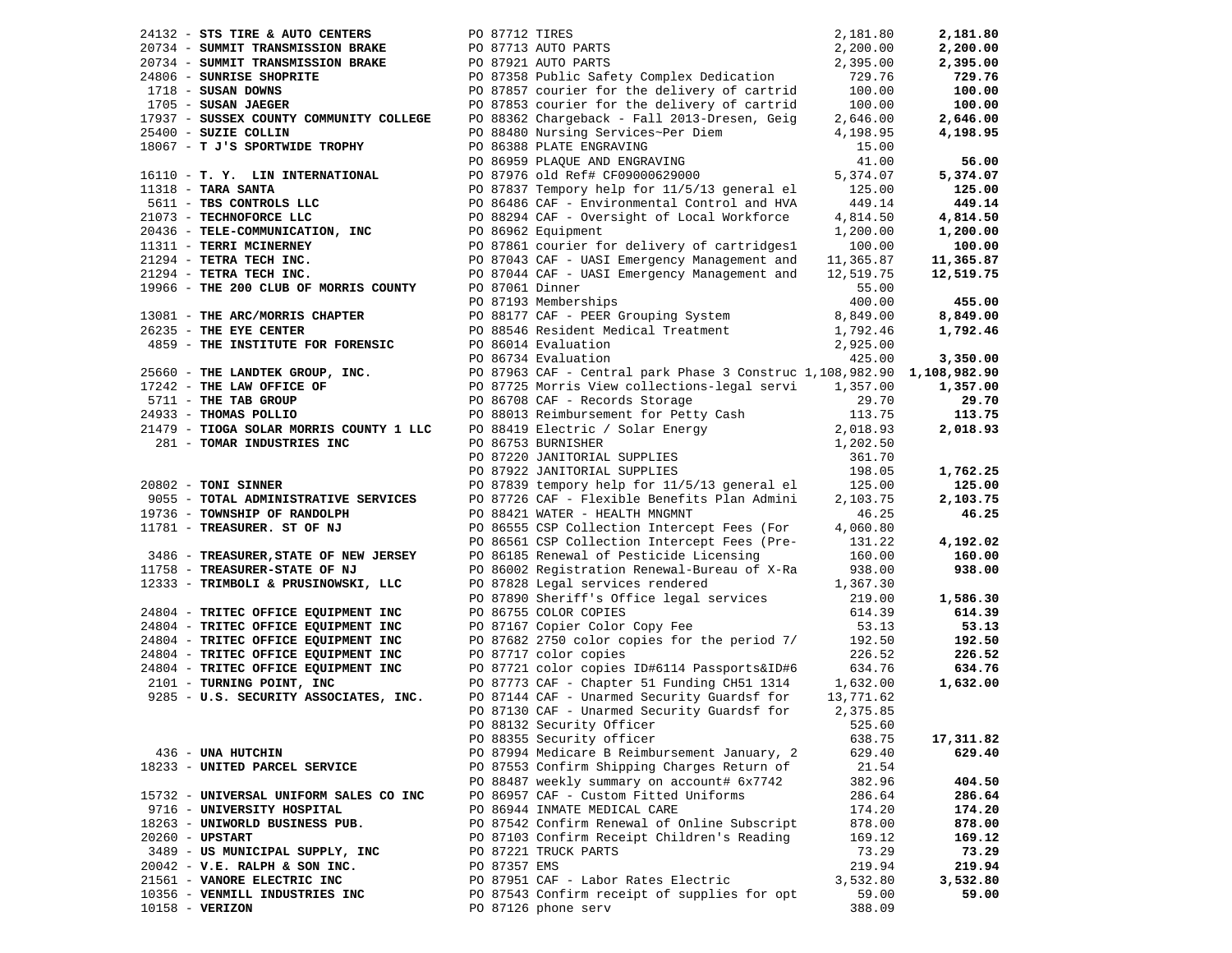| 24132 - STS TIRE & AUTO CENTERS         |              | PO 87712 TIRES                                                                               | 2,181.80         | 2,181.80           |
|-----------------------------------------|--------------|----------------------------------------------------------------------------------------------|------------------|--------------------|
| 20734 - SUMMIT TRANSMISSION BRAKE       |              | PO 87713 AUTO PARTS                                                                          | 2,200.00         | 2,200.00           |
| 20734 - SUMMIT TRANSMISSION BRAKE       |              | PO 87921 AUTO PARTS                                                                          | 2,395.00         | 2,395.00           |
| 24806 - SUNRISE SHOPRITE                |              | PO 87358 Public Safety Complex Dedication                                                    | 729.76           | 729.76             |
| $1718$ - SUSAN DOWNS                    |              | PO 87857 courier for the delivery of cartrid                                                 | 100.00           | 100.00             |
| 1705 - SUSAN JAEGER                     |              | PO 87853 courier for the delivery of cartrid                                                 | 100.00           | 100.00             |
| 17937 - SUSSEX COUNTY COMMUNITY COLLEGE |              | PO 88362 Chargeback - Fall 2013-Dresen, Geig                                                 | 2,646.00         | 2,646.00           |
| 25400 - SUZIE COLLIN                    |              | PO 88480 Nursing Services~Per Diem                                                           | 4,198.95         | 4,198.95           |
| 18067 - T J'S SPORTWIDE TROPHY          |              | PO 86388 PLATE ENGRAVING                                                                     | 15.00            |                    |
|                                         |              | PO 86959 PLAQUE AND ENGRAVING                                                                | 41.00            | 56.00              |
| 16110 - T. Y. LIN INTERNATIONAL         |              | PO 87976 old Ref# CF09000629000                                                              | 5,374.07         | 5,374.07           |
| $11318$ - TARA SANTA                    |              | PO 87837 Tempory help for 11/5/13 general el                                                 | 125.00           | 125.00             |
| 5611 - TBS CONTROLS LLC                 |              | PO 86486 CAF - Environmental Control and HVA                                                 | 449.14           | 449.14             |
| 21073 - TECHNOFORCE LLC                 |              | PO 88294 CAF - Oversight of Local Workforce                                                  | 4,814.50         | 4,814.50           |
| 20436 - TELE-COMMUNICATION, INC         |              | PO 86962 Equipment                                                                           | 1,200.00         | 1,200.00           |
| 11311 - TERRI MCINERNEY                 |              | PO 87861 courier for delivery of cartridges1                                                 | 100.00           | 100.00             |
| 21294 - TETRA TECH INC.                 |              | PO 87043 CAF - UASI Emergency Management and                                                 | 11,365.87        | 11,365.87          |
| 21294 - TETRA TECH INC.                 |              | PO 87044 CAF - UASI Emergency Management and                                                 | 12,519.75        | 12,519.75          |
| 19966 - THE 200 CLUB OF MORRIS COUNTY   |              | PO 87061 Dinner                                                                              | 55.00            |                    |
|                                         |              | PO 87193 Memberships                                                                         | 400.00           | 455.00             |
| 13081 - THE ARC/MORRIS CHAPTER          |              | PO 88177 CAF - PEER Grouping System                                                          | 8,849.00         | 8,849.00           |
| 26235 - THE EYE CENTER                  |              | PO 88546 Resident Medical Treatment                                                          | 1,792.46         | 1,792.46           |
| 4859 - THE INSTITUTE FOR FORENSIC       |              | PO 86014 Evaluation                                                                          | 2,925.00         |                    |
|                                         |              | PO 86734 Evaluation                                                                          | 425.00           | 3,350.00           |
| 25660 - THE LANDTEK GROUP, INC.         |              | PO 87963 CAF - Central park Phase 3 Construc 1,108,982.90 1,108,982.90                       |                  |                    |
| 17242 - THE LAW OFFICE OF               |              | PO 87725 Morris View collections-legal servi 1,357.00                                        |                  | 1,357.00           |
| 5711 - THE TAB GROUP                    |              | PO 86708 CAF - Records Storage                                                               | 29.70            | 29.70              |
| 24933 - THOMAS POLLIO                   |              | PO 88013 Reimbursement for Petty Cash                                                        | 113.75           | 113.75             |
| 21479 - TIOGA SOLAR MORRIS COUNTY 1 LLC |              | PO 88419 Electric / Solar Energy                                                             | 2,018.93         | 2,018.93           |
| 281 - TOMAR INDUSTRIES INC              |              | PO 86753 BURNISHER                                                                           | 1,202.50         |                    |
|                                         |              | PO 87220 JANITORIAL SUPPLIES                                                                 | 361.70           |                    |
|                                         |              | PO 87922 JANITORIAL SUPPLIES                                                                 | 198.05           |                    |
| 20802 - TONI SINNER                     |              | PO 87839 tempory help for 11/5/13 general el                                                 | 125.00           | 1,762.25<br>125.00 |
| 9055 - TOTAL ADMINISTRATIVE SERVICES    |              |                                                                                              | 2,103.75         |                    |
| 19736 - TOWNSHIP OF RANDOLPH            |              | PO 87726 CAF - Flexible Benefits Plan Admini                                                 | 46.25            | 2,103.75<br>46.25  |
| 11781 - TREASURER. ST OF NJ             |              | PO 88421 WATER - HEALTH MNGMNT                                                               |                  |                    |
|                                         |              | PO 86555 CSP Collection Intercept Fees (For<br>PO 86561 CSP Collection Intercept Fees (Pre-  | 4,060.80         |                    |
| 3486 - TREASURER, STATE OF NEW JERSEY   |              | PO 86185 Renewal of Pesticide Licensing                                                      | 131.22<br>160.00 | 4,192.02<br>160.00 |
|                                         |              |                                                                                              |                  |                    |
| 11758 - TREASURER-STATE OF NJ           |              | PO 86002 Registration Renewal-Bureau of X-Ra                                                 | 938.00           | 938.00             |
| 12333 - TRIMBOLI & PRUSINOWSKI, LLC     |              | PO 87828 Legal services rendered                                                             | 1,367.30         |                    |
|                                         |              | PO 87890 Sheriff's Office legal services<br>PO 86755 COLOR COPIES                            | 219.00           | 1,586.30<br>614.39 |
| 24804 - TRITEC OFFICE EQUIPMENT INC     |              | PO 87167 Copier Color Copy Fee                                                               | 614.39           |                    |
| 24804 - TRITEC OFFICE EQUIPMENT INC     |              |                                                                                              | 53.13            | 53.13<br>192.50    |
| 24804 - TRITEC OFFICE EQUIPMENT INC     |              | PO 87682 2750 color copies for the period 7/                                                 | 192.50           |                    |
| 24804 - TRITEC OFFICE EQUIPMENT INC     |              | PO 87717 color copies                                                                        | 226.52           | 226.52             |
| 24804 - TRITEC OFFICE EQUIPMENT INC     |              | PO 87721 color copies ID#6114 Passports&ID#6                                                 | 634.76           | 634.76             |
| 2101 - TURNING POINT, INC               |              | PO 87773 CAF - Chapter 51 Funding CH51 1314<br>PO 87144 CAF - Unarmed Security Guardsf for 1 | 1,632.00         | 1,632.00           |
| 9285 - U.S. SECURITY ASSOCIATES, INC.   |              |                                                                                              | 13,771.62        |                    |
|                                         |              | PO 87130 CAF - Unarmed Security Guardsf for                                                  | 2,375.85         |                    |
|                                         |              | PO 88132 Security Officer                                                                    | 525.60           |                    |
|                                         |              | PO 88355 Security officer                                                                    | 638.75           | 17,311.82          |
| 436 - UNA HUTCHIN                       |              | PO 87994 Medicare B Reimbursement January, 2                                                 | 629.40           | 629.40             |
| 18233 - UNITED PARCEL SERVICE           |              | PO 87553 Confirm Shipping Charges Return of                                                  | 21.54            |                    |
|                                         |              | PO 88487 weekly summary on account# 6x7742                                                   | 382.96           | 404.50             |
| 15732 - UNIVERSAL UNIFORM SALES CO INC  |              | PO 86957 CAF - Custom Fitted Uniforms                                                        | 286.64           | 286.64             |
| 9716 - UNIVERSITY HOSPITAL              |              | PO 86944 INMATE MEDICAL CARE                                                                 | 174.20           | 174.20             |
| 18263 - UNIWORLD BUSINESS PUB.          |              | PO 87542 Confirm Renewal of Online Subscript                                                 | 878.00           | 878.00             |
| 20260 - UPSTART                         |              | PO 87103 Confirm Receipt Children's Reading                                                  | 169.12           | 169.12             |
| 3489 - US MUNICIPAL SUPPLY, INC         |              | PO 87221 TRUCK PARTS                                                                         | 73.29            | 73.29              |
| $20042$ - $V.E. RALPH & SON INC.$       | PO 87357 EMS |                                                                                              | 219.94           | 219.94             |
| 21561 - VANORE ELECTRIC INC             |              | PO 87951 CAF - Labor Rates Electric                                                          | 3,532.80         | 3,532.80           |
| 10356 - VENMILL INDUSTRIES INC          |              | PO 87543 Confirm receipt of supplies for opt                                                 | 59.00            | 59.00              |
| 10158 - VERIZON                         |              | PO 87126 phone serv                                                                          | 388.09           |                    |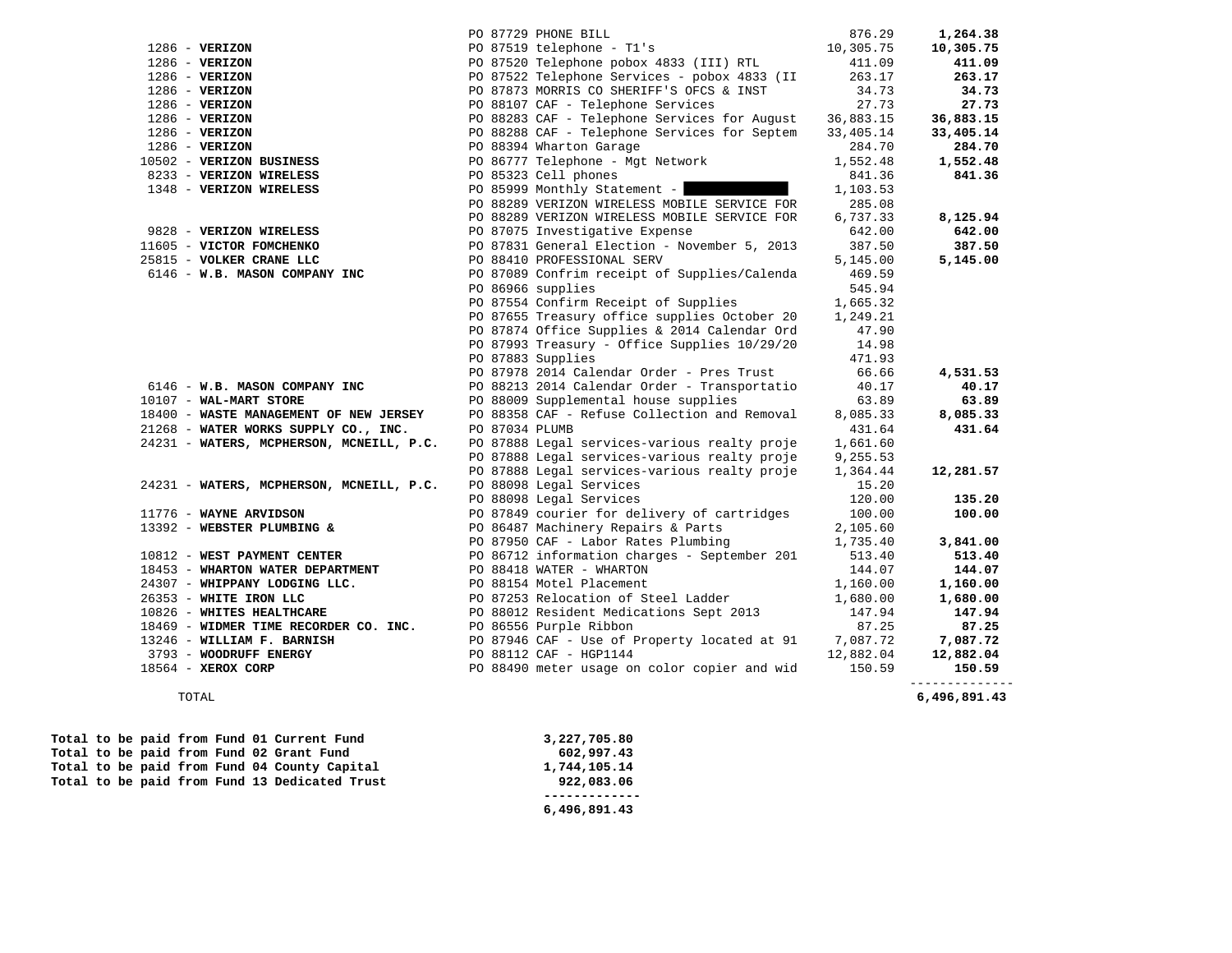|                                                              |                | PO 87729 PHONE BILL                                   | 876.29    | 1,264.38     |
|--------------------------------------------------------------|----------------|-------------------------------------------------------|-----------|--------------|
| $1286$ - VERIZON                                             |                | PO 87519 telephone - T1's                             | 10,305.75 | 10,305.75    |
| $1286 - VERIZON$                                             |                | PO 87520 Telephone pobox 4833 (III) RTL               | 411.09    | 411.09       |
| $1286$ - VERIZON                                             |                | PO 87522 Telephone Services - pobox 4833 (II          | 263.17    | 263.17       |
| $1286 - VERIZON$                                             |                | PO 87873 MORRIS CO SHERIFF'S OFCS & INST              | 34.73     | 34.73        |
| $1286 - VERIZON$                                             |                | PO 88107 CAF - Telephone Services                     | 27.73     | 27.73        |
| $1286 - VERIZON$                                             |                | PO 88283 CAF - Telephone Services for August          | 36,883.15 | 36,883.15    |
| $1286 - VERIZON$                                             |                | PO 88288 CAF - Telephone Services for Septem          | 33,405.14 | 33,405.14    |
| $1286$ - VERIZON                                             |                | PO 88394 Wharton Garage                               | 284.70    | 284.70       |
| 10502 - VERIZON BUSINESS                                     |                | PO 86777 Telephone - Mgt Network                      | 1,552.48  | 1,552.48     |
| 8233 - VERIZON WIRELESS                                      |                | PO 85323 Cell phones                                  | 841.36    | 841.36       |
| 1348 - VERIZON WIRELESS                                      |                | PO 85999 Monthly Statement -                          | 1,103.53  |              |
|                                                              |                | PO 88289 VERIZON WIRELESS MOBILE SERVICE FOR          | 285.08    |              |
|                                                              |                | PO 88289 VERIZON WIRELESS MOBILE SERVICE FOR          | 6,737.33  | 8,125.94     |
| 9828 - VERIZON WIRELESS                                      |                | PO 87075 Investigative Expense                        | 642.00    | 642.00       |
| 11605 - VICTOR FOMCHENKO                                     |                | PO 87831 General Election - November 5, 2013          | 387.50    | 387.50       |
| 25815 - VOLKER CRANE LLC                                     |                | PO 88410 PROFESSIONAL SERV                            | 5,145.00  | 5,145.00     |
| 6146 - W.B. MASON COMPANY INC                                |                | PO 87089 Confrim receipt of Supplies/Calenda          | 469.59    |              |
|                                                              |                | PO 86966 supplies                                     | 545.94    |              |
|                                                              |                | PO 87554 Confirm Receipt of Supplies                  | 1,665.32  |              |
|                                                              |                | PO 87655 Treasury office supplies October 20          | 1,249.21  |              |
|                                                              |                | PO 87874 Office Supplies & 2014 Calendar Ord          | 47.90     |              |
|                                                              |                | PO 87993 Treasury - Office Supplies 10/29/20          | 14.98     |              |
|                                                              |                | PO 87883 Supplies                                     | 471.93    |              |
|                                                              |                | PO 87978 2014 Calendar Order - Pres Trust             | 66.66     | 4,531.53     |
| 6146 - W.B. MASON COMPANY INC                                |                | PO 88213 2014 Calendar Order - Transportatio          | 40.17     | 40.17        |
| $10107 - WAL-MART STORE$                                     |                | PO 88009 Supplemental house supplies                  | 63.89     | 63.89        |
| 18400 - WASTE MANAGEMENT OF NEW JERSEY                       |                | PO 88358 CAF - Refuse Collection and Removal          | 8,085.33  | 8,085.33     |
| 21268 - WATER WORKS SUPPLY CO., INC.                         | PO 87034 PLUMB |                                                       | 431.64    | 431.64       |
| 24231 - WATERS, MCPHERSON, MCNEILL, P.C.                     |                | PO 87888 Legal services-various realty proje          | 1,661.60  |              |
|                                                              |                | PO 87888 Legal services-various realty proje          | 9,255.53  |              |
|                                                              |                | PO 87888 Legal services-various realty proje          | 1,364.44  | 12,281.57    |
| 24231 - WATERS, MCPHERSON, MCNEILL, P.C.                     |                | PO 88098 Legal Services                               | 15.20     |              |
|                                                              |                | PO 88098 Legal Services                               | 120.00    | 135.20       |
| 11776 - WAYNE ARVIDSON                                       |                | PO 87849 courier for delivery of cartridges           | 100.00    | 100.00       |
| 13392 - WEBSTER PLUMBING &                                   |                | PO 86487 Machinery Repairs & Parts                    | 2,105.60  |              |
|                                                              |                | PO 87950 CAF - Labor Rates Plumbing                   | 1,735.40  | 3,841.00     |
| 10812 - WEST PAYMENT CENTER                                  |                | PO 86712 information charges - September 201          | 513.40    | 513.40       |
| 18453 - WHARTON WATER DEPARTMENT                             |                | PO 88418 WATER - WHARTON                              | 144.07    | 144.07       |
| 24307 - WHIPPANY LODGING LLC.                                |                | PO 88154 Motel Placement                              | 1,160.00  | 1,160.00     |
| 26353 - WHITE IRON LLC                                       |                | PO 87253 Relocation of Steel Ladder                   | 1,680.00  | 1,680.00     |
| 10826 - WHITES HEALTHCARE                                    |                | PO 88012 Resident Medications Sept 2013               | 147.94    | 147.94       |
| 18469 - WIDMER TIME RECORDER CO. INC. PO 86556 Purple Ribbon |                |                                                       | 87.25     | 87.25        |
| 13246 - WILLIAM F. BARNISH                                   |                | PO 87946 CAF - Use of Property located at 91 7,087.72 |           | 7,087.72     |
| 3793 - WOODRUFF ENERGY                                       |                | PO 88112 CAF - HGP1144                                | 12,882.04 | 12,882.04    |
| 18564 - XEROX CORP                                           |                | PO 88490 meter usage on color copier and wid          | 150.59    | 150.59       |
| TOTAL                                                        |                |                                                       |           | 6,496,891.43 |

| 3,227,705.80 |
|--------------|
| 602,997.43   |
| 1,744,105.14 |
| 922,083.06   |
|              |
| 6,496,891.43 |
|              |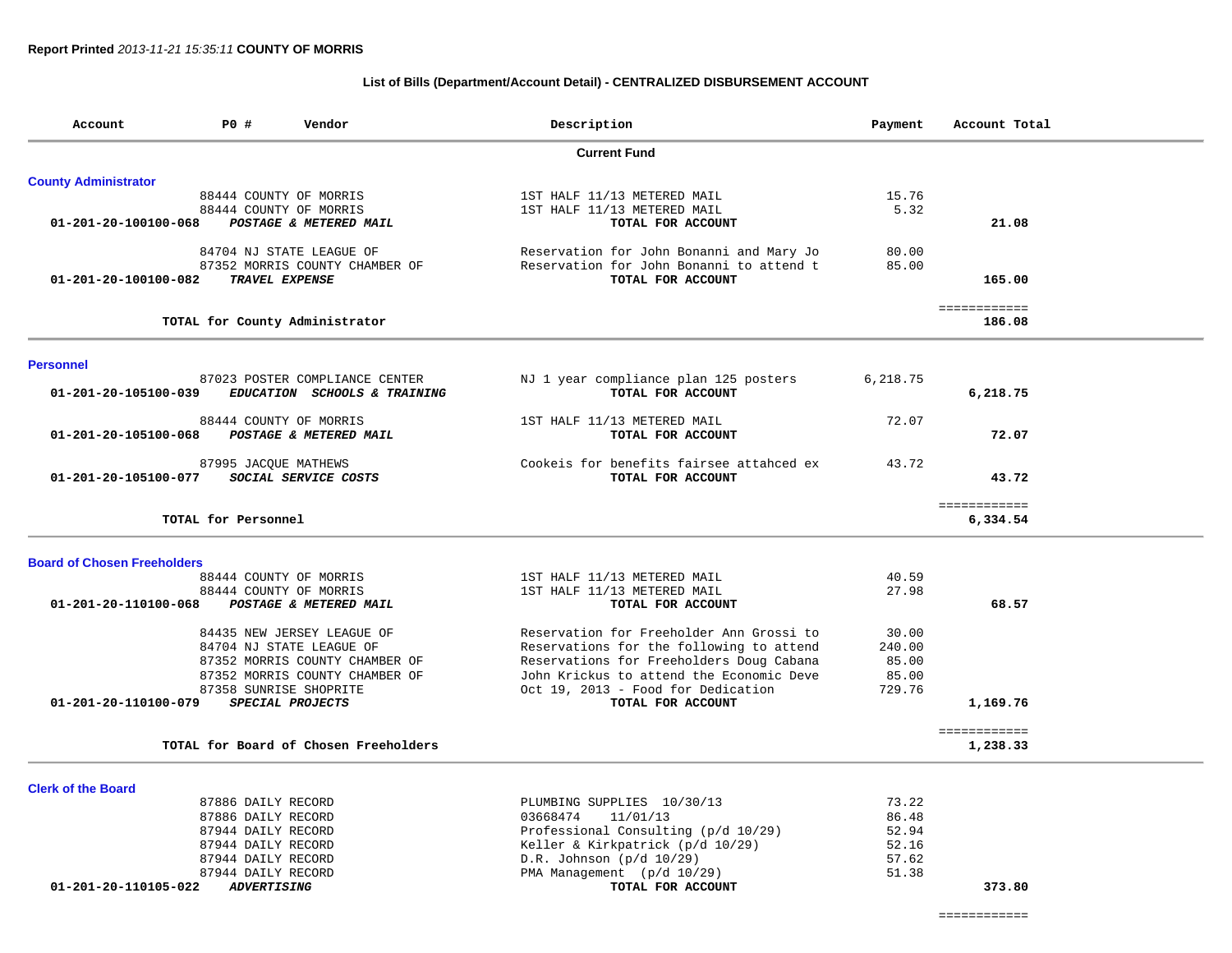#### **List of Bills (Department/Account Detail) - CENTRALIZED DISBURSEMENT ACCOUNT**

| Account                            | P0 #                  | Vendor                                | Description                              | Payment  | Account Total |
|------------------------------------|-----------------------|---------------------------------------|------------------------------------------|----------|---------------|
|                                    |                       |                                       | <b>Current Fund</b>                      |          |               |
| <b>County Administrator</b>        |                       |                                       |                                          |          |               |
|                                    |                       | 88444 COUNTY OF MORRIS                | 1ST HALF 11/13 METERED MAIL              | 15.76    |               |
|                                    |                       | 88444 COUNTY OF MORRIS                | 1ST HALF 11/13 METERED MAIL              | 5.32     |               |
| 01-201-20-100100-068               |                       | POSTAGE & METERED MAIL                | TOTAL FOR ACCOUNT                        |          | 21.08         |
|                                    |                       | 84704 NJ STATE LEAGUE OF              | Reservation for John Bonanni and Mary Jo | 80.00    |               |
|                                    |                       | 87352 MORRIS COUNTY CHAMBER OF        | Reservation for John Bonanni to attend t | 85.00    |               |
| 01-201-20-100100-082               | <b>TRAVEL EXPENSE</b> |                                       | TOTAL FOR ACCOUNT                        |          | 165.00        |
|                                    |                       |                                       |                                          |          | ============  |
|                                    |                       | TOTAL for County Administrator        |                                          |          | 186.08        |
| <b>Personnel</b>                   |                       |                                       |                                          |          |               |
|                                    |                       | 87023 POSTER COMPLIANCE CENTER        | NJ 1 year compliance plan 125 posters    | 6,218.75 |               |
| 01-201-20-105100-039               |                       | EDUCATION SCHOOLS & TRAINING          | TOTAL FOR ACCOUNT                        |          | 6,218.75      |
|                                    |                       | 88444 COUNTY OF MORRIS                | 1ST HALF 11/13 METERED MAIL              | 72.07    |               |
| 01-201-20-105100-068               |                       | POSTAGE & METERED MAIL                | TOTAL FOR ACCOUNT                        |          | 72.07         |
|                                    | 87995 JACQUE MATHEWS  |                                       | Cookeis for benefits fairsee attahced ex | 43.72    |               |
| 01-201-20-105100-077               |                       | SOCIAL SERVICE COSTS                  | TOTAL FOR ACCOUNT                        |          | 43.72         |
|                                    |                       |                                       |                                          |          | ============  |
|                                    | TOTAL for Personnel   |                                       |                                          |          | 6,334.54      |
| <b>Board of Chosen Freeholders</b> |                       |                                       |                                          |          |               |
|                                    |                       | 88444 COUNTY OF MORRIS                | 1ST HALF 11/13 METERED MAIL              | 40.59    |               |
|                                    |                       | 88444 COUNTY OF MORRIS                | 1ST HALF 11/13 METERED MAIL              | 27.98    |               |
| 01-201-20-110100-068               |                       | POSTAGE & METERED MAIL                | TOTAL FOR ACCOUNT                        |          | 68.57         |
|                                    |                       |                                       |                                          |          |               |
|                                    |                       | 84435 NEW JERSEY LEAGUE OF            | Reservation for Freeholder Ann Grossi to | 30.00    |               |
|                                    |                       | 84704 NJ STATE LEAGUE OF              | Reservations for the following to attend | 240.00   |               |
|                                    |                       | 87352 MORRIS COUNTY CHAMBER OF        | Reservations for Freeholders Doug Cabana | 85.00    |               |
|                                    |                       | 87352 MORRIS COUNTY CHAMBER OF        | John Krickus to attend the Economic Deve | 85.00    |               |
|                                    |                       | 87358 SUNRISE SHOPRITE                | Oct 19, 2013 - Food for Dedication       | 729.76   |               |
| 01-201-20-110100-079               |                       | SPECIAL PROJECTS                      | TOTAL FOR ACCOUNT                        |          | 1,169.76      |
|                                    |                       | TOTAL for Board of Chosen Freeholders |                                          |          | ============  |
|                                    |                       |                                       |                                          |          | 1,238.33      |
| <b>Clerk of the Board</b>          |                       |                                       |                                          |          |               |
|                                    | 87886 DAILY RECORD    |                                       | PLUMBING SUPPLIES 10/30/13               | 73.22    |               |
|                                    | 87886 DAILY RECORD    |                                       | 03668474<br>11/01/13                     | 86.48    |               |
|                                    | 87944 DAILY RECORD    |                                       | Professional Consulting (p/d 10/29)      | 52.94    |               |
|                                    | 87944 DAILY RECORD    |                                       | Keller & Kirkpatrick (p/d 10/29)         | 52.16    |               |
|                                    | 87944 DAILY RECORD    |                                       | $D.R.$ Johnson ( $p/d$ 10/29)            | 57.62    |               |
|                                    | 87944 DAILY RECORD    |                                       | PMA Management (p/d 10/29)               | 51.38    |               |
| 01-201-20-110105-022               | <b>ADVERTISING</b>    |                                       | TOTAL FOR ACCOUNT                        |          | 373.80        |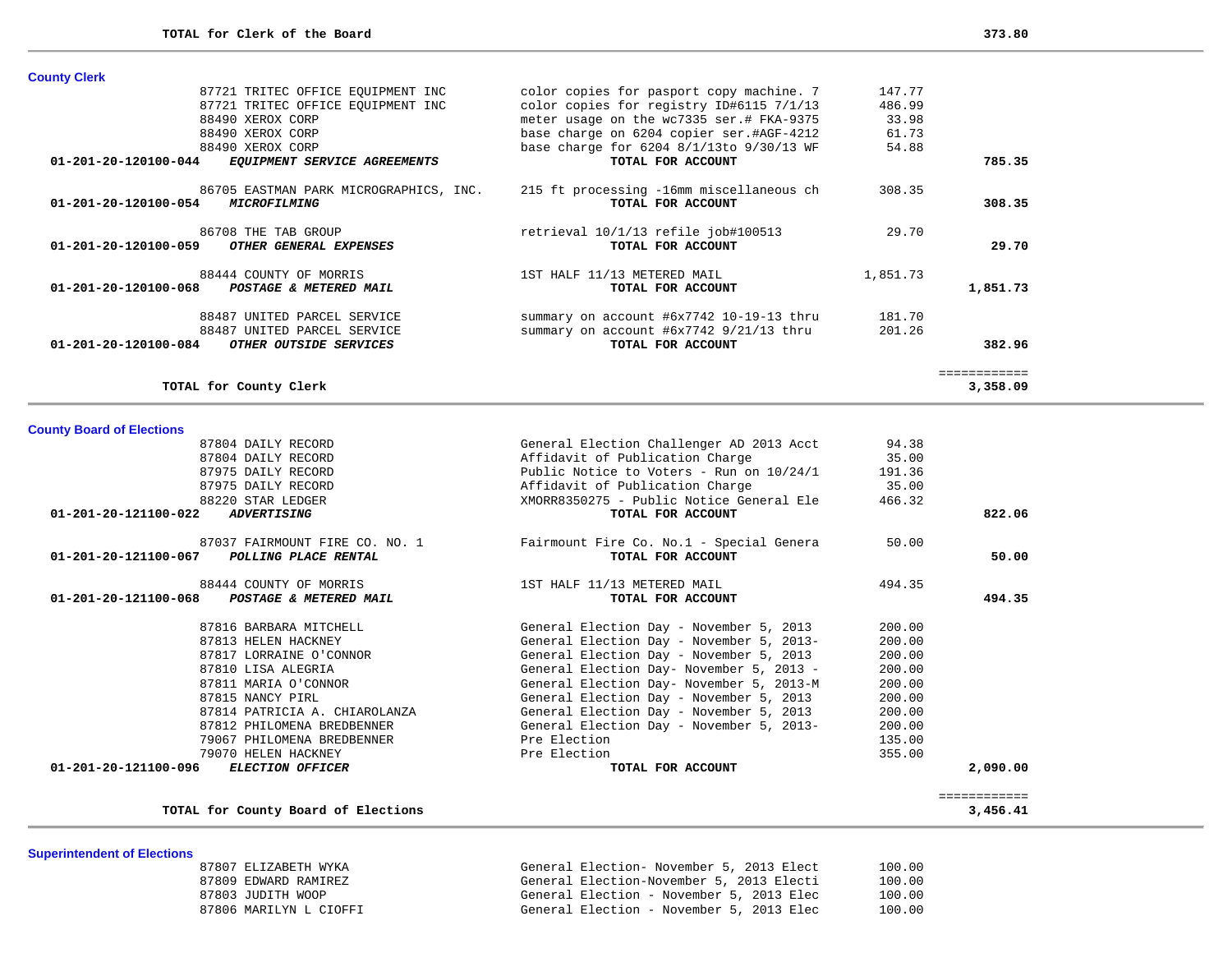| <b>County Clerk</b>                                                                   |                                                               |          |              |
|---------------------------------------------------------------------------------------|---------------------------------------------------------------|----------|--------------|
| 87721 TRITEC OFFICE EQUIPMENT INC                                                     | color copies for pasport copy machine. 7                      | 147.77   |              |
| 87721 TRITEC OFFICE EOUIPMENT INC                                                     | color copies for registry ID#6115 7/1/13                      | 486.99   |              |
| 88490 XEROX CORP                                                                      | meter usage on the wc7335 ser.# FKA-9375                      | 33.98    |              |
| 88490 XEROX CORP                                                                      | base charge on 6204 copier ser.#AGF-4212                      | 61.73    |              |
| 88490 XEROX CORP                                                                      | base charge for 6204 8/1/13to 9/30/13 WF                      | 54.88    |              |
| 01-201-20-120100-044<br>EQUIPMENT SERVICE AGREEMENTS                                  | TOTAL FOR ACCOUNT                                             |          | 785.35       |
| 86705 EASTMAN PARK MICROGRAPHICS, INC.<br>01-201-20-120100-054<br><i>MICROFILMING</i> | 215 ft processing -16mm miscellaneous ch<br>TOTAL FOR ACCOUNT | 308.35   | 308.35       |
| 86708 THE TAB GROUP<br>01-201-20-120100-059<br>OTHER GENERAL EXPENSES                 | retrieval 10/1/13 refile job#100513<br>TOTAL FOR ACCOUNT      | 29.70    | 29.70        |
| 88444 COUNTY OF MORRIS<br>$01 - 201 - 20 - 120100 - 068$<br>POSTAGE & METERED MAIL    | 1ST HALF 11/13 METERED MAIL<br>TOTAL FOR ACCOUNT              | 1,851.73 | 1,851.73     |
| 88487 UNITED PARCEL SERVICE                                                           | summary on account #6x7742 10-19-13 thru                      | 181.70   |              |
| 88487 UNITED PARCEL SERVICE                                                           | summary on account #6x7742 9/21/13 thru                       | 201.26   |              |
| $01 - 201 - 20 - 120100 - 084$<br>OTHER OUTSIDE SERVICES                              | TOTAL FOR ACCOUNT                                             |          | 382.96       |
|                                                                                       |                                                               |          | ============ |
| TOTAL for County Clerk                                                                |                                                               |          | 3,358.09     |

### **County Board of Elections**

**Superintendent of Elections**

| 87804 DAILY RECORD                                | General Election Challenger AD 2013 Acct | 94.38  |        |
|---------------------------------------------------|------------------------------------------|--------|--------|
| 87804 DAILY RECORD                                | Affidavit of Publication Charge          | 35.00  |        |
| 87975 DAILY RECORD                                | Public Notice to Voters - Run on 10/24/1 | 191.36 |        |
| 87975 DAILY RECORD                                | Affidavit of Publication Charge          | 35.00  |        |
| 88220 STAR LEDGER                                 | XMORR8350275 - Public Notice General Ele | 466.32 |        |
| 01-201-20-121100-022<br><i><b>ADVERTISING</b></i> | TOTAL FOR ACCOUNT                        |        | 822.06 |
| 87037 FAIRMOUNT FIRE CO. NO. 1                    | Fairmount Fire Co. No.1 - Special Genera | 50.00  |        |
| 01-201-20-121100-067 POLLING PLACE RENTAL         | TOTAL FOR ACCOUNT                        |        | 50.00  |
| 88444 COUNTY OF MORRIS                            | 1ST HALF 11/13 METERED MAIL              | 494.35 |        |
| 01-201-20-121100-068<br>POSTAGE & METERED MAIL    | TOTAL FOR ACCOUNT                        |        | 494.35 |
| 87816 BARBARA MITCHELL                            | General Election Day - November 5, 2013  | 200.00 |        |
| 87813 HELEN HACKNEY                               | General Election Day - November 5, 2013- | 200.00 |        |
| 87817 LORRAINE O'CONNOR                           | General Election Day - November 5, 2013  | 200.00 |        |
| 87810 LISA ALEGRIA                                | General Election Day- November 5, 2013 - | 200.00 |        |
| 87811 MARIA O'CONNOR                              | General Election Day- November 5, 2013-M | 200.00 |        |
| 87815 NANCY PIRL                                  | General Election Day - November 5, 2013  | 200.00 |        |
| 87814 PATRICIA A. CHIAROLANZA                     | General Election Day - November 5, 2013  | 200.00 |        |
| 87812 PHILOMENA BREDBENNER                        | General Election Day - November 5, 2013- | 200.00 |        |
| 79067 PHILOMENA BREDBENNER                        | Pre Election                             | 135.00 |        |
|                                                   | Pre Election                             | 355.00 |        |
| 79070 HELEN HACKNEY                               |                                          |        |        |

# **TOTAL for County Board of Elections 3,456.41**

# ============  $\begin{array}{cccc} \texttt{-----} \texttt{-----} \end{array} \end{array} \begin{array}{c} \texttt{-----} \texttt{-----} \end{array} \begin{array}{c} \texttt{-----} \texttt{-----} \end{array} \end{array} \begin{array}{c} \texttt{3,456.41} \end{array}$

| 87807 ELIZABETH WYKA   | General Election- November 5, 2013 Elect | 100.00 |
|------------------------|------------------------------------------|--------|
| 87809 EDWARD RAMIREZ   | General Election-November 5, 2013 Electi | 100.00 |
| 87803 JUDITH WOOP      | General Election - November 5, 2013 Elec | 100.00 |
| 87806 MARILYN L CIOFFI | General Election - November 5, 2013 Elec | 100.00 |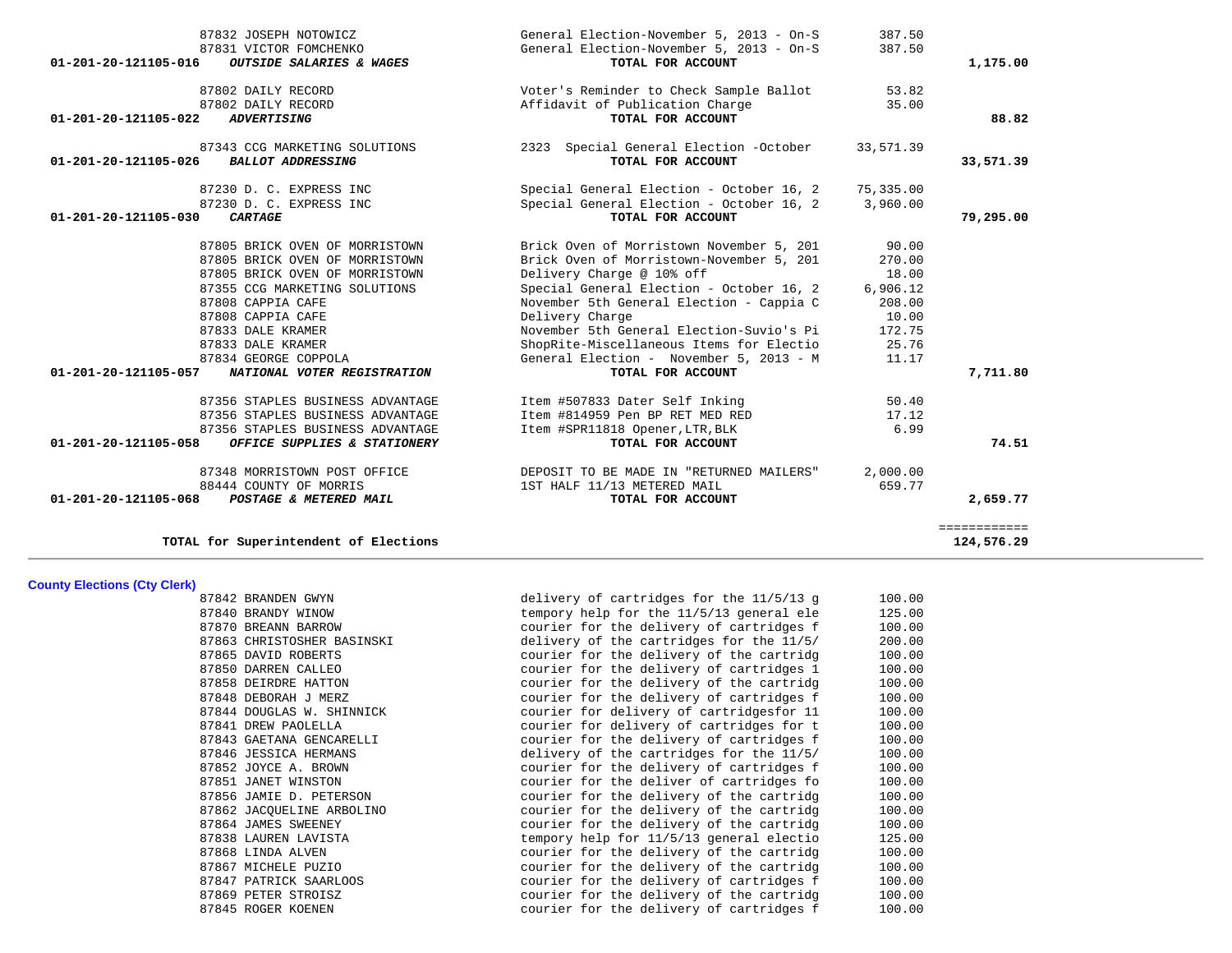| 87832 JOSEPH NOTOWICZ                                | General Election-November 5, 2013 - On-S | 387.50    |              |
|------------------------------------------------------|------------------------------------------|-----------|--------------|
| 87831 VICTOR FOMCHENKO                               | General Election-November 5, 2013 - On-S | 387.50    |              |
| 01-201-20-121105-016<br>OUTSIDE SALARIES & WAGES     | TOTAL FOR ACCOUNT                        |           | 1,175.00     |
| 87802 DAILY RECORD                                   | Voter's Reminder to Check Sample Ballot  | 53.82     |              |
| 87802 DAILY RECORD                                   | Affidavit of Publication Charge          | 35.00     |              |
| 01-201-20-121105-022<br><b>ADVERTISING</b>           | TOTAL FOR ACCOUNT                        |           | 88.82        |
| 87343 CCG MARKETING SOLUTIONS                        | 2323 Special General Election -October   | 33,571.39 |              |
| 01-201-20-121105-026<br><b>BALLOT ADDRESSING</b>     | TOTAL FOR ACCOUNT                        |           | 33,571.39    |
| 87230 D. C. EXPRESS INC                              | Special General Election - October 16, 2 | 75,335.00 |              |
| 87230 D. C. EXPRESS INC                              | Special General Election - October 16, 2 | 3,960.00  |              |
| CARTAGE<br>01-201-20-121105-030                      | TOTAL FOR ACCOUNT                        |           | 79,295.00    |
| 87805 BRICK OVEN OF MORRISTOWN                       | Brick Oven of Morristown November 5, 201 | 90.00     |              |
| 87805 BRICK OVEN OF MORRISTOWN                       | Brick Oven of Morristown-November 5, 201 | 270.00    |              |
| 87805 BRICK OVEN OF MORRISTOWN                       | Delivery Charge @ 10% off                | 18.00     |              |
| 87355 CCG MARKETING SOLUTIONS                        | Special General Election - October 16, 2 | 6,906.12  |              |
| 87808 CAPPIA CAFE                                    | November 5th General Election - Cappia C | 208.00    |              |
| 87808 CAPPIA CAFE                                    | Delivery Charge                          | 10.00     |              |
| 87833 DALE KRAMER                                    | November 5th General Election-Suvio's Pi | 172.75    |              |
| 87833 DALE KRAMER                                    | ShopRite-Miscellaneous Items for Electio | 25.76     |              |
| 87834 GEORGE COPPOLA                                 | General Election - November 5, 2013 - M  | 11.17     |              |
| 01-201-20-121105-057<br>NATIONAL VOTER REGISTRATION  | TOTAL FOR ACCOUNT                        |           | 7,711.80     |
| 87356 STAPLES BUSINESS ADVANTAGE                     | Item #507833 Dater Self Inking           | 50.40     |              |
| 87356 STAPLES BUSINESS ADVANTAGE                     | Item #814959 Pen BP RET MED RED          | 17.12     |              |
| 87356 STAPLES BUSINESS ADVANTAGE                     | Item #SPR11818 Opener, LTR, BLK          | 6.99      |              |
| 01-201-20-121105-058<br>OFFICE SUPPLIES & STATIONERY | TOTAL FOR ACCOUNT                        |           | 74.51        |
| 87348 MORRISTOWN POST OFFICE                         | DEPOSIT TO BE MADE IN "RETURNED MAILERS" | 2,000.00  |              |
| 88444 COUNTY OF MORRIS                               | 1ST HALF 11/13 METERED MAIL              | 659.77    |              |
| 01-201-20-121105-068<br>POSTAGE & METERED MAIL       | TOTAL FOR ACCOUNT                        |           | 2,659.77     |
|                                                      |                                          |           | ============ |
| TOTAL for Superintendent of Elections                |                                          |           | 124,576.29   |

**County Elections (Cty Clerk)**

| 87842 BRANDEN GWYN         | delivery of cartridges for the 11/5/13 g | 100.00 |
|----------------------------|------------------------------------------|--------|
| 87840 BRANDY WINOW         | tempory help for the 11/5/13 general ele | 125.00 |
| 87870 BREANN BARROW        | courier for the delivery of cartridges f | 100.00 |
| 87863 CHRISTOSHER BASINSKI | delivery of the cartridges for the 11/5/ | 200.00 |
| 87865 DAVID ROBERTS        | courier for the delivery of the cartridg | 100.00 |
| 87850 DARREN CALLEO        | courier for the delivery of cartridges 1 | 100.00 |
| 87858 DEIRDRE HATTON       | courier for the delivery of the cartridg | 100.00 |
| 87848 DEBORAH J MERZ       | courier for the delivery of cartridges f | 100.00 |
| 87844 DOUGLAS W. SHINNICK  | courier for delivery of cartridgesfor 11 | 100.00 |
| 87841 DREW PAOLELLA        | courier for delivery of cartridges for t | 100.00 |
| 87843 GAETANA GENCARELLI   | courier for the delivery of cartridges f | 100.00 |
| 87846 JESSICA HERMANS      | delivery of the cartridges for the 11/5/ | 100.00 |
| 87852 JOYCE A. BROWN       | courier for the delivery of cartridges f | 100.00 |
| 87851 JANET WINSTON        | courier for the deliver of cartridges fo | 100.00 |
| 87856 JAMIE D. PETERSON    | courier for the delivery of the cartridg | 100.00 |
| 87862 JACOUELINE ARBOLINO  | courier for the delivery of the cartridg | 100.00 |
| 87864 JAMES SWEENEY        | courier for the delivery of the cartridg | 100.00 |
| 87838 LAUREN LAVISTA       | tempory help for 11/5/13 general electio | 125.00 |
| 87868 LINDA ALVEN          | courier for the delivery of the cartridg | 100.00 |
| 87867 MICHELE PUZIO        | courier for the delivery of the cartridg | 100.00 |
| 87847 PATRICK SAARLOOS     | courier for the delivery of cartridges f | 100.00 |
| 87869 PETER STROISZ        | courier for the delivery of the cartridg | 100.00 |
| 87845 ROGER KOENEN         | courier for the delivery of cartridges f | 100.00 |
|                            |                                          |        |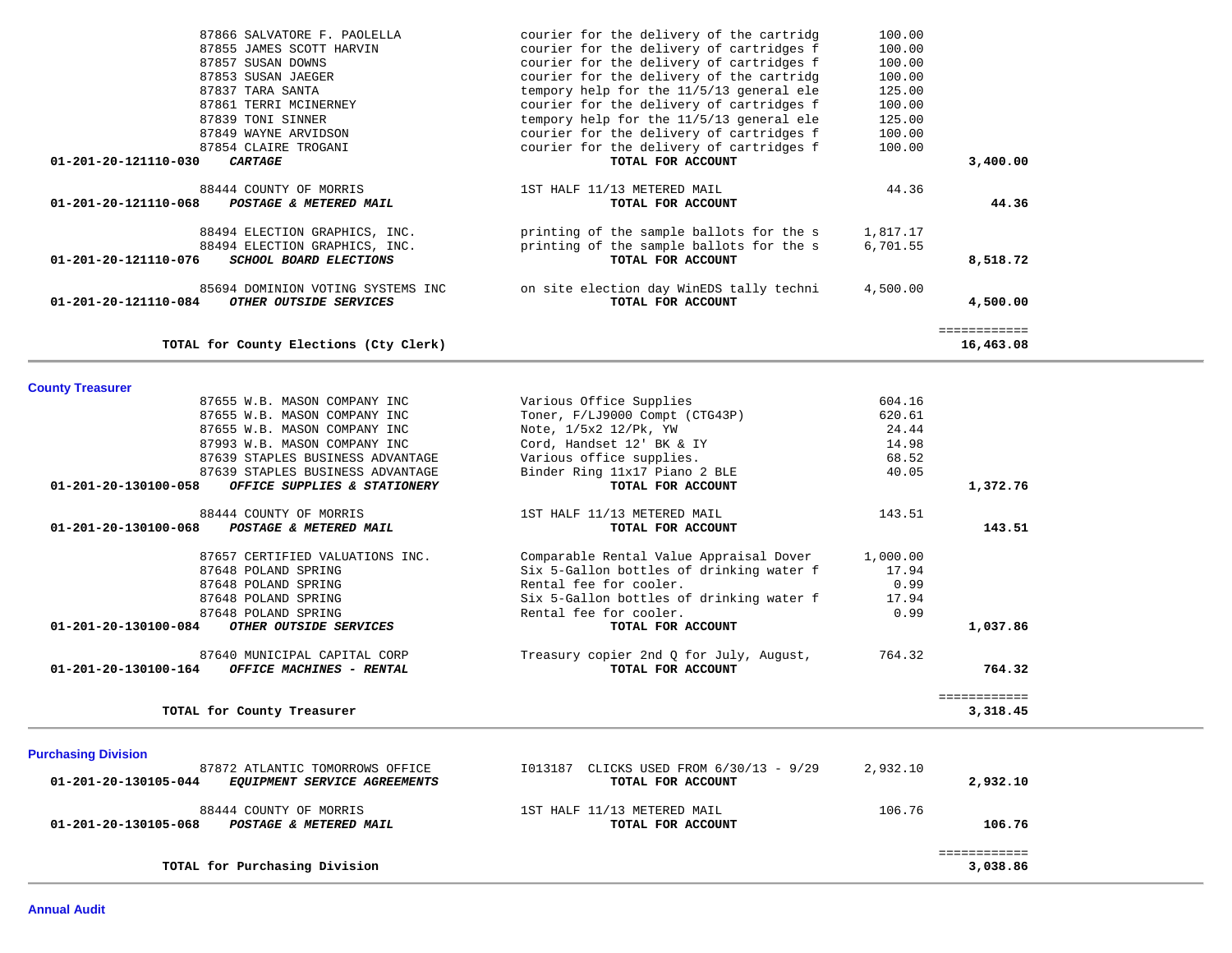| 87866 SALVATORE F. PAOLELLA                   |                                   | courier for the delivery of the cartridg | 100.00   |              |
|-----------------------------------------------|-----------------------------------|------------------------------------------|----------|--------------|
| 87855 JAMES SCOTT HARVIN                      |                                   | courier for the delivery of cartridges f | 100.00   |              |
| 87857 SUSAN DOWNS                             |                                   | courier for the delivery of cartridges f | 100.00   |              |
| 87853 SUSAN JAEGER                            |                                   | courier for the delivery of the cartridg | 100.00   |              |
| 87837 TARA SANTA                              |                                   | tempory help for the 11/5/13 general ele | 125.00   |              |
| 87861 TERRI MCINERNEY                         |                                   | courier for the delivery of cartridges f | 100.00   |              |
| 87839 TONI SINNER                             |                                   | tempory help for the 11/5/13 general ele | 125.00   |              |
| 87849 WAYNE ARVIDSON                          |                                   | courier for the delivery of cartridges f | 100.00   |              |
| 87854 CLAIRE TROGANI                          |                                   | courier for the delivery of cartridges f | 100.00   |              |
| 01-201-20-121110-030<br><i><b>CARTAGE</b></i> |                                   | TOTAL FOR ACCOUNT                        |          | 3,400.00     |
| 88444 COUNTY OF MORRIS                        |                                   | 1ST HALF 11/13 METERED MAIL              | 44.36    |              |
| 01-201-20-121110-068                          | POSTAGE & METERED MAIL            | TOTAL FOR ACCOUNT                        |          | 44.36        |
| 88494 ELECTION GRAPHICS, INC.                 |                                   | printing of the sample ballots for the s | 1,817.17 |              |
| 88494 ELECTION GRAPHICS, INC.                 |                                   | printing of the sample ballots for the s | 6,701.55 |              |
| 01-201-20-121110-076                          | SCHOOL BOARD ELECTIONS            | TOTAL FOR ACCOUNT                        |          | 8,518.72     |
|                                               | 85694 DOMINION VOTING SYSTEMS INC | on site election day WinEDS tally techni | 4,500.00 |              |
| 01-201-20-121110-084                          | OTHER OUTSIDE SERVICES            | TOTAL FOR ACCOUNT                        |          | 4,500.00     |
|                                               |                                   |                                          |          | ============ |
| TOTAL for County Elections (Cty Clerk)        |                                   |                                          |          | 16,463.08    |
|                                               |                                   |                                          |          |              |

**County Treasurer** 

|                      | 87655 W.B. MASON COMPANY INC     | Various Office Supplies                  | 604.16   |              |
|----------------------|----------------------------------|------------------------------------------|----------|--------------|
|                      | 87655 W.B. MASON COMPANY INC     | Toner, F/LJ9000 Compt (CTG43P)           | 620.61   |              |
|                      | 87655 W.B. MASON COMPANY INC     | Note, 1/5x2 12/Pk, YW                    | 24.44    |              |
|                      | 87993 W.B. MASON COMPANY INC     | Cord, Handset 12' BK & IY                | 14.98    |              |
|                      | 87639 STAPLES BUSINESS ADVANTAGE | Various office supplies.                 | 68.52    |              |
|                      | 87639 STAPLES BUSINESS ADVANTAGE | Binder Ring 11x17 Piano 2 BLE            | 40.05    |              |
| 01-201-20-130100-058 | OFFICE SUPPLIES & STATIONERY     | TOTAL FOR ACCOUNT                        |          | 1,372.76     |
|                      | 88444 COUNTY OF MORRIS           | 1ST HALF 11/13 METERED MAIL              | 143.51   |              |
| 01-201-20-130100-068 | POSTAGE & METERED MAIL           | TOTAL FOR ACCOUNT                        |          | 143.51       |
|                      | 87657 CERTIFIED VALUATIONS INC.  | Comparable Rental Value Appraisal Dover  | 1,000.00 |              |
|                      | 87648 POLAND SPRING              | Six 5-Gallon bottles of drinking water f | 17.94    |              |
|                      | 87648 POLAND SPRING              | Rental fee for cooler.                   | 0.99     |              |
|                      | 87648 POLAND SPRING              | Six 5-Gallon bottles of drinking water f | 17.94    |              |
|                      | 87648 POLAND SPRING              | Rental fee for cooler.                   | 0.99     |              |
| 01-201-20-130100-084 | <i>OTHER OUTSIDE SERVICES</i>    | TOTAL FOR ACCOUNT                        |          | 1,037.86     |
|                      | 87640 MUNICIPAL CAPITAL CORP     | Treasury copier 2nd Q for July, August,  | 764.32   |              |
| 01-201-20-130100-164 | OFFICE MACHINES - RENTAL         | TOTAL FOR ACCOUNT                        |          | 764.32       |
|                      |                                  |                                          |          | ============ |
|                      | TOTAL for County Treasurer       |                                          |          | 3,318.45     |

| <b>Purchasing Division</b><br>87872 ATLANTIC TOMORROWS OFFICE<br>01-201-20-130105-044<br><i>EQUIPMENT SERVICE AGREEMENTS</i> | CLICKS USED FROM 6/30/13 - 9/29<br>I013187<br>TOTAL FOR ACCOUNT | 2,932.10<br>2,932.10 |
|------------------------------------------------------------------------------------------------------------------------------|-----------------------------------------------------------------|----------------------|
| 88444 COUNTY OF MORRIS<br>01-201-20-130105-068<br>POSTAGE & METERED MAIL                                                     | 1ST HALF 11/13 METERED MAIL<br>TOTAL FOR ACCOUNT                | 106.76<br>106.76     |
| TOTAL for Purchasing Division                                                                                                |                                                                 | 3,038.86             |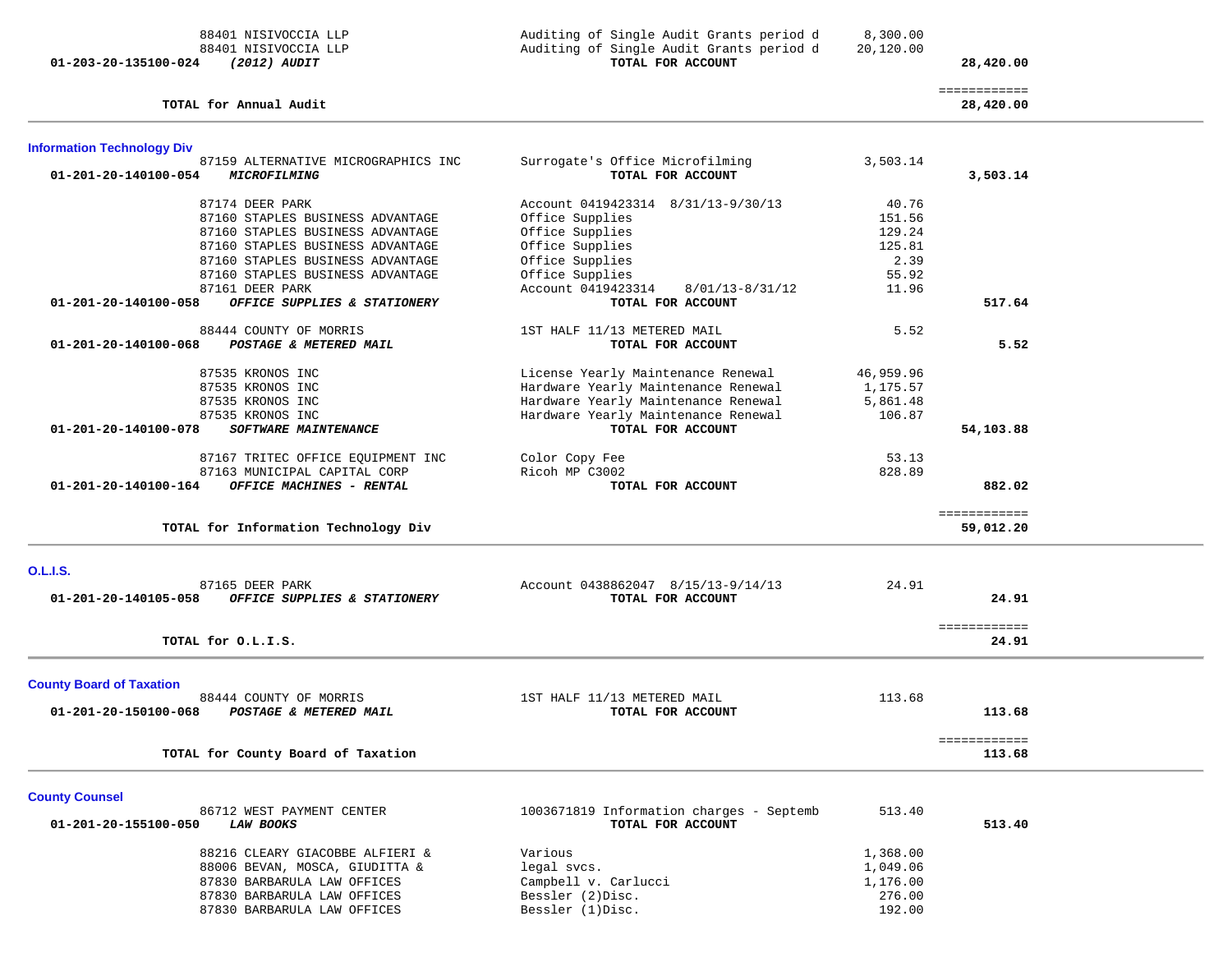| 88401 NISIVOCCIA LLP<br>88401 NISIVOCCIA LLP                                       | Auditing of Single Audit Grants period d<br>Auditing of Single Audit Grants period d | 8,300.00<br>20,120.00 |                           |  |
|------------------------------------------------------------------------------------|--------------------------------------------------------------------------------------|-----------------------|---------------------------|--|
| 01-203-20-135100-024<br><i>(2012) AUDIT</i>                                        | TOTAL FOR ACCOUNT                                                                    |                       | 28,420.00                 |  |
| TOTAL for Annual Audit                                                             |                                                                                      |                       | ============<br>28,420.00 |  |
| <b>Information Technology Div</b>                                                  |                                                                                      |                       |                           |  |
| 87159 ALTERNATIVE MICROGRAPHICS INC<br>01-201-20-140100-054<br><i>MICROFILMING</i> | Surrogate's Office Microfilming<br>TOTAL FOR ACCOUNT                                 | 3,503.14              | 3,503.14                  |  |
| 87174 DEER PARK                                                                    | Account 0419423314 8/31/13-9/30/13                                                   | 40.76                 |                           |  |
| 87160 STAPLES BUSINESS ADVANTAGE                                                   | Office Supplies                                                                      | 151.56                |                           |  |
| 87160 STAPLES BUSINESS ADVANTAGE                                                   | Office Supplies                                                                      | 129.24                |                           |  |
| 87160 STAPLES BUSINESS ADVANTAGE                                                   | Office Supplies                                                                      | 125.81                |                           |  |
| 87160 STAPLES BUSINESS ADVANTAGE                                                   | Office Supplies                                                                      | 2.39                  |                           |  |
| 87160 STAPLES BUSINESS ADVANTAGE                                                   | Office Supplies                                                                      | 55.92                 |                           |  |
| 87161 DEER PARK                                                                    | Account 0419423314<br>8/01/13-8/31/12                                                | 11.96                 |                           |  |
| OFFICE SUPPLIES & STATIONERY<br>01-201-20-140100-058                               | TOTAL FOR ACCOUNT                                                                    |                       | 517.64                    |  |
| 88444 COUNTY OF MORRIS                                                             | 1ST HALF 11/13 METERED MAIL                                                          | 5.52                  |                           |  |
| 01-201-20-140100-068<br>POSTAGE & METERED MAIL                                     | TOTAL FOR ACCOUNT                                                                    |                       | 5.52                      |  |
| 87535 KRONOS INC                                                                   | License Yearly Maintenance Renewal                                                   | 46,959.96             |                           |  |
| 87535 KRONOS INC                                                                   | Hardware Yearly Maintenance Renewal                                                  | 1,175.57              |                           |  |
| 87535 KRONOS INC                                                                   | Hardware Yearly Maintenance Renewal                                                  | 5,861.48              |                           |  |
| 87535 KRONOS INC                                                                   | Hardware Yearly Maintenance Renewal                                                  | 106.87                |                           |  |
| 01-201-20-140100-078<br><b>SOFTWARE MAINTENANCE</b>                                | TOTAL FOR ACCOUNT                                                                    |                       | 54,103.88                 |  |
| 87167 TRITEC OFFICE EQUIPMENT INC                                                  | Color Copy Fee                                                                       | 53.13                 |                           |  |
| 87163 MUNICIPAL CAPITAL CORP                                                       | Ricoh MP C3002                                                                       | 828.89                |                           |  |
| OFFICE MACHINES - RENTAL<br>01-201-20-140100-164                                   | TOTAL FOR ACCOUNT                                                                    |                       | 882.02                    |  |
| TOTAL for Information Technology Div                                               |                                                                                      |                       | ============<br>59,012.20 |  |
|                                                                                    |                                                                                      |                       |                           |  |
| <b>O.L.I.S.</b>                                                                    |                                                                                      |                       |                           |  |
| 87165 DEER PARK                                                                    | Account 0438862047 8/15/13-9/14/13                                                   | 24.91                 |                           |  |
| 01-201-20-140105-058<br>OFFICE SUPPLIES & STATIONERY                               | TOTAL FOR ACCOUNT                                                                    |                       | 24.91                     |  |
| TOTAL for O.L.I.S.                                                                 |                                                                                      |                       | ============<br>24.91     |  |
| <b>County Board of Taxation</b>                                                    |                                                                                      |                       |                           |  |
| 88444 COUNTY OF MORRIS                                                             | 1ST HALF 11/13 METERED MAIL                                                          | 113.68                |                           |  |
| 01-201-20-150100-068<br>POSTAGE & METERED MAIL                                     | TOTAL FOR ACCOUNT                                                                    |                       | 113.68                    |  |
|                                                                                    |                                                                                      |                       |                           |  |
| TOTAL for County Board of Taxation                                                 |                                                                                      |                       | ============<br>113.68    |  |
|                                                                                    |                                                                                      |                       |                           |  |
| <b>County Counsel</b><br>86712 WEST PAYMENT CENTER                                 | 1003671819 Information charges - Septemb                                             | 513.40                |                           |  |
| 01-201-20-155100-050<br><b>LAW BOOKS</b>                                           | TOTAL FOR ACCOUNT                                                                    |                       | 513.40                    |  |
| 88216 CLEARY GIACOBBE ALFIERI &                                                    | Various                                                                              | 1,368.00              |                           |  |
| 88006 BEVAN, MOSCA, GIUDITTA &                                                     | legal svcs.                                                                          | 1,049.06              |                           |  |
| 87830 BARBARULA LAW OFFICES                                                        | Campbell v. Carlucci                                                                 | 1,176.00              |                           |  |

87830 BARBARULA LAW OFFICES Campbell v. Carlucci 1,176.00<br>87830 BARBARULA LAW OFFICES Bessler (2)Disc. 276.00 87830 BARBARULA LAW OFFICES Bessler (2)Disc.<br>87830 BARBARULA LAW OFFICES Bessler (1)Disc. 276.00

87830 BARBARULA LAW OFFICES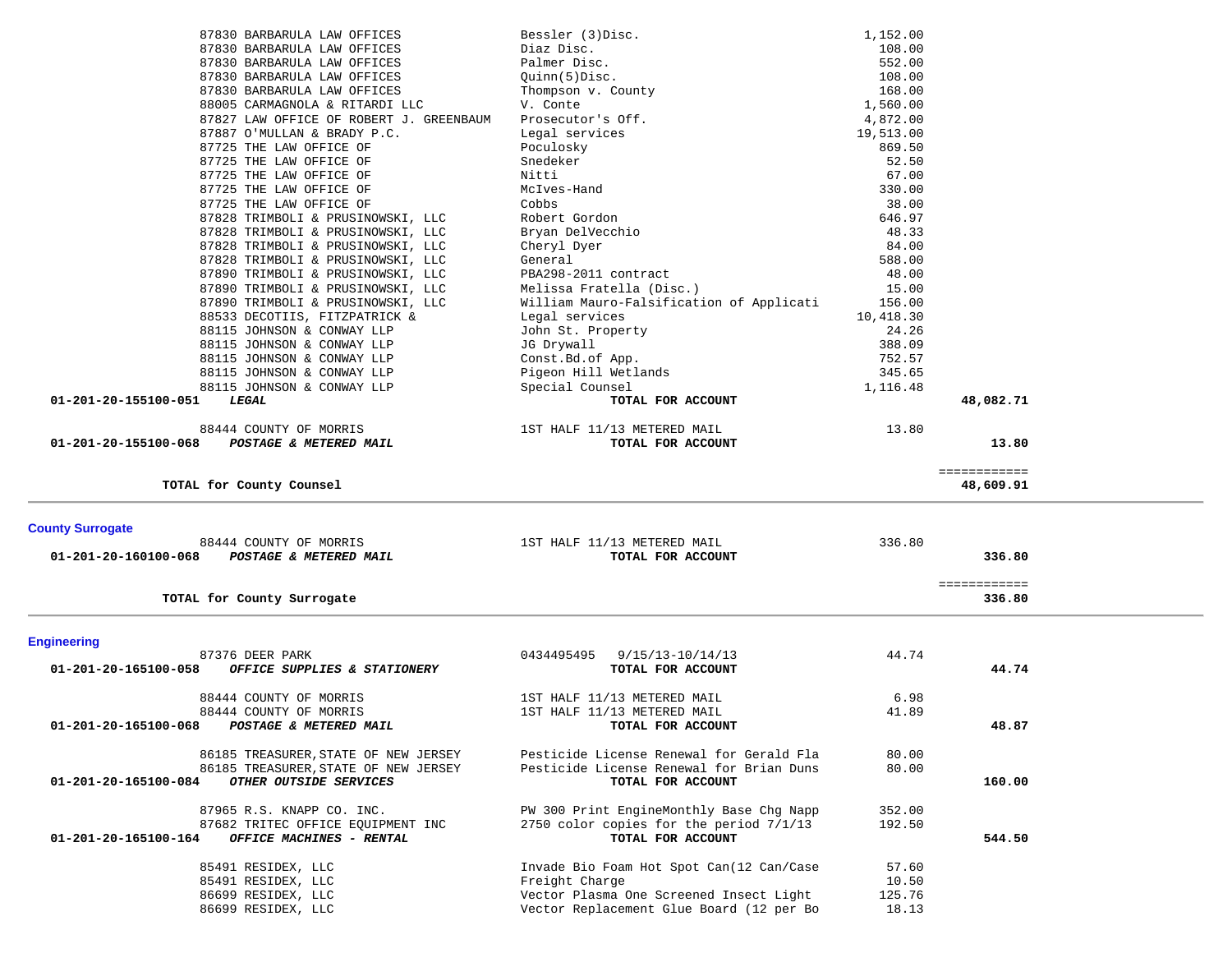| 87830 BARBARULA LAW OFFICES                                  | Bessler (3) Disc.                                                                   | 1,152.00        |              |  |
|--------------------------------------------------------------|-------------------------------------------------------------------------------------|-----------------|--------------|--|
| 87830 BARBARULA LAW OFFICES                                  | Diaz Disc.                                                                          | 108.00          |              |  |
| 87830 BARBARULA LAW OFFICES                                  | Palmer Disc.                                                                        | 552.00          |              |  |
| 87830 BARBARULA LAW OFFICES                                  | Quinn(5)Disc.                                                                       | 108.00          |              |  |
| 87830 BARBARULA LAW OFFICES                                  | Thompson v. County                                                                  | 168.00          |              |  |
| 88005 CARMAGNOLA & RITARDI LLC                               | V. Conte                                                                            | 1,560.00        |              |  |
| 87827 LAW OFFICE OF ROBERT J. GREENBAUM                      | Prosecutor's Off.                                                                   | 4,872.00        |              |  |
|                                                              |                                                                                     |                 |              |  |
| 87887 O'MULLAN & BRADY P.C.                                  | Legal services                                                                      | 19,513.00       |              |  |
| 87725 THE LAW OFFICE OF                                      | Poculosky                                                                           | 869.50          |              |  |
| 87725 THE LAW OFFICE OF                                      | Snedeker                                                                            | 52.50           |              |  |
| 87725 THE LAW OFFICE OF                                      | Nitti                                                                               | 67.00           |              |  |
| 87725 THE LAW OFFICE OF                                      | McIves-Hand                                                                         | 330.00          |              |  |
| 87725 THE LAW OFFICE OF                                      | Cobbs                                                                               | 38.00           |              |  |
| 87828 TRIMBOLI & PRUSINOWSKI, LLC                            | Robert Gordon                                                                       | 646.97          |              |  |
| 87828 TRIMBOLI & PRUSINOWSKI, LLC                            | Bryan DelVecchio                                                                    | 48.33           |              |  |
| 87828 TRIMBOLI & PRUSINOWSKI, LLC                            | Cheryl Dyer                                                                         | 84.00           |              |  |
| 87828 TRIMBOLI & PRUSINOWSKI, LLC                            | General                                                                             | 588.00          |              |  |
| 87890 TRIMBOLI & PRUSINOWSKI, LLC                            | PBA298-2011 contract                                                                | 48.00           |              |  |
| 87890 TRIMBOLI & PRUSINOWSKI, LLC                            | Melissa Fratella (Disc.)                                                            | 15.00           |              |  |
| 87890 TRIMBOLI & PRUSINOWSKI, LLC                            | William Mauro-Falsification of Applicati                                            | 156.00          |              |  |
| 88533 DECOTIIS, FITZPATRICK &                                | Legal services                                                                      | 10,418.30       |              |  |
| 88115 JOHNSON & CONWAY LLP                                   | John St. Property                                                                   | 24.26           |              |  |
| 88115 JOHNSON & CONWAY LLP                                   | JG Drywall                                                                          | 388.09          |              |  |
| 88115 JOHNSON & CONWAY LLP                                   | Const.Bd.of App.                                                                    | 752.57          |              |  |
| 88115 JOHNSON & CONWAY LLP                                   | Pigeon Hill Wetlands                                                                | 345.65          |              |  |
| 88115 JOHNSON & CONWAY LLP                                   | Special Counsel                                                                     | 1,116.48        |              |  |
| 01-201-20-155100-051<br>LEGAL                                | TOTAL FOR ACCOUNT                                                                   |                 | 48,082.71    |  |
|                                                              |                                                                                     |                 |              |  |
|                                                              |                                                                                     |                 |              |  |
| 88444 COUNTY OF MORRIS                                       | 1ST HALF 11/13 METERED MAIL                                                         | 13.80           |              |  |
| 01-201-20-155100-068<br>POSTAGE & METERED MAIL               | TOTAL FOR ACCOUNT                                                                   |                 | 13.80        |  |
|                                                              |                                                                                     |                 |              |  |
|                                                              |                                                                                     |                 | ============ |  |
| TOTAL for County Counsel                                     |                                                                                     |                 | 48,609.91    |  |
|                                                              |                                                                                     |                 |              |  |
|                                                              |                                                                                     |                 |              |  |
|                                                              |                                                                                     |                 |              |  |
| <b>County Surrogate</b>                                      |                                                                                     |                 |              |  |
| 88444 COUNTY OF MORRIS                                       | 1ST HALF 11/13 METERED MAIL                                                         | 336.80          |              |  |
| 01-201-20-160100-068<br>POSTAGE & METERED MAIL               | TOTAL FOR ACCOUNT                                                                   |                 | 336.80       |  |
|                                                              |                                                                                     |                 |              |  |
|                                                              |                                                                                     |                 | ============ |  |
| TOTAL for County Surrogate                                   |                                                                                     |                 | 336.80       |  |
|                                                              |                                                                                     |                 |              |  |
| <b>Engineering</b>                                           |                                                                                     |                 |              |  |
| 87376 DEER PARK                                              | 0434495495 9/15/13-10/14/13                                                         | 44.74           |              |  |
| OFFICE SUPPLIES & STATIONERY<br>01-201-20-165100-058         | TOTAL FOR ACCOUNT                                                                   |                 | 44.74        |  |
|                                                              |                                                                                     |                 |              |  |
| 88444 COUNTY OF MORRIS                                       | 1ST HALF 11/13 METERED MAIL                                                         | 6.98            |              |  |
| 88444 COUNTY OF MORRIS                                       | 1ST HALF 11/13 METERED MAIL                                                         | 41.89           |              |  |
| 01-201-20-165100-068<br>POSTAGE & METERED MAIL               |                                                                                     |                 | 48.87        |  |
|                                                              | TOTAL FOR ACCOUNT                                                                   |                 |              |  |
|                                                              | Pesticide License Renewal for Gerald Fla                                            |                 |              |  |
| 86185 TREASURER, STATE OF NEW JERSEY                         |                                                                                     | 80.00           |              |  |
| 86185 TREASURER, STATE OF NEW JERSEY<br>01-201-20-165100-084 | Pesticide License Renewal for Brian Duns                                            | 80.00           |              |  |
| OTHER OUTSIDE SERVICES                                       | TOTAL FOR ACCOUNT                                                                   |                 | 160.00       |  |
|                                                              |                                                                                     |                 |              |  |
| 87965 R.S. KNAPP CO. INC.                                    | PW 300 Print EngineMonthly Base Chg Napp                                            | 352.00          |              |  |
| 87682 TRITEC OFFICE EQUIPMENT INC                            | 2750 color copies for the period 7/1/13                                             | 192.50          |              |  |
| OFFICE MACHINES - RENTAL<br>01-201-20-165100-164             | TOTAL FOR ACCOUNT                                                                   |                 | 544.50       |  |
|                                                              |                                                                                     |                 |              |  |
| 85491 RESIDEX, LLC                                           | Invade Bio Foam Hot Spot Can(12 Can/Case                                            | 57.60           |              |  |
| 85491 RESIDEX, LLC                                           | Freight Charge                                                                      | 10.50           |              |  |
| 86699 RESIDEX, LLC<br>86699 RESIDEX, LLC                     | Vector Plasma One Screened Insect Light<br>Vector Replacement Glue Board (12 per Bo | 125.76<br>18.13 |              |  |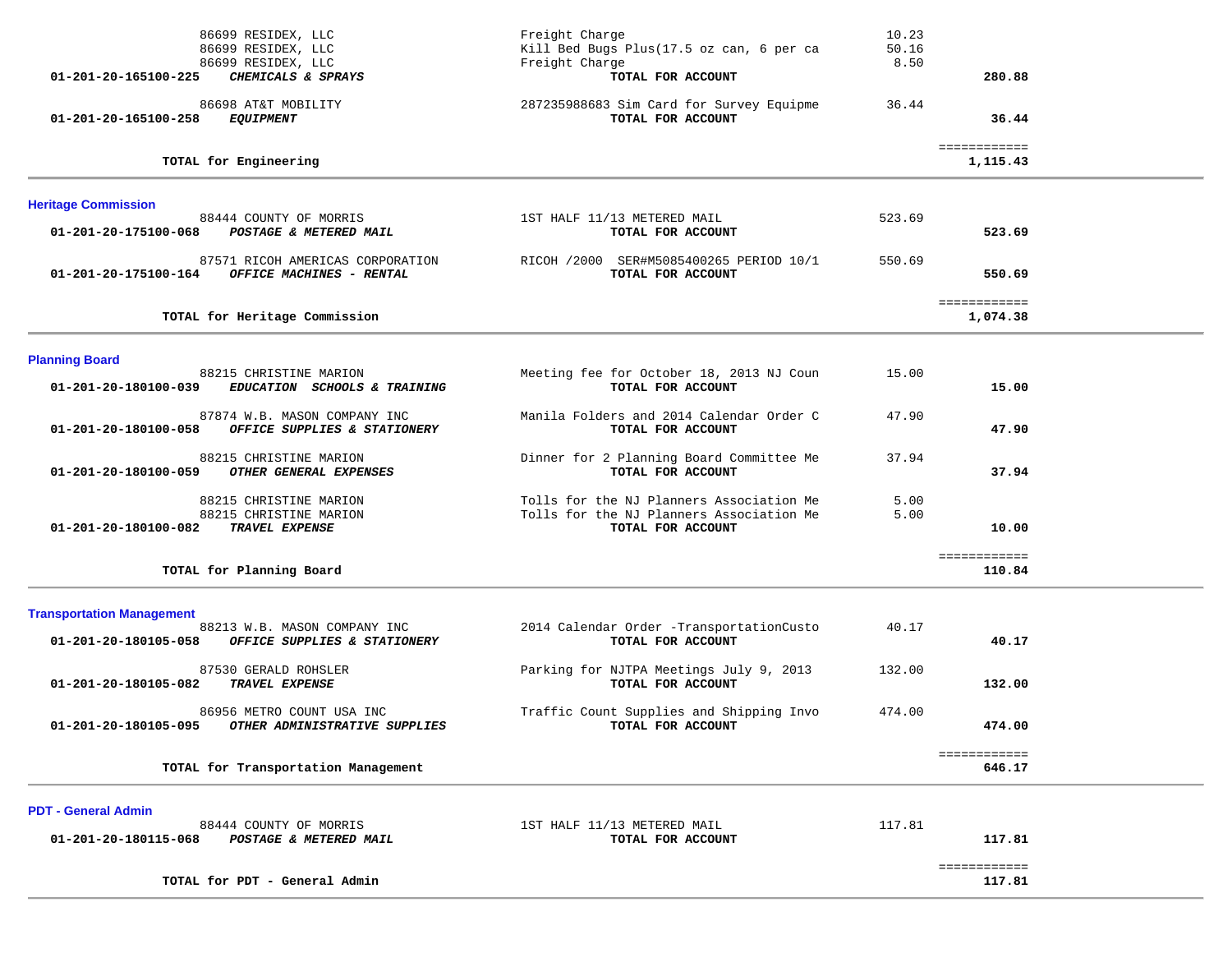| 86699 RESIDEX, LLC<br>86699 RESIDEX, LLC<br>86699 RESIDEX, LLC                                                           | Freight Charge<br>Kill Bed Bugs Plus(17.5 oz can, 6 per ca<br>Freight Charge                              | 10.23<br>50.16<br>8.50 |                          |  |
|--------------------------------------------------------------------------------------------------------------------------|-----------------------------------------------------------------------------------------------------------|------------------------|--------------------------|--|
| CHEMICALS & SPRAYS<br>01-201-20-165100-225<br>86698 AT&T MOBILITY                                                        | TOTAL FOR ACCOUNT<br>287235988683 Sim Card for Survey Equipme                                             | 36.44                  | 280.88                   |  |
| 01-201-20-165100-258<br>EQUIPMENT                                                                                        | TOTAL FOR ACCOUNT                                                                                         |                        | 36.44                    |  |
| TOTAL for Engineering                                                                                                    |                                                                                                           |                        | ============<br>1,115.43 |  |
| <b>Heritage Commission</b>                                                                                               |                                                                                                           |                        |                          |  |
| 88444 COUNTY OF MORRIS<br>01-201-20-175100-068<br>POSTAGE & METERED MAIL                                                 | 1ST HALF 11/13 METERED MAIL<br>TOTAL FOR ACCOUNT                                                          | 523.69                 | 523.69                   |  |
| 87571 RICOH AMERICAS CORPORATION<br>OFFICE MACHINES - RENTAL<br>01-201-20-175100-164                                     | RICOH /2000 SER#M5085400265 PERIOD 10/1<br>TOTAL FOR ACCOUNT                                              | 550.69                 | 550.69                   |  |
| TOTAL for Heritage Commission                                                                                            |                                                                                                           |                        | ============<br>1,074.38 |  |
| <b>Planning Board</b>                                                                                                    |                                                                                                           |                        |                          |  |
| 88215 CHRISTINE MARION<br>01-201-20-180100-039<br>EDUCATION SCHOOLS & TRAINING                                           | Meeting fee for October 18, 2013 NJ Coun<br>TOTAL FOR ACCOUNT                                             | 15.00                  | 15.00                    |  |
| 87874 W.B. MASON COMPANY INC<br>01-201-20-180100-058<br>OFFICE SUPPLIES & STATIONERY                                     | Manila Folders and 2014 Calendar Order C<br>TOTAL FOR ACCOUNT                                             | 47.90                  | 47.90                    |  |
| 88215 CHRISTINE MARION<br>01-201-20-180100-059<br>OTHER GENERAL EXPENSES                                                 | Dinner for 2 Planning Board Committee Me<br>TOTAL FOR ACCOUNT                                             | 37.94                  | 37.94                    |  |
| 88215 CHRISTINE MARION<br>88215 CHRISTINE MARION<br>TRAVEL EXPENSE<br>01-201-20-180100-082                               | Tolls for the NJ Planners Association Me<br>Tolls for the NJ Planners Association Me<br>TOTAL FOR ACCOUNT | 5.00<br>5.00           | 10.00                    |  |
| TOTAL for Planning Board                                                                                                 |                                                                                                           |                        | ============<br>110.84   |  |
| <b>Transportation Management</b><br>88213 W.B. MASON COMPANY INC<br>01-201-20-180105-058<br>OFFICE SUPPLIES & STATIONERY | 2014 Calendar Order -TransportationCusto<br>TOTAL FOR ACCOUNT                                             | 40.17                  | 40.17                    |  |
| 87530 GERALD ROHSLER<br>01-201-20-180105-082<br>TRAVEL EXPENSE                                                           | Parking for NJTPA Meetings July 9, 2013<br>TOTAL FOR ACCOUNT                                              | 132.00                 | 132.00                   |  |
| 86956 METRO COUNT USA INC<br>01-201-20-180105-095<br>OTHER ADMINISTRATIVE SUPPLIES                                       | Traffic Count Supplies and Shipping Invo<br>TOTAL FOR ACCOUNT                                             | 474.00                 | 474.00                   |  |
| TOTAL for Transportation Management                                                                                      |                                                                                                           |                        | ============<br>646.17   |  |
| <b>PDT - General Admin</b><br>88444 COUNTY OF MORRIS<br>01-201-20-180115-068<br>POSTAGE & METERED MAIL                   | 1ST HALF 11/13 METERED MAIL<br>TOTAL FOR ACCOUNT                                                          | 117.81                 | 117.81                   |  |
| TOTAL for PDT - General Admin                                                                                            |                                                                                                           |                        | ============<br>117.81   |  |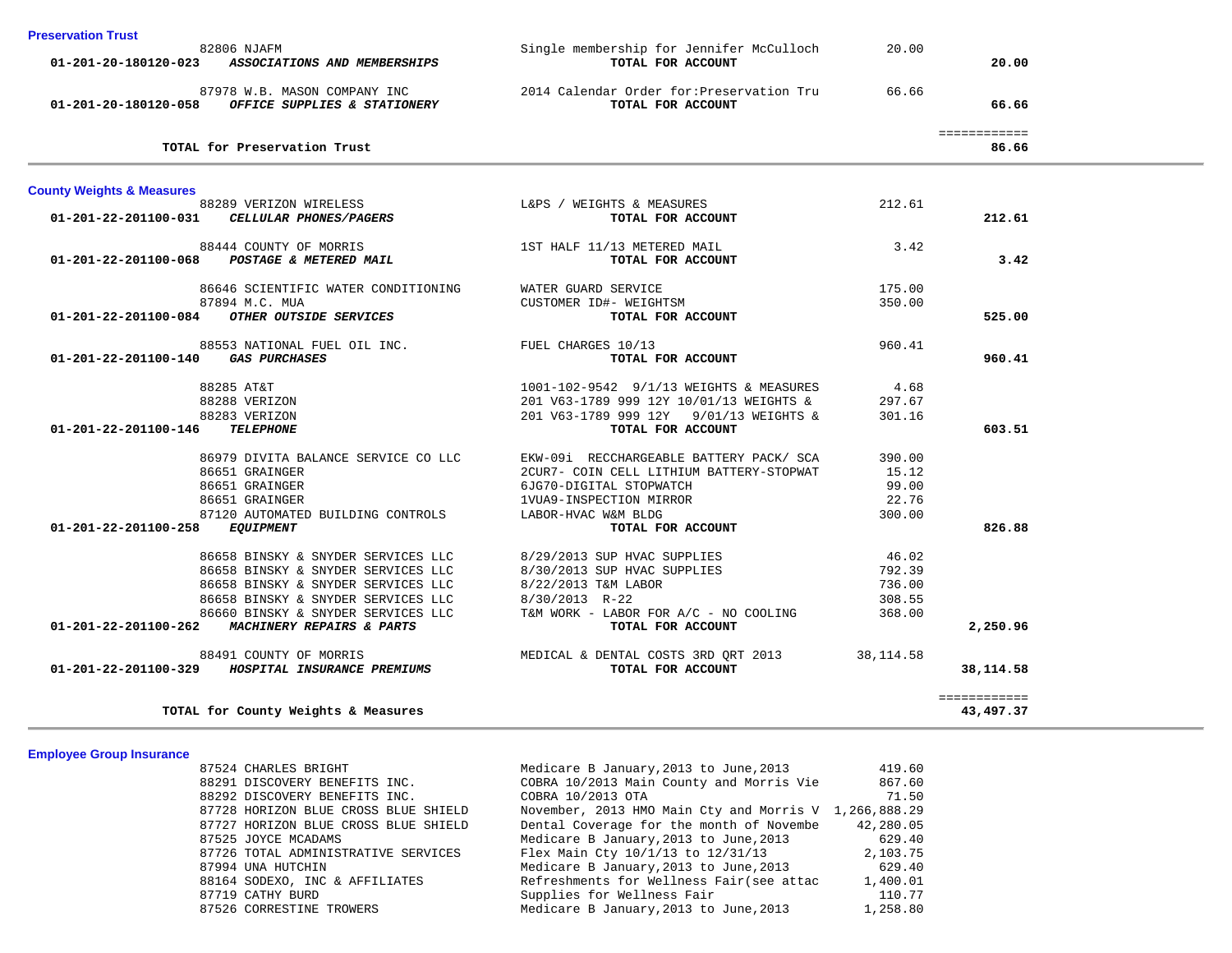|  |  | <b>Preservation Trust</b> |
|--|--|---------------------------|
|  |  |                           |

| דו <del>כ</del> אפו פעווטוו דו שאנ                                                                                                                                                                                                                                                                                                                                                                                                         |                                                               |        |                    |  |
|--------------------------------------------------------------------------------------------------------------------------------------------------------------------------------------------------------------------------------------------------------------------------------------------------------------------------------------------------------------------------------------------------------------------------------------------|---------------------------------------------------------------|--------|--------------------|--|
| 82806 NJAFM                                                                                                                                                                                                                                                                                                                                                                                                                                | Single membership for Jennifer McCulloch<br>TOTAL FOR ACCOUNT | 20.00  | 20.00              |  |
| 01-201-20-180120-023 ASSOCIATIONS AND MEMBERSHIPS                                                                                                                                                                                                                                                                                                                                                                                          |                                                               |        |                    |  |
| 87978 W.B. MASON COMPANY INC                                                                                                                                                                                                                                                                                                                                                                                                               | 2014 Calendar Order for:Preservation Tru                      | 66.66  |                    |  |
| 01-201-20-180120-058 OFFICE SUPPLIES & STATIONERY                                                                                                                                                                                                                                                                                                                                                                                          | TOTAL FOR ACCOUNT                                             |        | 66.66              |  |
|                                                                                                                                                                                                                                                                                                                                                                                                                                            |                                                               |        |                    |  |
|                                                                                                                                                                                                                                                                                                                                                                                                                                            |                                                               |        | <b>EEEEEEEEEEE</b> |  |
| TOTAL for Preservation Trust                                                                                                                                                                                                                                                                                                                                                                                                               |                                                               |        | 86.66              |  |
| <b>County Weights &amp; Measures</b>                                                                                                                                                                                                                                                                                                                                                                                                       |                                                               |        |                    |  |
|                                                                                                                                                                                                                                                                                                                                                                                                                                            |                                                               | 212.61 |                    |  |
| $88289 \text{ VERIZON WIRELES} \begin{minipage}{0.9\textwidth} \centering \begin{tabular}{l} \textbf{0.1-201-22-201100-031} \end{tabular} \end{minipage} \begin{minipage}{0.9\textwidth} \centering \begin{tabular}{l} \textbf{0.1-201-22-201100-031} \end{tabular} \end{minipage} \end{minipage} \begin{minipage}{0.9\textwidth} \centering \begin{tabular}{l} \textbf{0.1-201-22-201100-031} \end{tabular} \end{minipage} \end{minipage$ | TOTAL FOR ACCOUNT                                             |        | 212.61             |  |
| 88444 COUNTY OF MORRIS                                                                                                                                                                                                                                                                                                                                                                                                                     | 1ST HALF 11/13 METERED MAIL                                   | 3.42   |                    |  |
| 01-201-22-201100-068 POSTAGE & METERED MAIL                                                                                                                                                                                                                                                                                                                                                                                                | TOTAL FOR ACCOUNT                                             |        | 3.42               |  |
| 86646 SCIENTIFIC WATER CONDITIONING                                                                                                                                                                                                                                                                                                                                                                                                        | WATER GUARD SERVICE                                           | 175.00 |                    |  |
| 87894 M.C. MUA                                                                                                                                                                                                                                                                                                                                                                                                                             | CUSTOMER ID#- WEIGHTSM                                        | 350.00 |                    |  |
| 01-201-22-201100-084 OTHER OUTSIDE SERVICES                                                                                                                                                                                                                                                                                                                                                                                                | TOTAL FOR ACCOUNT                                             |        | 525.00             |  |
|                                                                                                                                                                                                                                                                                                                                                                                                                                            |                                                               |        |                    |  |
| 88553 NATIONAL FUEL OIL INC. TUEL CHARGES 10/13                                                                                                                                                                                                                                                                                                                                                                                            |                                                               | 960.41 |                    |  |
| 01-201-22-201100-140 GAS PURCHASES                                                                                                                                                                                                                                                                                                                                                                                                         | TOTAL FOR ACCOUNT                                             |        | 960.41             |  |
| 88285 AT&T                                                                                                                                                                                                                                                                                                                                                                                                                                 | 1001-102-9542 9/1/13 WEIGHTS & MEASURES                       | 4.68   |                    |  |
| 88288 VERIZON                                                                                                                                                                                                                                                                                                                                                                                                                              | 201 V63-1789 999 12Y 10/01/13 WEIGHTS &                       | 297.67 |                    |  |
| 88283 VERIZON                                                                                                                                                                                                                                                                                                                                                                                                                              | 201 V63-1789 999 12Y 9/01/13 WEIGHTS &                        | 301.16 |                    |  |
| 01-201-22-201100-146<br><b>TELEPHONE</b>                                                                                                                                                                                                                                                                                                                                                                                                   | TOTAL FOR ACCOUNT                                             |        | 603.51             |  |
| 86979 DIVITA BALANCE SERVICE CO LLC                                                                                                                                                                                                                                                                                                                                                                                                        | EKW-09i RECCHARGEABLE BATTERY PACK/ SCA                       | 390.00 |                    |  |
| 86651 GRAINGER                                                                                                                                                                                                                                                                                                                                                                                                                             | 2CUR7- COIN CELL LITHIUM BATTERY-STOPWAT                      | 15.12  |                    |  |
| 86651 GRAINGER                                                                                                                                                                                                                                                                                                                                                                                                                             | 6JG70-DIGITAL STOPWATCH                                       | 99.00  |                    |  |
| 86651 GRAINGER                                                                                                                                                                                                                                                                                                                                                                                                                             | 1VUA9-INSPECTION MIRROR                                       | 22.76  |                    |  |
| 87120 AUTOMATED BUILDING CONTROLS                                                                                                                                                                                                                                                                                                                                                                                                          | LABOR-HVAC W&M BLDG                                           | 300.00 |                    |  |
| 01-201-22-201100-258 EQUIPMENT                                                                                                                                                                                                                                                                                                                                                                                                             | TOTAL FOR ACCOUNT                                             |        | 826.88             |  |
| 86658 BINSKY & SNYDER SERVICES LLC                                                                                                                                                                                                                                                                                                                                                                                                         | 8/29/2013 SUP HVAC SUPPLIES                                   | 46.02  |                    |  |
| 86658 BINSKY & SNYDER SERVICES LLC                                                                                                                                                                                                                                                                                                                                                                                                         | 8/30/2013 SUP HVAC SUPPLIES                                   | 792.39 |                    |  |
| 86658 BINSKY & SNYDER SERVICES LLC                                                                                                                                                                                                                                                                                                                                                                                                         | 8/22/2013 T&M LABOR                                           | 736.00 |                    |  |
| 86658 BINSKY & SNYDER SERVICES LLC                                                                                                                                                                                                                                                                                                                                                                                                         | 8/30/2013 R-22                                                | 308.55 |                    |  |
| 86660 BINSKY & SNYDER SERVICES LLC                                                                                                                                                                                                                                                                                                                                                                                                         | T&M WORK - LABOR FOR A/C - NO COOLING                         | 368.00 |                    |  |
| 01-201-22-201100-262 MACHINERY REPAIRS & PARTS                                                                                                                                                                                                                                                                                                                                                                                             | TOTAL FOR ACCOUNT                                             |        | 2,250.96           |  |
| 88491 COUNTY OF MORRIS                                                                                                                                                                                                                                                                                                                                                                                                                     | MEDICAL & DENTAL COSTS 3RD QRT 2013 38,114.58                 |        |                    |  |
| 01-201-22-201100-329 HOSPITAL INSURANCE PREMIUMS                                                                                                                                                                                                                                                                                                                                                                                           | TOTAL FOR ACCOUNT                                             |        | 38,114.58          |  |
|                                                                                                                                                                                                                                                                                                                                                                                                                                            |                                                               |        | ============       |  |
| TOTAL for County Weights & Measures                                                                                                                                                                                                                                                                                                                                                                                                        |                                                               |        | 43,497.37          |  |

### **Employee Group Insurance**

| <u>Lilipiuydd Ol Uup Illiau allud</u> |                                      |                                                       |           |
|---------------------------------------|--------------------------------------|-------------------------------------------------------|-----------|
|                                       | 87524 CHARLES BRIGHT                 | Medicare B January, 2013 to June, 2013                | 419.60    |
|                                       | 88291 DISCOVERY BENEFITS INC.        | COBRA 10/2013 Main County and Morris Vie              | 867.60    |
|                                       | 88292 DISCOVERY BENEFITS INC.        | COBRA 10/2013 OTA                                     | 71.50     |
|                                       | 87728 HORIZON BLUE CROSS BLUE SHIELD | November, 2013 HMO Main Cty and Morris V 1,266,888.29 |           |
|                                       | 87727 HORIZON BLUE CROSS BLUE SHIELD | Dental Coverage for the month of Novembe              | 42,280.05 |
|                                       | 87525 JOYCE MCADAMS                  | Medicare B January, 2013 to June, 2013                | 629.40    |
|                                       | 87726 TOTAL ADMINISTRATIVE SERVICES  | Flex Main Cty 10/1/13 to 12/31/13                     | 2,103.75  |
|                                       | 87994 UNA HUTCHIN                    | Medicare B January, 2013 to June, 2013                | 629.40    |
|                                       | 88164 SODEXO, INC & AFFILIATES       | Refreshments for Wellness Fair(see attac              | 1,400.01  |
|                                       | 87719 CATHY BURD                     | Supplies for Wellness Fair                            | 110.77    |
|                                       | 87526 CORRESTINE TROWERS             | Medicare B January, 2013 to June, 2013                | 1,258.80  |
|                                       |                                      |                                                       |           |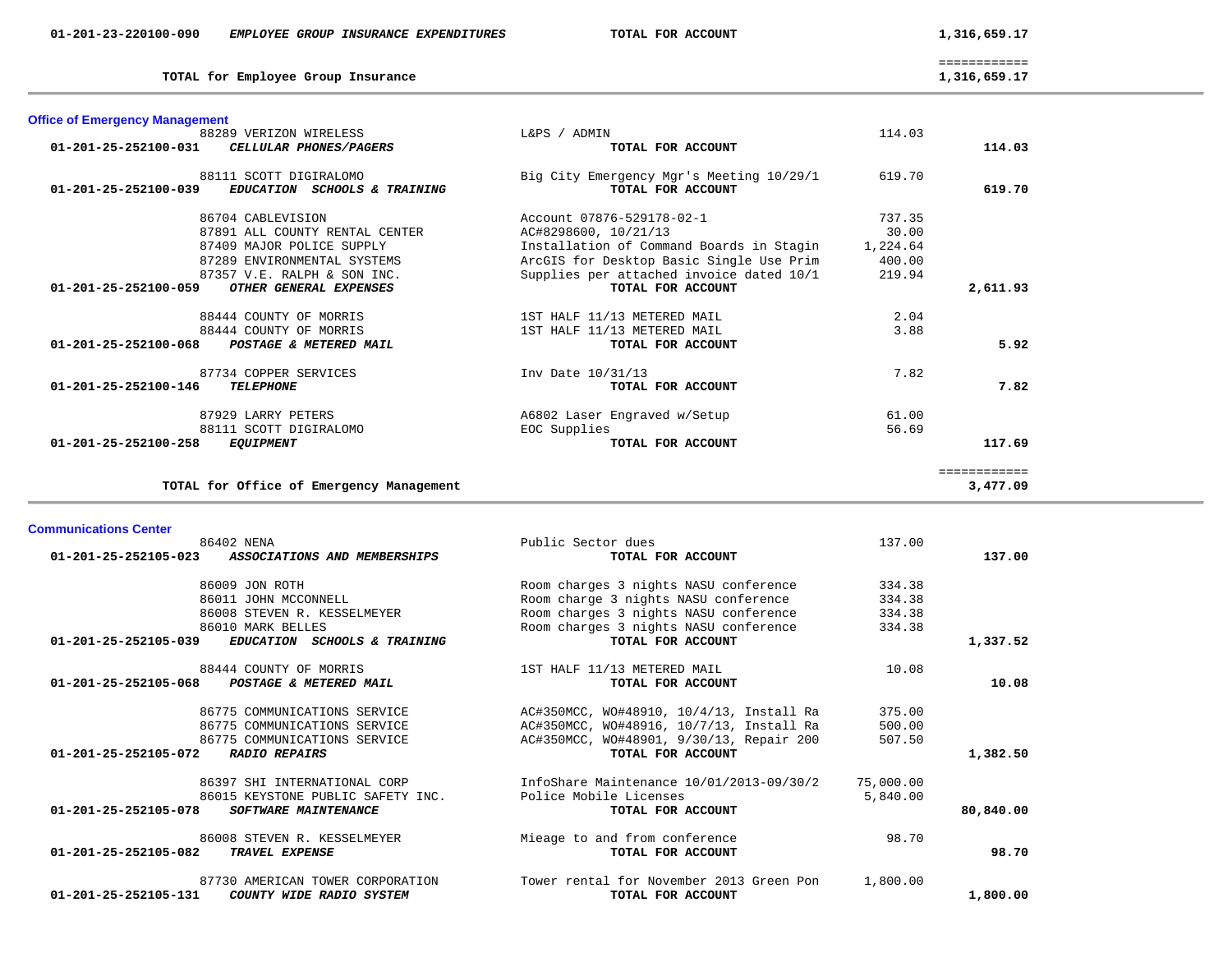| <b>Communications Center</b>                               |                                          |           |           |
|------------------------------------------------------------|------------------------------------------|-----------|-----------|
| 86402 NENA                                                 | Public Sector dues                       | 137.00    |           |
| ASSOCIATIONS AND MEMBERSHIPS<br>01-201-25-252105-023       | TOTAL FOR ACCOUNT                        |           | 137.00    |
| 86009 JON ROTH                                             | Room charges 3 nights NASU conference    | 334.38    |           |
| 86011 JOHN MCCONNELL                                       | Room charge 3 nights NASU conference     | 334.38    |           |
| 86008 STEVEN R. KESSELMEYER                                | Room charges 3 nights NASU conference    | 334.38    |           |
| 86010 MARK BELLES                                          | Room charges 3 nights NASU conference    | 334.38    |           |
| 01-201-25-252105-039<br>EDUCATION SCHOOLS & TRAINING       | TOTAL FOR ACCOUNT                        |           | 1,337.52  |
| 88444 COUNTY OF MORRIS                                     | 1ST HALF 11/13 METERED MAIL              | 10.08     |           |
| 01-201-25-252105-068<br>POSTAGE & METERED MAIL             | TOTAL FOR ACCOUNT                        |           | 10.08     |
| 86775 COMMUNICATIONS SERVICE                               | AC#350MCC, WO#48910, 10/4/13, Install Ra | 375.00    |           |
| 86775 COMMUNICATIONS SERVICE                               | AC#350MCC, WO#48916, 10/7/13, Install Ra | 500.00    |           |
| 86775 COMMUNICATIONS SERVICE                               | AC#350MCC, WO#48901, 9/30/13, Repair 200 | 507.50    |           |
| 01-201-25-252105-072<br><b>RADIO REPAIRS</b>               | TOTAL FOR ACCOUNT                        |           | 1,382.50  |
| 86397 SHI INTERNATIONAL CORP                               | InfoShare Maintenance 10/01/2013-09/30/2 | 75,000.00 |           |
| 86015 KEYSTONE PUBLIC SAFETY INC.                          | Police Mobile Licenses                   | 5,840.00  |           |
| 01-201-25-252105-078<br><b>SOFTWARE MAINTENANCE</b>        | TOTAL FOR ACCOUNT                        |           | 80,840.00 |
| 86008 STEVEN R. KESSELMEYER                                | Mieage to and from conference            | 98.70     |           |
| 01-201-25-252105-082<br>TRAVEL EXPENSE                     | TOTAL FOR ACCOUNT                        |           | 98.70     |
| 87730 AMERICAN TOWER CORPORATION                           | Tower rental for November 2013 Green Pon | 1,800.00  |           |
| $01 - 201 - 25 - 252105 - 131$<br>COUNTY WIDE RADIO SYSTEM | TOTAL FOR ACCOUNT                        |           | 1,800.00  |
|                                                            |                                          |           |           |

| <b>Office of Emergency Management</b>                                          |                                                               |          |              |
|--------------------------------------------------------------------------------|---------------------------------------------------------------|----------|--------------|
| 88289 VERIZON WIRELESS                                                         | L&PS / ADMIN                                                  | 114.03   |              |
| $01 - 201 - 25 - 252100 - 031$<br>CELLULAR PHONES/PAGERS                       | TOTAL FOR ACCOUNT                                             |          | 114.03       |
| 88111 SCOTT DIGIRALOMO<br>01-201-25-252100-039<br>EDUCATION SCHOOLS & TRAINING | Big City Emergency Mgr's Meeting 10/29/1<br>TOTAL FOR ACCOUNT | 619.70   | 619.70       |
| 86704 CABLEVISION                                                              | Account 07876-529178-02-1                                     | 737.35   |              |
| 87891 ALL COUNTY RENTAL CENTER                                                 | AC#8298600, 10/21/13                                          | 30.00    |              |
| 87409 MAJOR POLICE SUPPLY                                                      | Installation of Command Boards in Stagin                      | 1,224.64 |              |
| 87289 ENVIRONMENTAL SYSTEMS                                                    | ArcGIS for Desktop Basic Single Use Prim                      | 400.00   |              |
| 87357 V.E. RALPH & SON INC.                                                    | Supplies per attached invoice dated 10/1                      | 219.94   |              |
| 01-201-25-252100-059<br>OTHER GENERAL EXPENSES                                 | TOTAL FOR ACCOUNT                                             |          | 2,611.93     |
| 88444 COUNTY OF MORRIS                                                         | 1ST HALF 11/13 METERED MAIL                                   | 2.04     |              |
| 88444 COUNTY OF MORRIS                                                         | 1ST HALF 11/13 METERED MAIL                                   | 3.88     |              |
| $01 - 201 - 25 - 252100 - 068$<br>POSTAGE & METERED MAIL                       | TOTAL FOR ACCOUNT                                             |          | 5.92         |
| 87734 COPPER SERVICES                                                          | Inv Date 10/31/13                                             | 7.82     |              |
| 01-201-25-252100-146<br><b>TELEPHONE</b>                                       | TOTAL FOR ACCOUNT                                             |          | 7.82         |
| 87929 LARRY PETERS                                                             | A6802 Laser Engraved w/Setup                                  | 61.00    |              |
| 88111 SCOTT DIGIRALOMO                                                         | EOC Supplies                                                  | 56.69    |              |
| 01-201-25-252100-258<br><b>EQUIPMENT</b>                                       | TOTAL FOR ACCOUNT                                             |          | 117.69       |
|                                                                                |                                                               |          | ============ |
| TOTAL for Office of Emergency Management                                       |                                                               |          | 3,477.09     |

TOTAL for Employee Group Insurance

 ============ 1,316,659.17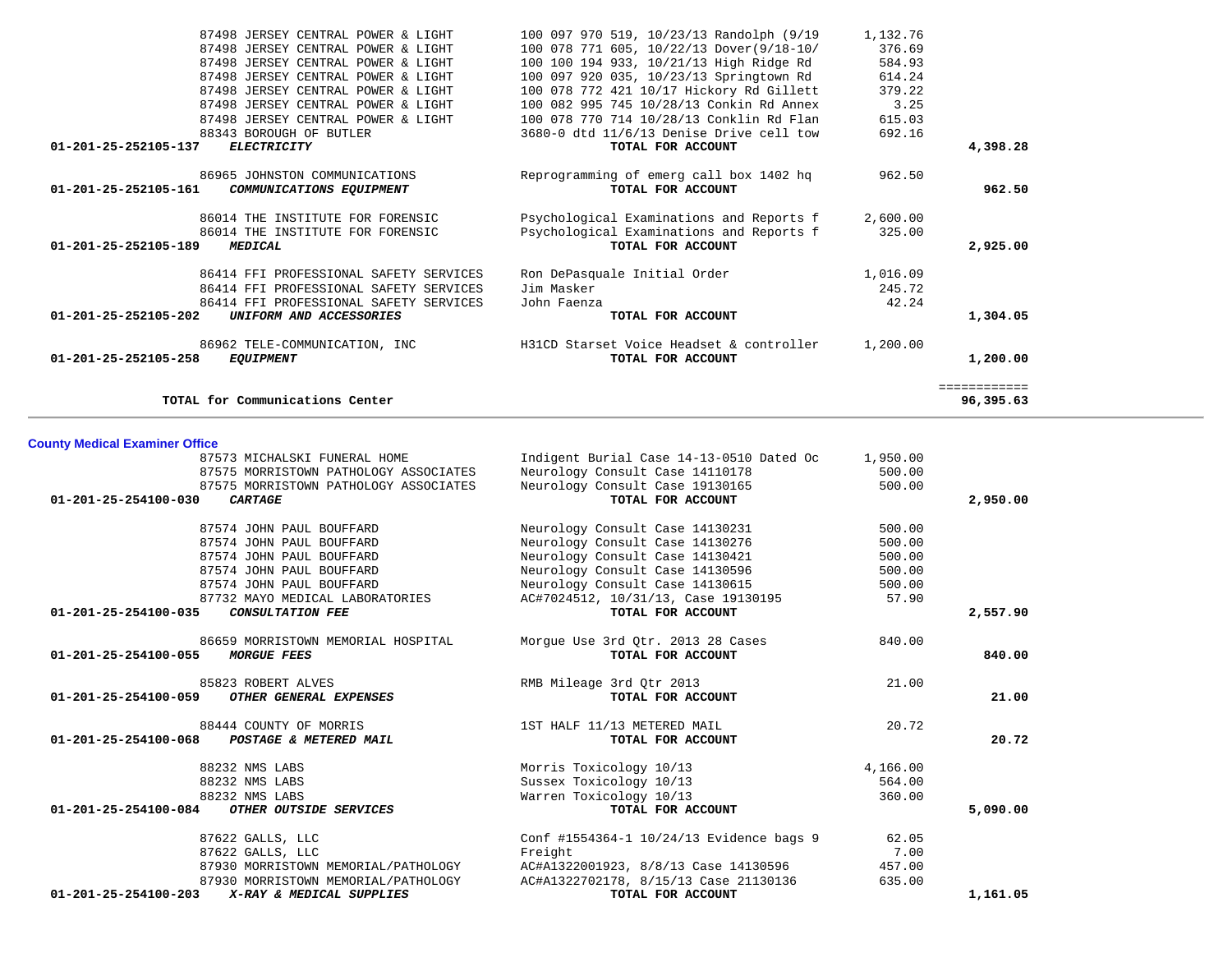| Indigent Burial Case 14-13-0510 Dated Oc | 1,950.00                        |          |
|------------------------------------------|---------------------------------|----------|
| Neurology Consult Case 14110178          | 500.00                          |          |
|                                          | 500.00                          |          |
| TOTAL FOR ACCOUNT                        |                                 | 2,950.00 |
| Neurology Consult Case 14130231          | 500.00                          |          |
| Neurology Consult Case 14130276          | 500.00                          |          |
| Neurology Consult Case 14130421          | 500.00                          |          |
| Neurology Consult Case 14130596          | 500.00                          |          |
| Neurology Consult Case 14130615          | 500.00                          |          |
| AC#7024512, 10/31/13, Case 19130195      | 57.90                           |          |
| TOTAL FOR ACCOUNT                        |                                 | 2,557.90 |
| Morgue Use 3rd Qtr. 2013 28 Cases        | 840.00                          |          |
| TOTAL FOR ACCOUNT                        |                                 | 840.00   |
| RMB Mileage 3rd Qtr 2013                 | 21.00                           |          |
| TOTAL FOR ACCOUNT                        |                                 | 21.00    |
| 1ST HALF 11/13 METERED MAIL              | 20.72                           |          |
| TOTAL FOR ACCOUNT                        |                                 | 20.72    |
| Morris Toxicology 10/13                  | 4,166.00                        |          |
| Sussex Toxicology 10/13                  | 564.00                          |          |
| Warren Toxicology 10/13                  | 360.00                          |          |
| TOTAL FOR ACCOUNT                        |                                 | 5,090.00 |
| Conf #1554364-1 10/24/13 Evidence bags 9 | 62.05                           |          |
| Freight                                  | 7.00                            |          |
| AC#A1322001923, 8/8/13 Case 14130596     | 457.00                          |          |
| AC#A1322702178, 8/15/13 Case 21130136    | 635.00                          |          |
| TOTAL FOR ACCOUNT                        |                                 | 1,161.05 |
|                                          | Neurology Consult Case 19130165 |          |

|  |  | <b>County Medical Examiner Office</b> |  |
|--|--|---------------------------------------|--|
|--|--|---------------------------------------|--|

| 87498 JERSEY CENTRAL POWER & LIGHT                         | 100 078 771 605, 10/22/13 Dover(9/18-10/ | 376.69   |              |
|------------------------------------------------------------|------------------------------------------|----------|--------------|
| 87498 JERSEY CENTRAL POWER & LIGHT                         | 100 100 194 933, 10/21/13 High Ridge Rd  | 584.93   |              |
| 87498 JERSEY CENTRAL POWER & LIGHT                         | 100 097 920 035, 10/23/13 Springtown Rd  | 614.24   |              |
| 87498 JERSEY CENTRAL POWER & LIGHT                         | 100 078 772 421 10/17 Hickory Rd Gillett | 379.22   |              |
| 87498 JERSEY CENTRAL POWER & LIGHT                         | 100 082 995 745 10/28/13 Conkin Rd Annex | 3.25     |              |
| 87498 JERSEY CENTRAL POWER & LIGHT                         | 100 078 770 714 10/28/13 Conklin Rd Flan | 615.03   |              |
| 88343 BOROUGH OF BUTLER                                    | 3680-0 dtd 11/6/13 Denise Drive cell tow | 692.16   |              |
| 01-201-25-252105-137<br><b>ELECTRICITY</b>                 | TOTAL FOR ACCOUNT                        |          | 4,398.28     |
| 86965 JOHNSTON COMMUNICATIONS                              | Reprogramming of emerg call box 1402 hq  | 962.50   |              |
| $01 - 201 - 25 - 252105 - 161$<br>COMMUNICATIONS EQUIPMENT | TOTAL FOR ACCOUNT                        |          | 962.50       |
| 86014 THE INSTITUTE FOR FORENSIC                           | Psychological Examinations and Reports f | 2,600.00 |              |
| 86014 THE INSTITUTE FOR FORENSIC                           | Psychological Examinations and Reports f | 325.00   |              |
| 01-201-25-252105-189<br><b>MEDICAL</b>                     | TOTAL FOR ACCOUNT                        |          | 2,925.00     |
| 86414 FFI PROFESSIONAL SAFETY SERVICES                     | Ron DePasquale Initial Order             | 1,016.09 |              |
| 86414 FFI PROFESSIONAL SAFETY SERVICES                     | Jim Masker                               | 245.72   |              |
| 86414 FFI PROFESSIONAL SAFETY SERVICES                     | John Faenza                              | 42.24    |              |
| 01-201-25-252105-202<br>UNIFORM AND ACCESSORIES            | TOTAL FOR ACCOUNT                        |          | 1,304.05     |
| 86962 TELE-COMMUNICATION, INC                              | H31CD Starset Voice Headset & controller | 1,200.00 |              |
| 01-201-25-252105-258<br><b>EOUIPMENT</b>                   | TOTAL FOR ACCOUNT                        |          | 1,200.00     |
|                                                            |                                          |          | ============ |
| TOTAL for Communications Center                            |                                          |          | 96,395.63    |

87498 JERSEY CENTRAL POWER & LIGHT 100 097 970 519, 10/23/13 Randolph (9/19 1,132.76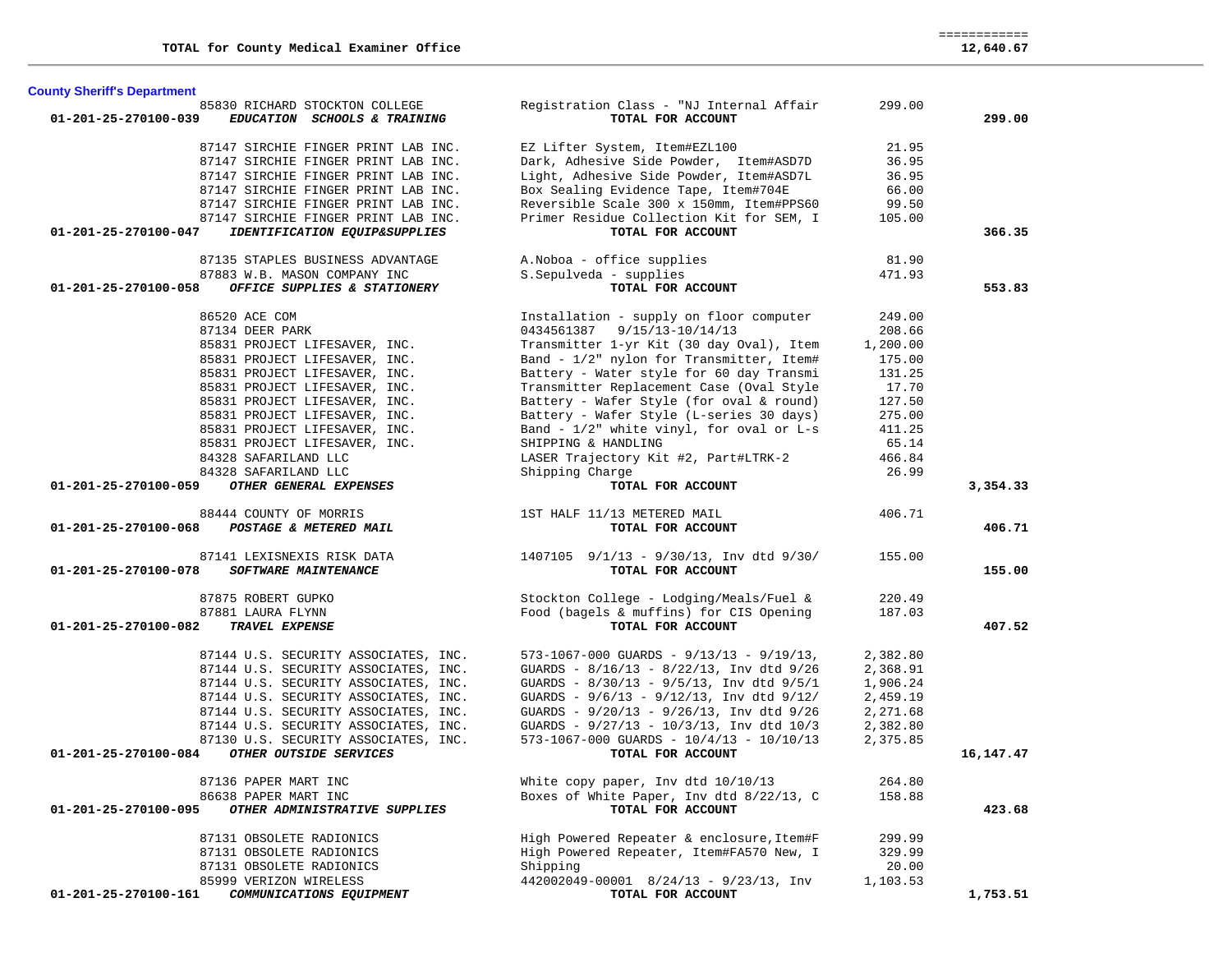| <b>County Sheriff's Department</b>                                       |                                                               |          |           |
|--------------------------------------------------------------------------|---------------------------------------------------------------|----------|-----------|
| 85830 RICHARD STOCKTON COLLEGE<br>01-201-25-270100-039                   | Registration Class - "NJ Internal Affair<br>TOTAL FOR ACCOUNT | 299.00   | 299.00    |
| EDUCATION SCHOOLS & TRAINING                                             |                                                               |          |           |
| 87147 SIRCHIE FINGER PRINT LAB INC.                                      | EZ Lifter System, Item#EZL100                                 | 21.95    |           |
| 87147 SIRCHIE FINGER PRINT LAB INC.                                      | Dark, Adhesive Side Powder, Item#ASD7D                        | 36.95    |           |
| 87147 SIRCHIE FINGER PRINT LAB INC.                                      | Light, Adhesive Side Powder, Item#ASD7L                       | 36.95    |           |
| 87147 SIRCHIE FINGER PRINT LAB INC.                                      | Box Sealing Evidence Tape, Item#704E                          | 66.00    |           |
| 87147 SIRCHIE FINGER PRINT LAB INC.                                      | Reversible Scale 300 x 150mm, Item#PPS60                      | 99.50    |           |
| 87147 SIRCHIE FINGER PRINT LAB INC.                                      | Primer Residue Collection Kit for SEM, I                      | 105.00   |           |
| 01-201-25-270100-047<br>IDENTIFICATION EQUIP&SUPPLIES                    | TOTAL FOR ACCOUNT                                             |          | 366.35    |
| 87135 STAPLES BUSINESS ADVANTAGE                                         | A. Noboa - office supplies                                    | 81.90    |           |
| 87883 W.B. MASON COMPANY INC                                             | S.Sepulveda - supplies                                        | 471.93   |           |
| 01-201-25-270100-058<br>OFFICE SUPPLIES & STATIONERY                     | TOTAL FOR ACCOUNT                                             |          | 553.83    |
| 86520 ACE COM                                                            | Installation - supply on floor computer                       | 249.00   |           |
| 87134 DEER PARK                                                          | 0434561387 9/15/13-10/14/13                                   | 208.66   |           |
| 85831 PROJECT LIFESAVER, INC.                                            | Transmitter 1-yr Kit (30 day Oval), Item                      | 1,200.00 |           |
| 85831 PROJECT LIFESAVER, INC.                                            | Band - 1/2" nylon for Transmitter, Item#                      | 175.00   |           |
| 85831 PROJECT LIFESAVER, INC.                                            | Battery - Water style for 60 day Transmi                      | 131.25   |           |
| 85831 PROJECT LIFESAVER, INC.                                            | Transmitter Replacement Case (Oval Style                      | 17.70    |           |
| 85831 PROJECT LIFESAVER, INC.                                            | Battery - Wafer Style (for oval & round)                      | 127.50   |           |
| 85831 PROJECT LIFESAVER, INC.                                            | Battery - Wafer Style (L-series 30 days)                      | 275.00   |           |
| 85831 PROJECT LIFESAVER, INC.                                            | Band - 1/2" white vinyl, for oval or L-s                      | 411.25   |           |
| 85831 PROJECT LIFESAVER, INC.                                            | SHIPPING & HANDLING                                           | 65.14    |           |
| 84328 SAFARILAND LLC                                                     | LASER Trajectory Kit #2, Part#LTRK-2                          | 466.84   |           |
| 84328 SAFARILAND LLC                                                     | Shipping Charge                                               | 26.99    |           |
| 01-201-25-270100-059<br>OTHER GENERAL EXPENSES                           | TOTAL FOR ACCOUNT                                             |          | 3,354.33  |
|                                                                          |                                                               |          |           |
| 88444 COUNTY OF MORRIS<br>01-201-25-270100-068<br>POSTAGE & METERED MAIL | 1ST HALF 11/13 METERED MAIL<br>TOTAL FOR ACCOUNT              | 406.71   | 406.71    |
|                                                                          |                                                               |          |           |
| 87141 LEXISNEXIS RISK DATA                                               | $1407105$ $9/1/13$ - $9/30/13$ , Inv dtd $9/30/$              | 155.00   |           |
| <b>SOFTWARE MAINTENANCE</b><br>01-201-25-270100-078                      | TOTAL FOR ACCOUNT                                             |          | 155.00    |
| 87875 ROBERT GUPKO                                                       | Stockton College - Lodging/Meals/Fuel &                       | 220.49   |           |
| 87881 LAURA FLYNN                                                        | Food (bagels & muffins) for CIS Opening                       | 187.03   |           |
| 01-201-25-270100-082<br>TRAVEL EXPENSE                                   | TOTAL FOR ACCOUNT                                             |          | 407.52    |
| 87144 U.S. SECURITY ASSOCIATES, INC.                                     | $573-1067-000$ GUARDS - $9/13/13$ - $9/19/13$ ,               | 2,382.80 |           |
| 87144 U.S. SECURITY ASSOCIATES, INC.                                     | GUARDS - 8/16/13 - 8/22/13, Inv dtd 9/26                      | 2,368.91 |           |
| 87144 U.S. SECURITY ASSOCIATES, INC.                                     | GUARDS - $8/30/13$ - $9/5/13$ , Inv dtd $9/5/1$               | 1,906.24 |           |
| 87144 U.S. SECURITY ASSOCIATES, INC.                                     | GUARDS - $9/6/13$ - $9/12/13$ , Inv dtd $9/12/$               | 2,459.19 |           |
| 87144 U.S. SECURITY ASSOCIATES, INC.                                     | GUARDS - 9/20/13 - 9/26/13, Inv dtd 9/26                      | 2,271.68 |           |
| 87144 U.S. SECURITY ASSOCIATES, INC.                                     | GUARDS - 9/27/13 - 10/3/13, Inv dtd 10/3                      | 2,382.80 |           |
| 87130 U.S. SECURITY ASSOCIATES, INC.                                     | $573-1067-000$ GUARDS - $10/4/13$ - $10/10/13$                | 2,375.85 |           |
| OTHER OUTSIDE SERVICES<br>01-201-25-270100-084                           | TOTAL FOR ACCOUNT                                             |          | 16,147.47 |
| 87136 PAPER MART INC                                                     | White copy paper, Inv dtd 10/10/13                            | 264.80   |           |
| 86638 PAPER MART INC                                                     | Boxes of White Paper, Inv dtd 8/22/13, C                      | 158.88   |           |
| 01-201-25-270100-095<br>OTHER ADMINISTRATIVE SUPPLIES                    | TOTAL FOR ACCOUNT                                             |          | 423.68    |
| 87131 OBSOLETE RADIONICS                                                 | High Powered Repeater & enclosure, Item#F                     | 299.99   |           |
| 87131 OBSOLETE RADIONICS                                                 | High Powered Repeater, Item#FA570 New, I                      | 329.99   |           |
| 87131 OBSOLETE RADIONICS                                                 | Shipping                                                      | 20.00    |           |
| 85999 VERIZON WIRELESS                                                   | 442002049-00001 8/24/13 - 9/23/13, Inv                        | 1,103.53 |           |
| 01-201-25-270100-161<br>COMMUNICATIONS EQUIPMENT                         | TOTAL FOR ACCOUNT                                             |          | 1,753.51  |

 ============ 12,640.67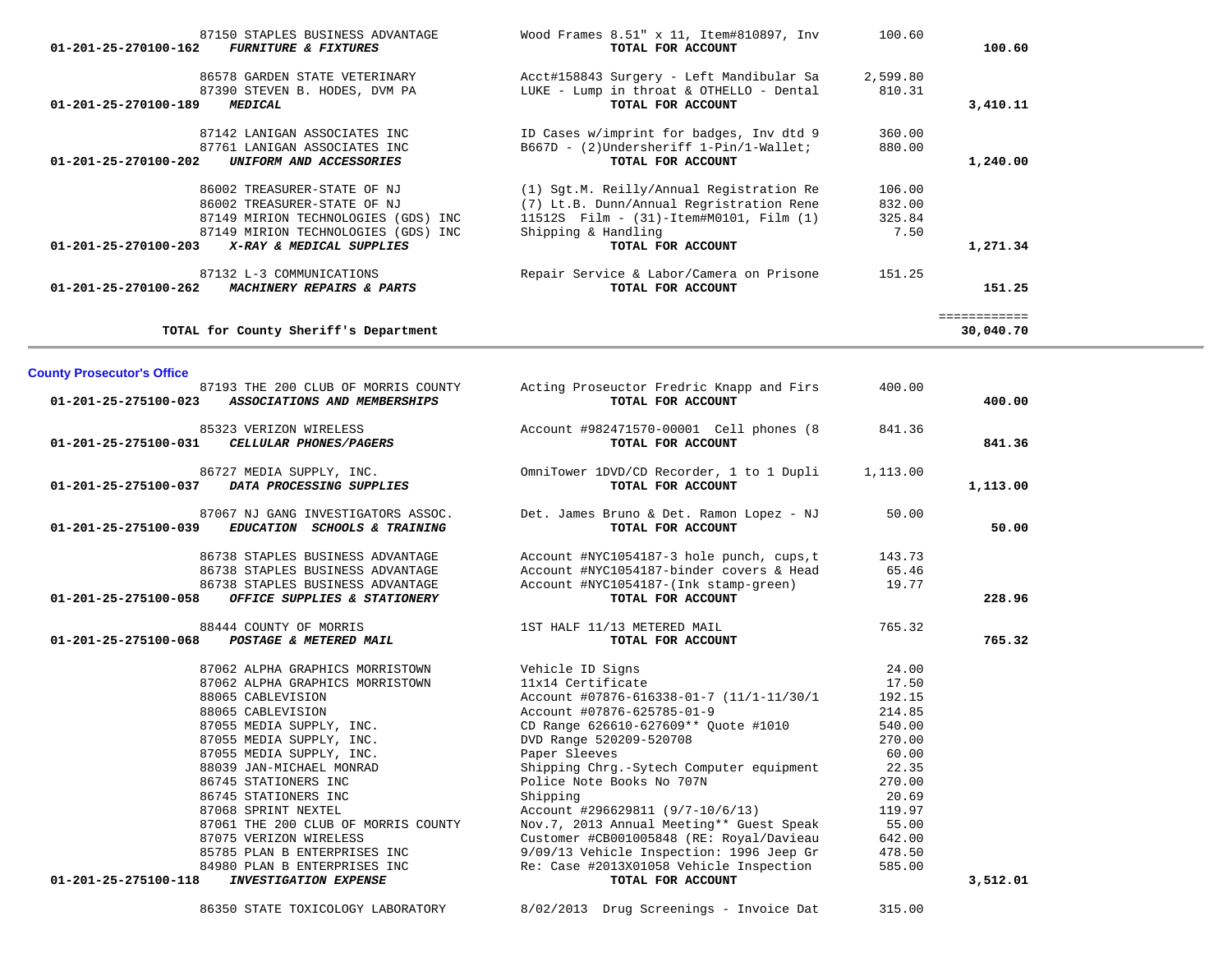| <b>County Prosecutor's Office</b>                                                                                                                                                                                                                                                                                                                                                                                                |                                                                                                                                                                                                                                                                                                                                                                                                                                                                                                                                                 |                                                                                                                                     |          |
|----------------------------------------------------------------------------------------------------------------------------------------------------------------------------------------------------------------------------------------------------------------------------------------------------------------------------------------------------------------------------------------------------------------------------------|-------------------------------------------------------------------------------------------------------------------------------------------------------------------------------------------------------------------------------------------------------------------------------------------------------------------------------------------------------------------------------------------------------------------------------------------------------------------------------------------------------------------------------------------------|-------------------------------------------------------------------------------------------------------------------------------------|----------|
| $01 - 201 - 25 - 275100 - 023$<br>ASSOCIATIONS AND MEMBERSHIPS                                                                                                                                                                                                                                                                                                                                                                   | 87193 THE 200 CLUB OF MORRIS COUNTY Acting Proseuctor Fredric Knapp and Firs<br>TOTAL FOR ACCOUNT                                                                                                                                                                                                                                                                                                                                                                                                                                               | 400.00                                                                                                                              | 400.00   |
| 85323 VERIZON WIRELESS<br>CELLULAR PHONES/PAGERS<br>01-201-25-275100-031                                                                                                                                                                                                                                                                                                                                                         | TOTAL FOR ACCOUNT                                                                                                                                                                                                                                                                                                                                                                                                                                                                                                                               | 841.36                                                                                                                              | 841.36   |
| DATA PROCESSING SUPPLIES<br>01-201-25-275100-037                                                                                                                                                                                                                                                                                                                                                                                 | 86727 MEDIA SUPPLY, INC. Committower 1DVD/CD Recorder, 1 to 1 Dupli<br>TOTAL FOR ACCOUNT                                                                                                                                                                                                                                                                                                                                                                                                                                                        | 1,113.00                                                                                                                            | 1,113.00 |
| 87067 NJ GANG INVESTIGATORS ASSOC.<br>01-201-25-275100-039<br>EDUCATION SCHOOLS & TRAINING                                                                                                                                                                                                                                                                                                                                       | Det. James Bruno & Det. Ramon Lopez - NJ<br>TOTAL FOR ACCOUNT                                                                                                                                                                                                                                                                                                                                                                                                                                                                                   | 50.00                                                                                                                               | 50.00    |
| 86738 STAPLES BUSINESS ADVANTAGE<br>86738 STAPLES BUSINESS ADVANTAGE<br>86738 STAPLES BUSINESS ADVANTAGE<br>01-201-25-275100-058<br>OFFICE SUPPLIES & STATIONERY                                                                                                                                                                                                                                                                 | Account $\text{\#NYC1054187-3 hole panel, cups,t}$ 143.73<br>Account #NYC1054187-binder covers & Head<br>Account #NYC1054187-(Ink stamp-green)<br>TOTAL FOR ACCOUNT                                                                                                                                                                                                                                                                                                                                                                             | 65.46<br>19.77                                                                                                                      | 228.96   |
| 44 COUNTY OF MORRIS<br>PO <b>STAGE &amp; METERED MAIL</b><br>88444 COUNTY OF MORRIS<br>01-201-25-275100-068                                                                                                                                                                                                                                                                                                                      | 1ST HALF 11/13 METERED MAIL<br>TOTAL FOR ACCOUNT                                                                                                                                                                                                                                                                                                                                                                                                                                                                                                | 765.32                                                                                                                              | 765.32   |
| 87062 ALPHA GRAPHICS MORRISTOWN<br>87062 ALPHA GRAPHICS MORRISTOWN<br>88065 CABLEVISION<br>88065 CABLEVISION<br>87055 MEDIA SUPPLY, INC.<br>87055 MEDIA SUPPLY, INC.<br>87055 MEDIA SUPPLY, INC.<br>87055 MEDIA SUPPLY, INC.<br>88039 JAN-MICHAEL MONRAD<br>86745 STATIONERS INC<br>86745 STATIONERS INC<br>87068 SPRINT NEXTEL<br>87061 THE 200 CLUB OF MORRIS COUNTY<br>87075 VERIZON WIRELESS<br>84980 PLAN B ENTERPRISES INC | Vehicle ID Signs<br>11x14 Certificate<br>Account #07876-616338-01-7 (11/1-11/30/1<br>Account #07876-625785-01-9<br>CD Range 626610-627609 ** Quote #1010<br>DVD Range 520209-520708<br>Paper Sleeves<br>Shipping Chrg.-Sytech Computer equipment<br>Police Note Books No 707N<br>Shipping<br>Account #296629811 (9/7-10/6/13)<br>Nov.7, 2013 Annual Meeting** Guest Speak 55.00<br>Customer #CB001005848 (RE: Royal/Davieau<br>85785 PLAN B ENTERPRISES INC 9/09/13 Vehicle Inspection: 1996 Jeep Gr<br>Re: Case #2013X01058 Vehicle Inspection | 24.00<br>17.50<br>192.15<br>214.85<br>540.00<br>270.00<br>60.00<br>22.35<br>270.00<br>20.69<br>119.97<br>642.00<br>478.50<br>585.00 |          |
| $01 - 201 - 25 - 275100 - 118$<br><b>INVESTIGATION EXPENSE</b>                                                                                                                                                                                                                                                                                                                                                                   | TOTAL FOR ACCOUNT                                                                                                                                                                                                                                                                                                                                                                                                                                                                                                                               |                                                                                                                                     | 3,512.01 |

| 86578 GARDEN STATE VETERINARY<br>87390 STEVEN B. HODES, DVM PA<br>01-201-25-270100-189<br><b>MEDICAL</b> | Acct#158843 Surgery - Left Mandibular Sa<br>LUKE - Lump in throat & OTHELLO - Dental<br>TOTAL FOR ACCOUNT | 2,599.80<br>810.31 | 3,410.11  |
|----------------------------------------------------------------------------------------------------------|-----------------------------------------------------------------------------------------------------------|--------------------|-----------|
| 87142 LANIGAN ASSOCIATES INC<br>87761 LANIGAN ASSOCIATES INC                                             | ID Cases w/imprint for badges, Inv dtd 9<br>B667D - (2)Undersheriff 1-Pin/1-Wallet;                       | 360.00<br>880.00   |           |
| 01-201-25-270100-202<br>UNIFORM AND ACCESSORIES                                                          | TOTAL FOR ACCOUNT                                                                                         |                    | 1,240.00  |
| 86002 TREASURER-STATE OF NJ                                                                              | (1) Sgt.M. Reilly/Annual Registration Re                                                                  | 106.00             |           |
| 86002 TREASURER-STATE OF NJ                                                                              | (7) Lt.B. Dunn/Annual Regristration Rene                                                                  | 832.00             |           |
| 87149 MIRION TECHNOLOGIES (GDS)<br>INC                                                                   | 11512S    Film - (31)-Item#M0101, Film (1)                                                                | 325.84             |           |
| 87149 MIRION TECHNOLOGIES (GDS)<br>INC                                                                   | Shipping & Handling                                                                                       | 7.50               |           |
| $01 - 201 - 25 - 270100 - 203$<br>X-RAY & MEDICAL SUPPLIES                                               | TOTAL FOR ACCOUNT                                                                                         |                    | 1,271.34  |
| 87132 L-3 COMMUNICATIONS                                                                                 | Repair Service & Labor/Camera on Prisone                                                                  | 151.25             |           |
| $01 - 201 - 25 - 270100 - 262$<br>MACHINERY REPAIRS & PARTS                                              | TOTAL FOR ACCOUNT                                                                                         |                    | 151.25    |
|                                                                                                          |                                                                                                           |                    |           |
| TOTAL for County Sheriff's Department                                                                    |                                                                                                           |                    | 30,040.70 |

87150 STAPLES BUSINESS ADVANTAGE Wood Frames 8.51" x 11, Item#810897, Inv 100.60

100.60

 **01-201-25-270100-162** *FURNITURE & FIXTURES* **TOTAL FOR ACCOUNT 100.60**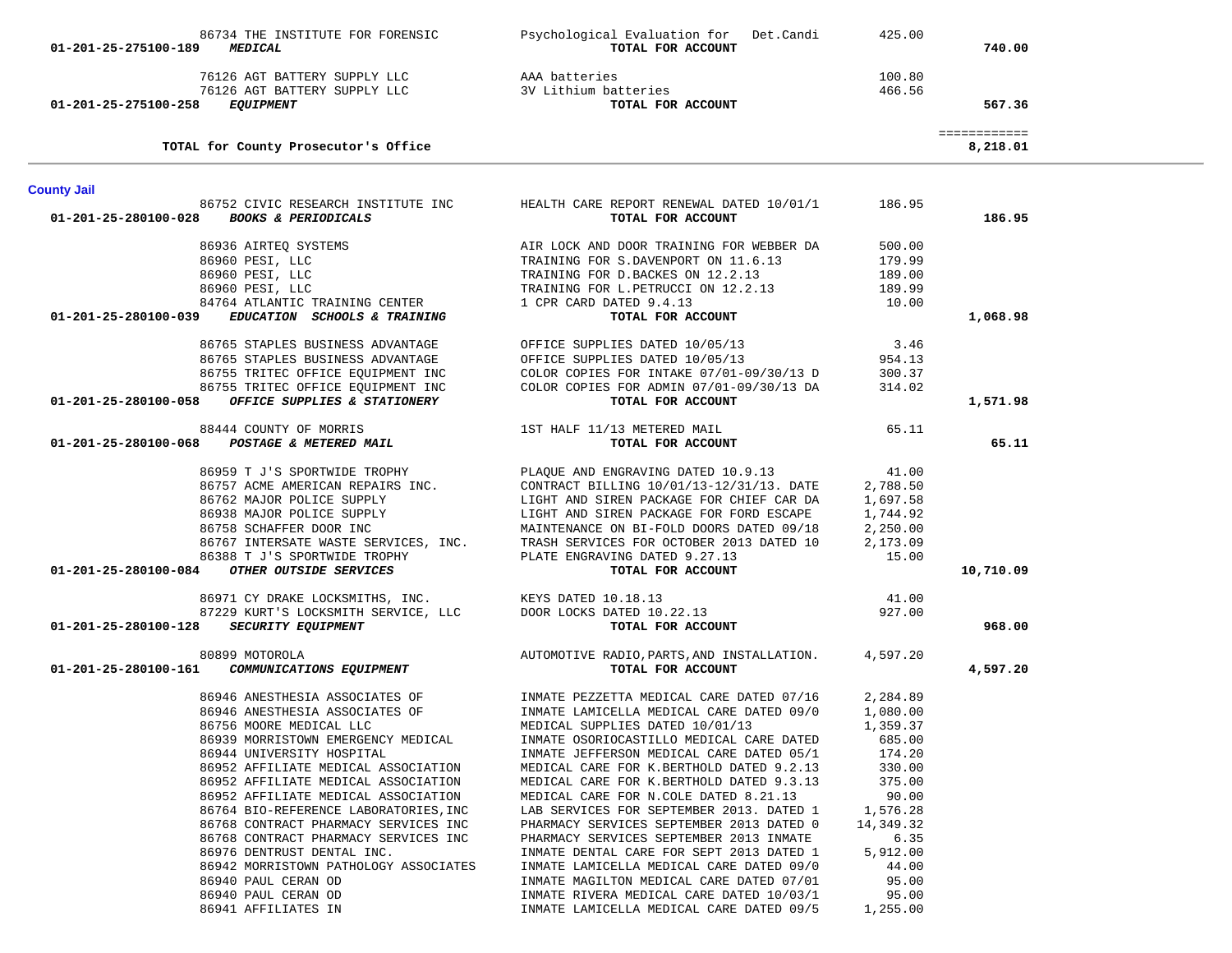| 01-201-25-275100-189 | 86734 THE INSTITUTE FOR FORENSIC<br><b>MEDICAL</b>                                               | Psychological Evaluation for Det.Candi<br>TOTAL FOR ACCOUNT                                                                                                          | 425.00           | 740.00                   |  |
|----------------------|--------------------------------------------------------------------------------------------------|----------------------------------------------------------------------------------------------------------------------------------------------------------------------|------------------|--------------------------|--|
| 01-201-25-275100-258 | 76126 AGT BATTERY SUPPLY LLC AAA batteries<br>76126 AGT BATTERY SUPPLY LLC<br><b>EQUIPMENT</b>   | 3V Lithium batteries<br>TOTAL FOR ACCOUNT                                                                                                                            | 100.80<br>466.56 | 567.36                   |  |
|                      | TOTAL for County Prosecutor's Office                                                             |                                                                                                                                                                      |                  | ============<br>8,218.01 |  |
| <b>County Jail</b>   |                                                                                                  |                                                                                                                                                                      |                  |                          |  |
|                      | 01-201-25-280100-028 BOOKS & PERIODICALS                                                         | 86752 CIVIC RESEARCH INSTITUTE INC HEALTH CARE REPORT RENEWAL DATED 10/01/1 186.95<br>TOTAL FOR ACCOUNT                                                              |                  | 186.95                   |  |
|                      | 86936 AIRTEO SYSTEMS                                                                             | AIR LOCK AND DOOR TRAINING FOR WEBBER DA                                                                                                                             | 500.00           |                          |  |
|                      | 86960 PESI, LLC                                                                                  | TRAINING FOR S.DAVENPORT ON 11.6.13                                                                                                                                  | 179.99           |                          |  |
|                      |                                                                                                  |                                                                                                                                                                      | 189.00           |                          |  |
|                      |                                                                                                  | TRAINING FOR S.DAVENEONA ON 12.2.13<br>TRAINING FOR D.BACKES ON 12.2.13<br>TRAINING FOR L.PETRUCCI ON 12.2.13                                                        | 189.99           |                          |  |
|                      | 86960 PESI, LLC<br>86960 PESI, LLC<br>84764 ATLANTIC TRAINING CENTER                             | 1 CPR CARD DATED 9.4.13                                                                                                                                              | 10.00            |                          |  |
|                      | 01-201-25-280100-039 EDUCATION SCHOOLS & TRAINING                                                | TOTAL FOR ACCOUNT                                                                                                                                                    |                  | 1,068.98                 |  |
|                      |                                                                                                  |                                                                                                                                                                      | 3.46             |                          |  |
|                      |                                                                                                  |                                                                                                                                                                      | 954.13           |                          |  |
|                      | 86755 TRITEC OFFICE EQUIPMENT INC<br>86755 TRITEC OFFICE EQUIPMENT INC                           | COLOR COPIES FOR INTAKE 07/01-09/30/13 D                                                                                                                             | 300.37           |                          |  |
|                      | 86755 TRITEC OFFICE EQUIPMENT INC                                                                | COLOR COPIES FOR ADMIN 07/01-09/30/13 DA                                                                                                                             | 314.02           |                          |  |
|                      | 01-201-25-280100-058 OFFICE SUPPLIES & STATIONERY                                                | TOTAL FOR ACCOUNT                                                                                                                                                    |                  | 1,571.98                 |  |
|                      | 88444 COUNTY OF MORRIS                                                                           | 1ST HALF 11/13 METERED MAIL                                                                                                                                          | 65.11            |                          |  |
|                      | 01-201-25-280100-068 POSTAGE & METERED MAIL                                                      | TOTAL FOR ACCOUNT                                                                                                                                                    |                  | 65.11                    |  |
|                      |                                                                                                  | 86959 T J'S SPORTWIDE TROPHY PLAQUE AND ENGRAVING DATED 10.9.13                                                                                                      | 41.00            |                          |  |
|                      |                                                                                                  |                                                                                                                                                                      |                  |                          |  |
|                      |                                                                                                  | 86757 ACME AMERICAN REPAIRS INC. CONTRACT BILLING $10/01/13-12/31/13$ . DATE 2,788.50<br>86762 MAJOR POLICE SUPPLY LIGHT AND SIREN PACKAGE FOR CHIEF CAR DA 1,697.58 |                  |                          |  |
|                      | 86938 MAJOR POLICE SUPPLY                                                                        | LIGHT AND SIREN PACKAGE FOR FORD ESCAPE<br>MAINTENANCE ON BI-FOLD DOORS DATED 09/18                                                                                  | 1,744.92         |                          |  |
|                      | 86758 SCHAFFER DOOR INC                                                                          |                                                                                                                                                                      | 2,250.00         |                          |  |
|                      |                                                                                                  |                                                                                                                                                                      | 2,173.09         |                          |  |
|                      |                                                                                                  | 86767 INTERSATE WASTE SERVICES, INC. TRASH SERVICES FOR OCTOBER 2013 DATED 10<br>86388 T J'S SPORTWIDE TROPHY PLATE ENGRAVING DATED 9.27.13                          | 15.00            |                          |  |
|                      | 01-201-25-280100-084 OTHER OUTSIDE SERVICES                                                      | TOTAL FOR ACCOUNT                                                                                                                                                    |                  | 10,710.09                |  |
|                      |                                                                                                  |                                                                                                                                                                      | 41.00            |                          |  |
|                      | 86971 CY DRAKE LOCKSMITHS, INC.<br>87229 KURT'S LOCKSMITH SERVICE, LLC DOOR LOCKS DATED 10.22.13 |                                                                                                                                                                      | 927.00           |                          |  |
|                      | 01-201-25-280100-128 SECURITY EQUIPMENT                                                          | TOTAL FOR ACCOUNT                                                                                                                                                    |                  | 968.00                   |  |
|                      |                                                                                                  | AUTOMOTIVE RADIO, PARTS, AND INSTALLATION.                                                                                                                           | 4,597.20         |                          |  |
|                      | 80899 MOTOROLA<br>01-201-25-280100-161 <i>COMMUNICATIONS EQUIPMENT</i>                           | TOTAL FOR ACCOUNT                                                                                                                                                    |                  | 4,597.20                 |  |
|                      |                                                                                                  | 86946 ANESTHESIA ASSOCIATES OF TIMATE PEZZETTA MEDICAL CARE DATED 07/16                                                                                              | 2,284.89         |                          |  |
|                      | 86946 ANESTHESIA ASSOCIATES OF                                                                   | INMATE LAMICELLA MEDICAL CARE DATED 09/0                                                                                                                             | 1,080.00         |                          |  |
|                      | 86756 MOORE MEDICAL LLC                                                                          | MEDICAL SUPPLIES DATED 10/01/13                                                                                                                                      | 1,359.37         |                          |  |
|                      | 86939 MORRISTOWN EMERGENCY MEDICAL                                                               | INMATE OSORIOCASTILLO MEDICAL CARE DATED                                                                                                                             | 685.00           |                          |  |
|                      | 86944 UNIVERSITY HOSPITAL                                                                        | INMATE JEFFERSON MEDICAL CARE DATED 05/1                                                                                                                             | 174.20           |                          |  |
|                      | 86952 AFFILIATE MEDICAL ASSOCIATION                                                              | MEDICAL CARE FOR K.BERTHOLD DATED 9.2.13                                                                                                                             | 330.00           |                          |  |
|                      | 86952 AFFILIATE MEDICAL ASSOCIATION                                                              | MEDICAL CARE FOR K.BERTHOLD DATED 9.3.13                                                                                                                             | 375.00           |                          |  |
|                      | 86952 AFFILIATE MEDICAL ASSOCIATION                                                              | MEDICAL CARE FOR N.COLE DATED 8.21.13                                                                                                                                | 90.00            |                          |  |
|                      | 86764 BIO-REFERENCE LABORATORIES, INC                                                            | LAB SERVICES FOR SEPTEMBER 2013. DATED 1                                                                                                                             | 1,576.28         |                          |  |
|                      | 86768 CONTRACT PHARMACY SERVICES INC                                                             | PHARMACY SERVICES SEPTEMBER 2013 DATED 0                                                                                                                             | 14,349.32        |                          |  |
|                      | 86768 CONTRACT PHARMACY SERVICES INC                                                             | PHARMACY SERVICES SEPTEMBER 2013 INMATE                                                                                                                              | 6.35             |                          |  |
|                      | 86976 DENTRUST DENTAL INC.                                                                       | INMATE DENTAL CARE FOR SEPT 2013 DATED 1                                                                                                                             | 5,912.00         |                          |  |
|                      | 86942 MORRISTOWN PATHOLOGY ASSOCIATES                                                            | INMATE LAMICELLA MEDICAL CARE DATED 09/0                                                                                                                             | 44.00            |                          |  |
|                      | 86940 PAUL CERAN OD                                                                              | INMATE MAGILTON MEDICAL CARE DATED 07/01                                                                                                                             | 95.00            |                          |  |
|                      | 86940 PAUL CERAN OD                                                                              | INMATE RIVERA MEDICAL CARE DATED 10/03/1                                                                                                                             | 95.00            |                          |  |
|                      | 86941 AFFILIATES IN                                                                              | INMATE LAMICELLA MEDICAL CARE DATED 09/5                                                                                                                             | 1,255.00         |                          |  |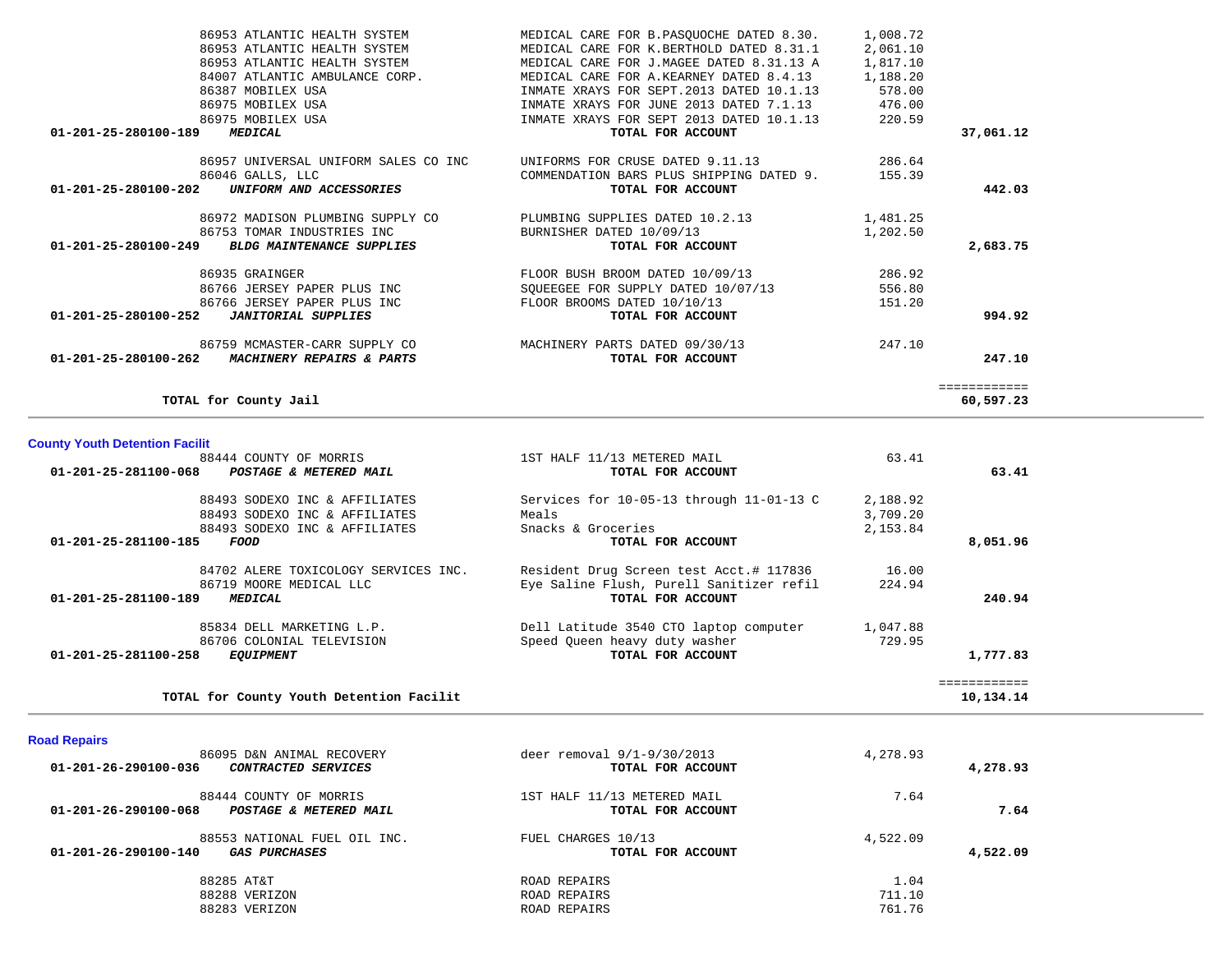| 86953 ATLANTIC HEALTH SYSTEM                             | MEDICAL CARE FOR B.PASOUOCHE DATED 8.30. | 1,008.72 |              |
|----------------------------------------------------------|------------------------------------------|----------|--------------|
| 86953 ATLANTIC HEALTH SYSTEM                             | MEDICAL CARE FOR K.BERTHOLD DATED 8.31.1 | 2,061.10 |              |
| 86953 ATLANTIC HEALTH SYSTEM                             | MEDICAL CARE FOR J.MAGEE DATED 8.31.13 A | 1,817.10 |              |
| 84007 ATLANTIC AMBULANCE CORP.                           | MEDICAL CARE FOR A. KEARNEY DATED 8.4.13 | 1,188.20 |              |
| 86387 MOBILEX USA                                        | INMATE XRAYS FOR SEPT.2013 DATED 10.1.13 | 578.00   |              |
| 86975 MOBILEX USA                                        | INMATE XRAYS FOR JUNE 2013 DATED 7.1.13  | 476.00   |              |
| 86975 MOBILEX USA                                        | INMATE XRAYS FOR SEPT 2013 DATED 10.1.13 | 220.59   |              |
| 01-201-25-280100-189<br><b>MEDICAL</b>                   | TOTAL FOR ACCOUNT                        |          | 37,061.12    |
|                                                          |                                          |          |              |
| 86957 UNIVERSAL UNIFORM SALES CO INC                     | UNIFORMS FOR CRUSE DATED 9.11.13         | 286.64   |              |
| 86046 GALLS, LLC                                         | COMMENDATION BARS PLUS SHIPPING DATED 9. | 155.39   |              |
| 01-201-25-280100-202<br>UNIFORM AND ACCESSORIES          | TOTAL FOR ACCOUNT                        |          | 442.03       |
| 86972 MADISON PLUMBING SUPPLY CO                         | PLUMBING SUPPLIES DATED 10.2.13          | 1,481.25 |              |
| 86753 TOMAR INDUSTRIES INC.                              | BURNISHER DATED 10/09/13                 | 1,202.50 |              |
| 01-201-25-280100-249<br><b>BLDG MAINTENANCE SUPPLIES</b> | TOTAL FOR ACCOUNT                        |          | 2,683.75     |
| 86935 GRAINGER                                           | FLOOR BUSH BROOM DATED 10/09/13          | 286.92   |              |
| 86766 JERSEY PAPER PLUS INC                              | SOUEEGEE FOR SUPPLY DATED 10/07/13       | 556.80   |              |
| 86766 JERSEY PAPER PLUS INC                              | FLOOR BROOMS DATED 10/10/13              | 151.20   |              |
| 01-201-25-280100-252<br><b>JANITORIAL SUPPLIES</b>       | TOTAL FOR ACCOUNT                        |          | 994.92       |
| 86759 MCMASTER-CARR SUPPLY CO                            | MACHINERY PARTS DATED 09/30/13           | 247.10   |              |
| 01-201-25-280100-262<br>MACHINERY REPAIRS & PARTS        | TOTAL FOR ACCOUNT                        |          | 247.10       |
|                                                          |                                          |          | ============ |
| TOTAL for County Jail                                    |                                          |          | 60,597.23    |

### **County Youth Detention Facilit**

|          | 63.41    | 1ST HALF 11/13 METERED MAIL              | 88444 COUNTY OF MORRIS                         |
|----------|----------|------------------------------------------|------------------------------------------------|
| 63.41    |          | TOTAL FOR ACCOUNT                        | 01-201-25-281100-068<br>POSTAGE & METERED MAIL |
|          |          |                                          |                                                |
|          | 2,188.92 | Services for 10-05-13 through 11-01-13 C | 88493 SODEXO INC & AFFILIATES                  |
|          | 3,709.20 | Meals                                    | 88493 SODEXO INC & AFFILIATES                  |
|          | 2,153.84 | Snacks & Groceries                       | 88493 SODEXO INC & AFFILIATES                  |
| 8,051.96 |          | TOTAL FOR ACCOUNT                        | 01-201-25-281100-185<br>FOOD                   |
|          | 16.00    | Resident Drug Screen test Acct.# 117836  | 84702 ALERE TOXICOLOGY SERVICES INC.           |
|          | 224.94   | Eye Saline Flush, Purell Sanitizer refil | 86719 MOORE MEDICAL LLC                        |
| 240.94   |          | TOTAL FOR ACCOUNT                        | 01-201-25-281100-189<br>MEDICAL                |
|          | 1,047.88 | Dell Latitude 3540 CTO laptop computer   | 85834 DELL MARKETING L.P.                      |
|          | 729.95   | Speed Oueen heavy duty washer            | 86706 COLONIAL TELEVISION                      |
| 1,777.83 |          | TOTAL FOR ACCOUNT                        | 01-201-25-281100-258<br><i>EQUIPMENT</i>       |

# **Road Repairs**

| 4,278.93 | 4,278.93       | deer removal $9/1-9/30/2013$<br>TOTAL FOR ACCOUNT | 86095 D&N ANIMAL RECOVERY<br>01-201-26-290100-036<br><i>CONTRACTED SERVICES</i>     |
|----------|----------------|---------------------------------------------------|-------------------------------------------------------------------------------------|
| 7.64     | 7.64           | 1ST HALF 11/13 METERED MAIL<br>TOTAL FOR ACCOUNT  | 88444 COUNTY OF MORRIS<br>01-201-26-290100-068<br>POSTAGE & METERED MAIL            |
| 4,522.09 | 4,522.09       | FUEL CHARGES 10/13<br>TOTAL FOR ACCOUNT           | 88553 NATIONAL FUEL OIL INC.<br>01-201-26-290100-140<br><i><b>GAS PURCHASES</b></i> |
|          | 1.04<br>711.10 | ROAD REPAIRS<br>ROAD REPAIRS                      | 88285 AT&T<br>88288 VERIZON                                                         |
|          | 761.76         | ROAD REPAIRS                                      | 88283 VERIZON                                                                       |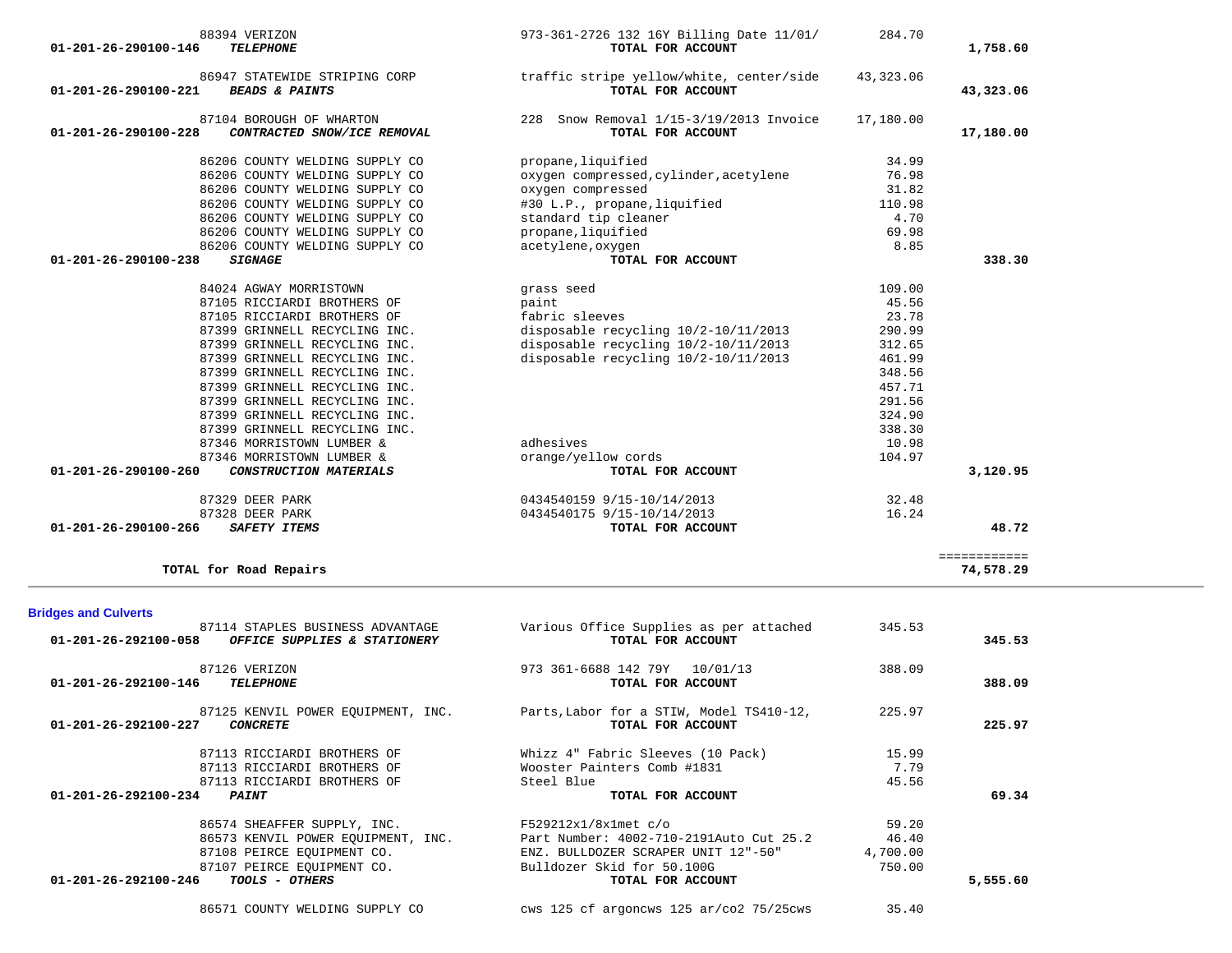| 01-201-26-292100-146           | <b>TELEPHONE</b>                                      | TOTAL FOR ACCOUNT                                             |          | 388.09   |
|--------------------------------|-------------------------------------------------------|---------------------------------------------------------------|----------|----------|
| 01-201-26-292100-227           | 87125 KENVIL POWER EOUIPMENT, INC.<br><b>CONCRETE</b> | Parts, Labor for a STIW, Model TS410-12,<br>TOTAL FOR ACCOUNT | 225.97   | 225.97   |
|                                | 87113 RICCIARDI BROTHERS OF                           | Whizz 4" Fabric Sleeves (10 Pack)                             | 15.99    |          |
|                                | 87113 RICCIARDI BROTHERS OF                           | Wooster Painters Comb #1831                                   | 7.79     |          |
|                                | 87113 RICCIARDI BROTHERS OF                           | Steel Blue                                                    | 45.56    |          |
| $01 - 201 - 26 - 292100 - 234$ | <i><b>PAINT</b></i>                                   | TOTAL FOR ACCOUNT                                             |          | 69.34    |
|                                | 86574 SHEAFFER SUPPLY, INC.                           | $F529212x1/8x1met$ c/o                                        | 59.20    |          |
|                                | 86573 KENVIL POWER EQUIPMENT, INC.                    | Part Number: 4002-710-2191Auto Cut 25.2                       | 46.40    |          |
|                                | 87108 PEIRCE EQUIPMENT CO.                            | ENZ. BULLDOZER SCRAPER UNIT 12"-50"                           | 4,700.00 |          |
|                                | 87107 PEIRCE EOUIPMENT CO.                            | Bulldozer Skid for 50.100G                                    | 750.00   |          |
| $01 - 201 - 26 - 292100 - 246$ | <i>TOOLS - OTHERS</i>                                 | TOTAL FOR ACCOUNT                                             |          | 5,555.60 |
|                                | 86571 COUNTY WELDING SUPPLY CO                        | cws 125 cf argoncws 125 $ar/c$ $25/25$ cws                    | 35.40    |          |

| 87329 DEER PARK<br>87328 DEER PARK<br>01-201-26-290100-266<br>SAFETY ITEMS               | 0434540159 9/15-10/14/2013<br>0434540175 9/15-10/14/2013<br>TOTAL FOR ACCOUNT | 32.48<br>16.24 | 48.72     |
|------------------------------------------------------------------------------------------|-------------------------------------------------------------------------------|----------------|-----------|
| TOTAL for Road Repairs                                                                   |                                                                               |                | 74,578.29 |
| <b>Bridges and Culverts</b>                                                              |                                                                               |                |           |
| 87114 STAPLES BUSINESS ADVANTAGE<br>01-201-26-292100-058<br>OFFICE SUPPLIES & STATIONERY | Various Office Supplies as per attached<br>TOTAL FOR ACCOUNT                  | 345.53         | 345.53    |
| 87126 VERIZON<br>$01 - 201 - 26 - 292100 - 146$<br><b>TELEPHONE</b>                      | 973 361-6688 142 79Y<br>10/01/13<br>TOTAL FOR ACCOUNT                         | 388.09         | 388.09    |
| 87125 KENVIL POWER EOUIPMENT, INC.<br>01-201-26-292100-227<br>COMCPETE                   | Parts, Labor for a STIW, Model TS410-12,<br><b>TOTAL TOP ACCOUNT</b>          | 225.97         | 225.07    |

| 88394 VERIZON<br><b>TELEPHONE</b><br>01-201-26-290100-146                                 | 973-361-2726 132 16Y Billing Date 11/01/<br>TOTAL FOR ACCOUNT | 284.70    | 1,758.60  |
|-------------------------------------------------------------------------------------------|---------------------------------------------------------------|-----------|-----------|
| 86947 STATEWIDE STRIPING CORP<br>01-201-26-290100-221<br><b>BEADS &amp; PAINTS</b>        | traffic stripe yellow/white, center/side<br>TOTAL FOR ACCOUNT | 43,323.06 | 43,323.06 |
| 87104 BOROUGH OF WHARTON<br>$01 - 201 - 26 - 290100 - 228$<br>CONTRACTED SNOW/ICE REMOVAL | 228 Snow Removal 1/15-3/19/2013 Invoice<br>TOTAL FOR ACCOUNT  | 17,180.00 | 17,180.00 |
| 86206 COUNTY WELDING SUPPLY CO                                                            | propane, liquified                                            | 34.99     |           |
| 86206 COUNTY WELDING SUPPLY CO                                                            | oxygen compressed, cylinder, acetylene                        | 76.98     |           |
| 86206 COUNTY WELDING SUPPLY CO                                                            | oxygen compressed                                             | 31.82     |           |
| 86206 COUNTY WELDING SUPPLY CO                                                            | #30 L.P., propane, liquified                                  | 110.98    |           |
| 86206 COUNTY WELDING SUPPLY CO                                                            | standard tip cleaner                                          | 4.70      |           |
| 86206 COUNTY WELDING SUPPLY CO                                                            | propane, liquified                                            | 69.98     |           |
| 86206 COUNTY WELDING SUPPLY CO                                                            | acetylene, oxygen                                             | 8.85      |           |
| 01-201-26-290100-238<br><b>SIGNAGE</b>                                                    | TOTAL FOR ACCOUNT                                             |           | 338.30    |
|                                                                                           |                                                               |           |           |
| 84024 AGWAY MORRISTOWN                                                                    | grass seed                                                    | 109.00    |           |
| 87105 RICCIARDI BROTHERS OF                                                               | paint                                                         | 45.56     |           |
| 87105 RICCIARDI BROTHERS OF                                                               | fabric sleeves                                                | 23.78     |           |
| 87399 GRINNELL RECYCLING INC.                                                             | disposable recycling 10/2-10/11/2013                          | 290.99    |           |
| 87399 GRINNELL RECYCLING INC.                                                             | disposable recycling 10/2-10/11/2013                          | 312.65    |           |
| 87399 GRINNELL RECYCLING INC.                                                             | disposable recycling 10/2-10/11/2013                          | 461.99    |           |
| 87399 GRINNELL RECYCLING INC.                                                             |                                                               | 348.56    |           |
| 87399 GRINNELL RECYCLING INC.                                                             |                                                               | 457.71    |           |
| 87399 GRINNELL RECYCLING INC.                                                             |                                                               | 291.56    |           |
| 87399 GRINNELL RECYCLING INC.                                                             |                                                               | 324.90    |           |
| 87399 GRINNELL RECYCLING INC.                                                             |                                                               | 338.30    |           |
| 87346 MORRISTOWN LUMBER &                                                                 | adhesives                                                     | 10.98     |           |
| 87346 MORRISTOWN LUMBER &                                                                 | orange/yellow cords                                           | 104.97    |           |
| 01-201-26-290100-260<br>CONSTRUCTION MATERIALS                                            | TOTAL FOR ACCOUNT                                             |           | 3,120.95  |
| 87329 DEER PARK                                                                           | 0434540159 9/15-10/14/2013                                    | 32.48     |           |
| 87328 DEER PARK                                                                           | 0434540175 9/15-10/14/2013                                    | 16.24     |           |
| 01-201-26-290100-266<br>SAFETY TTEMS                                                      | TOTAL FOR ACCOUNT                                             |           | 48.72     |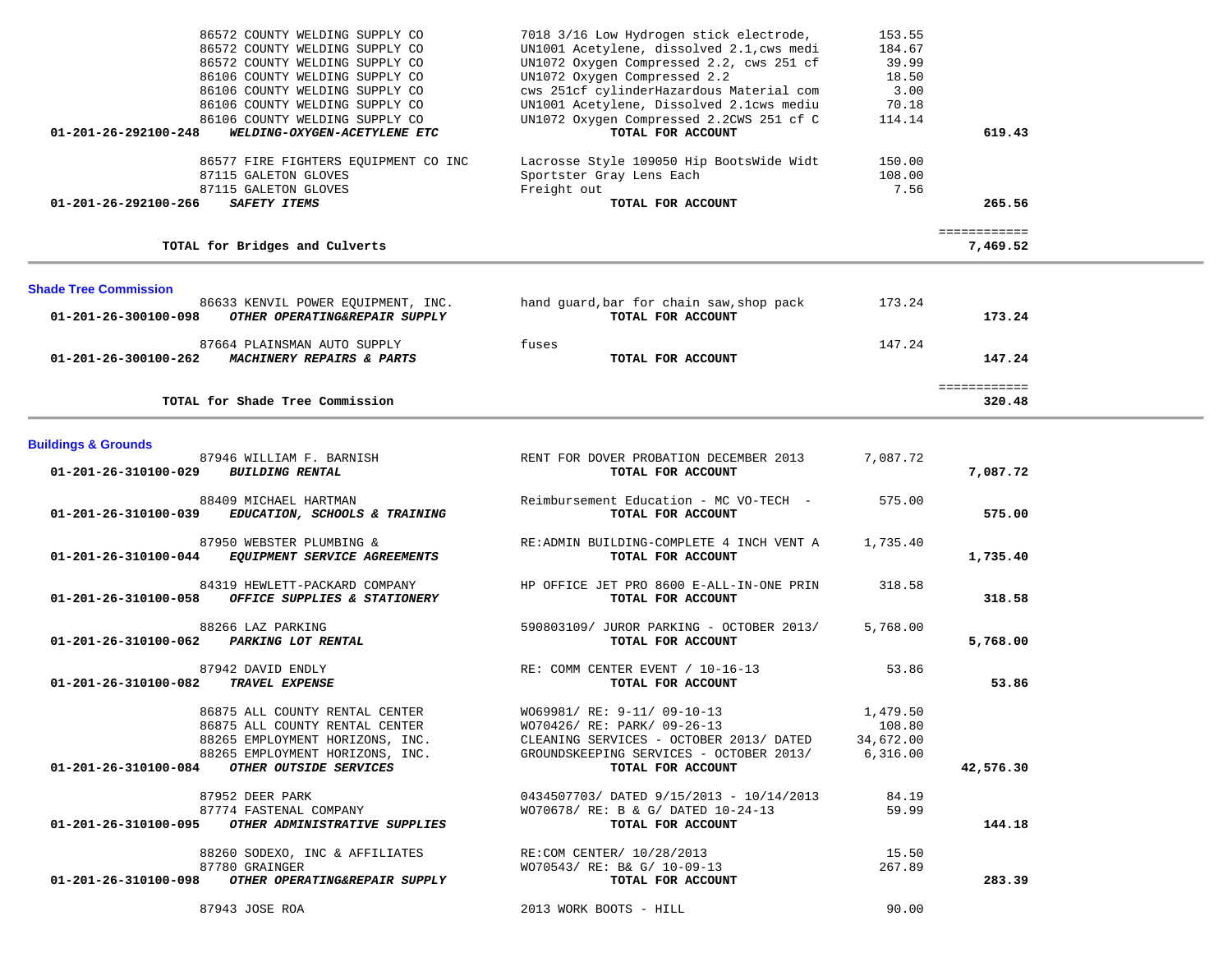| 86572 COUNTY WELDING SUPPLY CO<br>86572 COUNTY WELDING SUPPLY CO<br>86572 COUNTY WELDING SUPPLY CO<br>86106 COUNTY WELDING SUPPLY CO<br>86106 COUNTY WELDING SUPPLY CO<br>86106 COUNTY WELDING SUPPLY CO<br>86106 COUNTY WELDING SUPPLY CO<br>WELDING-OXYGEN-ACETYLENE ETC<br>01-201-26-292100-248 | 7018 3/16 Low Hydrogen stick electrode,<br>UN1001 Acetylene, dissolved 2.1, cws medi<br>UN1072 Oxygen Compressed 2.2, cws 251 cf<br>UN1072 Oxygen Compressed 2.2<br>cws 251cf cylinderHazardous Material com<br>UN1001 Acetylene, Dissolved 2.1cws mediu<br>UN1072 Oxygen Compressed 2.2CWS 251 cf C<br>TOTAL FOR ACCOUNT | 153.55<br>184.67<br>39.99<br>18.50<br>3.00<br>70.18<br>114.14 | 619.43                   |  |
|----------------------------------------------------------------------------------------------------------------------------------------------------------------------------------------------------------------------------------------------------------------------------------------------------|---------------------------------------------------------------------------------------------------------------------------------------------------------------------------------------------------------------------------------------------------------------------------------------------------------------------------|---------------------------------------------------------------|--------------------------|--|
| 86577 FIRE FIGHTERS EQUIPMENT CO INC<br>87115 GALETON GLOVES<br>87115 GALETON GLOVES<br>01-201-26-292100-266<br>SAFETY ITEMS                                                                                                                                                                       | Lacrosse Style 109050 Hip BootsWide Widt<br>Sportster Gray Lens Each<br>Freight out<br>TOTAL FOR ACCOUNT                                                                                                                                                                                                                  | 150.00<br>108.00<br>7.56                                      | 265.56                   |  |
| TOTAL for Bridges and Culverts                                                                                                                                                                                                                                                                     |                                                                                                                                                                                                                                                                                                                           |                                                               | ============<br>7,469.52 |  |
| <b>Shade Tree Commission</b>                                                                                                                                                                                                                                                                       |                                                                                                                                                                                                                                                                                                                           |                                                               |                          |  |
| 86633 KENVIL POWER EQUIPMENT, INC.<br>OTHER OPERATING&REPAIR SUPPLY<br>01-201-26-300100-098                                                                                                                                                                                                        | hand guard, bar for chain saw, shop pack<br>TOTAL FOR ACCOUNT                                                                                                                                                                                                                                                             | 173.24                                                        | 173.24                   |  |
| 87664 PLAINSMAN AUTO SUPPLY<br>01-201-26-300100-262<br>MACHINERY REPAIRS & PARTS                                                                                                                                                                                                                   | fuses<br>TOTAL FOR ACCOUNT                                                                                                                                                                                                                                                                                                | 147.24                                                        | 147.24                   |  |
| TOTAL for Shade Tree Commission                                                                                                                                                                                                                                                                    |                                                                                                                                                                                                                                                                                                                           |                                                               | ============<br>320.48   |  |
| <b>Buildings &amp; Grounds</b>                                                                                                                                                                                                                                                                     |                                                                                                                                                                                                                                                                                                                           |                                                               |                          |  |
| 87946 WILLIAM F. BARNISH<br><b>BUILDING RENTAL</b><br>01-201-26-310100-029                                                                                                                                                                                                                         | RENT FOR DOVER PROBATION DECEMBER 2013<br>TOTAL FOR ACCOUNT                                                                                                                                                                                                                                                               | 7,087.72                                                      | 7,087.72                 |  |
| 88409 MICHAEL HARTMAN<br>01-201-26-310100-039<br>EDUCATION, SCHOOLS & TRAINING                                                                                                                                                                                                                     | Reimbursement Education - MC VO-TECH -<br>TOTAL FOR ACCOUNT                                                                                                                                                                                                                                                               | 575.00                                                        | 575.00                   |  |
| 87950 WEBSTER PLUMBING &<br>EQUIPMENT SERVICE AGREEMENTS<br>01-201-26-310100-044                                                                                                                                                                                                                   | RE: ADMIN BUILDING-COMPLETE 4 INCH VENT A<br>TOTAL FOR ACCOUNT                                                                                                                                                                                                                                                            | 1,735.40                                                      | 1,735.40                 |  |
| 84319 HEWLETT-PACKARD COMPANY<br>OFFICE SUPPLIES & STATIONERY<br>01-201-26-310100-058                                                                                                                                                                                                              | HP OFFICE JET PRO 8600 E-ALL-IN-ONE PRIN<br>TOTAL FOR ACCOUNT                                                                                                                                                                                                                                                             | 318.58                                                        | 318.58                   |  |
| 88266 LAZ PARKING<br>PARKING LOT RENTAL<br>01-201-26-310100-062                                                                                                                                                                                                                                    | 590803109/ JUROR PARKING - OCTOBER 2013/<br>TOTAL FOR ACCOUNT                                                                                                                                                                                                                                                             | 5,768.00                                                      | 5,768.00                 |  |
| 87942 DAVID ENDLY<br>01-201-26-310100-082<br>TRAVEL EXPENSE                                                                                                                                                                                                                                        | RE: COMM CENTER EVENT / 10-16-13<br>TOTAL FOR ACCOUNT                                                                                                                                                                                                                                                                     | 53.86                                                         | 53.86                    |  |
| 86875 ALL COUNTY RENTAL CENTER<br>86875 ALL COUNTY RENTAL CENTER<br>88265 EMPLOYMENT HORIZONS, INC.<br>88265 EMPLOYMENT HORIZONS, INC.<br>OTHER OUTSIDE SERVICES<br>01-201-26-310100-084                                                                                                           | WO69981/ RE: 9-11/ 09-10-13<br>WO70426/ RE: PARK/ 09-26-13<br>CLEANING SERVICES - OCTOBER 2013/ DATED<br>GROUNDSKEEPING SERVICES - OCTOBER 2013/<br>TOTAL FOR ACCOUNT                                                                                                                                                     | 1,479.50<br>108.80<br>34,672.00<br>6,316.00                   | 42,576.30                |  |
| 87952 DEER PARK<br>87774 FASTENAL COMPANY<br>01-201-26-310100-095<br>OTHER ADMINISTRATIVE SUPPLIES                                                                                                                                                                                                 | 0434507703/ DATED 9/15/2013 - 10/14/2013<br>WO70678/ RE: B & G/ DATED 10-24-13<br>TOTAL FOR ACCOUNT                                                                                                                                                                                                                       | 84.19<br>59.99                                                | 144.18                   |  |
| 88260 SODEXO, INC & AFFILIATES<br>87780 GRAINGER<br>01-201-26-310100-098<br>OTHER OPERATING&REPAIR SUPPLY                                                                                                                                                                                          | RE:COM CENTER/ 10/28/2013<br>WO70543/ RE: B& G/ 10-09-13<br>TOTAL FOR ACCOUNT                                                                                                                                                                                                                                             | 15.50<br>267.89                                               | 283.39                   |  |
| 87943 JOSE ROA                                                                                                                                                                                                                                                                                     | 2013 WORK BOOTS - HILL                                                                                                                                                                                                                                                                                                    | 90.00                                                         |                          |  |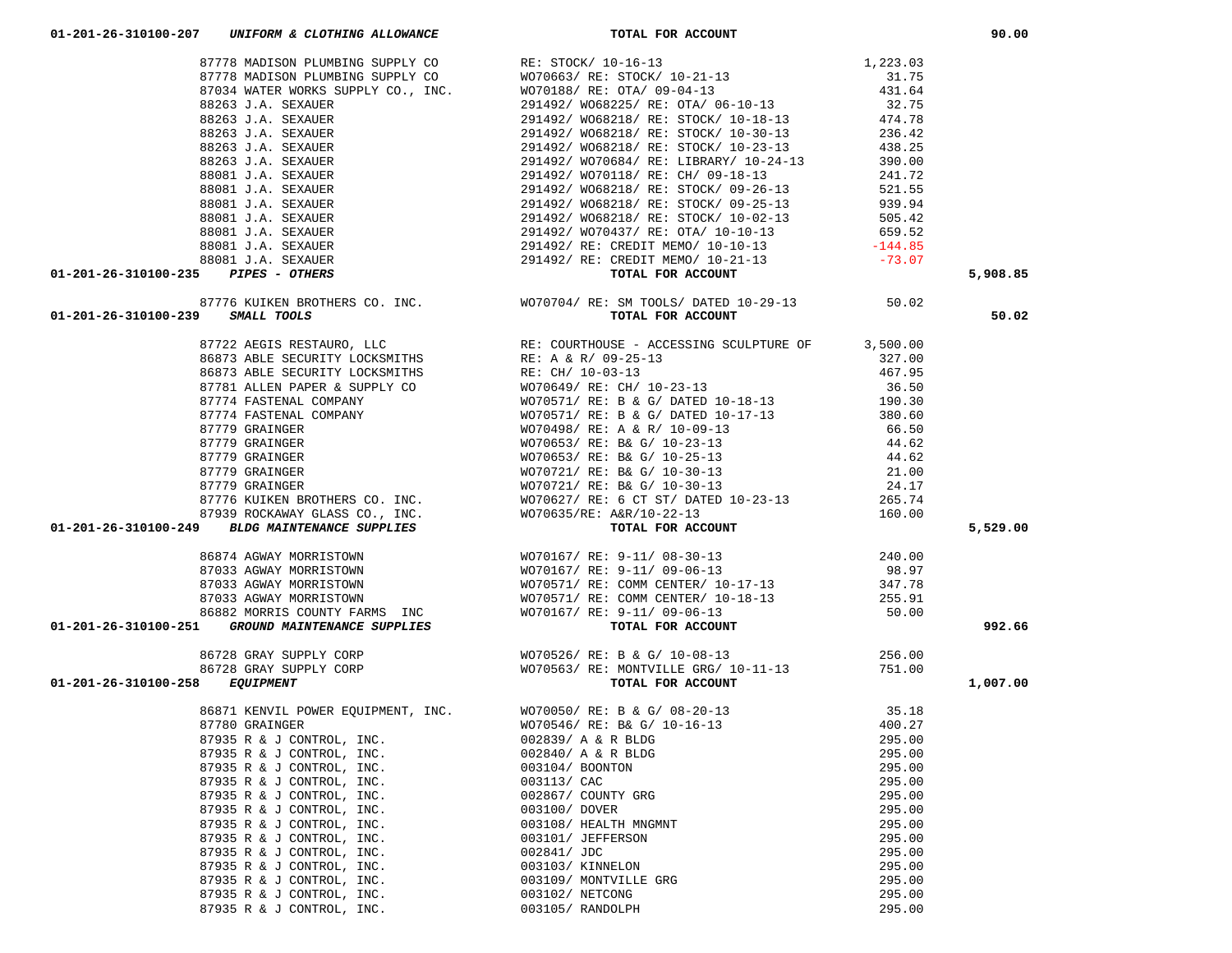|                                                                                                                                       |                                                                                                                                                                                                                                                                                                                                                     |                  | 5,908.85 |
|---------------------------------------------------------------------------------------------------------------------------------------|-----------------------------------------------------------------------------------------------------------------------------------------------------------------------------------------------------------------------------------------------------------------------------------------------------------------------------------------------------|------------------|----------|
|                                                                                                                                       |                                                                                                                                                                                                                                                                                                                                                     |                  |          |
|                                                                                                                                       |                                                                                                                                                                                                                                                                                                                                                     |                  |          |
|                                                                                                                                       |                                                                                                                                                                                                                                                                                                                                                     |                  | 50.02    |
|                                                                                                                                       |                                                                                                                                                                                                                                                                                                                                                     |                  |          |
|                                                                                                                                       |                                                                                                                                                                                                                                                                                                                                                     |                  |          |
|                                                                                                                                       |                                                                                                                                                                                                                                                                                                                                                     |                  |          |
|                                                                                                                                       |                                                                                                                                                                                                                                                                                                                                                     |                  |          |
|                                                                                                                                       |                                                                                                                                                                                                                                                                                                                                                     |                  |          |
|                                                                                                                                       |                                                                                                                                                                                                                                                                                                                                                     |                  |          |
|                                                                                                                                       |                                                                                                                                                                                                                                                                                                                                                     |                  |          |
|                                                                                                                                       |                                                                                                                                                                                                                                                                                                                                                     |                  |          |
|                                                                                                                                       |                                                                                                                                                                                                                                                                                                                                                     |                  |          |
|                                                                                                                                       |                                                                                                                                                                                                                                                                                                                                                     |                  |          |
|                                                                                                                                       |                                                                                                                                                                                                                                                                                                                                                     |                  |          |
|                                                                                                                                       |                                                                                                                                                                                                                                                                                                                                                     |                  |          |
|                                                                                                                                       |                                                                                                                                                                                                                                                                                                                                                     |                  |          |
|                                                                                                                                       |                                                                                                                                                                                                                                                                                                                                                     |                  |          |
|                                                                                                                                       |                                                                                                                                                                                                                                                                                                                                                     |                  | 5,529.00 |
|                                                                                                                                       |                                                                                                                                                                                                                                                                                                                                                     |                  |          |
| 86874 AGWAY MORRISTOWN<br>87033 AGWAY MORRISTOWN<br>87033 AGWAY MORRISTOWN<br>87033 AGWAY MORRISTOWN<br>86882 MORRIS COUNTY FARMS INC |                                                                                                                                                                                                                                                                                                                                                     |                  |          |
|                                                                                                                                       |                                                                                                                                                                                                                                                                                                                                                     |                  |          |
|                                                                                                                                       |                                                                                                                                                                                                                                                                                                                                                     |                  |          |
|                                                                                                                                       |                                                                                                                                                                                                                                                                                                                                                     |                  |          |
|                                                                                                                                       |                                                                                                                                                                                                                                                                                                                                                     |                  |          |
| 01-201-26-310100-251 GROUND MAINTENANCE SUPPLIES                                                                                      | $\begin{tabular}{lllllllllllll} \hline \texttt{WO70167/ RE: } 9-11/ & 08-30-13 & 240.00 \\ \hline \texttt{WO70167/ RE: } 9-11/ & 09-06-13 & 98.97 \\ \hline \texttt{WO70571/ RE: } COMM \texttt{CENTER/} & 10-17-13 & 347.78 \\ \hline \texttt{WO70571/ RE: } COMM \texttt{CENTER/} & 10-18-13 & 255.91 \\ \hline \texttt{WO70167/ RE: } 9-11/ & 0$ |                  | 992.66   |
|                                                                                                                                       |                                                                                                                                                                                                                                                                                                                                                     |                  |          |
|                                                                                                                                       |                                                                                                                                                                                                                                                                                                                                                     |                  |          |
|                                                                                                                                       |                                                                                                                                                                                                                                                                                                                                                     |                  |          |
| 01-201-26-310100-258 EQUIPMENT                                                                                                        |                                                                                                                                                                                                                                                                                                                                                     |                  | 1,007.00 |
|                                                                                                                                       |                                                                                                                                                                                                                                                                                                                                                     |                  |          |
|                                                                                                                                       |                                                                                                                                                                                                                                                                                                                                                     |                  |          |
|                                                                                                                                       | 86871 KENVIL POWER EQUIPMENT, INC.<br>87780 GRAINGER<br>87935 R & J CONTROL, INC.<br>87935 R & J CONTROL, INC.<br>87935 R & J CONTROL, INC.<br>87935 R & J CONTROL, INC.<br>87935 R & J CONTROL, INC.<br>87935 R & J CONTROL, INC.<br>87935 R                                                                                                       |                  |          |
|                                                                                                                                       |                                                                                                                                                                                                                                                                                                                                                     |                  |          |
|                                                                                                                                       |                                                                                                                                                                                                                                                                                                                                                     |                  |          |
|                                                                                                                                       | 295.00<br>87935 R & J CONTROL, INC. 002840/ A & R BLDG                                                                                                                                                                                                                                                                                              |                  |          |
| 87935 R & J CONTROL, INC.                                                                                                             | 003104/ BOONTON                                                                                                                                                                                                                                                                                                                                     | 295.00           |          |
| 87935 R & J CONTROL, INC.                                                                                                             | 003113/ CAC                                                                                                                                                                                                                                                                                                                                         | 295.00           |          |
| 87935 R & J CONTROL, INC.                                                                                                             | 002867/ COUNTY GRG                                                                                                                                                                                                                                                                                                                                  | 295.00           |          |
| 87935 R & J CONTROL, INC.                                                                                                             | 003100/ DOVER                                                                                                                                                                                                                                                                                                                                       | 295.00           |          |
| 87935 R & J CONTROL, INC.                                                                                                             | 003108/ HEALTH MNGMNT                                                                                                                                                                                                                                                                                                                               | 295.00           |          |
| 87935 R & J CONTROL, INC.                                                                                                             | 003101/ JEFFERSON                                                                                                                                                                                                                                                                                                                                   | 295.00           |          |
| 87935 R & J CONTROL, INC.                                                                                                             | 002841/ JDC                                                                                                                                                                                                                                                                                                                                         | 295.00           |          |
| 87935 R & J CONTROL, INC.                                                                                                             | 003103/ KINNELON                                                                                                                                                                                                                                                                                                                                    | 295.00           |          |
| 87935 R & J CONTROL, INC.                                                                                                             | 003109/ MONTVILLE GRG                                                                                                                                                                                                                                                                                                                               | 295.00           |          |
| 87935 R & J CONTROL, INC.<br>87935 R & J CONTROL, INC.                                                                                | 003102/ NETCONG<br>003105/ RANDOLPH                                                                                                                                                                                                                                                                                                                 | 295.00<br>295.00 |          |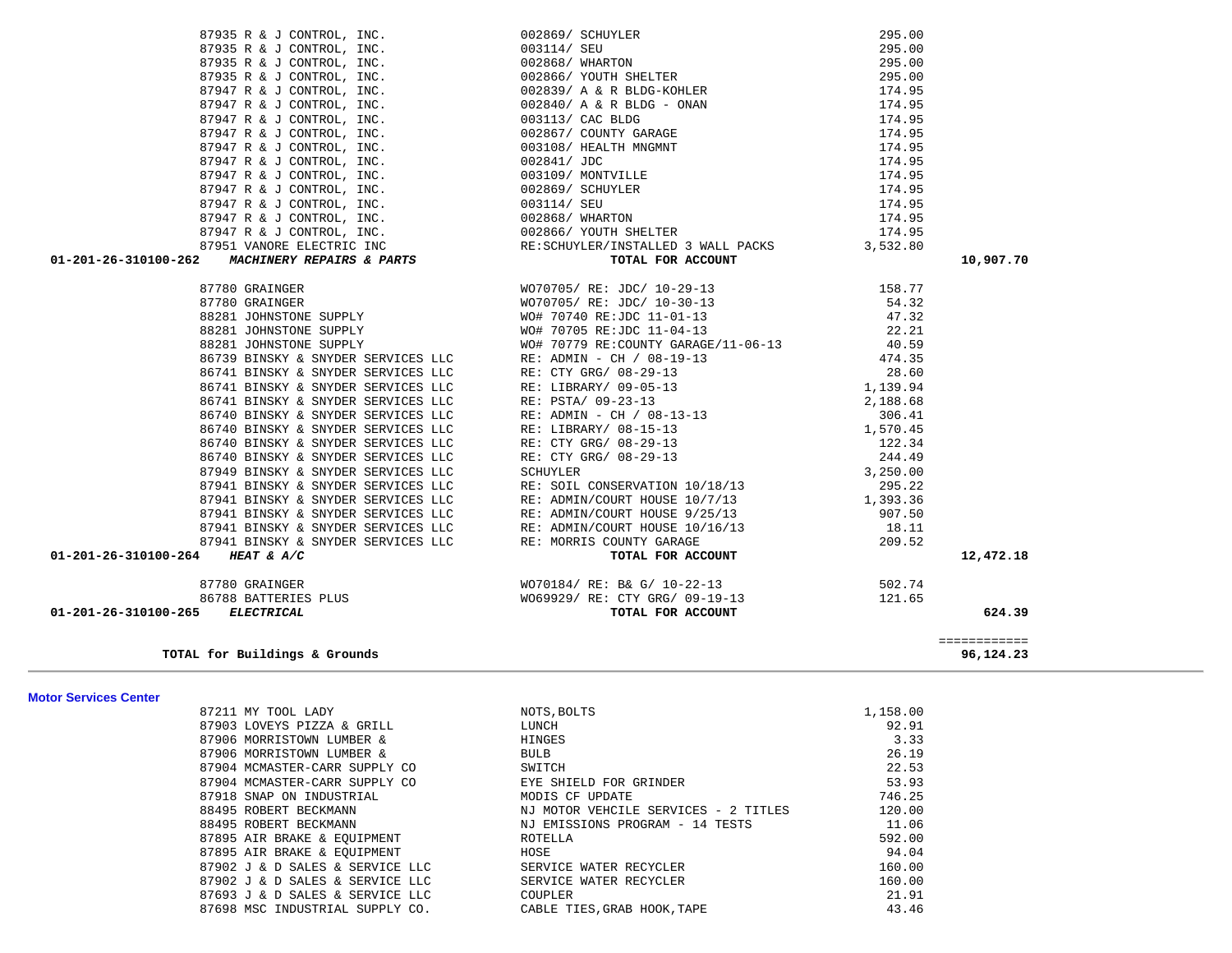| <b>Motor Services Center</b> |                                 |                                      |          |
|------------------------------|---------------------------------|--------------------------------------|----------|
|                              | 87211 MY TOOL LADY              | NOTS, BOLTS                          | 1,158.00 |
|                              | 87903 LOVEYS PIZZA & GRILL      | LUNCH                                | 92.91    |
|                              | 87906 MORRISTOWN LUMBER &       | HINGES                               | 3.33     |
|                              | 87906 MORRISTOWN LUMBER &       | <b>BULB</b>                          | 26.19    |
|                              | 87904 MCMASTER-CARR SUPPLY CO   | SWITCH                               | 22.53    |
|                              | 87904 MCMASTER-CARR SUPPLY CO   | EYE SHIELD FOR GRINDER               | 53.93    |
|                              | 87918 SNAP ON INDUSTRIAL        | MODIS CF UPDATE                      | 746.25   |
|                              | 88495 ROBERT BECKMANN           | NJ MOTOR VEHCILE SERVICES - 2 TITLES | 120.00   |
|                              | 88495 ROBERT BECKMANN           | NJ EMISSIONS PROGRAM - 14 TESTS      | 11.06    |
|                              | 87895 AIR BRAKE & EOUIPMENT     | ROTELLA                              | 592.00   |
|                              | 87895 AIR BRAKE & EQUIPMENT     | HOSE                                 | 94.04    |
|                              | 87902 J & D SALES & SERVICE LLC | SERVICE WATER RECYCLER               | 160.00   |
|                              | 87902 J & D SALES & SERVICE LLC | SERVICE WATER RECYCLER               | 160.00   |
|                              | 87693 J & D SALES & SERVICE LLC | COUPLER                              | 21.91    |
|                              | 87698 MSC INDUSTRIAL SUPPLY CO. | CABLE TIES. GRAB HOOK. TAPE          | 43.46    |

87935 R & J CONTROL, INC. 699 002869/ SCHUYLER 295.00 87935 R & J CONTROL, INC.  $003114 /$  SEU 295.00

**TOTAL for Buildings & Grounds 96,124.23**

============

 **01-201-26-310100-265** *ELECTRICAL* **TOTAL FOR ACCOUNT 624.39**

01-201-26-310100-262 *MACHINERY REPAIRS & PARTS* 87780 GRAINGER 87780 GRAINGER 88281 JOHNSTONE SUPPLY 88281 JOHNSTONE SUPPLY 88281 JOHNSTONE SUPPLY 86739 BINSKY & SNYDER SERVICES LLC 86741 BINSKY & SNYDER SERVICES LLC 86741 BINSKY & SNYDER SERVICES LLC 86741 BINSKY & SNYDER SERVICES LLC 86740 BINSKY & SNYDER SERVICES LLC 86740 BINSKY & SNYDER SERVICES LLC 86740 BINSKY & SNYDER SERVICES LLC 86740 BINSKY & SNYDER SERVICES LLC 87949 BINSKY & SNYDER SERVICES LLC 87941 BINSKY & SNYDER SERVICES LLC 87941 BINSKY & SNYDER SERVICES LLC 87941 BINSKY & SNYDER SERVICES LLC 87941 BINSKY & SNYDER SERVICES LLC 87941 BINSKY & SNYDER SERVICES LLC 01-201-26-310100-264 **HEAT & A/C** 

|  | 10,907.70 |
|--|-----------|
|  |           |
|  |           |
|  |           |
|  |           |
|  |           |
|  |           |
|  |           |
|  |           |
|  |           |
|  |           |
|  |           |
|  |           |
|  |           |
|  |           |
|  |           |
|  |           |
|  |           |
|  |           |
|  |           |
|  | 12,472.18 |
|  |           |
|  |           |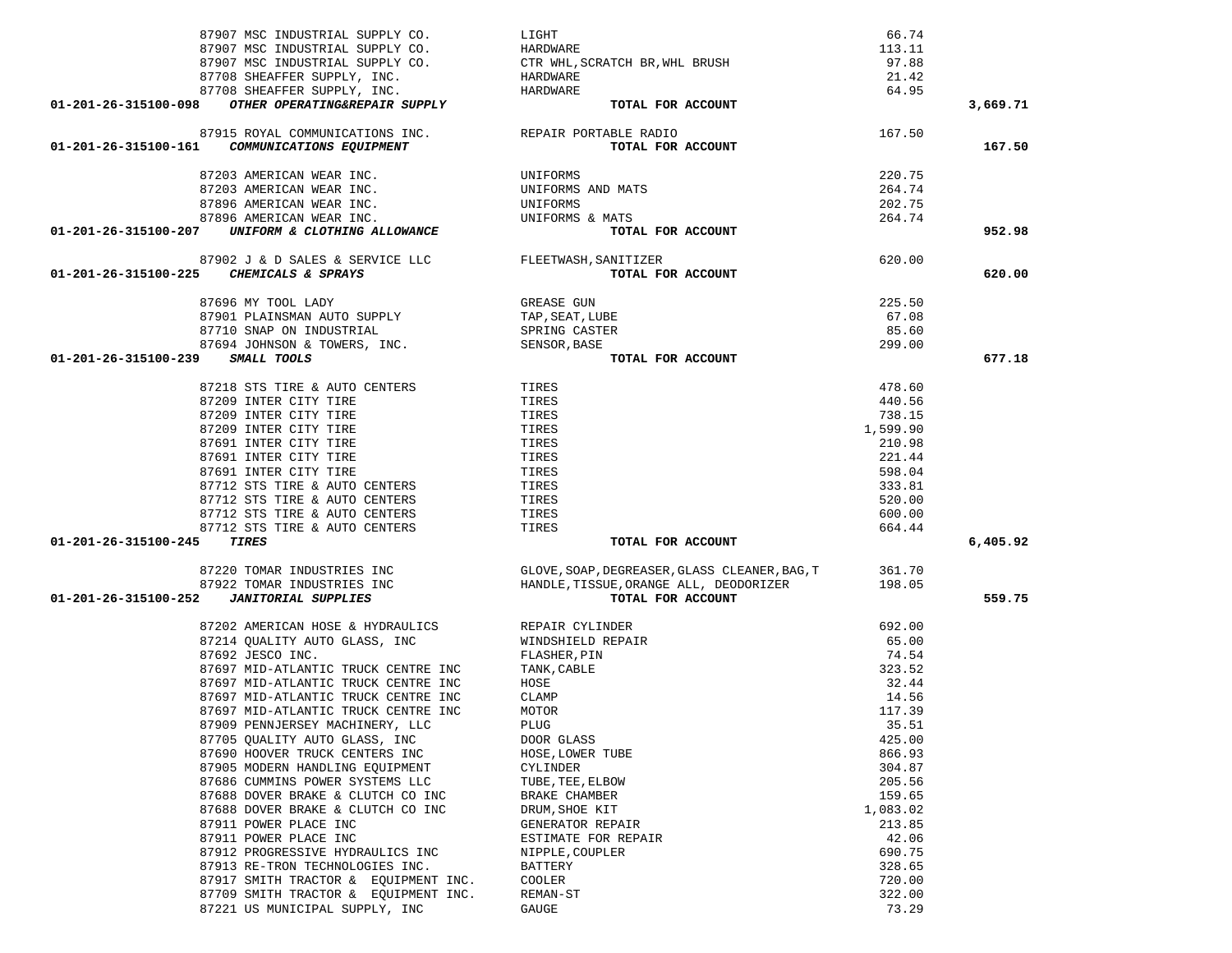| 87907 MSC INDUSTRIAL SUPPLY CO.                                                                           | HARDWARE                                                          | 113.11   |          |
|-----------------------------------------------------------------------------------------------------------|-------------------------------------------------------------------|----------|----------|
|                                                                                                           |                                                                   | 97.88    |          |
| 87907 MSC INDUSTRIAL SUPPLY CO. $\rm CTR$ WHL, SCRATCH BR, WHL BRUSH 87708 SHEAFFER SUPPLY, INC. HARDWARE |                                                                   | 21.42    |          |
| 87708 SHEAFFER SUPPLY, INC.                                                                               | HARDWARE                                                          | 64.95    |          |
| 01-201-26-315100-098 OTHER OPERATING&REPAIR SUPPLY                                                        | TOTAL FOR ACCOUNT                                                 |          | 3,669.71 |
|                                                                                                           |                                                                   |          |          |
| 87915 ROYAL COMMUNICATIONS INC. REPAIR PORTABLE RADIO                                                     |                                                                   | 167.50   |          |
| <i>COMMUNICATIONS EQUIPMENT</i><br>01-201-26-315100-161                                                   | TOTAL FOR ACCOUNT                                                 |          | 167.50   |
| 87203 AMERICAN WEAR INC.                                                                                  |                                                                   | 220.75   |          |
| 87203 AMERICAN WEAR INC.                                                                                  | UNIFORMS AND MATS                                                 | 264.74   |          |
| 87896 AMERICAN WEAR INC.                                                                                  |                                                                   | 202.75   |          |
| 87896 AMERICAN WEAR INC.                                                                                  | UNIFORM,<br>UNIFORMS<br>UNIFORMS<br>UNIECT<br>UNIFORMS & MATS     | 264.74   |          |
| UNIFORM & CLOTHING ALLOWANCE<br>01-201-26-315100-207                                                      | TOTAL FOR ACCOUNT                                                 |          | 952.98   |
|                                                                                                           |                                                                   |          |          |
| 87902 J & D SALES & SERVICE LLC FLEETWASH, SANITIZER                                                      |                                                                   | 620.00   |          |
| 01-201-26-315100-225 CHEMICALS & SPRAYS                                                                   | TOTAL FOR ACCOUNT                                                 |          | 620.00   |
| 87696 MY TOOL LADY                                                                                        | GREASE GUN                                                        | 225.50   |          |
| 87901 PLAINSMAN AUTO SUPPLY                                                                               | TAP, SEAT, LUBE                                                   | 67.08    |          |
|                                                                                                           |                                                                   | 85.60    |          |
| 87710 SNAP ON INDUSTRIAL SPRING CASTER 87694 JOHNSON & TOWERS, INC. SENSOR, BASE                          |                                                                   | 299.00   |          |
| 01-201-26-315100-239 SMALL TOOLS                                                                          | TOTAL FOR ACCOUNT                                                 |          | 677.18   |
|                                                                                                           |                                                                   |          |          |
| 87218 STS TIRE & AUTO CENTERS<br>87209 INTER CITY TIRE                                                    | TIRES                                                             | 478.60   |          |
| 87209 INTER CITY TIRE                                                                                     | TIRES                                                             | 440.56   |          |
| 87209 INTER CITY TIRE                                                                                     | TIRES                                                             | 738.15   |          |
| 87209 INTER CITY TIRE                                                                                     | TIRES                                                             | 1,599.90 |          |
| 87691 INTER CITY TIRE                                                                                     | TIRES                                                             | 210.98   |          |
| 87691 INTER CITY TIRE                                                                                     | TIRES                                                             | 221.44   |          |
| 87691 INTER CITY TIRE                                                                                     | TIRES                                                             | 598.04   |          |
| 87712 STS TIRE & AUTO CENTERS                                                                             | TIRES                                                             | 333.81   |          |
| 87712 STS TIRE & AUTO CENTERS                                                                             | TIRES                                                             | 520.00   |          |
| 87712 STS TIRE & AUTO CENTERS                                                                             | TIRES                                                             | 600.00   |          |
| 87712 STS TIRE & AUTO CENTERS                                                                             | TIRES                                                             | 664.44   |          |
| TIRES<br>01-201-26-315100-245                                                                             | TOTAL FOR ACCOUNT                                                 |          | 6,405.92 |
|                                                                                                           |                                                                   |          |          |
| 87220 TOMAR INDUSTRIES INC                                                                                | GLOVE, SOAP, DEGREASER, GLASS CLEANER, BAG, T                     | 361.70   |          |
|                                                                                                           | 87922 TOMAR INDUSTRIES INC HANDLE, TISSUE, ORANGE ALL, DEODORIZER | 198.05   |          |
| 01-201-26-315100-252 JANITORIAL SUPPLIES                                                                  | TOTAL FOR ACCOUNT                                                 |          | 559.75   |
| 87202 AMERICAN HOSE & HYDRAULICS                                                                          | REPAIR CYLINDER                                                   | 692.00   |          |
| 87214 QUALITY AUTO GLASS, INC                                                                             | WINDSHIELD REPAIR                                                 | 65.00    |          |
| 87692 JESCO INC.                                                                                          | FLASHER, PIN                                                      | 74.54    |          |
| 87697 MID-ATLANTIC TRUCK CENTRE INC                                                                       | TANK, CABLE                                                       | 323.52   |          |
| 87697 MID-ATLANTIC TRUCK CENTRE INC                                                                       | HOSE                                                              | 32.44    |          |
| 87697 MID-ATLANTIC TRUCK CENTRE INC                                                                       | CLAMP                                                             | 14.56    |          |
| 87697 MID-ATLANTIC TRUCK CENTRE INC                                                                       | MOTOR                                                             | 117.39   |          |
| 87909 PENNJERSEY MACHINERY, LLC                                                                           | PLUG                                                              | 35.51    |          |
| 87705 QUALITY AUTO GLASS, INC                                                                             | DOOR GLASS                                                        | 425.00   |          |
| 87690 HOOVER TRUCK CENTERS INC                                                                            | HOSE, LOWER TUBE                                                  | 866.93   |          |
| 87905 MODERN HANDLING EQUIPMENT                                                                           | CYLINDER                                                          | 304.87   |          |
| 87686 CUMMINS POWER SYSTEMS LLC                                                                           | TUBE, TEE, ELBOW                                                  | 205.56   |          |
| 87688 DOVER BRAKE & CLUTCH CO INC                                                                         | BRAKE CHAMBER                                                     | 159.65   |          |
| 87688 DOVER BRAKE & CLUTCH CO INC                                                                         | DRUM, SHOE KIT                                                    | 1,083.02 |          |
| 87911 POWER PLACE INC                                                                                     | GENERATOR REPAIR                                                  | 213.85   |          |
| 87911 POWER PLACE INC                                                                                     | ESTIMATE FOR REPAIR                                               | 42.06    |          |
| 87912 PROGRESSIVE HYDRAULICS INC                                                                          | NIPPLE, COUPLER                                                   | 690.75   |          |
| 87913 RE-TRON TECHNOLOGIES INC.                                                                           | <b>BATTERY</b>                                                    | 328.65   |          |
| 87917 SMITH TRACTOR & EQUIPMENT INC.                                                                      | COOLER                                                            | 720.00   |          |
| 87709 SMITH TRACTOR & EQUIPMENT INC.                                                                      | REMAN-ST                                                          | 322.00   |          |
| 87221 US MUNICIPAL SUPPLY, INC                                                                            | GAUGE                                                             | 73.29    |          |

87907 MSC INDUSTRIAL SUPPLY CO. LIGHT LIGHT CONSTRUCTED AND MALL SUPPLY CO.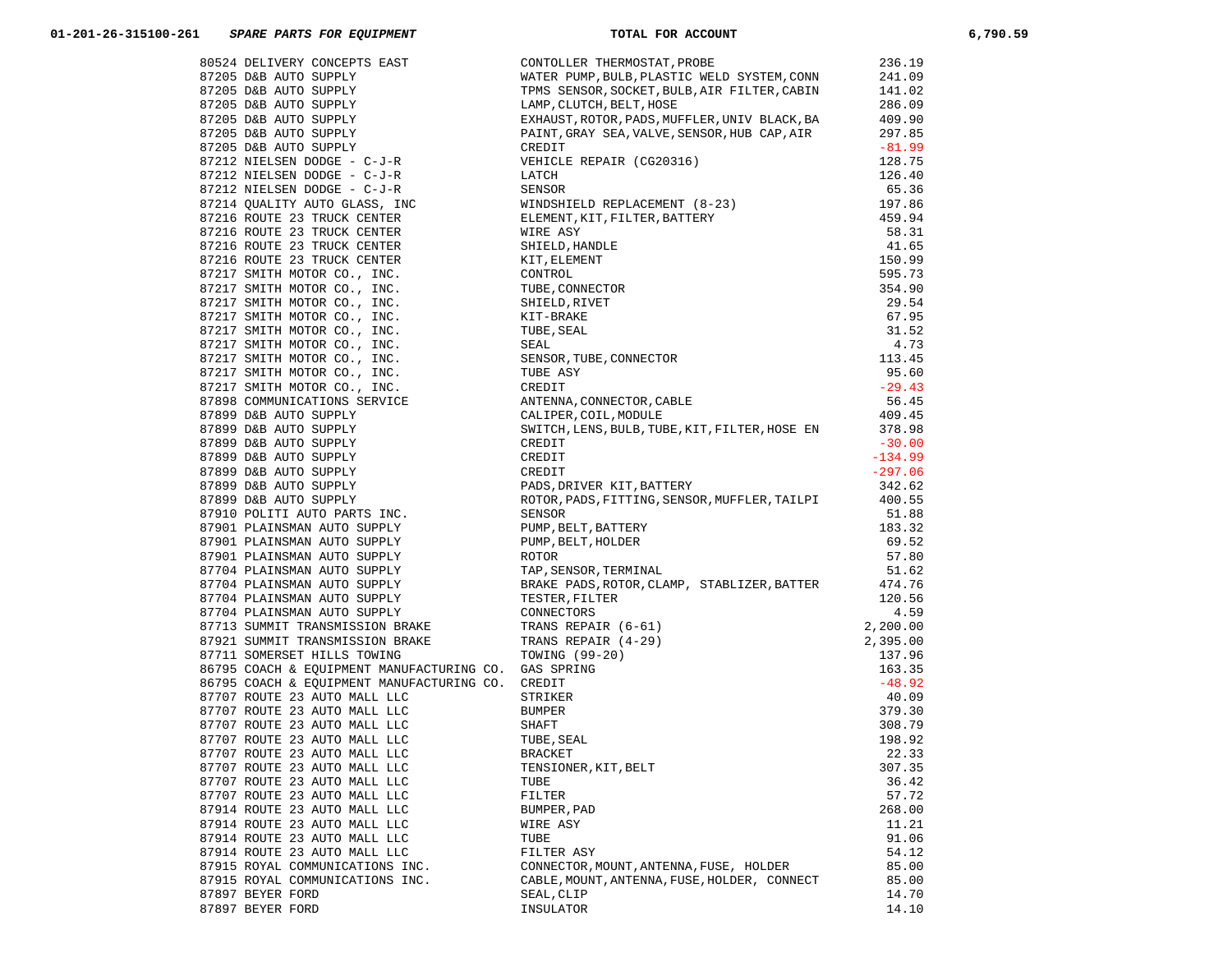| 87707 ROUTE 23 AUTO MALL LLC    | TENSIONER, KIT, BELT                                                                                                                                                                                                                  | 307.35 |
|---------------------------------|---------------------------------------------------------------------------------------------------------------------------------------------------------------------------------------------------------------------------------------|--------|
| 87707 ROUTE 23 AUTO MALL LLC    | 67334 MELINDRY CONCORTS EAST (1990) CONSOLIDATION (1990) The MELINDRY (1990) Same Arry Service Consolidation (1990) Same Arry Service Consolidation (1991) 2003 CONSOLIDATION (1991) 2003 CONSOLIDATION (1991) 2003 CONSULTER<br>TUBE | 36.42  |
| 87707 ROUTE 23 AUTO MALL LLC    | FILTER                                                                                                                                                                                                                                | 57.72  |
| 87914 ROUTE 23 AUTO MALL LLC    | BUMPER, PAD                                                                                                                                                                                                                           | 268.00 |
| 87914 ROUTE 23 AUTO MALL LLC    | WIRE ASY                                                                                                                                                                                                                              | 11.21  |
| 87914 ROUTE 23 AUTO MALL LLC    | TUBE                                                                                                                                                                                                                                  | 91.06  |
| 87914 ROUTE 23 AUTO MALL LLC    | FILTER ASY                                                                                                                                                                                                                            | 54.12  |
| 87915 ROYAL COMMUNICATIONS INC. | CONNECTOR, MOUNT, ANTENNA, FUSE, HOLDER                                                                                                                                                                                               | 85.00  |
| 87915 ROYAL COMMUNICATIONS INC. | CABLE, MOUNT, ANTENNA, FUSE, HOLDER, CONNECT                                                                                                                                                                                          | 85.00  |
| 87897 BEYER FORD                | SEAL, CLIP                                                                                                                                                                                                                            | 14.70  |
| 87897 BEYER FORD                | INSULATOR                                                                                                                                                                                                                             | 14.10  |
|                                 |                                                                                                                                                                                                                                       |        |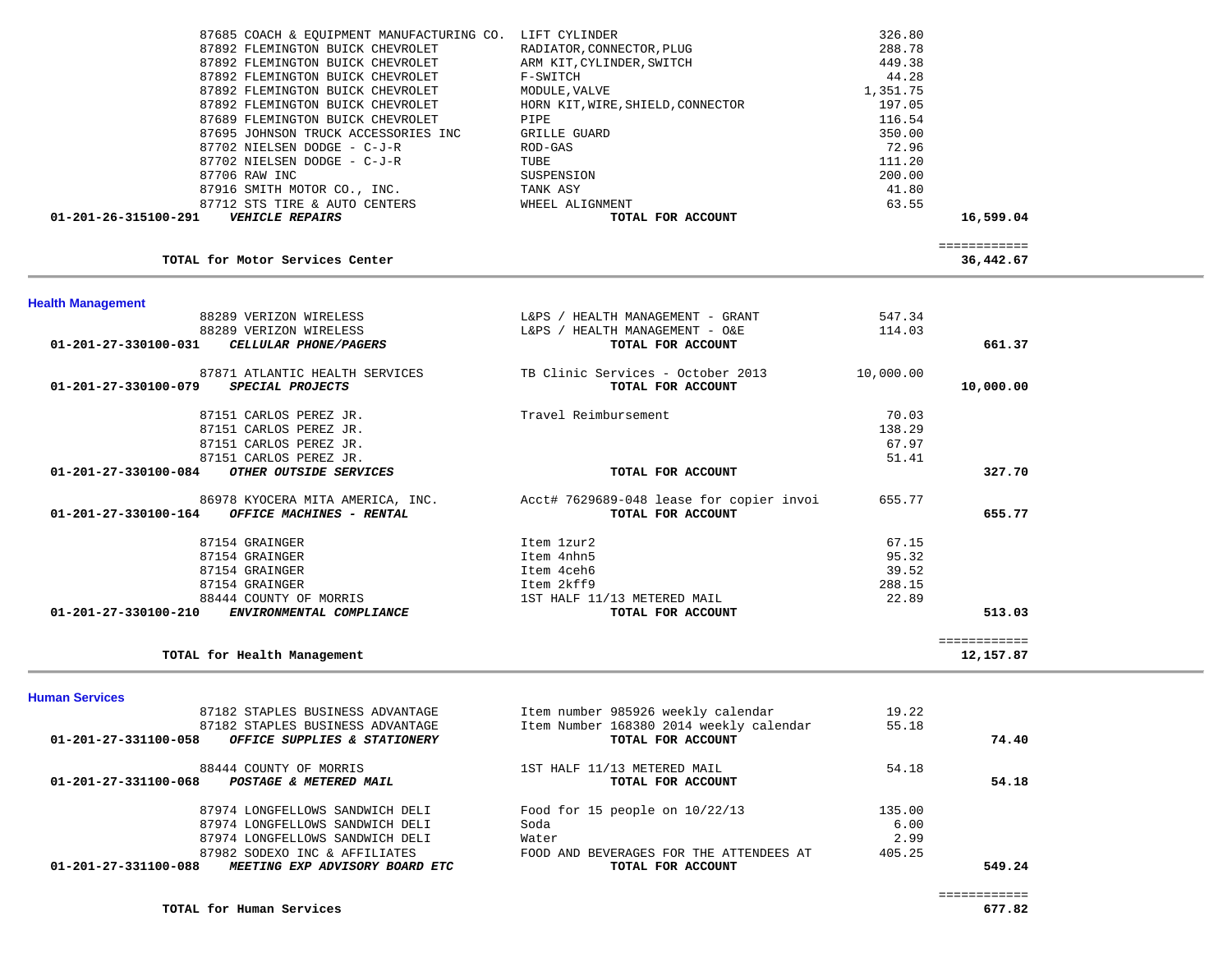| 87685 COACH & EQUIPMENT MANUFACTURING CO. LIFT CYLINDER   |                                          | 326.80    |              |  |
|-----------------------------------------------------------|------------------------------------------|-----------|--------------|--|
| 87892 FLEMINGTON BUICK CHEVROLET                          | RADIATOR, CONNECTOR, PLUG                | 288.78    |              |  |
| 87892 FLEMINGTON BUICK CHEVROLET                          | ARM KIT, CYLINDER, SWITCH                | 449.38    |              |  |
| 87892 FLEMINGTON BUICK CHEVROLET                          | F-SWITCH                                 | 44.28     |              |  |
|                                                           |                                          |           |              |  |
| 87892 FLEMINGTON BUICK CHEVROLET                          | MODULE, VALVE                            | 1,351.75  |              |  |
| 87892 FLEMINGTON BUICK CHEVROLET                          | HORN KIT, WIRE, SHIELD, CONNECTOR        | 197.05    |              |  |
| 87689 FLEMINGTON BUICK CHEVROLET                          | PIPE                                     | 116.54    |              |  |
| 87695 JOHNSON TRUCK ACCESSORIES INC                       | <b>GRILLE GUARD</b>                      | 350.00    |              |  |
| 87702 NIELSEN DODGE - C-J-R                               | ROD-GAS                                  | 72.96     |              |  |
| 87702 NIELSEN DODGE - C-J-R                               | TUBE                                     | 111.20    |              |  |
| 87706 RAW INC                                             | SUSPENSION                               | 200.00    |              |  |
| 87916 SMITH MOTOR CO., INC.                               | TANK ASY                                 | 41.80     |              |  |
| 87712 STS TIRE & AUTO CENTERS                             | WHEEL ALIGNMENT                          | 63.55     |              |  |
| 01-201-26-315100-291<br><b>VEHICLE REPAIRS</b>            | TOTAL FOR ACCOUNT                        |           | 16,599.04    |  |
|                                                           |                                          |           | ============ |  |
| TOTAL for Motor Services Center                           |                                          |           | 36,442.67    |  |
|                                                           |                                          |           |              |  |
| <b>Health Management</b><br>88289 VERIZON WIRELESS        | L&PS / HEALTH MANAGEMENT - GRANT         | 547.34    |              |  |
| 88289 VERIZON WIRELESS                                    | L&PS / HEALTH MANAGEMENT - O&E           | 114.03    |              |  |
| CELLULAR PHONE/PAGERS<br>01-201-27-330100-031             | TOTAL FOR ACCOUNT                        |           | 661.37       |  |
| 87871 ATLANTIC HEALTH SERVICES                            | TB Clinic Services - October 2013        | 10,000.00 |              |  |
| SPECIAL PROJECTS<br>01-201-27-330100-079                  | TOTAL FOR ACCOUNT                        |           | 10,000.00    |  |
|                                                           |                                          |           |              |  |
| 87151 CARLOS PEREZ JR.                                    | Travel Reimbursement                     | 70.03     |              |  |
| 87151 CARLOS PEREZ JR.                                    |                                          | 138.29    |              |  |
| 87151 CARLOS PEREZ JR.                                    |                                          | 67.97     |              |  |
| 87151 CARLOS PEREZ JR.                                    |                                          | 51.41     |              |  |
| 01-201-27-330100-084<br>OTHER OUTSIDE SERVICES            | TOTAL FOR ACCOUNT                        |           | 327.70       |  |
| 86978 KYOCERA MITA AMERICA, INC.                          | Acct# 7629689-048 lease for copier invoi | 655.77    |              |  |
| OFFICE MACHINES - RENTAL<br>01-201-27-330100-164          | TOTAL FOR ACCOUNT                        |           | 655.77       |  |
| 87154 GRAINGER                                            | Item 1zur2                               | 67.15     |              |  |
| 87154 GRAINGER                                            | Item 4nhn5                               | 95.32     |              |  |
| 87154 GRAINGER                                            | Item 4ceh6                               | 39.52     |              |  |
| 87154 GRAINGER                                            | Item 2kff9                               | 288.15    |              |  |
| 88444 COUNTY OF MORRIS                                    | 1ST HALF 11/13 METERED MAIL              | 22.89     |              |  |
| 01-201-27-330100-210<br>ENVIRONMENTAL COMPLIANCE          | TOTAL FOR ACCOUNT                        |           | 513.03       |  |
|                                                           |                                          |           | ============ |  |
| TOTAL for Health Management                               |                                          |           | 12,157.87    |  |
|                                                           |                                          |           |              |  |
| <b>Human Services</b><br>07102 CTADIEC DICTMECC ADVANTACE | Them number 885826 weekly salendar       | ി റി      |              |  |

| 87182 STAPLES BUSINESS ADVANTAGE                              | Item number 985926 weekly calendar      | 19.22  |        |
|---------------------------------------------------------------|-----------------------------------------|--------|--------|
| 87182 STAPLES BUSINESS ADVANTAGE                              | Item Number 168380 2014 weekly calendar | 55.18  |        |
| 01-201-27-331100-058<br>OFFICE SUPPLIES & STATIONERY          | TOTAL FOR ACCOUNT                       |        | 74.40  |
| 88444 COUNTY OF MORRIS                                        | 1ST HALF 11/13 METERED MAIL             | 54.18  |        |
| 01-201-27-331100-068<br>POSTAGE & METERED MAIL                | TOTAL FOR ACCOUNT                       |        | 54.18  |
| 87974 LONGFELLOWS SANDWICH DELI                               | Food for 15 people on $10/22/13$        | 135.00 |        |
| 87974 LONGFELLOWS SANDWICH DELI                               | Soda                                    | 6.00   |        |
| 87974 LONGFELLOWS SANDWICH DELI                               | Water                                   | 2.99   |        |
| 87982 SODEXO INC & AFFILIATES                                 | FOOD AND BEVERAGES FOR THE ATTENDEES AT | 405.25 |        |
| 01-201-27-331100-088<br><i>MEETING EXP ADVISORY BOARD ETC</i> | TOTAL FOR ACCOUNT                       |        | 549.24 |
|                                                               |                                         |        |        |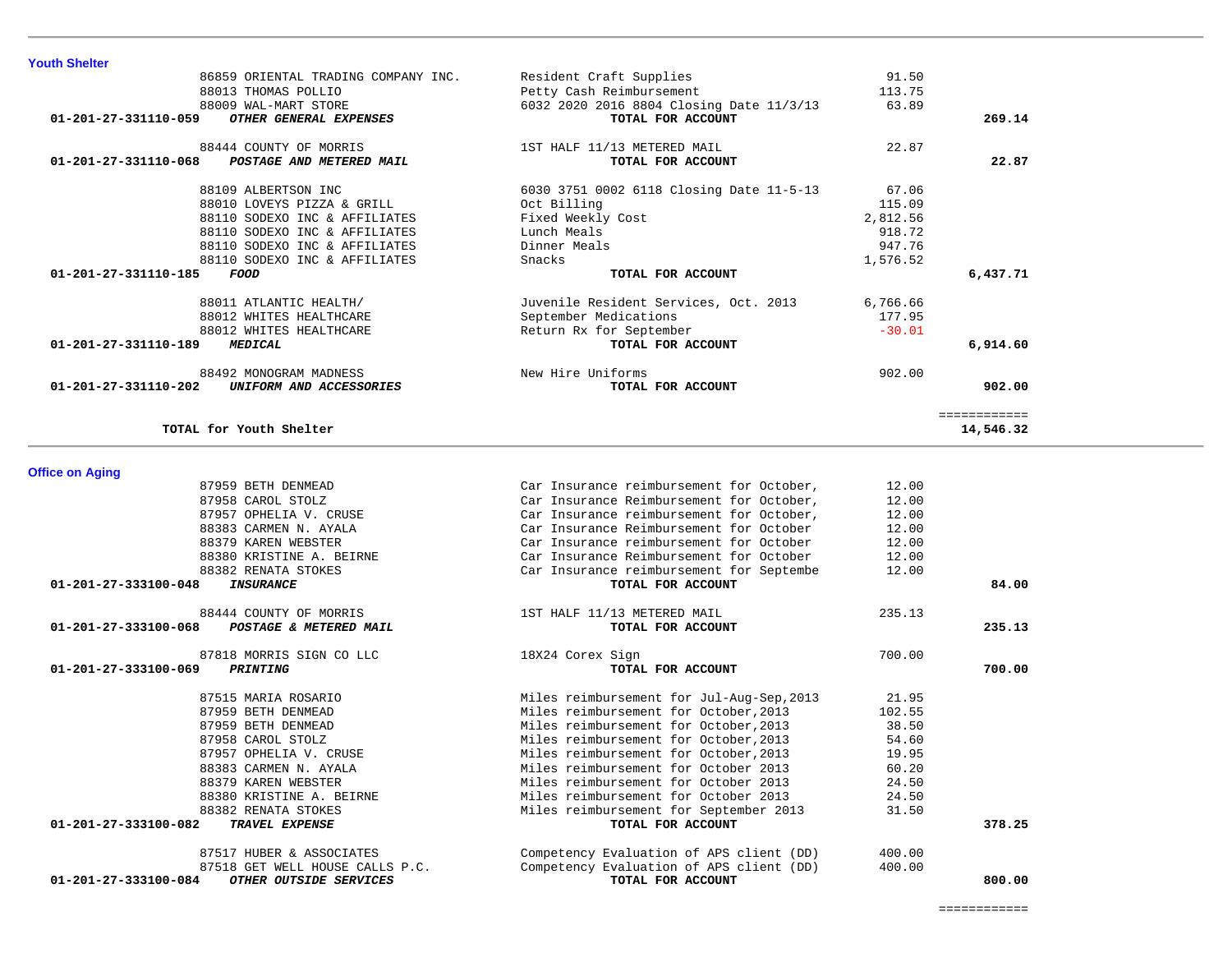============<br>14,546.32

| 01-201-27-333100-084<br>OTHER OUTSIDE SERVICES | TOTAL FOR ACCOUNT                        |        | 800.00 |
|------------------------------------------------|------------------------------------------|--------|--------|
| 87518 GET WELL HOUSE CALLS P.C.                | Competency Evaluation of APS client (DD) | 400.00 |        |
| 87517 HUBER & ASSOCIATES                       | Competency Evaluation of APS client (DD) | 400.00 |        |
| 01-201-27-333100-082<br><b>TRAVEL EXPENSE</b>  | TOTAL FOR ACCOUNT                        |        | 378.25 |
| 88382 RENATA STOKES                            | Miles reimbursement for September 2013   | 31.50  |        |
| 88380 KRISTINE A. BEIRNE                       | Miles reimbursement for October 2013     | 24.50  |        |
| 88379 KAREN WEBSTER                            | Miles reimbursement for October 2013     | 24.50  |        |
| 88383 CARMEN N. AYALA                          | Miles reimbursement for October 2013     | 60.20  |        |
| 87957 OPHELIA V. CRUSE                         | Miles reimbursement for October, 2013    | 19.95  |        |
| 87958 CAROL STOLZ                              | Miles reimbursement for October, 2013    | 54.60  |        |

|                                                          | Car Insurance reimbursement for October,  | 12.00  |        |
|----------------------------------------------------------|-------------------------------------------|--------|--------|
| 87958 CAROL STOLZ                                        | Car Insurance Reimbursement for October,  | 12.00  |        |
| 87957 OPHELIA V. CRUSE                                   | Car Insurance reimbursement for October,  | 12.00  |        |
| 88383 CARMEN N. AYALA                                    | Car Insurance Reimbursement for October   | 12.00  |        |
| 88379 KAREN WEBSTER                                      | Car Insurance reimbursement for October   | 12.00  |        |
| 88380 KRISTINE A. BEIRNE                                 | Car Insurance Reimbursement for October   | 12.00  |        |
| 88382 RENATA STOKES                                      | Car Insurance reimbursement for Septembe  | 12.00  |        |
| $01 - 201 - 27 - 333100 - 048$<br>INSURANCE              | TOTAL FOR ACCOUNT                         |        | 84.00  |
| 88444 COUNTY OF MORRIS                                   | 1ST HALF 11/13 METERED MAIL               | 235.13 |        |
| $01 - 201 - 27 - 333100 - 068$<br>POSTAGE & METERED MAIL | TOTAL FOR ACCOUNT                         |        | 235.13 |
| 87818 MORRIS SIGN CO LLC                                 | 18X24 Corex Sign                          | 700.00 |        |
| 01-201-27-333100-069<br><b>PRINTING</b>                  | TOTAL FOR ACCOUNT                         |        | 700.00 |
| 87515 MARIA ROSARIO                                      | Miles reimbursement for Jul-Aug-Sep, 2013 | 21.95  |        |
| 87959 BETH DENMEAD                                       | Miles reimbursement for October, 2013     | 102.55 |        |
| 87959 BETH DENMEAD                                       | Miles reimbursement for October, 2013     | 38.50  |        |
| 87958 CAROL STOLZ                                        | Miles reimbursement for October, 2013     | 54.60  |        |
| 87957 OPHELIA V. CRUSE                                   | Miles reimbursement for October, 2013     | 19.95  |        |
|                                                          | Miles reimbursement for October 2013      | 60.20  |        |
| 88383 CARMEN N. AYALA                                    |                                           |        |        |
| 88379 KAREN WEBSTER                                      | Miles reimbursement for October 2013      | 24.50  |        |
| 88380 KRISTINE A. BEIRNE                                 | Miles reimbursement for October 2013      | 24.50  |        |
| 88382 RENATA STOKES                                      | Miles reimbursement for September 2013    | 31.50  |        |
|                                                          |                                           |        |        |

============

|                                                 | $- - -$ |
|-------------------------------------------------|---------|
| 88012 WHITES HEALTHCARE                         | Retu    |
| 01-201-27-331110-189<br><i>MEDICAL</i>          |         |
|                                                 |         |
| 88492 MONOGRAM MADNESS                          | New     |
| 01-201-27-331110-202<br>UNIFORM AND ACCESSORIES |         |
|                                                 |         |

**TOTAL for Youth Shelter 14,546.32**

|                      | 86859 ORIENTAL TRADING COMPANY INC. | Resident Craft Supplies                  | 91.50    |          |
|----------------------|-------------------------------------|------------------------------------------|----------|----------|
|                      | 88013 THOMAS POLLIO                 | Petty Cash Reimbursement                 | 113.75   |          |
|                      | 88009 WAL-MART STORE                | 6032 2020 2016 8804 Closing Date 11/3/13 | 63.89    |          |
| 01-201-27-331110-059 | OTHER GENERAL EXPENSES              | TOTAL FOR ACCOUNT                        |          | 269.14   |
|                      | 88444 COUNTY OF MORRIS              | 1ST HALF 11/13 METERED MAIL              | 22.87    |          |
| 01-201-27-331110-068 | POSTAGE AND METERED MAIL            | TOTAL FOR ACCOUNT                        |          | 22.87    |
|                      | 88109 ALBERTSON INC                 | 6030 3751 0002 6118 Closing Date 11-5-13 | 67.06    |          |
|                      | 88010 LOVEYS PIZZA & GRILL          | Oct Billing                              | 115.09   |          |
|                      | 88110 SODEXO INC & AFFILIATES       | Fixed Weekly Cost                        | 2,812.56 |          |
|                      | 88110 SODEXO INC & AFFILIATES       | Lunch Meals                              | 918.72   |          |
|                      | 88110 SODEXO INC & AFFILIATES       | Dinner Meals                             | 947.76   |          |
|                      | 88110 SODEXO INC & AFFILIATES       | Snacks                                   | 1,576.52 |          |
| 01-201-27-331110-185 | FOOD                                | TOTAL FOR ACCOUNT                        |          | 6,437.71 |
|                      | 88011 ATLANTIC HEALTH/              | Juvenile Resident Services, Oct. 2013    | 6,766.66 |          |
|                      | 88012 WHITES HEALTHCARE             | September Medications                    | 177.95   |          |
|                      | 88012 WHITES HEALTHCARE             | Return Rx for September                  | $-30.01$ |          |
| 01-201-27-331110-189 | <i><b>MEDICAL</b></i>               | TOTAL FOR ACCOUNT                        |          | 6,914.60 |
|                      | 88492 MONOGRAM MADNESS              | New Hire Uniforms                        | 902.00   |          |
| 01-201-27-331110-202 | UNIFORM AND ACCESSORIES             | TOTAL FOR ACCOUNT                        |          | 902.00   |

**Office on Aging**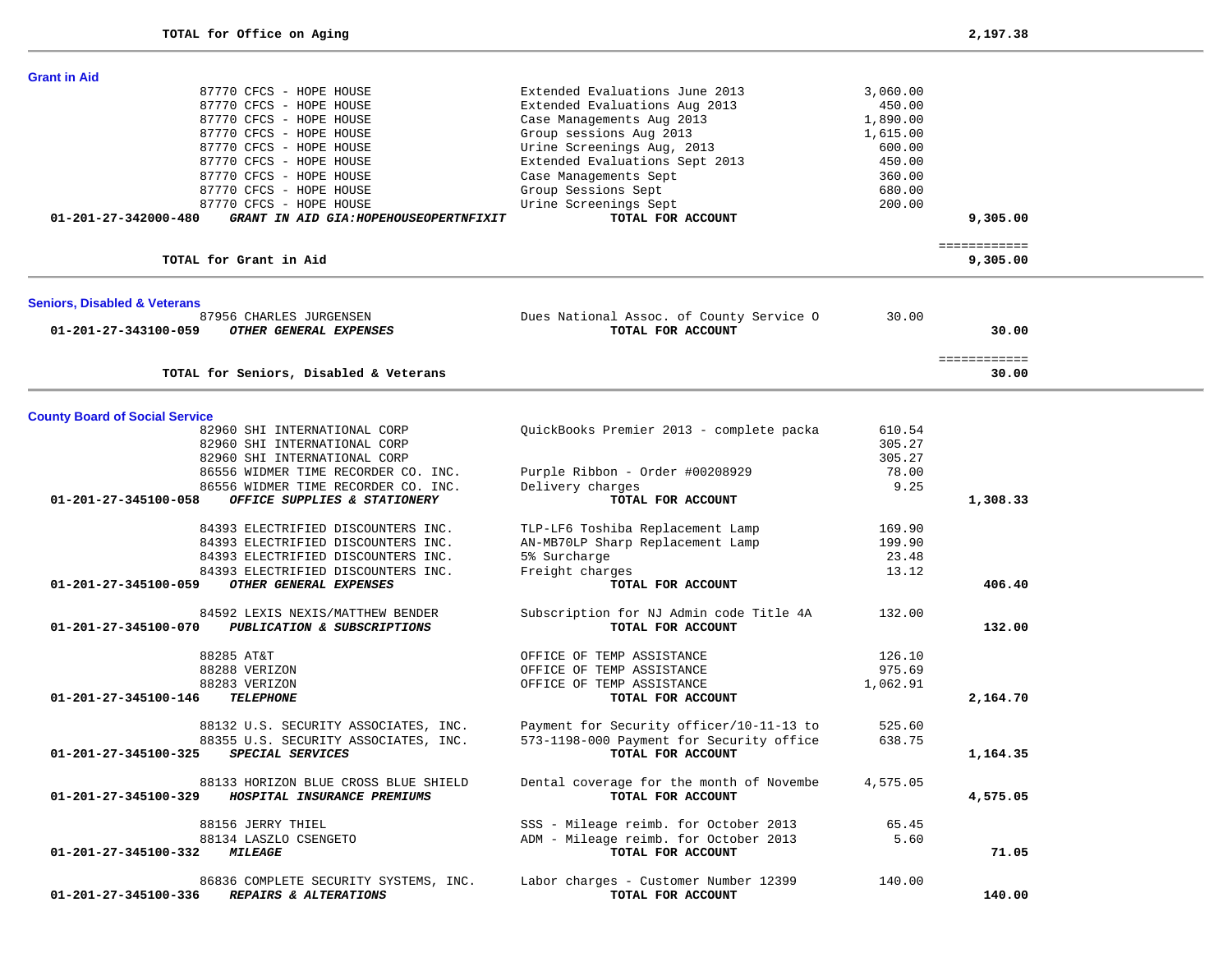| <b>Grant in Aid</b>                                            |                                                            |          |                          |  |
|----------------------------------------------------------------|------------------------------------------------------------|----------|--------------------------|--|
| 87770 CFCS - HOPE HOUSE                                        | Extended Evaluations June 2013                             | 3,060.00 |                          |  |
| 87770 CFCS - HOPE HOUSE                                        | Extended Evaluations Aug 2013                              | 450.00   |                          |  |
| 87770 CFCS - HOPE HOUSE                                        | Case Managements Aug 2013                                  | 1,890.00 |                          |  |
| 87770 CFCS - HOPE HOUSE                                        | Group sessions Aug 2013                                    | 1,615.00 |                          |  |
| 87770 CFCS - HOPE HOUSE                                        | Urine Screenings Aug, 2013                                 | 600.00   |                          |  |
| 87770 CFCS - HOPE HOUSE                                        | Extended Evaluations Sept 2013                             | 450.00   |                          |  |
| 87770 CFCS - HOPE HOUSE                                        | Case Managements Sept                                      | 360.00   |                          |  |
| 87770 CFCS - HOPE HOUSE                                        | Group Sessions Sept                                        | 680.00   |                          |  |
| 87770 CFCS - HOPE HOUSE                                        | Urine Screenings Sept                                      | 200.00   |                          |  |
| GRANT IN AID GIA: HOPEHOUSEOPERTNFIXIT<br>01-201-27-342000-480 | TOTAL FOR ACCOUNT                                          |          | 9,305.00                 |  |
|                                                                |                                                            |          |                          |  |
| TOTAL for Grant in Aid                                         |                                                            |          | ============<br>9,305.00 |  |
| <b>Seniors, Disabled &amp; Veterans</b>                        |                                                            |          |                          |  |
| 87956 CHARLES JURGENSEN                                        | Dues National Assoc. of County Service O                   | 30.00    |                          |  |
| 01-201-27-343100-059<br>OTHER GENERAL EXPENSES                 | TOTAL FOR ACCOUNT                                          |          | 30.00                    |  |
|                                                                |                                                            |          |                          |  |
| TOTAL for Seniors, Disabled & Veterans                         |                                                            |          | ============<br>30.00    |  |
|                                                                |                                                            |          |                          |  |
| <b>County Board of Social Service</b>                          |                                                            |          |                          |  |
| 82960 SHI INTERNATIONAL CORP                                   | QuickBooks Premier 2013 - complete packa                   | 610.54   |                          |  |
| 82960 SHI INTERNATIONAL CORP                                   |                                                            | 305.27   |                          |  |
| 82960 SHI INTERNATIONAL CORP                                   |                                                            | 305.27   |                          |  |
| 86556 WIDMER TIME RECORDER CO. INC.                            | Purple Ribbon - Order #00208929                            | 78.00    |                          |  |
| 86556 WIDMER TIME RECORDER CO. INC.                            | Delivery charges                                           | 9.25     |                          |  |
| $01 - 201 - 27 - 345100 - 058$<br>OFFICE SUPPLIES & STATIONERY | TOTAL FOR ACCOUNT                                          |          | 1,308.33                 |  |
|                                                                |                                                            |          |                          |  |
| 84393 ELECTRIFIED DISCOUNTERS INC.                             | TLP-LF6 Toshiba Replacement Lamp                           | 169.90   |                          |  |
| 84393 ELECTRIFIED DISCOUNTERS INC.                             | AN-MB70LP Sharp Replacement Lamp                           | 199.90   |                          |  |
| 84393 ELECTRIFIED DISCOUNTERS INC.                             | 5% Surcharge                                               | 23.48    |                          |  |
| 84393 ELECTRIFIED DISCOUNTERS INC.                             | Freight charges                                            | 13.12    |                          |  |
| OTHER GENERAL EXPENSES<br>01-201-27-345100-059                 | TOTAL FOR ACCOUNT                                          |          | 406.40                   |  |
|                                                                |                                                            |          |                          |  |
| 84592 LEXIS NEXIS/MATTHEW BENDER                               | Subscription for NJ Admin code Title 4A                    | 132.00   |                          |  |
| 01-201-27-345100-070<br>PUBLICATION & SUBSCRIPTIONS            | TOTAL FOR ACCOUNT                                          |          | 132.00                   |  |
| 88285 AT&T                                                     | OFFICE OF TEMP ASSISTANCE                                  | 126.10   |                          |  |
| 88288 VERIZON                                                  | OFFICE OF TEMP ASSISTANCE                                  | 975.69   |                          |  |
| 88283 VERIZON                                                  | OFFICE OF TEMP ASSISTANCE                                  | 1,062.91 |                          |  |
| <b>TELEPHONE</b><br>01-201-27-345100-146                       | TOTAL FOR ACCOUNT                                          |          | 2,164.70                 |  |
|                                                                |                                                            |          |                          |  |
| 88132 U.S. SECURITY ASSOCIATES, INC.                           | Payment for Security officer/10-11-13 to                   | 525.60   |                          |  |
| 88355 U.S. SECURITY ASSOCIATES, INC.                           | 573-1198-000 Payment for Security office                   | 638.75   |                          |  |
| SPECIAL SERVICES<br>01-201-27-345100-325                       | TOTAL FOR ACCOUNT                                          |          | 1,164.35                 |  |
| 88133 HORIZON BLUE CROSS BLUE SHIELD                           | Dental coverage for the month of Novembe                   | 4,575.05 |                          |  |
| HOSPITAL INSURANCE PREMIUMS<br>01-201-27-345100-329            | TOTAL FOR ACCOUNT                                          |          | 4,575.05                 |  |
|                                                                |                                                            |          |                          |  |
| 88156 JERRY THIEL                                              | SSS - Mileage reimb. for October 2013                      | 65.45    |                          |  |
| 88134 LASZLO CSENGETO                                          | ADM - Mileage reimb. for October 2013<br>TOTAL FOR ACCOUNT | 5.60     | 71.05                    |  |
| 01-201-27-345100-332<br><i><b>MILEAGE</b></i>                  |                                                            |          |                          |  |
| 86836 COMPLETE SECURITY SYSTEMS, INC.                          | Labor charges - Customer Number 12399                      | 140.00   |                          |  |
| 01-201-27-345100-336<br><b>REPAIRS &amp; ALTERATIONS</b>       | TOTAL FOR ACCOUNT                                          |          | 140.00                   |  |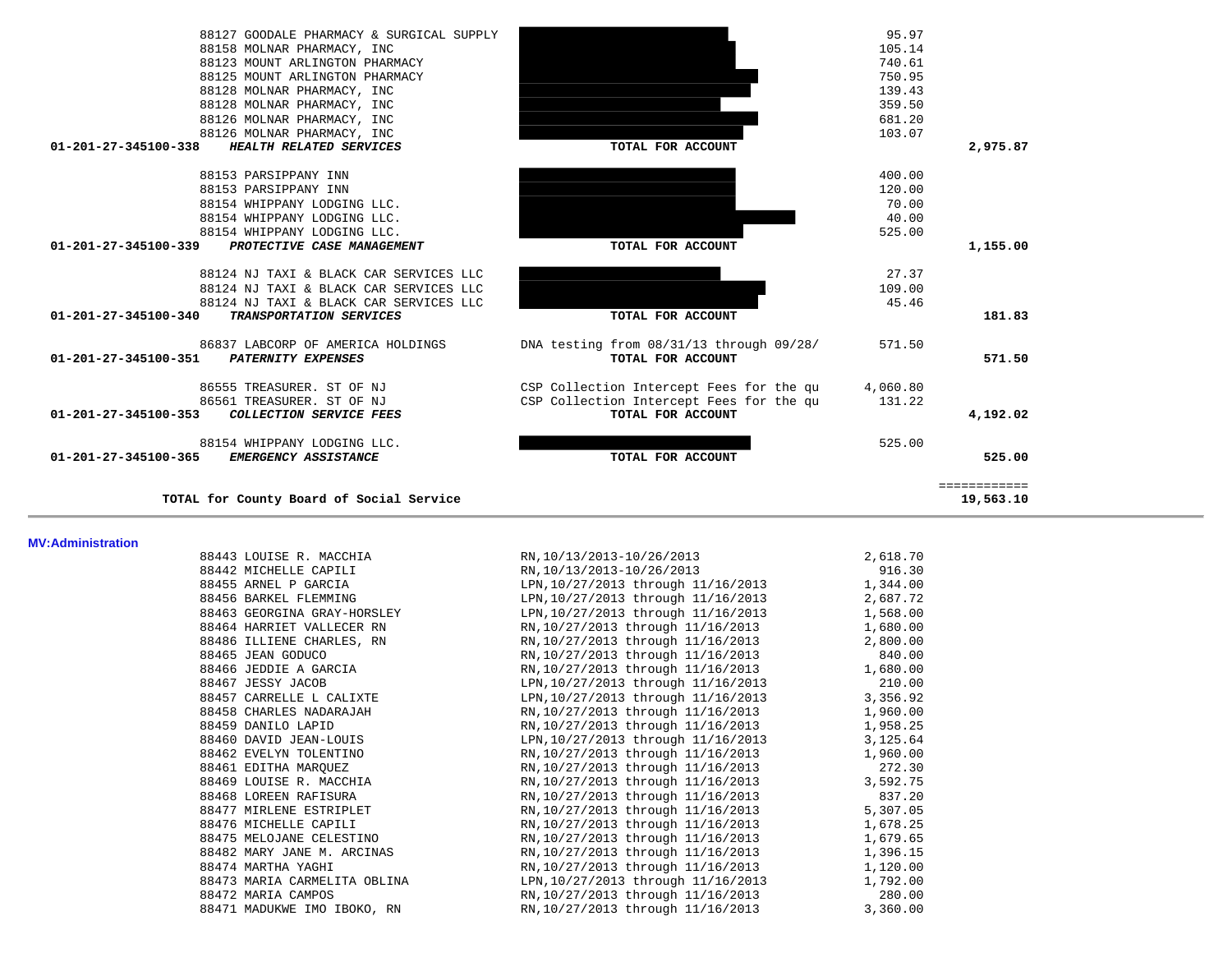| 95.97            |                                                               | 88127 GOODALE PHARMACY & SURGICAL SUPPLY                                        |
|------------------|---------------------------------------------------------------|---------------------------------------------------------------------------------|
| 105.14           |                                                               | 88158 MOLNAR PHARMACY, INC                                                      |
| 740.61           |                                                               | 88123 MOUNT ARLINGTON PHARMACY                                                  |
| 750.95           |                                                               | 88125 MOUNT ARLINGTON PHARMACY                                                  |
| 139.43           |                                                               | 88128 MOLNAR PHARMACY, INC                                                      |
| 359.50           |                                                               | 88128 MOLNAR PHARMACY, INC                                                      |
| 681.20           |                                                               | 88126 MOLNAR PHARMACY, INC                                                      |
| 103.07           |                                                               | 88126 MOLNAR PHARMACY, INC                                                      |
| 2,975.87         | TOTAL FOR ACCOUNT                                             | $01 - 201 - 27 - 345100 - 338$<br>HEALTH RELATED SERVICES                       |
| 400.00           |                                                               | 88153 PARSIPPANY INN                                                            |
| 120.00           |                                                               | 88153 PARSIPPANY INN                                                            |
| 70.00            |                                                               | 88154 WHIPPANY LODGING LLC.                                                     |
| 40.00            |                                                               | 88154 WHIPPANY LODGING LLC.                                                     |
| 525.00           |                                                               | 88154 WHIPPANY LODGING LLC.                                                     |
| 1,155.00         | TOTAL FOR ACCOUNT                                             | 01-201-27-345100-339<br>PROTECTIVE CASE MANAGEMENT                              |
| 27.37            |                                                               | 88124 NJ TAXI & BLACK CAR SERVICES LLC                                          |
| 109.00           |                                                               | 88124 NJ TAXI & BLACK CAR SERVICES LLC                                          |
| 45.46            |                                                               | 88124 NJ TAXI & BLACK CAR SERVICES LLC                                          |
| 181.83           | TOTAL FOR ACCOUNT                                             | 01-201-27-345100-340<br>TRANSPORTATION SERVICES                                 |
| 571.50<br>571.50 | DNA testing from 08/31/13 through 09/28/<br>TOTAL FOR ACCOUNT | 86837 LABCORP OF AMERICA HOLDINGS<br>01-201-27-345100-351<br>PATERNITY EXPENSES |
| 4,060.80         | CSP Collection Intercept Fees for the qu                      | 86555 TREASURER. ST OF NJ                                                       |
| 131.22           | CSP Collection Intercept Fees for the qu                      | 86561 TREASURER. ST OF NJ                                                       |
| 4,192.02         | TOTAL FOR ACCOUNT                                             | 01-201-27-345100-353<br><b>COLLECTION SERVICE FEES</b>                          |
| 525.00           |                                                               | 88154 WHIPPANY LODGING LLC.                                                     |
| 525.00           | TOTAL FOR ACCOUNT                                             | $01 - 201 - 27 - 345100 - 365$<br><b>EMERGENCY ASSISTANCE</b>                   |
| ============     |                                                               |                                                                                 |
|                  |                                                               |                                                                                 |

19,563.10

**TOTAL for County Board of Social Service 19,563.10**

**MV:Administration** 

| 88443 LOUISE R. MACCHIA                                         | RN, 10/13/2013-10/26/2013                  | 2,618.70 |
|-----------------------------------------------------------------|--------------------------------------------|----------|
| 88442 MICHELLE CAPILI                                           | RN, 10/13/2013-10/26/2013                  | 916.30   |
| 88455 ARNEL P GARCIA                                            | LPN, 10/27/2013 through 11/16/2013         | 1,344.00 |
| 88456 BARKEL FLEMMING                                           | LPN, 10/27/2013 through 11/16/2013         | 2,687.72 |
| 88463 GEORGINA GRAY-HORSLEY                                     | LPN, 10/27/2013 through 11/16/2013         | 1,568.00 |
| 88464 HARRIET VALLECER RN                                       | RN, 10/27/2013 through 11/16/2013          | 1,680.00 |
| 88486 ILLIENE CHARLES, RN                                       | RN, 10/27/2013 through 11/16/2013          | 2,800.00 |
| 88465 JEAN GODUCO                                               | RN, 10/27/2013 through 11/16/2013          | 840.00   |
| 88466 JEDDIE A GARCIA                                           | RN, 10/27/2013 through 11/16/2013          | 1,680.00 |
| 88467 JESSY JACOB                                               | LPN, 10/27/2013 through 11/16/2013         | 210.00   |
| 88457 CARRELLE L CALIXTE                                        | LPN, 10/27/2013 through 11/16/2013         | 3,356.92 |
| 88458 CHARLES NADARAJAH                                         | RN, 10/27/2013 through 11/16/2013 1,960.00 |          |
| 88459 DANILO LAPID                                              | RN, 10/27/2013 through 11/16/2013          | 1,958.25 |
| 88460 DAVID JEAN-LOUIS                                          | LPN, 10/27/2013 through 11/16/2013         | 3,125.64 |
| 88462 EVELYN TOLENTINO                                          | RN, 10/27/2013 through 11/16/2013          | 1,960.00 |
| 88461 EDITHA MARQUEZ                                            | RN, 10/27/2013 through 11/16/2013          | 272.30   |
| 88469 LOUISE R. MACCHIA                                         | RN, 10/27/2013 through 11/16/2013          | 3,592.75 |
| 88468 LOREEN RAFISURA                                           | RN, 10/27/2013 through 11/16/2013          | 837.20   |
| 88477 MIRLENE ESTRIPLET                                         | RN, 10/27/2013 through 11/16/2013          | 5,307.05 |
| 88476 MICHELLE CAPILI                                           | RN, 10/27/2013 through 11/16/2013          | 1,678.25 |
| 88475 MELOJANE CELESTINO                                        | RN,10/27/2013 through 11/16/2013           | 1,679.65 |
| 88482 MARY JANE M. ARCINAS                                      | RN, 10/27/2013 through 11/16/2013          | 1,396.15 |
| 88474 MARTHA YAGHI                                              | RN, 10/27/2013 through 11/16/2013          | 1,120.00 |
| 88473 MARIA CARMELITA OBLINA LPN, 10/27/2013 through 11/16/2013 |                                            | 1,792.00 |
| 88472 MARIA CAMPOS                                              | RN, 10/27/2013 through 11/16/2013          | 280.00   |
| 88471 MADUKWE IMO IBOKO, RN                                     | RN, 10/27/2013 through 11/16/2013          | 3,360.00 |
|                                                                 |                                            |          |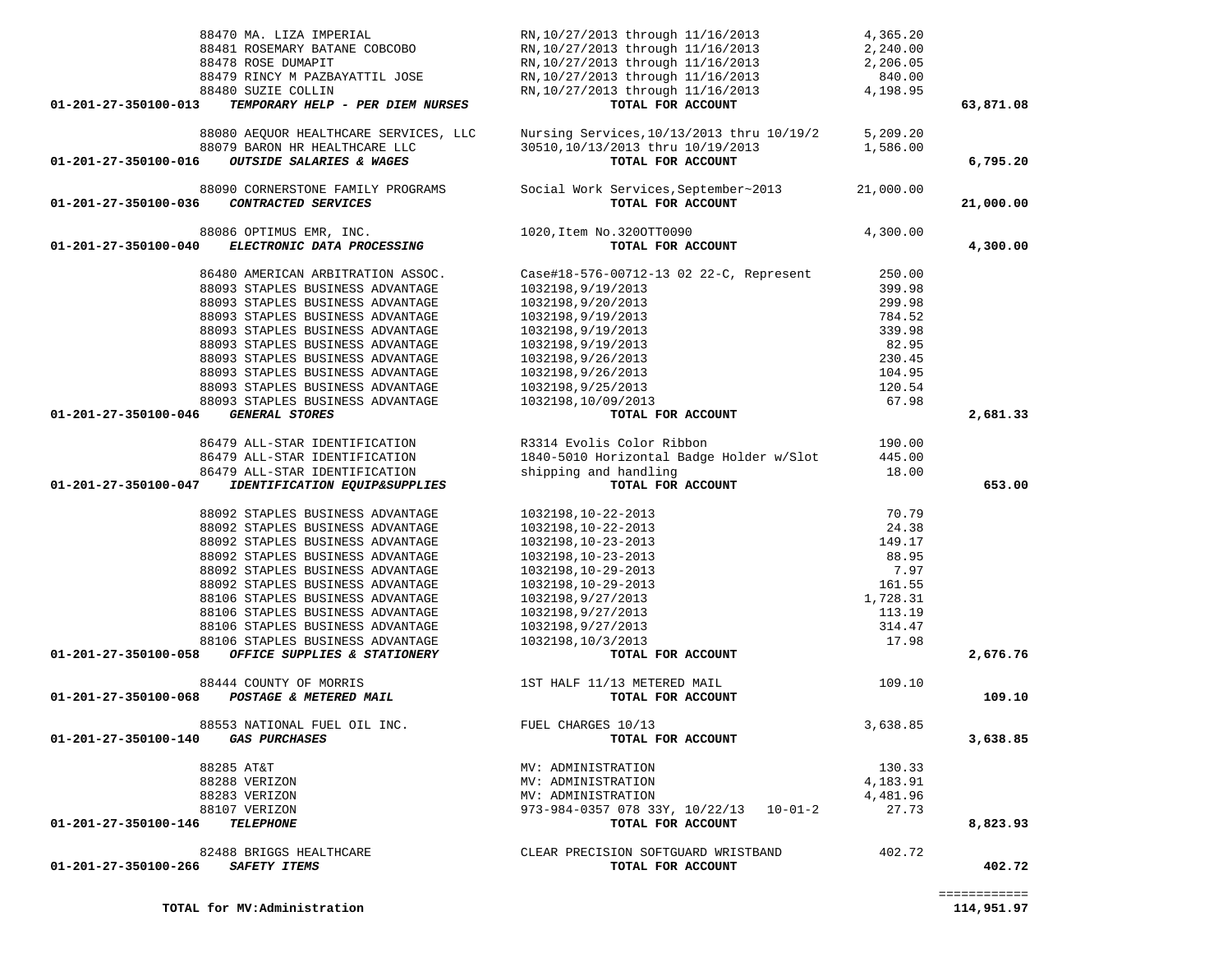| 88470 MA. LIZA IMPERIAL                                     | RN,10/27/2013 through 11/16/2013<br>RN,10/27/2013 through 11/16/2013<br>RN,10/27/2013 through 11/16/2013<br>RN,10/27/2013 through 11/16/2013<br>RN,10/27/2013 through 11/16/2013 | 4,365.20 |           |
|-------------------------------------------------------------|----------------------------------------------------------------------------------------------------------------------------------------------------------------------------------|----------|-----------|
| 88481 ROSEMARY BATANE COBCOBO                               |                                                                                                                                                                                  | 2,240.00 |           |
| 88478 ROSE DUMAPIT                                          |                                                                                                                                                                                  | 2,206.05 |           |
| 88479 RINCY M PAZBAYATTIL JOSE                              |                                                                                                                                                                                  | 840.00   |           |
| 88480 SUZIE COLLIN                                          |                                                                                                                                                                                  | 4,198.95 |           |
| 01-201-27-350100-013<br>TEMPORARY HELP - PER DIEM NURSES    | TOTAL FOR ACCOUNT                                                                                                                                                                |          | 63,871.08 |
| 88080 AEQUOR HEALTHCARE SERVICES, LLC                       | Nursing Services, 10/13/2013 thru 10/19/2                                                                                                                                        | 5,209.20 |           |
| 88079 BARON HR HEALTHCARE LLC                               | 30510, 10/13/2013 thru 10/19/2013                                                                                                                                                | 1,586.00 |           |
| 01-201-27-350100-016<br><b>OUTSIDE SALARIES &amp; WAGES</b> | TOTAL FOR ACCOUNT                                                                                                                                                                |          | 6,795.20  |
| 88090 CORNERSTONE FAMILY PROGRAMS                           | Social Work Services, September~2013 21,000.00                                                                                                                                   |          |           |
| 01-201-27-350100-036<br>CONTRACTED SERVICES                 | TOTAL FOR ACCOUNT                                                                                                                                                                |          | 21,000.00 |
| 88086 OPTIMUS EMR, INC.                                     | 1020, Item No. 3200TT0090                                                                                                                                                        | 4,300.00 |           |
| 01-201-27-350100-040<br>ELECTRONIC DATA PROCESSING          | TOTAL FOR ACCOUNT                                                                                                                                                                |          | 4,300.00  |
| 86480 AMERICAN ARBITRATION ASSOC.                           | Case#18-576-00712-13 02 22-C, Represent                                                                                                                                          | 250.00   |           |
| 88093 STAPLES BUSINESS ADVANTAGE                            | 1032198,9/19/2013                                                                                                                                                                | 399.98   |           |
| 88093 STAPLES BUSINESS ADVANTAGE                            | 1032198,9/20/2013                                                                                                                                                                | 299.98   |           |
| 88093 STAPLES BUSINESS ADVANTAGE                            | 1032198,9/19/2013                                                                                                                                                                | 784.52   |           |
| 88093 STAPLES BUSINESS ADVANTAGE                            | 1032198,9/19/2013                                                                                                                                                                | 339.98   |           |
| 88093 STAPLES BUSINESS ADVANTAGE                            | 1032198,9/19/2013                                                                                                                                                                | 82.95    |           |
| 88093 STAPLES BUSINESS ADVANTAGE                            | 1032198,9/26/2013                                                                                                                                                                | 230.45   |           |
| 88093 STAPLES BUSINESS ADVANTAGE                            | 1032198,9/26/2013                                                                                                                                                                | 104.95   |           |
| 88093 STAPLES BUSINESS ADVANTAGE                            | 1032198,9/25/2013                                                                                                                                                                | 120.54   |           |
| 88093 STAPLES BUSINESS ADVANTAGE                            | 1032198,10/09/2013                                                                                                                                                               | 67.98    |           |
| <b>GENERAL STORES</b><br>01-201-27-350100-046               | TOTAL FOR ACCOUNT                                                                                                                                                                |          | 2,681.33  |
| 86479 ALL-STAR IDENTIFICATION                               | R3314 Evolis Color Ribbon                                                                                                                                                        | 190.00   |           |
| 86479 ALL-STAR IDENTIFICATION                               | 1840-5010 Horizontal Badge Holder w/Slot 445.00                                                                                                                                  |          |           |
| 86479 ALL-STAR IDENTIFICATION                               | shipping and handling                                                                                                                                                            | 18.00    |           |
| 01-201-27-350100-047<br>IDENTIFICATION EQUIP&SUPPLIES       | TOTAL FOR ACCOUNT                                                                                                                                                                |          | 653.00    |
| 88092 STAPLES BUSINESS ADVANTAGE                            | 1032198,10-22-2013                                                                                                                                                               | 70.79    |           |
| 88092 STAPLES BUSINESS ADVANTAGE                            | 1032198,10-22-2013                                                                                                                                                               | 24.38    |           |
| 88092 STAPLES BUSINESS ADVANTAGE                            | 1032198,10-23-2013                                                                                                                                                               | 149.17   |           |
| 88092 STAPLES BUSINESS ADVANTAGE                            | 1032198,10-23-2013                                                                                                                                                               | 88.95    |           |
| 88092 STAPLES BUSINESS ADVANTAGE                            | 1032198,10-29-2013                                                                                                                                                               | 7.97     |           |
| 88092 STAPLES BUSINESS ADVANTAGE                            | 1032198,10-29-2013                                                                                                                                                               | 161.55   |           |
| 88106 STAPLES BUSINESS ADVANTAGE                            | 1032198,9/27/2013                                                                                                                                                                | 1,728.31 |           |
| 88106 STAPLES BUSINESS ADVANTAGE                            | 1032198,9/27/2013                                                                                                                                                                | 113.19   |           |
| 88106 STAPLES BUSINESS ADVANTAGE                            | 1032198,9/27/2013                                                                                                                                                                | 314.47   |           |
| 88106 STAPLES BUSINESS ADVANTAGE                            | 1032198,10/3/2013                                                                                                                                                                | 17.98    |           |
| OFFICE SUPPLIES & STATIONERY<br>01-201-27-350100-058        | TOTAL FOR ACCOUNT                                                                                                                                                                |          | 2,676.76  |
| 88444 COUNTY OF MORRIS                                      | 1ST HALF 11/13 METERED MAIL                                                                                                                                                      | 109.10   |           |
| 01-201-27-350100-068<br>POSTAGE & METERED MAIL              | TOTAL FOR ACCOUNT                                                                                                                                                                |          | 109.10    |
| 88553 NATIONAL FUEL OIL INC.                                | FUEL CHARGES 10/13                                                                                                                                                               | 3,638.85 |           |
| <b>GAS PURCHASES</b><br>01-201-27-350100-140                | TOTAL FOR ACCOUNT                                                                                                                                                                |          | 3,638.85  |
| 88285 AT&T                                                  | MV: ADMINISTRATION                                                                                                                                                               | 130.33   |           |
| 88288 VERIZON                                               | MV: ADMINISTRATION                                                                                                                                                               | 4,183.91 |           |
| 88283 VERIZON                                               | MV: ADMINISTRATION                                                                                                                                                               | 4,481.96 |           |
| 88107 VERIZON                                               | $973 - 984 - 0357$ 078 33Y, $10/22/13$ 10-01-2                                                                                                                                   | 27.73    |           |
| 01-201-27-350100-146<br><b>TELEPHONE</b>                    | TOTAL FOR ACCOUNT                                                                                                                                                                |          | 8,823.93  |
| 82488 BRIGGS HEALTHCARE                                     | CLEAR PRECISION SOFTGUARD WRISTBAND                                                                                                                                              | 402.72   |           |
| 01-201-27-350100-266<br><b>SAFETY ITEMS</b>                 | TOTAL FOR ACCOUNT                                                                                                                                                                |          | 402.72    |
|                                                             |                                                                                                                                                                                  |          |           |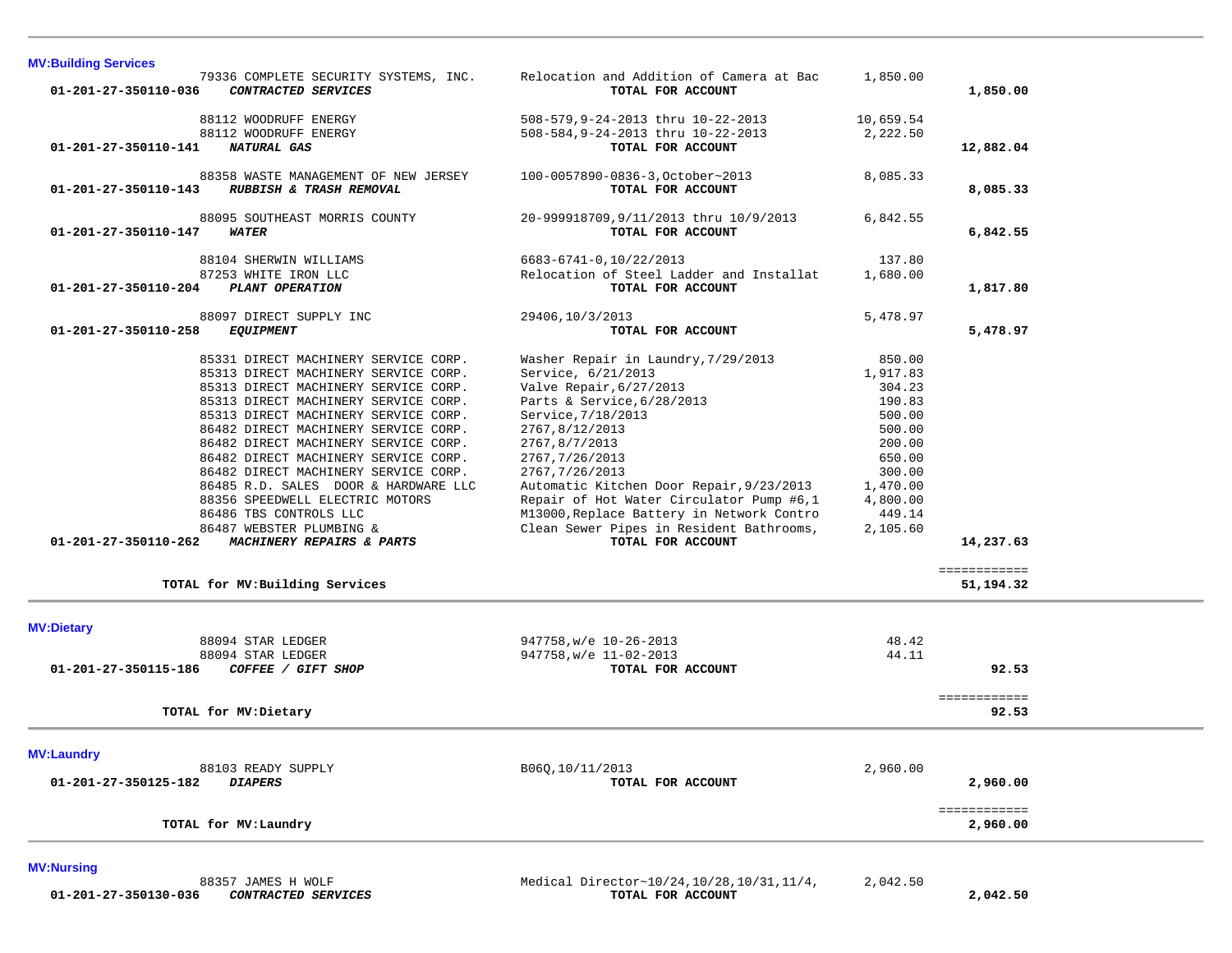| <b>MV:Building Services</b>                                                                                                                                                                                                                                                                                                                                                                                                                                                                                                                                                                   |                                                                                                                                                                                                                                                                                                                                                                                                                         |                                                                                                                                        |                                          |  |
|-----------------------------------------------------------------------------------------------------------------------------------------------------------------------------------------------------------------------------------------------------------------------------------------------------------------------------------------------------------------------------------------------------------------------------------------------------------------------------------------------------------------------------------------------------------------------------------------------|-------------------------------------------------------------------------------------------------------------------------------------------------------------------------------------------------------------------------------------------------------------------------------------------------------------------------------------------------------------------------------------------------------------------------|----------------------------------------------------------------------------------------------------------------------------------------|------------------------------------------|--|
| 79336 COMPLETE SECURITY SYSTEMS, INC.<br>CONTRACTED SERVICES<br>01-201-27-350110-036                                                                                                                                                                                                                                                                                                                                                                                                                                                                                                          | Relocation and Addition of Camera at Bac<br>TOTAL FOR ACCOUNT                                                                                                                                                                                                                                                                                                                                                           | 1,850.00                                                                                                                               | 1,850.00                                 |  |
| 88112 WOODRUFF ENERGY<br>88112 WOODRUFF ENERGY<br>01-201-27-350110-141<br>NATURAL GAS                                                                                                                                                                                                                                                                                                                                                                                                                                                                                                         | 508-579, 9-24-2013 thru 10-22-2013<br>508-584, 9-24-2013 thru 10-22-2013<br>TOTAL FOR ACCOUNT                                                                                                                                                                                                                                                                                                                           | 10,659.54<br>2,222.50                                                                                                                  | 12,882.04                                |  |
| 88358 WASTE MANAGEMENT OF NEW JERSEY<br>RUBBISH & TRASH REMOVAL<br>01-201-27-350110-143                                                                                                                                                                                                                                                                                                                                                                                                                                                                                                       | 100-0057890-0836-3, October~2013<br>TOTAL FOR ACCOUNT                                                                                                                                                                                                                                                                                                                                                                   | 8,085.33                                                                                                                               | 8,085.33                                 |  |
| 88095 SOUTHEAST MORRIS COUNTY<br>$01 - 201 - 27 - 350110 - 147$<br><b>WATER</b>                                                                                                                                                                                                                                                                                                                                                                                                                                                                                                               | 20-999918709, 9/11/2013 thru 10/9/2013<br>TOTAL FOR ACCOUNT                                                                                                                                                                                                                                                                                                                                                             | 6,842.55                                                                                                                               | 6,842.55                                 |  |
| 88104 SHERWIN WILLIAMS<br>87253 WHITE IRON LLC<br>01-201-27-350110-204<br>PLANT OPERATION                                                                                                                                                                                                                                                                                                                                                                                                                                                                                                     | 6683-6741-0,10/22/2013<br>Relocation of Steel Ladder and Installat<br>TOTAL FOR ACCOUNT                                                                                                                                                                                                                                                                                                                                 | 137.80<br>1,680.00                                                                                                                     | 1,817.80                                 |  |
| 88097 DIRECT SUPPLY INC<br>01-201-27-350110-258<br><b>EQUIPMENT</b>                                                                                                                                                                                                                                                                                                                                                                                                                                                                                                                           | 29406,10/3/2013<br>TOTAL FOR ACCOUNT                                                                                                                                                                                                                                                                                                                                                                                    | 5,478.97                                                                                                                               | 5,478.97                                 |  |
| 85331 DIRECT MACHINERY SERVICE CORP.<br>85313 DIRECT MACHINERY SERVICE CORP.<br>85313 DIRECT MACHINERY SERVICE CORP.<br>85313 DIRECT MACHINERY SERVICE CORP.<br>85313 DIRECT MACHINERY SERVICE CORP.<br>86482 DIRECT MACHINERY SERVICE CORP.<br>86482 DIRECT MACHINERY SERVICE CORP.<br>86482 DIRECT MACHINERY SERVICE CORP.<br>86482 DIRECT MACHINERY SERVICE CORP.<br>86485 R.D. SALES DOOR & HARDWARE LLC<br>88356 SPEEDWELL ELECTRIC MOTORS<br>86486 TBS CONTROLS LLC<br>86487 WEBSTER PLUMBING &<br>MACHINERY REPAIRS & PARTS<br>01-201-27-350110-262<br>TOTAL for MV: Building Services | Washer Repair in Laundry, 7/29/2013<br>Service, 6/21/2013<br>Valve Repair, 6/27/2013<br>Parts & Service, 6/28/2013<br>Service, 7/18/2013<br>2767,8/12/2013<br>2767,8/7/2013<br>2767, 7/26/2013<br>2767, 7/26/2013<br>Automatic Kitchen Door Repair, 9/23/2013<br>Repair of Hot Water Circulator Pump #6,1<br>M13000, Replace Battery in Network Contro<br>Clean Sewer Pipes in Resident Bathrooms,<br>TOTAL FOR ACCOUNT | 850.00<br>1,917.83<br>304.23<br>190.83<br>500.00<br>500.00<br>200.00<br>650.00<br>300.00<br>1,470.00<br>4,800.00<br>449.14<br>2,105.60 | 14,237.63<br>============<br>51, 194. 32 |  |
| <b>MV:Dietary</b><br>88094 STAR LEDGER                                                                                                                                                                                                                                                                                                                                                                                                                                                                                                                                                        | 947758, w/e 10-26-2013                                                                                                                                                                                                                                                                                                                                                                                                  | 48.42                                                                                                                                  |                                          |  |
| 88094 STAR LEDGER<br>COFFEE / GIFT SHOP<br>01-201-27-350115-186                                                                                                                                                                                                                                                                                                                                                                                                                                                                                                                               | 947758, w/e 11-02-2013<br>TOTAL FOR ACCOUNT                                                                                                                                                                                                                                                                                                                                                                             | 44.11                                                                                                                                  | 92.53                                    |  |
| TOTAL for MV: Dietary                                                                                                                                                                                                                                                                                                                                                                                                                                                                                                                                                                         |                                                                                                                                                                                                                                                                                                                                                                                                                         |                                                                                                                                        | ============<br>92.53                    |  |
| <b>MV:Laundry</b><br>88103 READY SUPPLY<br>01-201-27-350125-182<br><b>DIAPERS</b>                                                                                                                                                                                                                                                                                                                                                                                                                                                                                                             | B06Q, 10/11/2013<br>TOTAL FOR ACCOUNT                                                                                                                                                                                                                                                                                                                                                                                   | 2,960.00                                                                                                                               | 2,960.00<br>============                 |  |
| TOTAL for MV: Laundry                                                                                                                                                                                                                                                                                                                                                                                                                                                                                                                                                                         |                                                                                                                                                                                                                                                                                                                                                                                                                         |                                                                                                                                        | 2,960.00                                 |  |
| $\cdots$                                                                                                                                                                                                                                                                                                                                                                                                                                                                                                                                                                                      |                                                                                                                                                                                                                                                                                                                                                                                                                         |                                                                                                                                        |                                          |  |

**MV:Nursing** 

 88357 JAMES H WOLF Medical Director~10/24,10/28,10/31,11/4, 2,042.50  **01-201-27-350130-036** *CONTRACTED SERVICES* **TOTAL FOR ACCOUNT 2,042.50**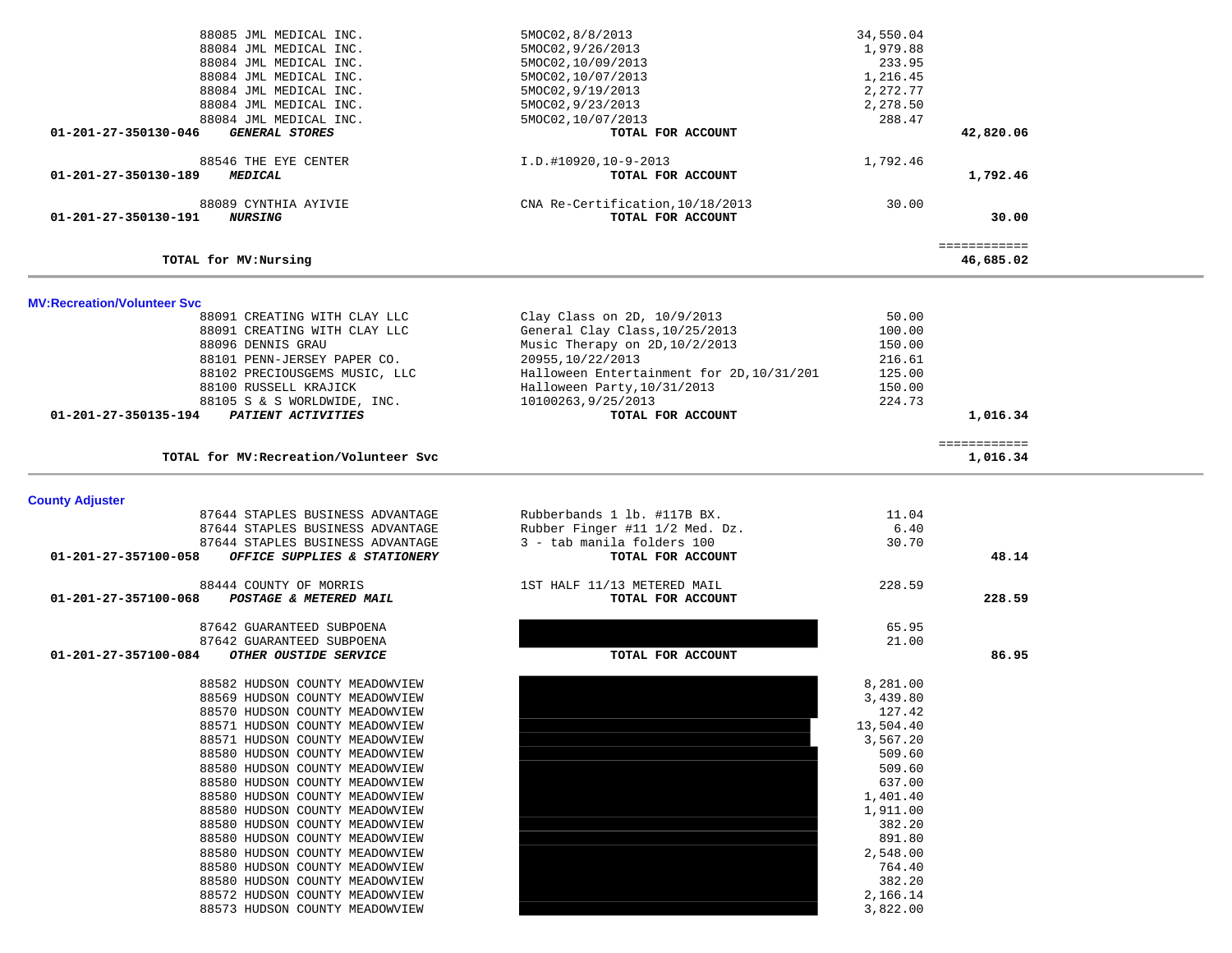| 88085 JML MEDICAL INC.                               | 5MOC02,8/8/2013                           | 34,550.04 |              |  |
|------------------------------------------------------|-------------------------------------------|-----------|--------------|--|
| 88084 JML MEDICAL INC.                               | 5MOC02, 9/26/2013                         | 1,979.88  |              |  |
| 88084 JML MEDICAL INC.                               | 5MOC02,10/09/2013                         | 233.95    |              |  |
| 88084 JML MEDICAL INC.                               | 5MOC02,10/07/2013                         | 1,216.45  |              |  |
| 88084 JML MEDICAL INC.                               | 5MOC02, 9/19/2013                         | 2,272.77  |              |  |
| 88084 JML MEDICAL INC.                               | 5MOC02, 9/23/2013                         | 2,278.50  |              |  |
| 88084 JML MEDICAL INC.                               | 5MOC02,10/07/2013                         | 288.47    |              |  |
|                                                      |                                           |           |              |  |
| <b>GENERAL STORES</b><br>01-201-27-350130-046        | TOTAL FOR ACCOUNT                         |           | 42,820.06    |  |
| 88546 THE EYE CENTER                                 | I.D.#10920,10-9-2013                      | 1,792.46  |              |  |
| 01-201-27-350130-189<br><b>MEDICAL</b>               | TOTAL FOR ACCOUNT                         |           | 1,792.46     |  |
|                                                      |                                           |           |              |  |
| 88089 CYNTHIA AYIVIE                                 | CNA Re-Certification, 10/18/2013          | 30.00     |              |  |
| 01-201-27-350130-191<br><i><b>NURSING</b></i>        | TOTAL FOR ACCOUNT                         |           | 30.00        |  |
|                                                      |                                           |           |              |  |
|                                                      |                                           |           | ============ |  |
| TOTAL for MV: Nursing                                |                                           |           | 46,685.02    |  |
|                                                      |                                           |           |              |  |
| <b>MV:Recreation/Volunteer Svc</b>                   |                                           |           |              |  |
| 88091 CREATING WITH CLAY LLC                         | Clay Class on 2D, 10/9/2013               | 50.00     |              |  |
|                                                      |                                           |           |              |  |
| 88091 CREATING WITH CLAY LLC                         | General Clay Class, 10/25/2013            | 100.00    |              |  |
| 88096 DENNIS GRAU                                    | Music Therapy on 2D, 10/2/2013            | 150.00    |              |  |
| 88101 PENN-JERSEY PAPER CO.                          | 20955, 10/22/2013                         | 216.61    |              |  |
| 88102 PRECIOUSGEMS MUSIC, LLC                        | Halloween Entertainment for 2D, 10/31/201 | 125.00    |              |  |
| 88100 RUSSELL KRAJICK                                | Halloween Party, 10/31/2013               | 150.00    |              |  |
| 88105 S & S WORLDWIDE, INC.                          | 10100263, 9/25/2013                       | 224.73    |              |  |
| PATIENT ACTIVITIES<br>01-201-27-350135-194           | TOTAL FOR ACCOUNT                         |           | 1,016.34     |  |
|                                                      |                                           |           |              |  |
|                                                      |                                           |           | ============ |  |
| TOTAL for MV: Recreation/Volunteer Svc               |                                           |           | 1,016.34     |  |
|                                                      |                                           |           |              |  |
| <b>County Adjuster</b>                               |                                           |           |              |  |
| 87644 STAPLES BUSINESS ADVANTAGE                     | Rubberbands 1 lb. #117B BX.               | 11.04     |              |  |
|                                                      |                                           |           |              |  |
| 87644 STAPLES BUSINESS ADVANTAGE                     | Rubber Finger #11 1/2 Med. Dz.            | 6.40      |              |  |
| 87644 STAPLES BUSINESS ADVANTAGE                     | 3 - tab manila folders 100                | 30.70     |              |  |
| 01-201-27-357100-058<br>OFFICE SUPPLIES & STATIONERY | TOTAL FOR ACCOUNT                         |           | 48.14        |  |
| 88444 COUNTY OF MORRIS                               | 1ST HALF 11/13 METERED MAIL               | 228.59    |              |  |
| 01-201-27-357100-068<br>POSTAGE & METERED MAIL       | TOTAL FOR ACCOUNT                         |           | 228.59       |  |
|                                                      |                                           |           |              |  |
| 87642 GUARANTEED SUBPOENA                            |                                           | 65.95     |              |  |
| 87642 GUARANTEED SUBPOENA                            |                                           | 21.00     |              |  |
| 01-201-27-357100-084<br>OTHER OUSTIDE SERVICE        | TOTAL FOR ACCOUNT                         |           | 86.95        |  |
|                                                      |                                           |           |              |  |
| 88582 HUDSON COUNTY MEADOWVIEW                       |                                           | 8,281.00  |              |  |
| 88569 HUDSON COUNTY MEADOWVIEW                       |                                           | 3,439.80  |              |  |
| 88570 HUDSON COUNTY MEADOWVIEW                       |                                           | 127.42    |              |  |
| 88571 HUDSON COUNTY MEADOWVIEW                       |                                           | 13,504.40 |              |  |
| 88571 HUDSON COUNTY MEADOWVIEW                       |                                           | 3,567.20  |              |  |
| 88580 HUDSON COUNTY MEADOWVIEW                       |                                           | 509.60    |              |  |
| 88580 HUDSON COUNTY MEADOWVIEW                       |                                           | 509.60    |              |  |
|                                                      |                                           |           |              |  |
| 88580 HUDSON COUNTY MEADOWVIEW                       |                                           | 637.00    |              |  |
| 88580 HUDSON COUNTY MEADOWVIEW                       |                                           | 1,401.40  |              |  |
| 88580 HUDSON COUNTY MEADOWVIEW                       |                                           | 1,911.00  |              |  |
| 88580 HUDSON COUNTY MEADOWVIEW                       |                                           | 382.20    |              |  |
| 88580 HUDSON COUNTY MEADOWVIEW                       |                                           | 891.80    |              |  |
| 88580 HUDSON COUNTY MEADOWVIEW                       |                                           | 2,548.00  |              |  |
| 88580 HUDSON COUNTY MEADOWVIEW                       |                                           | 764.40    |              |  |
| 88580 HUDSON COUNTY MEADOWVIEW                       |                                           | 382.20    |              |  |
| 88572 HUDSON COUNTY MEADOWVIEW                       |                                           | 2,166.14  |              |  |
| 88573 HUDSON COUNTY MEADOWVIEW                       |                                           | 3,822.00  |              |  |
|                                                      |                                           |           |              |  |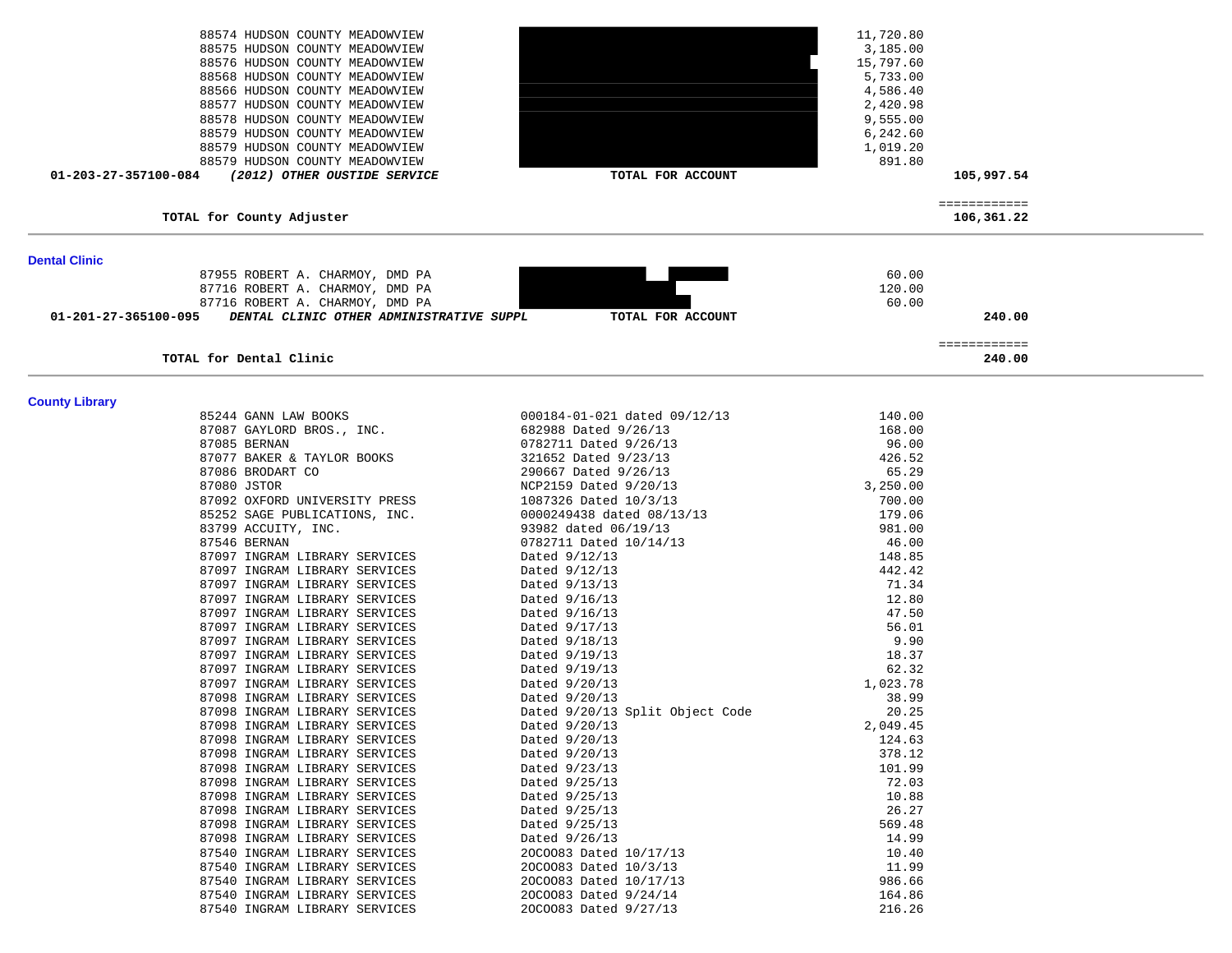|                       | 88574 HUDSON COUNTY MEADOWVIEW                                 |                                 | 11,720.80 |                            |  |
|-----------------------|----------------------------------------------------------------|---------------------------------|-----------|----------------------------|--|
|                       | 88575 HUDSON COUNTY MEADOWVIEW                                 |                                 | 3,185.00  |                            |  |
|                       | 88576 HUDSON COUNTY MEADOWVIEW                                 |                                 | 15,797.60 |                            |  |
|                       | 88568 HUDSON COUNTY MEADOWVIEW                                 |                                 | 5,733.00  |                            |  |
|                       | 88566 HUDSON COUNTY MEADOWVIEW                                 |                                 | 4,586.40  |                            |  |
|                       | 88577 HUDSON COUNTY MEADOWVIEW                                 |                                 | 2,420.98  |                            |  |
|                       | 88578 HUDSON COUNTY MEADOWVIEW                                 |                                 | 9,555.00  |                            |  |
|                       | 88579 HUDSON COUNTY MEADOWVIEW                                 |                                 |           |                            |  |
|                       |                                                                |                                 | 6,242.60  |                            |  |
|                       | 88579 HUDSON COUNTY MEADOWVIEW                                 |                                 | 1,019.20  |                            |  |
|                       | 88579 HUDSON COUNTY MEADOWVIEW                                 |                                 | 891.80    |                            |  |
| 01-203-27-357100-084  | (2012) OTHER OUSTIDE SERVICE                                   | TOTAL FOR ACCOUNT               |           | 105,997.54                 |  |
|                       |                                                                |                                 |           |                            |  |
|                       | TOTAL for County Adjuster                                      |                                 |           | ============<br>106,361.22 |  |
|                       |                                                                |                                 |           |                            |  |
| <b>Dental Clinic</b>  |                                                                |                                 |           |                            |  |
|                       | 87955 ROBERT A. CHARMOY, DMD PA                                |                                 | 60.00     |                            |  |
|                       | 87716 ROBERT A. CHARMOY, DMD PA                                |                                 | 120.00    |                            |  |
|                       | 87716 ROBERT A. CHARMOY, DMD PA                                |                                 | 60.00     |                            |  |
| 01-201-27-365100-095  | DENTAL CLINIC OTHER ADMINISTRATIVE SUPPL                       | TOTAL FOR ACCOUNT               |           | 240.00                     |  |
|                       |                                                                |                                 |           | ============               |  |
|                       | TOTAL for Dental Clinic                                        |                                 |           | 240.00                     |  |
| <b>County Library</b> |                                                                |                                 |           |                            |  |
|                       | 85244 GANN LAW BOOKS                                           | 000184-01-021 dated 09/12/13    | 140.00    |                            |  |
|                       |                                                                | 682988 Dated 9/26/13            | 168.00    |                            |  |
|                       | 87087 GAYLORD BROS., INC.<br>87085 BERNAN                      |                                 |           |                            |  |
|                       |                                                                | 0782711 Dated 9/26/13           | 96.00     |                            |  |
|                       | 87077 BAKER & TAYLOR BOOKS                                     | 321652 Dated 9/23/13            | 426.52    |                            |  |
|                       | 87086 BRODART CO                                               | 290667 Dated 9/26/13            | 65.29     |                            |  |
|                       | 87080 JSTOR                                                    | NCP2159 Dated 9/20/13           | 3,250.00  |                            |  |
|                       | 87092 OXFORD UNIVERSITY PRESS                                  | 1087326 Dated 10/3/13           | 700.00    |                            |  |
|                       | 85252 SAGE PUBLICATIONS, INC.                                  | 0000249438 dated 08/13/13       | 179.06    |                            |  |
|                       | 83799 ACCUITY, INC.                                            | 93982 dated 06/19/13            | 981.00    |                            |  |
|                       | 87546 BERNAN                                                   | 0782711 Dated 10/14/13          | 46.00     |                            |  |
|                       | 87097 INGRAM LIBRARY SERVICES                                  | Dated $9/12/13$                 | 148.85    |                            |  |
|                       | 87097 INGRAM LIBRARY SERVICES                                  | Dated $9/12/13$                 | 442.42    |                            |  |
|                       | 87097 INGRAM LIBRARY SERVICES                                  | Dated $9/13/13$                 | 71.34     |                            |  |
|                       | 87097 INGRAM LIBRARY SERVICES                                  | Dated 9/16/13                   | 12.80     |                            |  |
|                       | 87097 INGRAM LIBRARY SERVICES                                  | Dated $9/16/13$                 | 47.50     |                            |  |
|                       | 87097 INGRAM LIBRARY SERVICES                                  | Dated 9/17/13                   | 56.01     |                            |  |
|                       | 87097 INGRAM LIBRARY SERVICES                                  | Dated $9/18/13$                 | 9.90      |                            |  |
|                       | 87097 INGRAM LIBRARY SERVICES                                  | Dated 9/19/13                   | 18.37     |                            |  |
|                       | 87097 INGRAM LIBRARY SERVICES                                  | Dated 9/19/13                   | 62.32     |                            |  |
|                       | 87097 INGRAM LIBRARY SERVICES                                  | Dated 9/20/13                   | 1,023.78  |                            |  |
|                       | 87098 INGRAM LIBRARY SERVICES                                  | Dated $9/20/13$                 | 38.99     |                            |  |
|                       | 87098 INGRAM LIBRARY SERVICES                                  | Dated 9/20/13 Split Object Code | 20.25     |                            |  |
|                       | 87098 INGRAM LIBRARY SERVICES                                  | Dated 9/20/13                   | 2,049.45  |                            |  |
|                       | 87098 INGRAM LIBRARY SERVICES                                  | Dated $9/20/13$                 | 124.63    |                            |  |
|                       |                                                                |                                 | 378.12    |                            |  |
|                       | 87098 INGRAM LIBRARY SERVICES<br>87098 INGRAM LIBRARY SERVICES | Dated 9/20/13                   |           |                            |  |
|                       |                                                                | Dated 9/23/13                   | 101.99    |                            |  |
|                       | 87098 INGRAM LIBRARY SERVICES                                  | Dated 9/25/13                   | 72.03     |                            |  |
|                       | 87098 INGRAM LIBRARY SERVICES                                  | Dated 9/25/13                   | 10.88     |                            |  |
|                       | 87098 INGRAM LIBRARY SERVICES                                  | Dated 9/25/13                   | 26.27     |                            |  |
|                       | 87098 INGRAM LIBRARY SERVICES                                  | Dated 9/25/13                   | 569.48    |                            |  |
|                       | 87098 INGRAM LIBRARY SERVICES                                  | Dated 9/26/13                   | 14.99     |                            |  |
|                       | 87540 INGRAM LIBRARY SERVICES                                  | 20C0083 Dated 10/17/13          | 10.40     |                            |  |
|                       | 87540 INGRAM LIBRARY SERVICES                                  | 20C0083 Dated 10/3/13           | 11.99     |                            |  |
|                       | 87540 INGRAM LIBRARY SERVICES                                  | 20C0083 Dated 10/17/13          | 986.66    |                            |  |
|                       | 87540 INGRAM LIBRARY SERVICES                                  | 20C0083 Dated 9/24/14           | 164.86    |                            |  |
|                       | 87540 INGRAM LIBRARY SERVICES                                  | 20C0083 Dated 9/27/13           | 216.26    |                            |  |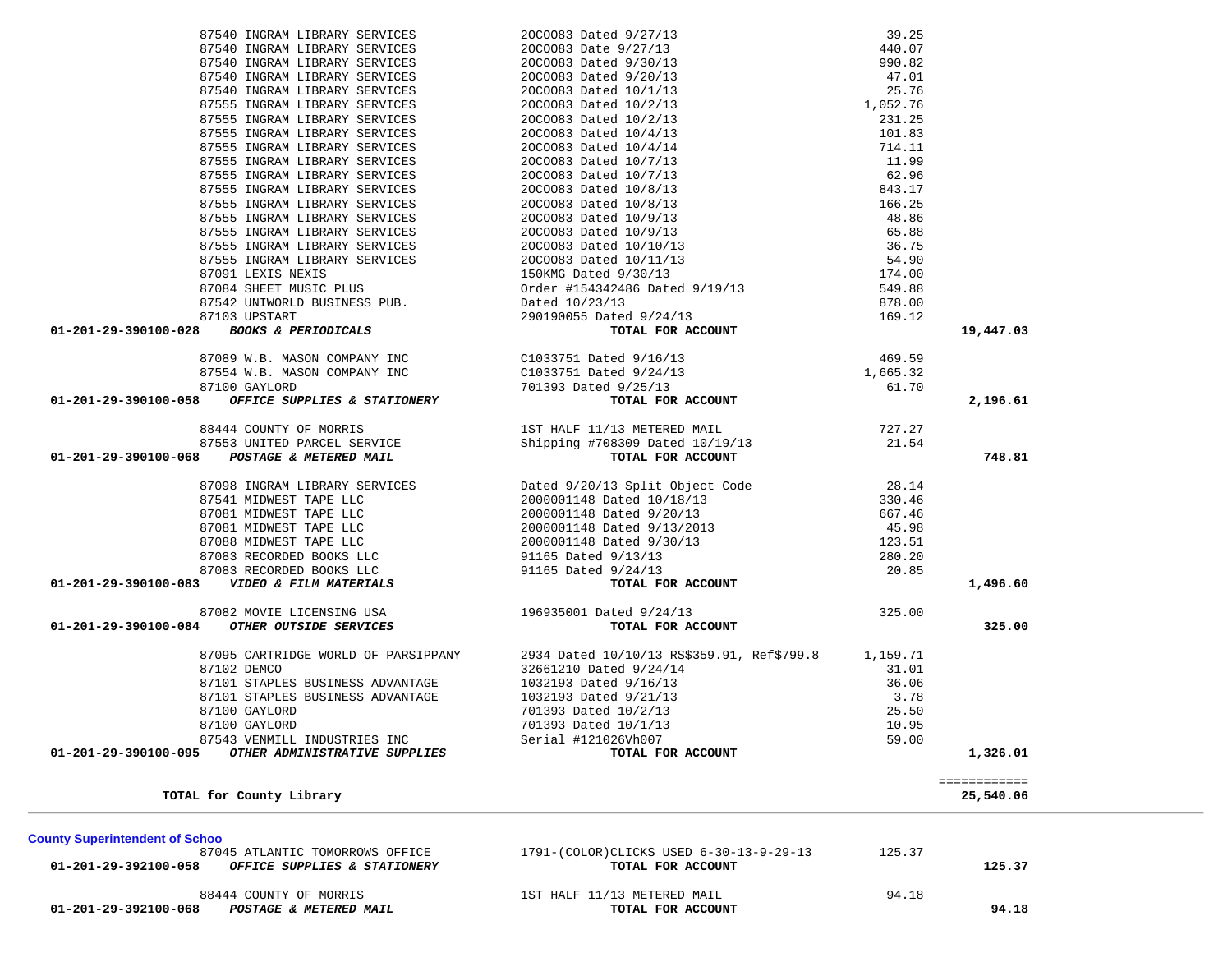01-201-29-392100-058 OFFICE SUPPLIES & STATIONERY *TOTAL FOR ACCOUNT* 88444 COUNTY OF MORRIS 68444 COUNTY OF MORRIS  **01-201-29-392100-068** *POSTAGE & METERED MAIL* **TOTAL FOR ACCOUNT 94.18**

125.37

1791-(COLOR) CLICKS USED 6-30-13-9-29-13 125.37

**County Superintendent of Schoo**<br>87045 ATLANTIC TOMORROWS OFFICE

|                                                                                                                                                                                                                                                                                                                                                      |                                                                                         |        | 19,447.03    |
|------------------------------------------------------------------------------------------------------------------------------------------------------------------------------------------------------------------------------------------------------------------------------------------------------------------------------------------------------|-----------------------------------------------------------------------------------------|--------|--------------|
|                                                                                                                                                                                                                                                                                                                                                      |                                                                                         |        |              |
|                                                                                                                                                                                                                                                                                                                                                      |                                                                                         |        |              |
|                                                                                                                                                                                                                                                                                                                                                      |                                                                                         |        |              |
|                                                                                                                                                                                                                                                                                                                                                      |                                                                                         |        | 2,196.61     |
|                                                                                                                                                                                                                                                                                                                                                      |                                                                                         |        |              |
|                                                                                                                                                                                                                                                                                                                                                      |                                                                                         |        |              |
|                                                                                                                                                                                                                                                                                                                                                      |                                                                                         |        |              |
|                                                                                                                                                                                                                                                                                                                                                      |                                                                                         |        | 748.81       |
| $\begin{tabular}{lllllllllllllllllllll} \hline & 87098 & INGRAM LIBRARY SEIVICES & Dated 9/20/13 Split Object Code & 28.14 & 330.46 & 37541 MIDWEST TAPE LLC & 2000001148 Dated 10/18/13 & 330.46 & 37081 MIDWEST TAPE LLC & 2000001148 Dated 9/20/13 & 667.46 & 37081 MIDWEST TAPE LLC & 2000001148 Dated 9/20/13 & 45.98 & 45.98 & 37083 RECORDED$ |                                                                                         |        |              |
|                                                                                                                                                                                                                                                                                                                                                      |                                                                                         |        |              |
|                                                                                                                                                                                                                                                                                                                                                      |                                                                                         |        |              |
|                                                                                                                                                                                                                                                                                                                                                      |                                                                                         |        |              |
|                                                                                                                                                                                                                                                                                                                                                      |                                                                                         |        |              |
|                                                                                                                                                                                                                                                                                                                                                      |                                                                                         |        |              |
|                                                                                                                                                                                                                                                                                                                                                      |                                                                                         |        |              |
|                                                                                                                                                                                                                                                                                                                                                      |                                                                                         |        | 1,496.60     |
|                                                                                                                                                                                                                                                                                                                                                      |                                                                                         |        |              |
|                                                                                                                                                                                                                                                                                                                                                      |                                                                                         | 325.00 |              |
| 87082 MOVIE LICENSING USA $37082$ MOVIE LICENSING USA $196935001$ Dated $9/24/13$ TOTAL FOR ACCOUNT                                                                                                                                                                                                                                                  | TOTAL FOR ACCOUNT                                                                       |        | 325.00       |
|                                                                                                                                                                                                                                                                                                                                                      | 87095 CARTRIDGE WORLD OF PARSIPPANY 2934 Dated 10/10/13 RS\$359.91, Ref\$799.8 1,159.71 |        |              |
|                                                                                                                                                                                                                                                                                                                                                      |                                                                                         |        |              |
|                                                                                                                                                                                                                                                                                                                                                      |                                                                                         |        |              |
|                                                                                                                                                                                                                                                                                                                                                      |                                                                                         |        |              |
|                                                                                                                                                                                                                                                                                                                                                      |                                                                                         |        |              |
|                                                                                                                                                                                                                                                                                                                                                      |                                                                                         |        |              |
|                                                                                                                                                                                                                                                                                                                                                      |                                                                                         |        |              |
| 87101 STAPLES BUSINESS ADVANTAGE<br>87101 DEMOC DES ADVANTAGE 32661210 Dated 9/24/14<br>87101 STAPLES BUSINESS ADVANTAGE 1032193 Dated 9/16/13<br>87101 STAPLES BUSINESS ADVANTAGE 1032193 Dated 9/21/13<br>87100 GAYLORD 701393 Dated                                                                                                               |                                                                                         |        | 1,326.01     |
|                                                                                                                                                                                                                                                                                                                                                      |                                                                                         |        | ============ |
| TOTAL for County Library                                                                                                                                                                                                                                                                                                                             |                                                                                         |        | 25,540.06    |
|                                                                                                                                                                                                                                                                                                                                                      |                                                                                         |        |              |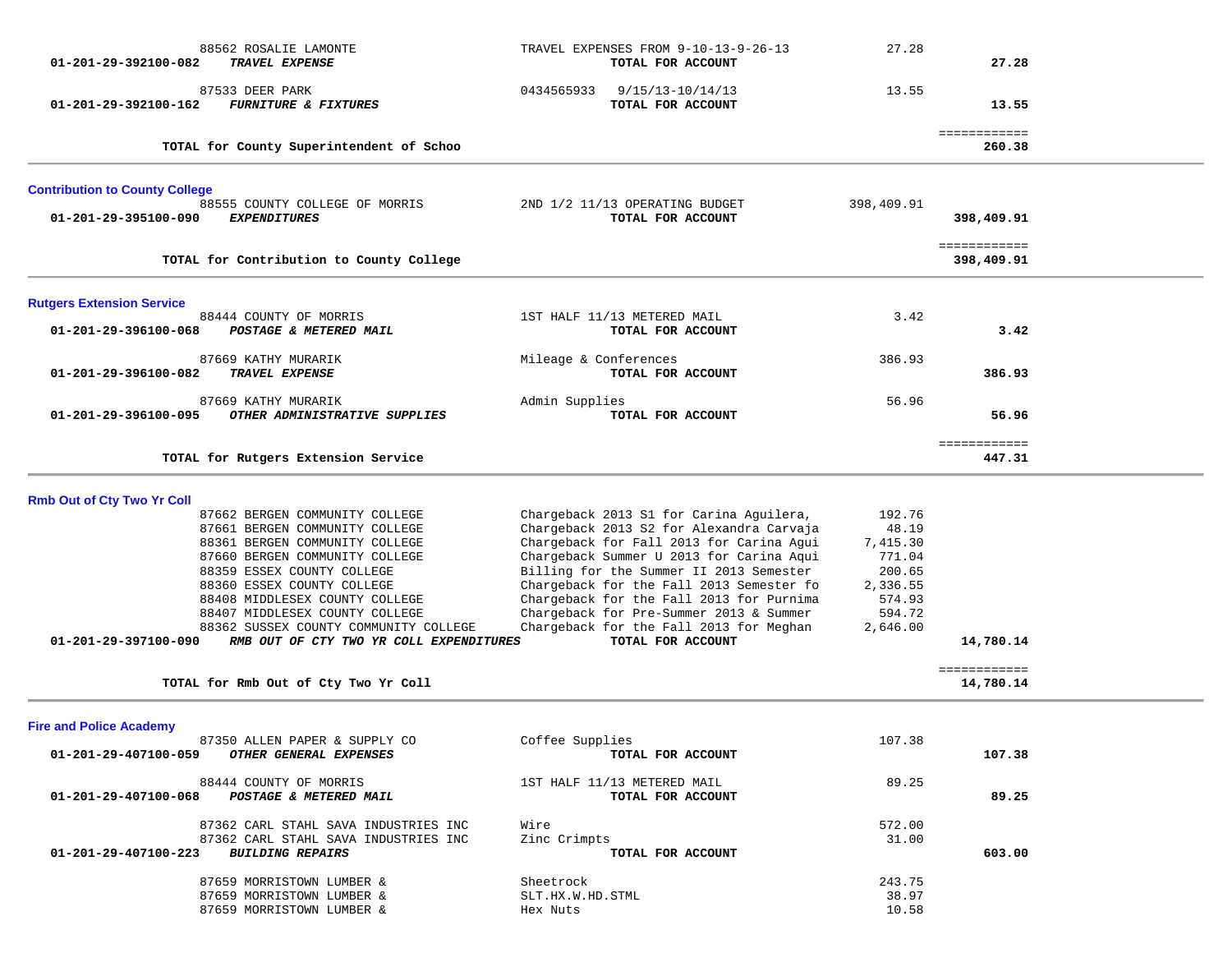| 88562 ROSALIE LAMONTE<br>01-201-29-392100-082<br>TRAVEL EXPENSE                                          | TRAVEL EXPENSES FROM 9-10-13-9-26-13<br>TOTAL FOR ACCOUNT                                                                       | 27.28                       | 27.28                      |  |
|----------------------------------------------------------------------------------------------------------|---------------------------------------------------------------------------------------------------------------------------------|-----------------------------|----------------------------|--|
| 87533 DEER PARK<br><b>FURNITURE &amp; FIXTURES</b><br>01-201-29-392100-162                               | 0434565933<br>9/15/13-10/14/13<br>TOTAL FOR ACCOUNT                                                                             | 13.55                       | 13.55                      |  |
| TOTAL for County Superintendent of Schoo                                                                 |                                                                                                                                 |                             | ============<br>260.38     |  |
| <b>Contribution to County College</b>                                                                    |                                                                                                                                 |                             |                            |  |
| 88555 COUNTY COLLEGE OF MORRIS<br><b>EXPENDITURES</b><br>01-201-29-395100-090                            | 2ND 1/2 11/13 OPERATING BUDGET<br>TOTAL FOR ACCOUNT                                                                             | 398,409.91                  | 398,409.91                 |  |
| TOTAL for Contribution to County College                                                                 |                                                                                                                                 |                             | ============<br>398,409.91 |  |
| <b>Rutgers Extension Service</b>                                                                         |                                                                                                                                 |                             |                            |  |
| 88444 COUNTY OF MORRIS<br>01-201-29-396100-068<br>POSTAGE & METERED MAIL                                 | 1ST HALF 11/13 METERED MAIL<br>TOTAL FOR ACCOUNT                                                                                | 3.42                        | 3.42                       |  |
| 87669 KATHY MURARIK<br>TRAVEL EXPENSE<br>01-201-29-396100-082                                            | Mileage & Conferences<br>TOTAL FOR ACCOUNT                                                                                      | 386.93                      | 386.93                     |  |
| 87669 KATHY MURARIK<br>OTHER ADMINISTRATIVE SUPPLIES<br>$01 - 201 - 29 - 396100 - 095$                   | Admin Supplies<br>TOTAL FOR ACCOUNT                                                                                             | 56.96                       | 56.96                      |  |
| TOTAL for Rutgers Extension Service                                                                      |                                                                                                                                 |                             | ============<br>447.31     |  |
| <b>Rmb Out of Cty Two Yr Coll</b>                                                                        |                                                                                                                                 |                             |                            |  |
| 87662 BERGEN COMMUNITY COLLEGE<br>87661 BERGEN COMMUNITY COLLEGE<br>88361 BERGEN COMMUNITY COLLEGE       | Chargeback 2013 S1 for Carina Aguilera,<br>Chargeback 2013 S2 for Alexandra Carvaja<br>Chargeback for Fall 2013 for Carina Agui | 192.76<br>48.19<br>7,415.30 |                            |  |
| 87660 BERGEN COMMUNITY COLLEGE<br>88359 ESSEX COUNTY COLLEGE                                             | Chargeback Summer U 2013 for Carina Aqui<br>Billing for the Summer II 2013 Semester                                             | 771.04<br>200.65            |                            |  |
| 88360 ESSEX COUNTY COLLEGE<br>88408 MIDDLESEX COUNTY COLLEGE                                             | Chargeback for the Fall 2013 Semester fo<br>Chargeback for the Fall 2013 for Purnima                                            | 2,336.55<br>574.93          |                            |  |
| 88407 MIDDLESEX COUNTY COLLEGE                                                                           | Chargeback for Pre-Summer 2013 & Summer                                                                                         | 594.72                      |                            |  |
| 88362 SUSSEX COUNTY COMMUNITY COLLEGE<br>01-201-29-397100-090<br>RMB OUT OF CTY TWO YR COLL EXPENDITURES | Chargeback for the Fall 2013 for Meghan<br>TOTAL FOR ACCOUNT                                                                    | 2,646.00                    | 14,780.14                  |  |
| TOTAL for Rmb Out of Cty Two Yr Coll                                                                     |                                                                                                                                 |                             | ============<br>14,780.14  |  |
| <b>Fire and Police Academy</b>                                                                           |                                                                                                                                 |                             |                            |  |
| 87350 ALLEN PAPER & SUPPLY CO<br>OTHER GENERAL EXPENSES<br>01-201-29-407100-059                          | Coffee Supplies<br>TOTAL FOR ACCOUNT                                                                                            | 107.38                      | 107.38                     |  |
| 88444 COUNTY OF MORRIS<br>01-201-29-407100-068<br>POSTAGE & METERED MAIL                                 | 1ST HALF 11/13 METERED MAIL<br>TOTAL FOR ACCOUNT                                                                                | 89.25                       | 89.25                      |  |
| 87362 CARL STAHL SAVA INDUSTRIES INC                                                                     | Wire                                                                                                                            | 572.00                      |                            |  |
| 87362 CARL STAHL SAVA INDUSTRIES INC<br><b>BUILDING REPAIRS</b><br>01-201-29-407100-223                  | Zinc Crimpts<br>TOTAL FOR ACCOUNT                                                                                               | 31.00                       | 603.00                     |  |
| 87659 MORRISTOWN LUMBER &                                                                                | Sheetrock                                                                                                                       | 243.75                      |                            |  |
| 87659 MORRISTOWN LUMBER &<br>87659 MORRISTOWN LUMBER &                                                   | SLT.HX.W.HD.STML<br>Hex Nuts                                                                                                    | 38.97<br>10.58              |                            |  |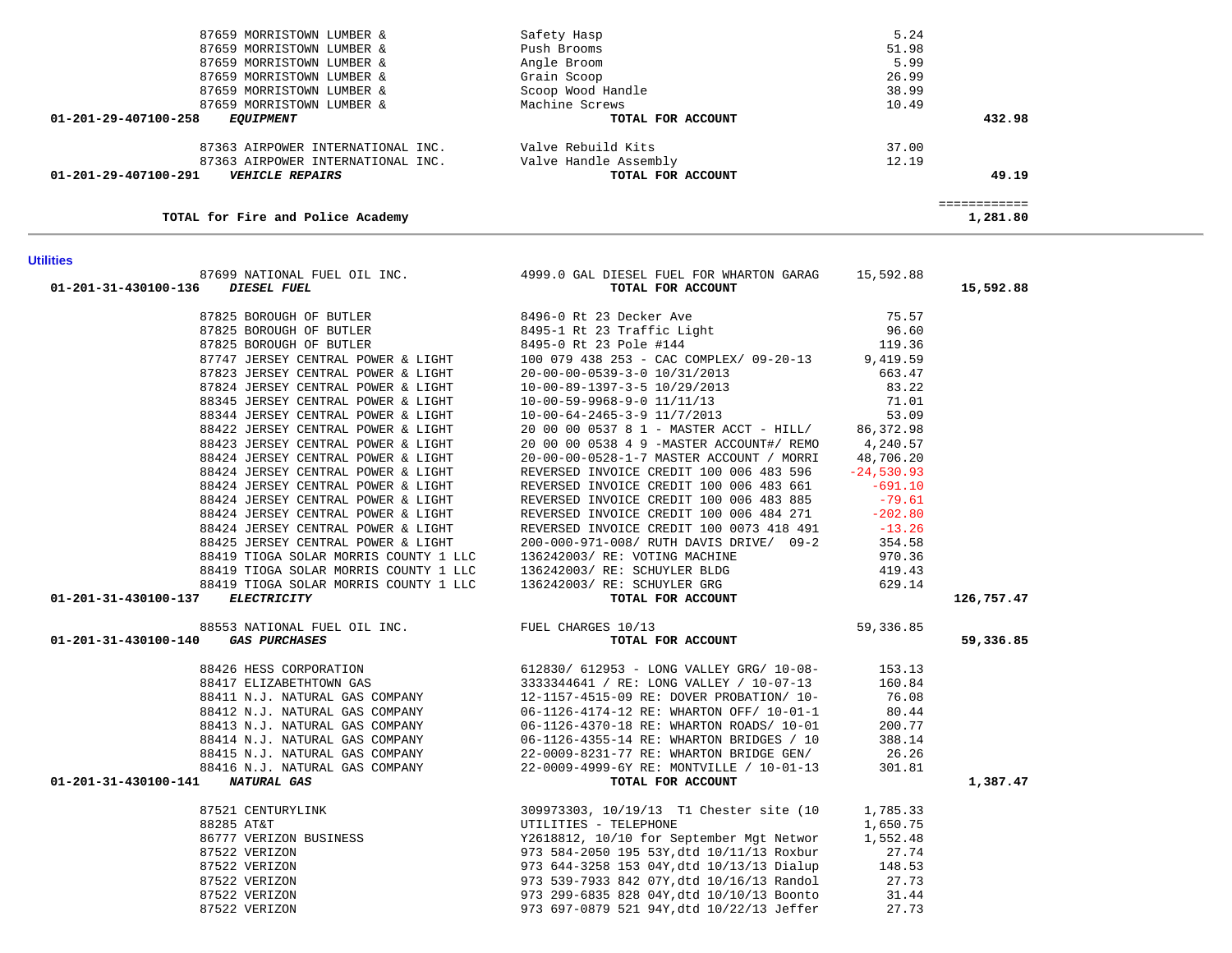| TOTAL FOR FIFE and POIICE ACADEMY                                                                              |                                                                                                                                                                                                                                            |                                                          | 1,481.80   |
|----------------------------------------------------------------------------------------------------------------|--------------------------------------------------------------------------------------------------------------------------------------------------------------------------------------------------------------------------------------------|----------------------------------------------------------|------------|
| <b>Utilities</b>                                                                                               |                                                                                                                                                                                                                                            |                                                          |            |
|                                                                                                                | 87699 NATIONAL FUEL OIL INC. 4999.0 GAL DIESEL FUEL FOR WHARTON GARAG 15,592.88                                                                                                                                                            |                                                          |            |
| 01-201-31-430100-136 DIESEL FUEL                                                                               | TOTAL FOR ACCOUNT                                                                                                                                                                                                                          |                                                          | 15,592.88  |
| 87825 BOROUGH OF BUTLER                                                                                        | 8496-0 Rt 23 Decker Ave                                                                                                                                                                                                                    | 75.57                                                    |            |
|                                                                                                                | 87825 BOROUGH OF BUTLER<br>87825 BOROUGH OF BUTLER 8495-0 Rt 23 Traffic Light<br>87747 JERSEY CENTRAL DOMER 6 LIGHT 8495-0 Rt 23 POLE #144                                                                                                 | 96.60                                                    |            |
|                                                                                                                |                                                                                                                                                                                                                                            | 119.36                                                   |            |
|                                                                                                                | 100 079 438 253 - CAC COMPLEX/ 09-20-13 9,419.59                                                                                                                                                                                           |                                                          |            |
| 87747 JERSEY CENTRAL POWER & LIGHT<br>87823 JERSEY CENTRAL POWER & LIGHT<br>87823 JERSEY CENTRAL POWER & LIGHT | 20-00-00-0539-3-0 10/31/2013                                                                                                                                                                                                               | 663.47                                                   |            |
|                                                                                                                | 10-00-89-1397-3-5 10/29/2013                                                                                                                                                                                                               | 83.22                                                    |            |
| 87824 JERSEY CENTRAL POWER & LIGHT<br>88345 JERSEY CENTRAL POWER & LIGHT<br>88345 JERSEY CENTRAL POWER & LIGHT |                                                                                                                                                                                                                                            | 71.01                                                    |            |
| 88344 JERSEY CENTRAL POWER & LIGHT                                                                             | $10-00-59-9968-9-0$ $11/11/13$<br>$10-00-64-2465-3-9$ $11/7/2013$                                                                                                                                                                          | 53.09                                                    |            |
| 88422 JERSEY CENTRAL POWER & LIGHT                                                                             | 20 00 00 0537 8 1 - MASTER ACCT - HILL/ 86,372.98                                                                                                                                                                                          |                                                          |            |
| 88423 JERSEY CENTRAL POWER & LIGHT                                                                             | 20 00 00 0538 4 9 -MASTER ACCOUNT#/ REMO 4,240.57                                                                                                                                                                                          |                                                          |            |
| 88424 JERSEY CENTRAL POWER & LIGHT                                                                             | 20-00-00-0528-1-7 MASTER ACCOUNT / MORRI 48,706.20                                                                                                                                                                                         |                                                          |            |
| 88424 JERSEY CENTRAL POWER & LIGHT                                                                             | REVERSED INVOICE CREDIT 100 006 483 596 -24,530.93                                                                                                                                                                                         |                                                          |            |
| 88424 JERSEY CENTRAL POWER & LIGHT                                                                             | REVERSED INVOICE CREDIT 100 006 483 661 -691.10                                                                                                                                                                                            |                                                          |            |
| 88424 JERSEY CENTRAL POWER & LIGHT                                                                             | REVERSED INVOICE CREDIT 100 006 483 885                                                                                                                                                                                                    | $-79.61$                                                 |            |
| 88424 JERSEY CENTRAL POWER & LIGHT                                                                             | REVERSED INVOICE CREDIT 100 006 484 271                                                                                                                                                                                                    | $-202.80$                                                |            |
| 88424 JERSEY CENTRAL POWER & LIGHT                                                                             | REVERSED INVOICE CREDIT 100 0073 418 491 -13.26                                                                                                                                                                                            |                                                          |            |
|                                                                                                                |                                                                                                                                                                                                                                            |                                                          |            |
|                                                                                                                |                                                                                                                                                                                                                                            | 354.58<br>970.36                                         |            |
|                                                                                                                |                                                                                                                                                                                                                                            | 419.43                                                   |            |
|                                                                                                                |                                                                                                                                                                                                                                            | 629.14                                                   |            |
| 01-201-31-430100-137 ELECTRICITY                                                                               |                                                                                                                                                                                                                                            |                                                          | 126,757.47 |
|                                                                                                                |                                                                                                                                                                                                                                            |                                                          |            |
| 88553 NATIONAL FUEL OIL INC.<br>TUEL CHARGES 10/13<br>01-201-31-430100-140 GAS PURCHASES                       | TOTAL FOR ACCOUNT                                                                                                                                                                                                                          | 59, 336.85                                               | 59,336.85  |
|                                                                                                                |                                                                                                                                                                                                                                            |                                                          |            |
|                                                                                                                | 88426 HESS CORPORATION 612830/612953 - LONG VALLEY GRG/10-08-<br>88417 ELIZABETHTOWN GAS 3333344641 / RE: LONG VALLEY / 10-07-13 160.84<br>88411 N.J. NATURAL GAS COMPANY 12-1157-4515-09 RE: DOVER PROBATION/10- 76.08                    |                                                          |            |
|                                                                                                                |                                                                                                                                                                                                                                            |                                                          |            |
|                                                                                                                |                                                                                                                                                                                                                                            |                                                          |            |
|                                                                                                                | 38412 N.J. NATURAL GAS COMPANY<br>38412 N.J. NATURAL GAS COMPANY<br>38413 N.J. NATURAL GAS COMPANY<br>38414 N.J. NATURAL GAS COMPANY<br>38414 N.J. NATURAL GAS COMPANY<br>38415 N.J. NATURAL GAS COMPANY<br>38415 N.J. NATURAL GAS COMPANY |                                                          |            |
|                                                                                                                |                                                                                                                                                                                                                                            |                                                          |            |
|                                                                                                                |                                                                                                                                                                                                                                            |                                                          |            |
|                                                                                                                |                                                                                                                                                                                                                                            |                                                          |            |
|                                                                                                                |                                                                                                                                                                                                                                            |                                                          |            |
| 01-201-31-430100-141 NATURAL GAS                                                                               | TOTAL FOR ACCOUNT                                                                                                                                                                                                                          |                                                          | 1,387.47   |
|                                                                                                                | 87521 CENTURYLINK 309973303, 10/19/13 T1 Chester site (10<br>88285 AT&T UTILITIES - TELEPHONE<br>86777 VERIZON BUSINESS Y2618812, 10/10 for September Mgt Networ<br>87522 VERIZON 973 584-2050 195 53Y, dtd 10/11/13 Roxbur<br>87522 V     | 1,785.33                                                 |            |
|                                                                                                                |                                                                                                                                                                                                                                            | 1,650.75                                                 |            |
|                                                                                                                |                                                                                                                                                                                                                                            | 1,552.48                                                 |            |
|                                                                                                                |                                                                                                                                                                                                                                            |                                                          |            |
|                                                                                                                |                                                                                                                                                                                                                                            | $\begin{array}{c} 27.74 \\ 148.53 \end{array}$<br>148.53 |            |
|                                                                                                                |                                                                                                                                                                                                                                            | 27.73                                                    |            |
|                                                                                                                |                                                                                                                                                                                                                                            | 31.44                                                    |            |
|                                                                                                                |                                                                                                                                                                                                                                            | 27.73                                                    |            |

**Utilities** 

#### 87659 MORRISTOWN LUMBER & Safety Hasp 5.24 87659 MORRISTOWN LUMBER & Push Brooms 51.98 5.99 87659 MORRISTOWN LUMBER & Angle Broom (1999) 26.99<br>87659 MORRISTOWN LUMBER & Grain Scoop (1999) 36.99 87659 MORRISTOWN LUMBER & Grain Scoop (Grain Scoop) (1999) 26.99<br>87659 MORRISTOWN LUMBER & Scoop Wood Handle 87659 MORRISTOWN LUMBER & 87659 MORRISTOWN LUMBER & Machine Screws 10.49  **01-201-29-407100-258** *EQUIPMENT* **TOTAL FOR ACCOUNT 432.98** 87363 AIRPOWER INTERNATIONAL INC. Valve Rebuild Kits 37.00 12.19 87363 AIRPOWER INTERNATIONAL INC. Valve Handle Assembly  **01-201-29-407100-291** *VEHICLE REPAIRS* **TOTAL FOR ACCOUNT 49.19**49.19 ============  $1.291.90$ **TOTAL for Fire and Police Academy 1,281.80**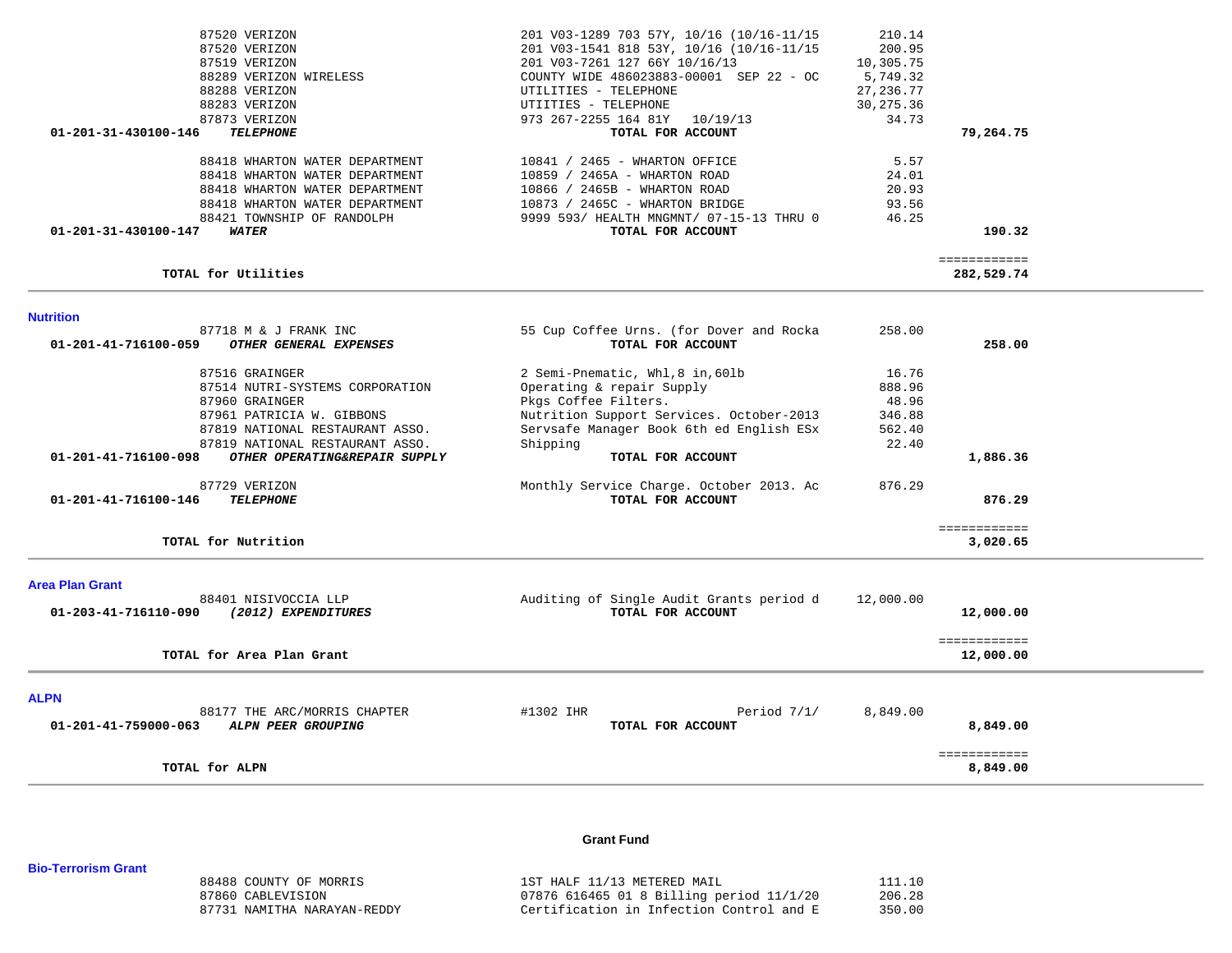|                        | 87520 VERIZON                   | 201 V03-1289 703 57Y, 10/16 (10/16-11/15 | 210.14     |                            |  |
|------------------------|---------------------------------|------------------------------------------|------------|----------------------------|--|
|                        | 87520 VERIZON                   | 201 V03-1541 818 53Y, 10/16 (10/16-11/15 | 200.95     |                            |  |
|                        | 87519 VERIZON                   | 201 V03-7261 127 66Y 10/16/13            | 10,305.75  |                            |  |
|                        | 88289 VERIZON WIRELESS          | COUNTY WIDE 486023883-00001 SEP 22 - OC  | 5,749.32   |                            |  |
|                        | 88288 VERIZON                   | UTILITIES - TELEPHONE                    | 27, 236.77 |                            |  |
|                        | 88283 VERIZON                   | UTIITIES - TELEPHONE                     | 30,275.36  |                            |  |
|                        | 87873 VERIZON                   | 973 267-2255 164 81Y 10/19/13            | 34.73      |                            |  |
| 01-201-31-430100-146   | <b>TELEPHONE</b>                | TOTAL FOR ACCOUNT                        |            | 79,264.75                  |  |
|                        | 88418 WHARTON WATER DEPARTMENT  | 10841 / 2465 - WHARTON OFFICE            | 5.57       |                            |  |
|                        | 88418 WHARTON WATER DEPARTMENT  | 10859 / 2465A - WHARTON ROAD             | 24.01      |                            |  |
|                        | 88418 WHARTON WATER DEPARTMENT  | 10866 / 2465B - WHARTON ROAD             | 20.93      |                            |  |
|                        | 88418 WHARTON WATER DEPARTMENT  | 10873 / 2465C - WHARTON BRIDGE           | 93.56      |                            |  |
|                        | 88421 TOWNSHIP OF RANDOLPH      | 9999 593/ HEALTH MNGMNT/ 07-15-13 THRU 0 | 46.25      |                            |  |
| 01-201-31-430100-147   | <b>WATER</b>                    | TOTAL FOR ACCOUNT                        |            | 190.32                     |  |
|                        | TOTAL for Utilities             |                                          |            | ============<br>282,529.74 |  |
|                        |                                 |                                          |            |                            |  |
| <b>Nutrition</b>       |                                 |                                          |            |                            |  |
|                        | 87718 M & J FRANK INC           | 55 Cup Coffee Urns. (for Dover and Rocka | 258.00     |                            |  |
| 01-201-41-716100-059   | OTHER GENERAL EXPENSES          | TOTAL FOR ACCOUNT                        |            | 258.00                     |  |
|                        | 87516 GRAINGER                  | 2 Semi-Pnematic, Whl, 8 in, 60lb         | 16.76      |                            |  |
|                        | 87514 NUTRI-SYSTEMS CORPORATION | Operating & repair Supply                | 888.96     |                            |  |
|                        | 87960 GRAINGER                  | Pkgs Coffee Filters.                     | 48.96      |                            |  |
|                        | 87961 PATRICIA W. GIBBONS       | Nutrition Support Services. October-2013 | 346.88     |                            |  |
|                        | 87819 NATIONAL RESTAURANT ASSO. | Servsafe Manager Book 6th ed English ESx | 562.40     |                            |  |
|                        | 87819 NATIONAL RESTAURANT ASSO. | Shipping                                 | 22.40      |                            |  |
| 01-201-41-716100-098   | OTHER OPERATING&REPAIR SUPPLY   | TOTAL FOR ACCOUNT                        |            | 1,886.36                   |  |
|                        | 87729 VERIZON                   | Monthly Service Charge. October 2013. Ac | 876.29     |                            |  |
| 01-201-41-716100-146   | <b>TELEPHONE</b>                | TOTAL FOR ACCOUNT                        |            | 876.29                     |  |
|                        |                                 |                                          |            | ============               |  |
|                        | TOTAL for Nutrition             |                                          |            | 3,020.65                   |  |
| <b>Area Plan Grant</b> |                                 |                                          |            |                            |  |
|                        | 88401 NISIVOCCIA LLP            | Auditing of Single Audit Grants period d | 12,000.00  |                            |  |
| 01-203-41-716110-090   | (2012) EXPENDITURES             | TOTAL FOR ACCOUNT                        |            | 12,000.00                  |  |
|                        |                                 |                                          |            |                            |  |
|                        | TOTAL for Area Plan Grant       |                                          |            | ============<br>12,000.00  |  |
|                        |                                 |                                          |            |                            |  |
| <b>ALPN</b>            |                                 |                                          |            |                            |  |
|                        | 88177 THE ARC/MORRIS CHAPTER    | #1302 IHR<br>Period $7/1/$               | 8,849.00   |                            |  |
| 01-201-41-759000-063   | ALPN PEER GROUPING              | TOTAL FOR ACCOUNT                        |            | 8,849.00                   |  |
|                        |                                 |                                          |            | ============               |  |
|                        | TOTAL for ALPN                  |                                          |            | 8,849.00                   |  |

#### **Grant Fund**

**Bio-Terrorism Grant** 

| 88488 COUNTY OF MORRIS      | 1ST HALF 11/13 METERED MAIL              | 111.10 |
|-----------------------------|------------------------------------------|--------|
| 87860 CABLEVISION           | 07876 616465 01 8 Billing period 11/1/20 | 206.28 |
| 87731 NAMITHA NARAYAN-REDDY | Certification in Infection Control and E | 350.00 |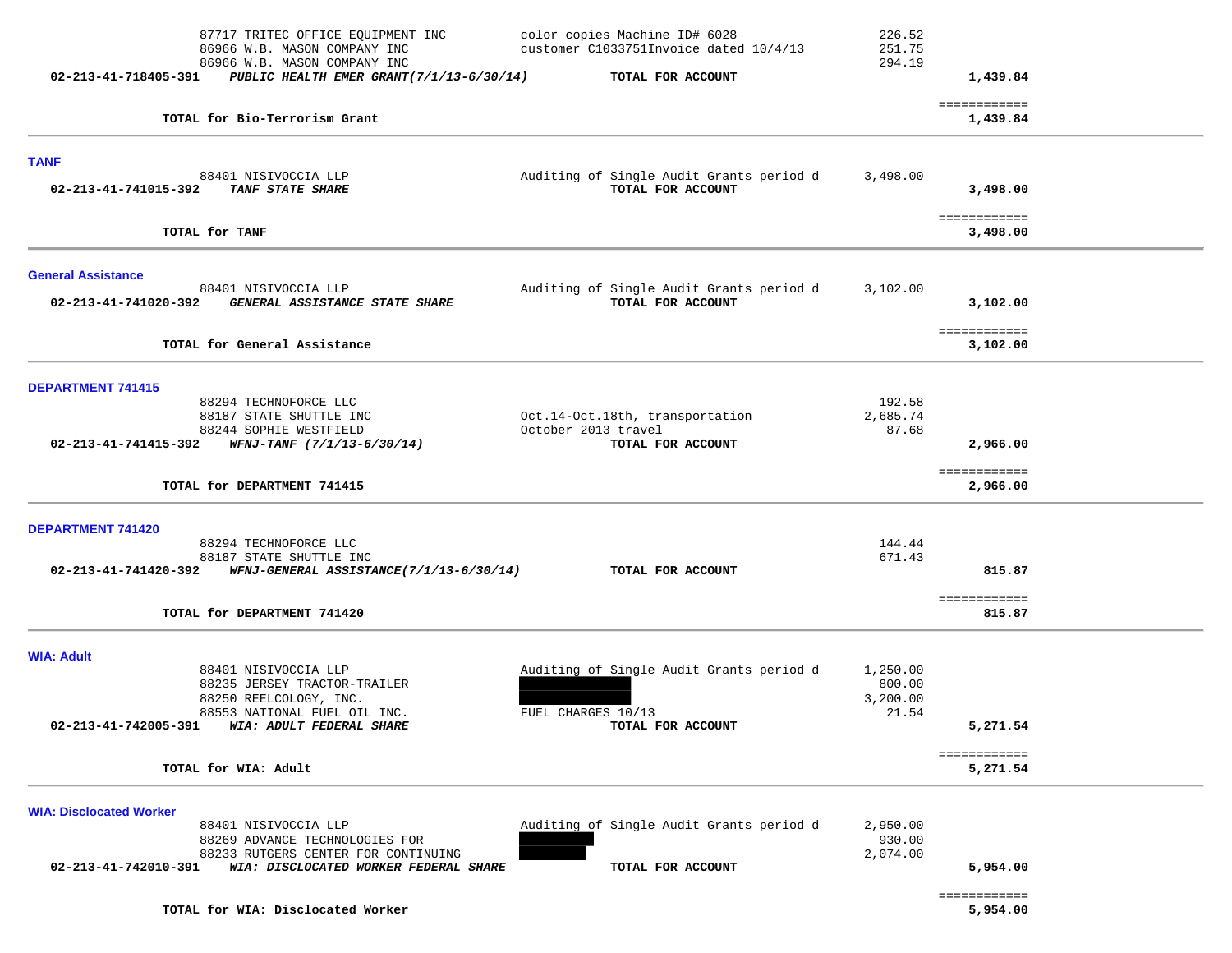|                                | 87717 TRITEC OFFICE EQUIPMENT INC<br>86966 W.B. MASON COMPANY INC<br>86966 W.B. MASON COMPANY INC | color copies Machine ID# 6028<br>customer C1033751Invoice dated 10/4/13 | 226.52<br>251.75<br>294.19 |                          |  |
|--------------------------------|---------------------------------------------------------------------------------------------------|-------------------------------------------------------------------------|----------------------------|--------------------------|--|
|                                | 02-213-41-718405-391 PUBLIC HEALTH EMER GRANT(7/1/13-6/30/14)                                     | TOTAL FOR ACCOUNT                                                       |                            | 1,439.84                 |  |
|                                | TOTAL for Bio-Terrorism Grant                                                                     |                                                                         |                            | ============<br>1,439.84 |  |
| <b>TANF</b>                    |                                                                                                   |                                                                         |                            |                          |  |
|                                | 88401 NISIVOCCIA LLP<br>02-213-41-741015-392 TANF STATE SHARE                                     | Auditing of Single Audit Grants period d<br>TOTAL FOR ACCOUNT           | 3,498.00                   | 3,498.00                 |  |
|                                | TOTAL for TANF                                                                                    |                                                                         |                            | ============<br>3,498.00 |  |
| <b>General Assistance</b>      |                                                                                                   |                                                                         |                            |                          |  |
| 02-213-41-741020-392           | 88401 NISIVOCCIA LLP<br>GENERAL ASSISTANCE STATE SHARE                                            | Auditing of Single Audit Grants period d<br>TOTAL FOR ACCOUNT           | 3,102.00                   | 3,102.00                 |  |
|                                | TOTAL for General Assistance                                                                      |                                                                         |                            | ============<br>3,102.00 |  |
| <b>DEPARTMENT 741415</b>       |                                                                                                   |                                                                         |                            |                          |  |
|                                | 88294 TECHNOFORCE LLC<br>88187 STATE SHUTTLE INC                                                  | Oct.14-Oct.18th, transportation                                         | 192.58<br>2,685.74         |                          |  |
|                                | 88244 SOPHIE WESTFIELD<br>02-213-41-741415-392 WFNJ-TANF $(7/1/13-6/30/14)$                       | October 2013 travel<br>TOTAL FOR ACCOUNT                                | 87.68                      | 2,966.00                 |  |
|                                | TOTAL for DEPARTMENT 741415                                                                       |                                                                         |                            | ============<br>2,966.00 |  |
| <b>DEPARTMENT 741420</b>       |                                                                                                   |                                                                         |                            |                          |  |
|                                | 88294 TECHNOFORCE LLC<br>88187 STATE SHUTTLE INC                                                  |                                                                         | 144.44<br>671.43           |                          |  |
|                                | 02-213-41-741420-392 WFNJ-GENERAL ASSISTANCE(7/1/13-6/30/14)                                      | TOTAL FOR ACCOUNT                                                       |                            | 815.87                   |  |
|                                | TOTAL for DEPARTMENT 741420                                                                       |                                                                         |                            | ============<br>815.87   |  |
| <b>WIA: Adult</b>              |                                                                                                   |                                                                         |                            |                          |  |
|                                | 88401 NISIVOCCIA LLP<br>88235 JERSEY TRACTOR-TRAILER                                              | Auditing of Single Audit Grants period d                                | 1,250.00<br>800.00         |                          |  |
|                                | 88250 REELCOLOGY, INC.                                                                            |                                                                         | 3,200.00                   |                          |  |
| 02-213-41-742005-391           | 88553 NATIONAL FUEL OIL INC.<br>WIA: ADULT FEDERAL SHARE                                          | FUEL CHARGES 10/13<br>TOTAL FOR ACCOUNT                                 | 21.54                      | 5,271.54                 |  |
|                                | TOTAL for WIA: Adult                                                                              |                                                                         |                            | ============<br>5,271.54 |  |
| <b>WIA: Disclocated Worker</b> |                                                                                                   |                                                                         |                            |                          |  |
|                                | 88401 NISIVOCCIA LLP<br>88269 ADVANCE TECHNOLOGIES FOR                                            | Auditing of Single Audit Grants period d                                | 2,950.00<br>930.00         |                          |  |
| 02-213-41-742010-391           | 88233 RUTGERS CENTER FOR CONTINUING<br>WIA: DISCLOCATED WORKER FEDERAL SHARE                      | TOTAL FOR ACCOUNT                                                       | 2,074.00                   | 5,954.00                 |  |
|                                |                                                                                                   |                                                                         |                            | ============             |  |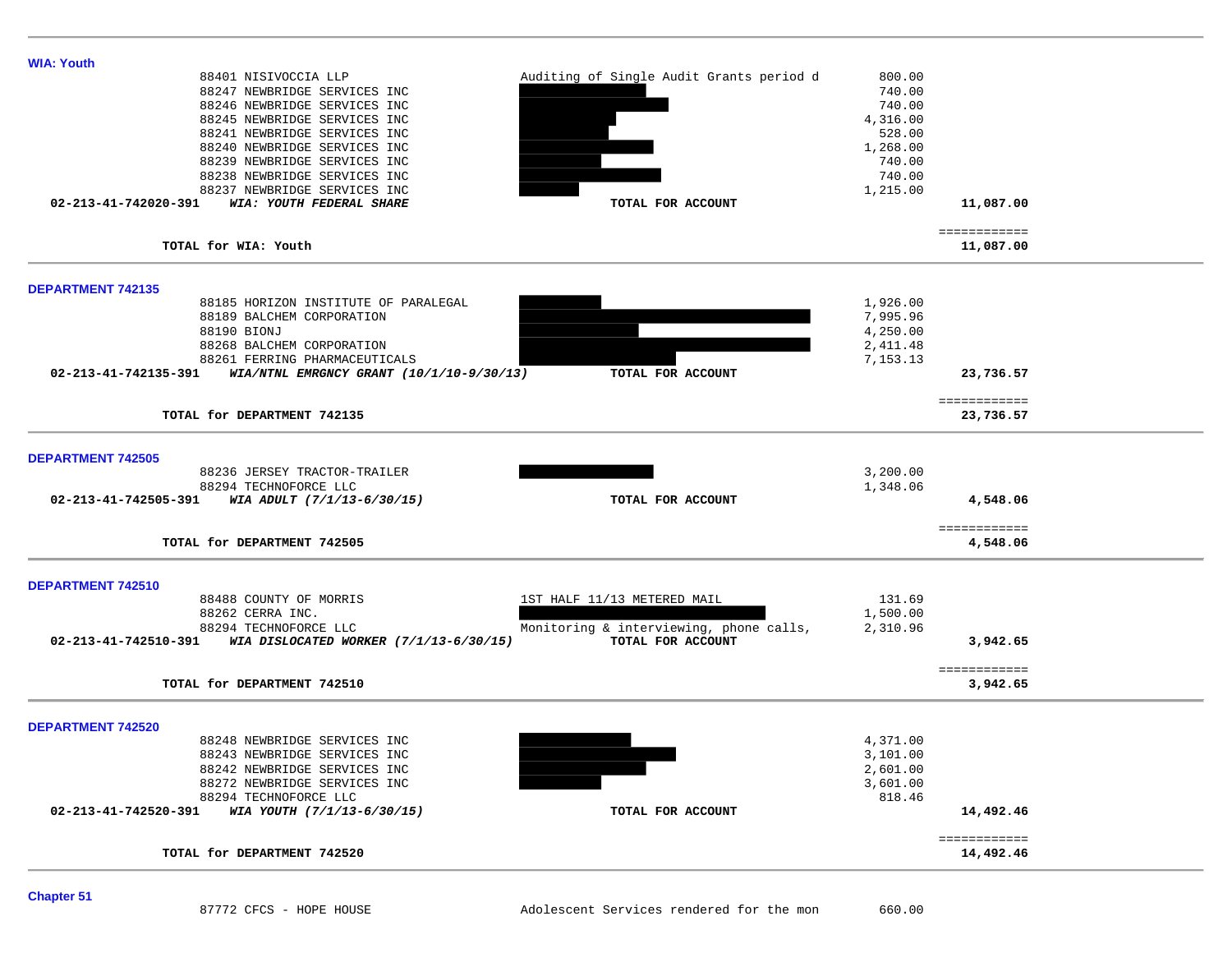| <b>WIA: Youth</b>                                                                              |                                        |                                                              |                    |                           |  |
|------------------------------------------------------------------------------------------------|----------------------------------------|--------------------------------------------------------------|--------------------|---------------------------|--|
| 88401 NISIVOCCIA LLP                                                                           |                                        | Auditing of Single Audit Grants period d                     | 800.00             |                           |  |
| 88247 NEWBRIDGE SERVICES INC                                                                   |                                        |                                                              | 740.00             |                           |  |
| 88246 NEWBRIDGE SERVICES INC                                                                   |                                        |                                                              | 740.00             |                           |  |
| 88245 NEWBRIDGE SERVICES INC<br>88241 NEWBRIDGE SERVICES INC                                   |                                        |                                                              | 4,316.00<br>528.00 |                           |  |
| 88240 NEWBRIDGE SERVICES INC                                                                   |                                        |                                                              | 1,268.00           |                           |  |
| 88239 NEWBRIDGE SERVICES INC                                                                   |                                        |                                                              | 740.00             |                           |  |
| 88238 NEWBRIDGE SERVICES INC                                                                   |                                        |                                                              | 740.00             |                           |  |
| 88237 NEWBRIDGE SERVICES INC                                                                   |                                        |                                                              | 1,215.00           |                           |  |
| 02-213-41-742020-391<br>WIA: YOUTH FEDERAL SHARE                                               |                                        | TOTAL FOR ACCOUNT                                            |                    | 11,087.00                 |  |
|                                                                                                |                                        |                                                              |                    |                           |  |
| TOTAL for WIA: Youth                                                                           |                                        |                                                              |                    | ============<br>11,087.00 |  |
| <b>DEPARTMENT 742135</b>                                                                       |                                        |                                                              |                    |                           |  |
| 88185 HORIZON INSTITUTE OF PARALEGAL                                                           |                                        |                                                              | 1,926.00           |                           |  |
| 88189 BALCHEM CORPORATION                                                                      |                                        |                                                              | 7,995.96           |                           |  |
| 88190 BIONJ                                                                                    |                                        |                                                              | 4,250.00           |                           |  |
| 88268 BALCHEM CORPORATION                                                                      |                                        |                                                              | 2,411.48           |                           |  |
| 88261 FERRING PHARMACEUTICALS<br>02-213-41-742135-391 WIA/NTNL EMRGNCY GRANT (10/1/10-9/30/13) |                                        | TOTAL FOR ACCOUNT                                            | 7,153.13           | 23,736.57                 |  |
|                                                                                                |                                        |                                                              |                    |                           |  |
| TOTAL for DEPARTMENT 742135                                                                    |                                        |                                                              |                    | ============<br>23,736.57 |  |
| <b>DEPARTMENT 742505</b>                                                                       |                                        |                                                              |                    |                           |  |
| 88236 JERSEY TRACTOR-TRAILER                                                                   |                                        |                                                              | 3,200.00           |                           |  |
| 88294 TECHNOFORCE LLC                                                                          |                                        |                                                              | 1,348.06           |                           |  |
| 02-213-41-742505-391 WIA ADULT $(7/1/13-6/30/15)$                                              |                                        | TOTAL FOR ACCOUNT                                            |                    | 4,548.06                  |  |
|                                                                                                |                                        |                                                              |                    | ============              |  |
| TOTAL for DEPARTMENT 742505                                                                    |                                        |                                                              |                    | 4,548.06                  |  |
| DEPARTMENT 742510                                                                              |                                        |                                                              |                    |                           |  |
| 88488 COUNTY OF MORRIS                                                                         |                                        | 1ST HALF 11/13 METERED MAIL                                  | 131.69             |                           |  |
| 88262 CERRA INC.<br>88294 TECHNOFORCE LLC                                                      |                                        |                                                              | 1,500.00           |                           |  |
| 02-213-41-742510-391                                                                           | WIA DISLOCATED WORKER (7/1/13-6/30/15) | Monitoring & interviewing, phone calls,<br>TOTAL FOR ACCOUNT | 2,310.96           | 3,942.65                  |  |
|                                                                                                |                                        |                                                              |                    |                           |  |
|                                                                                                |                                        |                                                              |                    | ============              |  |
| TOTAL for DEPARTMENT 742510                                                                    |                                        |                                                              |                    | 3,942.65                  |  |
| <b>DEPARTMENT 742520</b>                                                                       |                                        |                                                              |                    |                           |  |
| 88248 NEWBRIDGE SERVICES INC                                                                   |                                        |                                                              | 4,371.00           |                           |  |
| 88243 NEWBRIDGE SERVICES INC                                                                   |                                        |                                                              | 3,101.00           |                           |  |
| 88242 NEWBRIDGE SERVICES INC                                                                   |                                        |                                                              | 2,601.00           |                           |  |
| 88272 NEWBRIDGE SERVICES INC                                                                   |                                        |                                                              | 3,601.00           |                           |  |
| 88294 TECHNOFORCE LLC<br>02-213-41-742520-391 WIA YOUTH (7/1/13-6/30/15)                       |                                        |                                                              | 818.46             | 14,492.46                 |  |
|                                                                                                |                                        | TOTAL FOR ACCOUNT                                            |                    |                           |  |
|                                                                                                |                                        |                                                              |                    | ============              |  |
| TOTAL for DEPARTMENT 742520                                                                    |                                        |                                                              |                    | 14,492.46                 |  |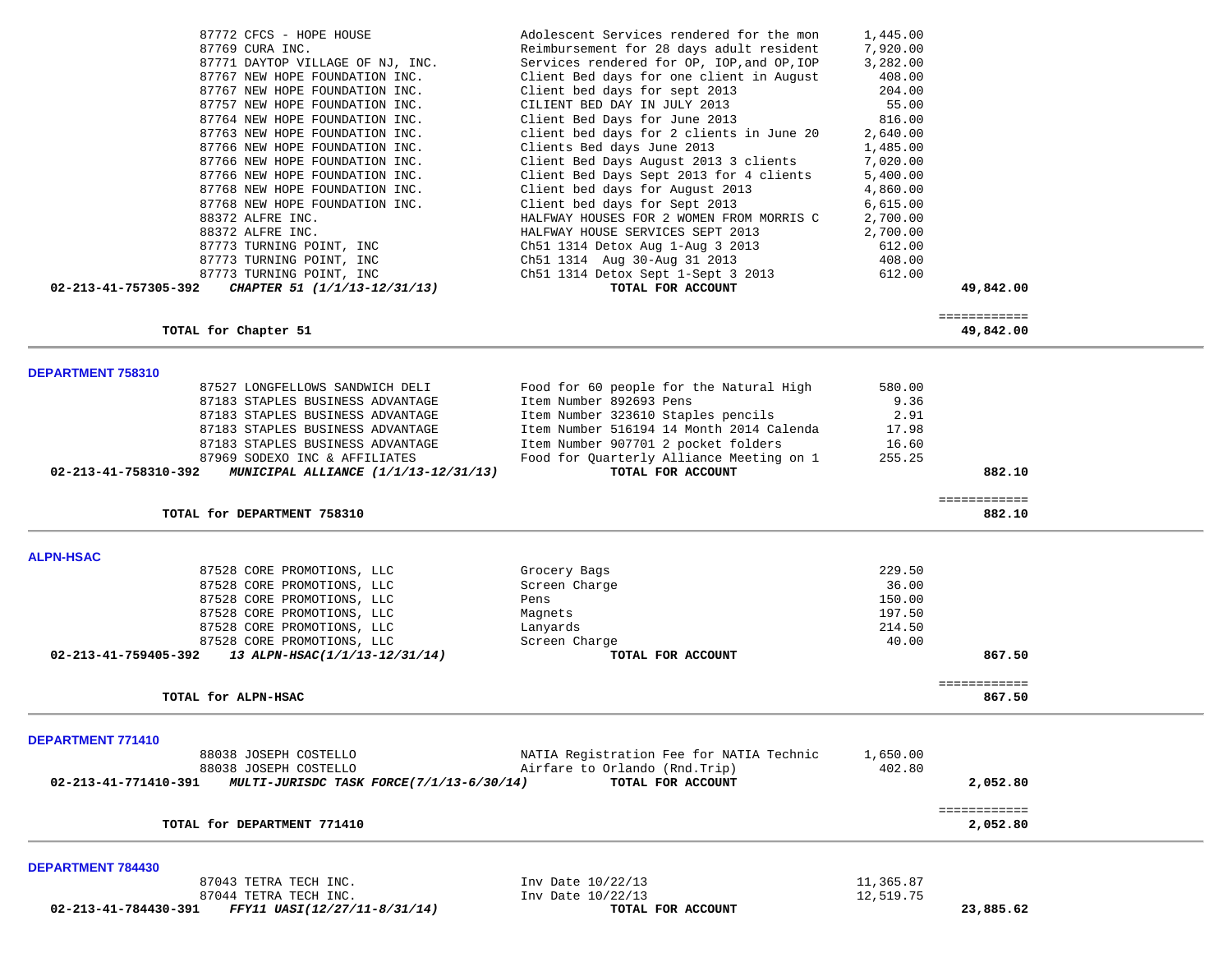| 87772 CFCS - HOPE HOUSE                                          | Adolescent Services rendered for the mon   | 1,445.00  |              |  |
|------------------------------------------------------------------|--------------------------------------------|-----------|--------------|--|
| 87769 CURA INC.                                                  | Reimbursement for 28 days adult resident   | 7,920.00  |              |  |
| 87771 DAYTOP VILLAGE OF NJ, INC.                                 | Services rendered for OP, IOP, and OP, IOP | 3,282.00  |              |  |
| 87767 NEW HOPE FOUNDATION INC.                                   | Client Bed days for one client in August   | 408.00    |              |  |
|                                                                  |                                            |           |              |  |
| 87767 NEW HOPE FOUNDATION INC.                                   | Client bed days for sept 2013              | 204.00    |              |  |
| 87757 NEW HOPE FOUNDATION INC.                                   | CILIENT BED DAY IN JULY 2013               | 55.00     |              |  |
| 87764 NEW HOPE FOUNDATION INC.                                   | Client Bed Days for June 2013              | 816.00    |              |  |
| 87763 NEW HOPE FOUNDATION INC.                                   | client bed days for 2 clients in June 20   | 2,640.00  |              |  |
| 87766 NEW HOPE FOUNDATION INC.                                   | Clients Bed days June 2013                 | 1,485.00  |              |  |
|                                                                  |                                            |           |              |  |
| 87766 NEW HOPE FOUNDATION INC.                                   | Client Bed Days August 2013 3 clients      | 7,020.00  |              |  |
| 87766 NEW HOPE FOUNDATION INC.                                   | Client Bed Days Sept 2013 for 4 clients    | 5,400.00  |              |  |
| 87768 NEW HOPE FOUNDATION INC.                                   | Client bed days for August 2013            | 4,860.00  |              |  |
| 87768 NEW HOPE FOUNDATION INC.                                   | Client bed days for Sept 2013              | 6,615.00  |              |  |
| 88372 ALFRE INC.                                                 | HALFWAY HOUSES FOR 2 WOMEN FROM MORRIS C   | 2,700.00  |              |  |
|                                                                  |                                            |           |              |  |
| 88372 ALFRE INC.                                                 | HALFWAY HOUSE SERVICES SEPT 2013           | 2,700.00  |              |  |
| 87773 TURNING POINT, INC                                         | Ch51 1314 Detox Aug 1-Aug 3 2013           | 612.00    |              |  |
| 87773 TURNING POINT, INC                                         | Ch51 1314 Aug 30-Aug 31 2013               | 408.00    |              |  |
| 87773 TURNING POINT, INC                                         | Ch51 1314 Detox Sept 1-Sept 3 2013         | 612.00    |              |  |
| 02-213-41-757305-392<br>CHAPTER 51 (1/1/13-12/31/13)             | TOTAL FOR ACCOUNT                          |           | 49,842.00    |  |
|                                                                  |                                            |           |              |  |
|                                                                  |                                            |           | ============ |  |
| TOTAL for Chapter 51                                             |                                            |           | 49,842.00    |  |
|                                                                  |                                            |           |              |  |
| <b>DEPARTMENT 758310</b>                                         |                                            |           |              |  |
| 87527 LONGFELLOWS SANDWICH DELI                                  | Food for 60 people for the Natural High    | 580.00    |              |  |
| 87183 STAPLES BUSINESS ADVANTAGE                                 | Item Number 892693 Pens                    | 9.36      |              |  |
| 87183 STAPLES BUSINESS ADVANTAGE                                 | Item Number 323610 Staples pencils         | 2.91      |              |  |
| 87183 STAPLES BUSINESS ADVANTAGE                                 | Item Number 516194 14 Month 2014 Calenda   | 17.98     |              |  |
| 87183 STAPLES BUSINESS ADVANTAGE                                 | Item Number 907701 2 pocket folders        | 16.60     |              |  |
|                                                                  |                                            |           |              |  |
| 87969 SODEXO INC & AFFILIATES                                    | Food for Quarterly Alliance Meeting on 1   | 255.25    |              |  |
| 02-213-41-758310-392<br>MUNICIPAL ALLIANCE (1/1/13-12/31/13)     | TOTAL FOR ACCOUNT                          |           | 882.10       |  |
|                                                                  |                                            |           | ============ |  |
| TOTAL for DEPARTMENT 758310                                      |                                            |           | 882.10       |  |
|                                                                  |                                            |           |              |  |
| <b>ALPN-HSAC</b>                                                 |                                            |           |              |  |
| 87528 CORE PROMOTIONS, LLC                                       | Grocery Bags                               | 229.50    |              |  |
| 87528 CORE PROMOTIONS, LLC                                       | Screen Charge                              | 36.00     |              |  |
| 87528 CORE PROMOTIONS, LLC                                       | Pens                                       | 150.00    |              |  |
| 87528 CORE PROMOTIONS, LLC                                       |                                            | 197.50    |              |  |
|                                                                  | Magnets                                    |           |              |  |
| 87528 CORE PROMOTIONS, LLC                                       | Lanyards                                   | 214.50    |              |  |
| 87528 CORE PROMOTIONS, LLC                                       | Screen Charge                              | 40.00     |              |  |
| 02-213-41-759405-392<br>13 ALPN-HSAC(1/1/13-12/31/14)            | TOTAL FOR ACCOUNT                          |           | 867.50       |  |
|                                                                  |                                            |           | ============ |  |
| TOTAL for ALPN-HSAC                                              |                                            |           | 867.50       |  |
|                                                                  |                                            |           |              |  |
| <b>DEPARTMENT 771410</b>                                         |                                            |           |              |  |
| 88038 JOSEPH COSTELLO                                            | NATIA Registration Fee for NATIA Technic   | 1,650.00  |              |  |
| 88038 JOSEPH COSTELLO                                            | Airfare to Orlando (Rnd.Trip)              | 402.80    |              |  |
| MULTI-JURISDC TASK FORCE(7/1/13-6/30/14)<br>02-213-41-771410-391 | TOTAL FOR ACCOUNT                          |           | 2,052.80     |  |
|                                                                  |                                            |           | ============ |  |
| TOTAL for DEPARTMENT 771410                                      |                                            |           | 2,052.80     |  |
|                                                                  |                                            |           |              |  |
| <b>DEPARTMENT 784430</b>                                         |                                            |           |              |  |
| 87043 TETRA TECH INC.                                            | Inv Date 10/22/13                          | 11,365.87 |              |  |

 **02-213-41-784430-391** *FFY11 UASI(12/27/11-8/31/14)* **TOTAL FOR ACCOUNT 23,885.62**

87044 TETRA TECH INC.<br> **12,519.75** Inv Date 10/22/13 **12.519.75 ICTAL FOR ACCOUNT**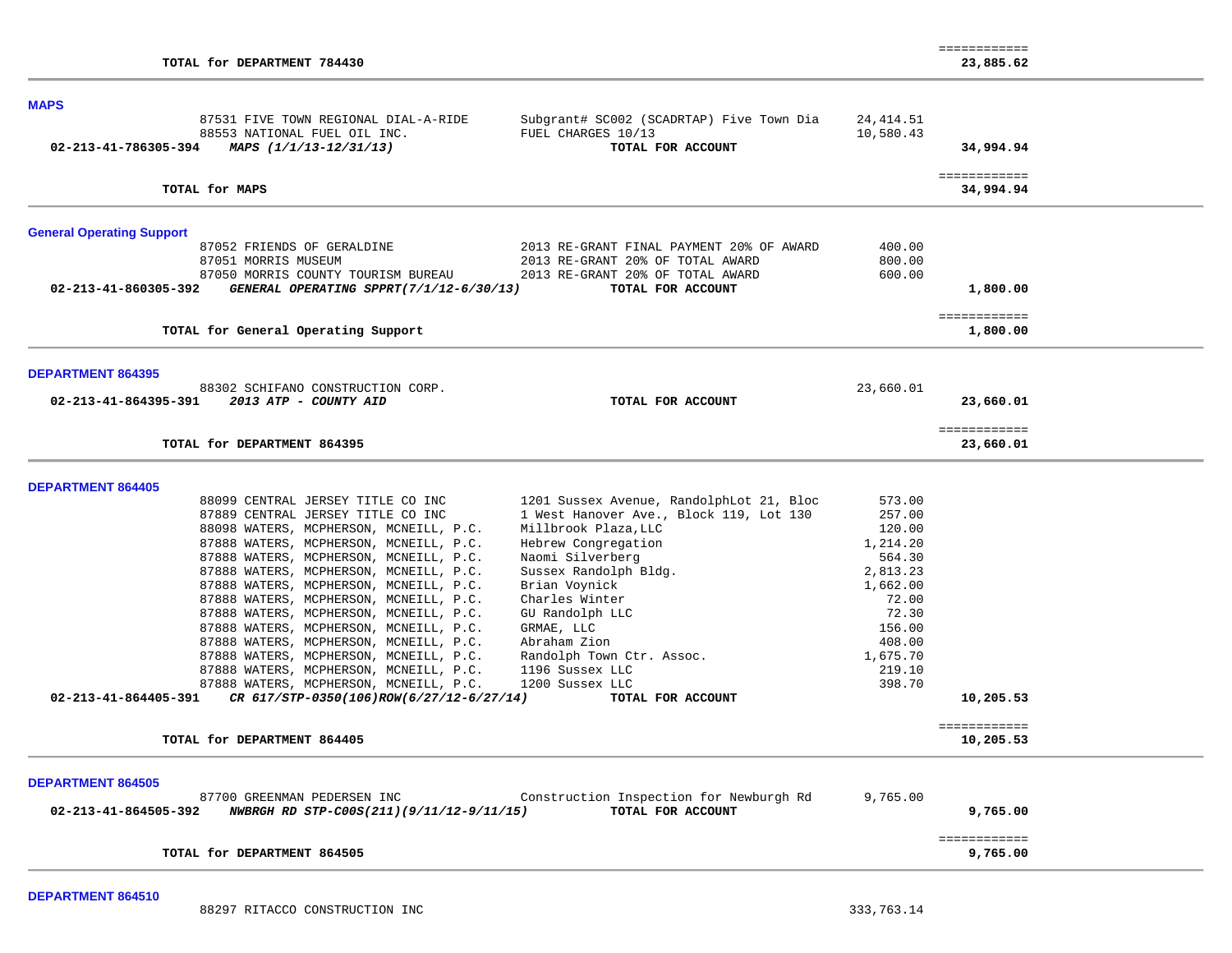| TOTAL for DEPARTMENT 784430                                      |                                                                                     |            | 23,885.62                 |
|------------------------------------------------------------------|-------------------------------------------------------------------------------------|------------|---------------------------|
| <b>MAPS</b>                                                      |                                                                                     |            |                           |
| 87531 FIVE TOWN REGIONAL DIAL-A-RIDE                             | Subgrant# SC002 (SCADRTAP) Five Town Dia                                            | 24, 414.51 |                           |
| 88553 NATIONAL FUEL OIL INC.                                     | FUEL CHARGES 10/13                                                                  | 10,580.43  |                           |
| 02-213-41-786305-394<br>MAPS (1/1/13-12/31/13)                   | TOTAL FOR ACCOUNT                                                                   |            | 34,994.94                 |
| TOTAL for MAPS                                                   |                                                                                     |            | ============<br>34,994.94 |
| <b>General Operating Support</b>                                 |                                                                                     |            |                           |
| 87052 FRIENDS OF GERALDINE                                       | 2013 RE-GRANT FINAL PAYMENT 20% OF AWARD                                            | 400.00     |                           |
| 87051 MORRIS MUSEUM                                              | 2013 RE-GRANT 20% OF TOTAL AWARD                                                    | 800.00     |                           |
| 87050 MORRIS COUNTY TOURISM BUREAU                               | 2013 RE-GRANT 20% OF TOTAL AWARD                                                    | 600.00     |                           |
| 02-213-41-860305-392<br>GENERAL OPERATING SPPRT(7/1/12-6/30/13)  | TOTAL FOR ACCOUNT                                                                   |            | 1,800.00                  |
|                                                                  |                                                                                     |            | ============              |
| TOTAL for General Operating Support                              |                                                                                     |            | 1,800.00                  |
| <b>DEPARTMENT 864395</b>                                         |                                                                                     |            |                           |
| 88302 SCHIFANO CONSTRUCTION CORP.                                |                                                                                     | 23,660.01  |                           |
| 02-213-41-864395-391<br>2013 ATP - COUNTY AID                    | TOTAL FOR ACCOUNT                                                                   |            | 23,660.01                 |
| TOTAL for DEPARTMENT 864395                                      |                                                                                     |            | ============<br>23,660.01 |
|                                                                  |                                                                                     |            |                           |
| <b>DEPARTMENT 864405</b><br>88099 CENTRAL JERSEY TITLE CO INC    |                                                                                     | 573.00     |                           |
| 87889 CENTRAL JERSEY TITLE CO INC                                | 1201 Sussex Avenue, RandolphLot 21, Bloc<br>1 West Hanover Ave., Block 119, Lot 130 | 257.00     |                           |
| 88098 WATERS, MCPHERSON, MCNEILL, P.C.                           | Millbrook Plaza, LLC                                                                | 120.00     |                           |
| 87888 WATERS, MCPHERSON, MCNEILL, P.C.                           | Hebrew Congregation                                                                 | 1,214.20   |                           |
| 87888 WATERS, MCPHERSON, MCNEILL, P.C.                           | Naomi Silverberg                                                                    | 564.30     |                           |
| 87888 WATERS, MCPHERSON, MCNEILL, P.C.                           | Sussex Randolph Bldg.                                                               | 2,813.23   |                           |
| 87888 WATERS, MCPHERSON, MCNEILL, P.C.                           | Brian Voynick                                                                       | 1,662.00   |                           |
| 87888 WATERS, MCPHERSON, MCNEILL, P.C.                           | Charles Winter                                                                      | 72.00      |                           |
| 87888 WATERS, MCPHERSON, MCNEILL, P.C.                           | GU Randolph LLC                                                                     | 72.30      |                           |
| 87888 WATERS, MCPHERSON, MCNEILL, P.C.                           | GRMAE, LLC                                                                          | 156.00     |                           |
| 87888 WATERS, MCPHERSON, MCNEILL, P.C.                           | Abraham Zion                                                                        | 408.00     |                           |
| 87888 WATERS, MCPHERSON, MCNEILL, P.C.                           | Randolph Town Ctr. Assoc.                                                           | 1,675.70   |                           |
| 87888 WATERS, MCPHERSON, MCNEILL, P.C.                           | 1196 Sussex LLC                                                                     | 219.10     |                           |
| 87888 WATERS, MCPHERSON, MCNEILL, P.C.                           | 1200 Sussex LLC                                                                     | 398.70     |                           |
| 02-213-41-864405-391<br>CR 617/STP-0350(106)ROW(6/27/12-6/27/14) | TOTAL FOR ACCOUNT                                                                   |            | 10,205.53                 |
|                                                                  |                                                                                     |            |                           |
| TOTAL for DEPARTMENT 864405                                      |                                                                                     |            | ============<br>10,205.53 |
|                                                                  |                                                                                     |            |                           |
| <b>DEPARTMENT 864505</b>                                         |                                                                                     |            |                           |
| 87700 GREENMAN PEDERSEN INC                                      | Construction Inspection for Newburgh Rd                                             | 9,765.00   |                           |
| 02-213-41-864505-392<br>NWBRGH RD STP-C00S(211)(9/11/12-9/11/15) | TOTAL FOR ACCOUNT                                                                   |            | 9,765.00                  |
|                                                                  |                                                                                     |            | ============              |
| TOTAL for DEPARTMENT 864505                                      |                                                                                     |            | 9,765.00                  |

============

**DEPARTMENT 864510** 

88297 RITACCO CONSTRUCTION INC 333,763.14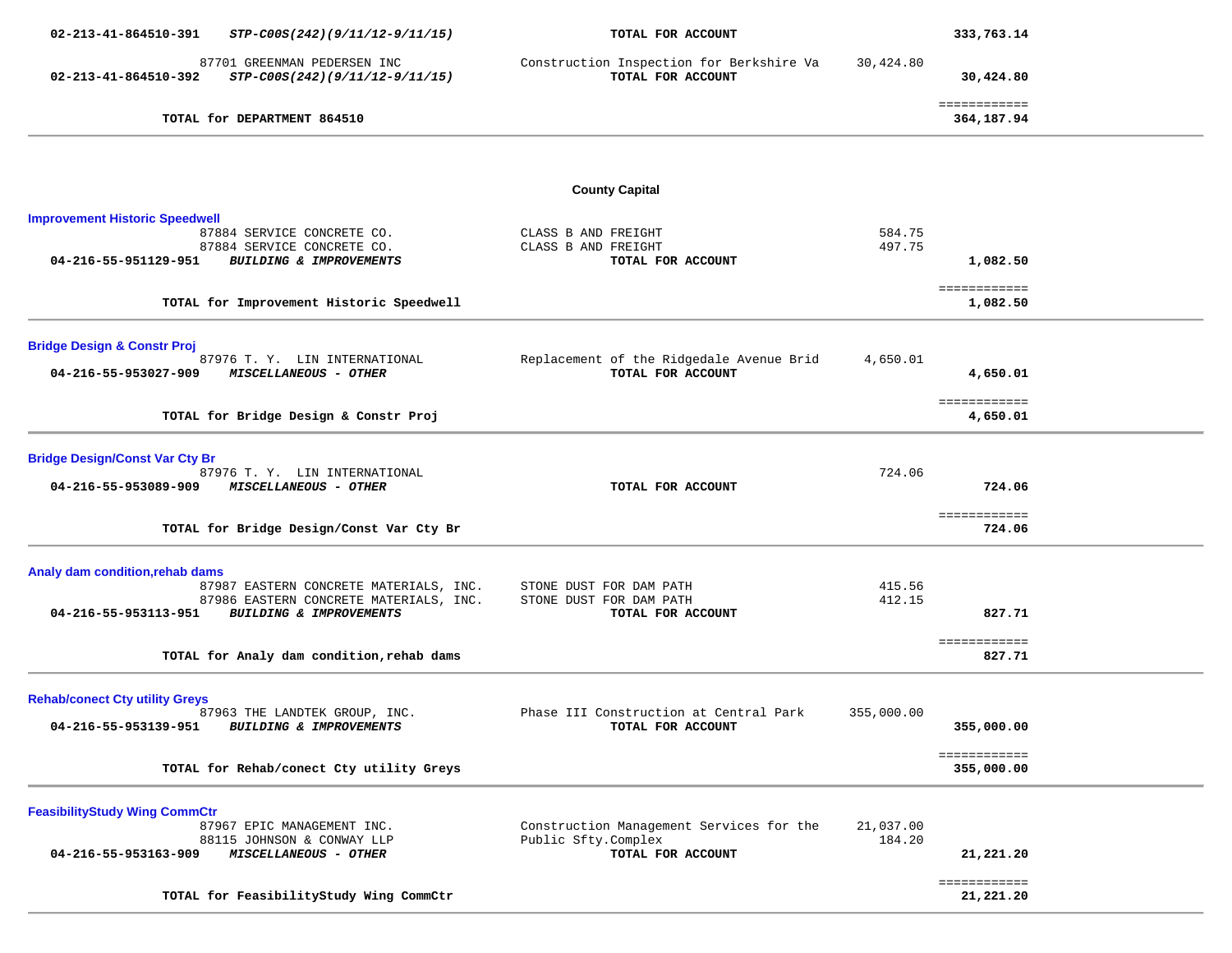| 02-213-41-864510-391<br>STP-C00S(242)(9/11/12-9/11/15)                                | TOTAL FOR ACCOUNT                                               |                     | 333,763.14                 |  |
|---------------------------------------------------------------------------------------|-----------------------------------------------------------------|---------------------|----------------------------|--|
| 87701 GREENMAN PEDERSEN INC<br>STP-C00S(242)(9/11/12-9/11/15)<br>02-213-41-864510-392 | Construction Inspection for Berkshire Va<br>TOTAL FOR ACCOUNT   | 30,424.80           | 30,424.80                  |  |
| TOTAL for DEPARTMENT 864510                                                           |                                                                 |                     | ============<br>364,187.94 |  |
|                                                                                       |                                                                 |                     |                            |  |
|                                                                                       | <b>County Capital</b>                                           |                     |                            |  |
| <b>Improvement Historic Speedwell</b>                                                 |                                                                 | 584.75              |                            |  |
| 87884 SERVICE CONCRETE CO.<br>87884 SERVICE CONCRETE CO.                              | CLASS B AND FREIGHT<br>CLASS B AND FREIGHT                      | 497.75              |                            |  |
| 04-216-55-951129-951<br><b>BUILDING &amp; IMPROVEMENTS</b>                            | TOTAL FOR ACCOUNT                                               |                     | 1,082.50                   |  |
| TOTAL for Improvement Historic Speedwell                                              |                                                                 |                     | ============<br>1,082.50   |  |
| <b>Bridge Design &amp; Constr Proj</b>                                                |                                                                 |                     |                            |  |
| 87976 T. Y. LIN INTERNATIONAL<br>04-216-55-953027-909<br><b>MISCELLANEOUS - OTHER</b> | Replacement of the Ridgedale Avenue Brid<br>TOTAL FOR ACCOUNT   | 4,650.01            | 4,650.01                   |  |
|                                                                                       |                                                                 |                     | ============               |  |
| TOTAL for Bridge Design & Constr Proj                                                 |                                                                 |                     | 4,650.01                   |  |
| <b>Bridge Design/Const Var Cty Br</b>                                                 |                                                                 |                     |                            |  |
| 87976 T. Y. LIN INTERNATIONAL<br>MISCELLANEOUS - OTHER<br>04-216-55-953089-909        | TOTAL FOR ACCOUNT                                               | 724.06              | 724.06                     |  |
|                                                                                       |                                                                 |                     | ============               |  |
| TOTAL for Bridge Design/Const Var Cty Br                                              |                                                                 |                     | 724.06                     |  |
| Analy dam condition, rehab dams                                                       |                                                                 |                     |                            |  |
| 87987 EASTERN CONCRETE MATERIALS, INC.<br>87986 EASTERN CONCRETE MATERIALS, INC.      | STONE DUST FOR DAM PATH<br>STONE DUST FOR DAM PATH              | 415.56<br>412.15    |                            |  |
| 04-216-55-953113-951<br>BUILDING & IMPROVEMENTS                                       | TOTAL FOR ACCOUNT                                               |                     | 827.71                     |  |
| TOTAL for Analy dam condition, rehab dams                                             |                                                                 |                     | ============<br>827.71     |  |
|                                                                                       |                                                                 |                     |                            |  |
| <b>Rehab/conect Cty utility Greys</b><br>87963 THE LANDTEK GROUP, INC.                | Phase III Construction at Central Park                          | 355,000.00          |                            |  |
| 04-216-55-953139-951<br>BUILDING & IMPROVEMENTS                                       | TOTAL FOR ACCOUNT                                               |                     | 355,000.00                 |  |
| TOTAL for Rehab/conect Cty utility Greys                                              |                                                                 |                     | ============<br>355,000.00 |  |
| <b>FeasibilityStudy Wing CommCtr</b>                                                  |                                                                 |                     |                            |  |
| 87967 EPIC MANAGEMENT INC.<br>88115 JOHNSON & CONWAY LLP                              | Construction Management Services for the<br>Public Sfty.Complex | 21,037.00<br>184.20 |                            |  |
| 04-216-55-953163-909<br>MISCELLANEOUS - OTHER                                         | TOTAL FOR ACCOUNT                                               |                     | 21,221.20                  |  |
|                                                                                       |                                                                 |                     | ============               |  |
| TOTAL for FeasibilityStudy Wing CommCtr                                               |                                                                 |                     | 21,221.20                  |  |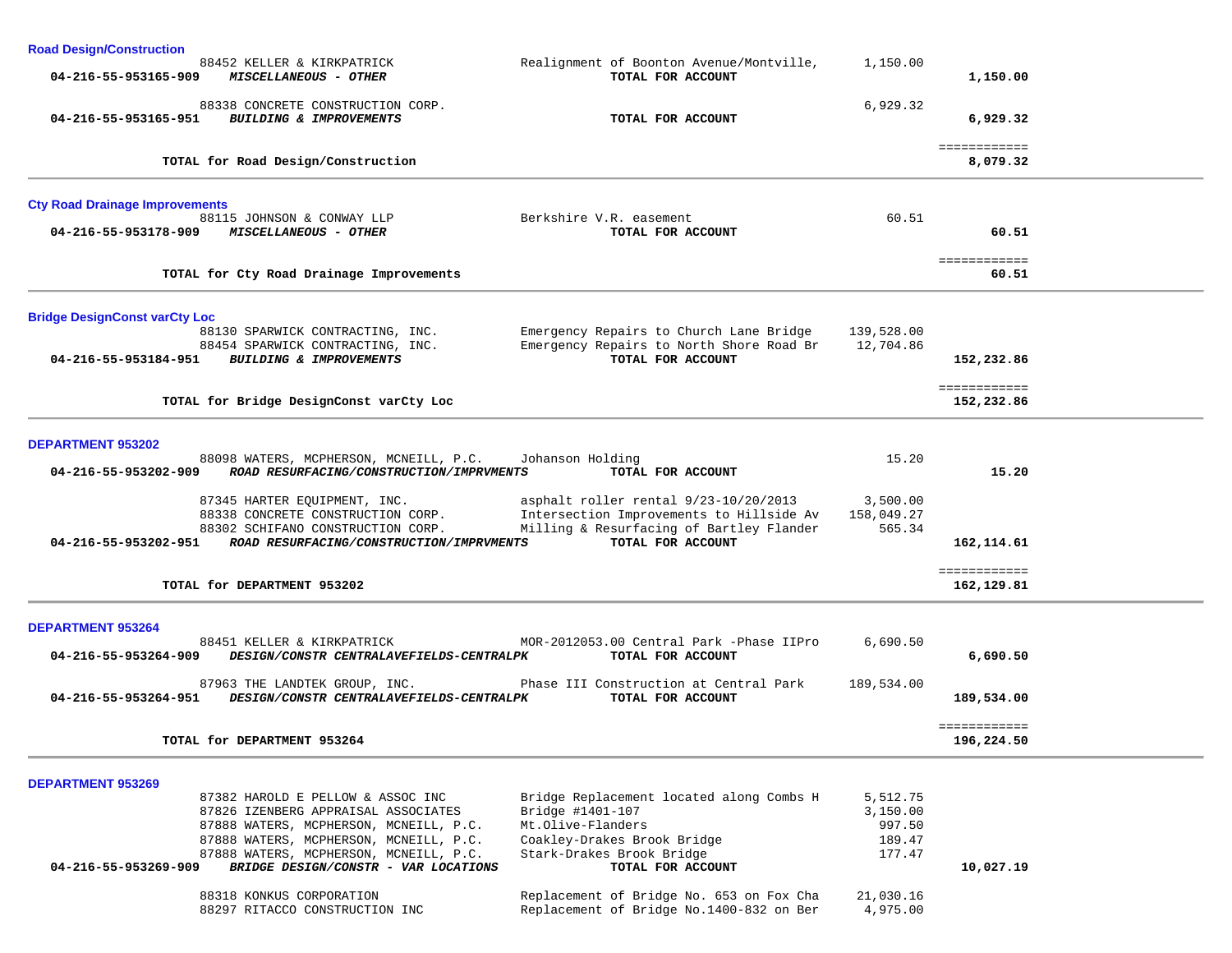| <b>Road Design/Construction</b>       |                                                                                                                                                                                                                                                |                                                                                                                                                                    |                                                    |                            |  |
|---------------------------------------|------------------------------------------------------------------------------------------------------------------------------------------------------------------------------------------------------------------------------------------------|--------------------------------------------------------------------------------------------------------------------------------------------------------------------|----------------------------------------------------|----------------------------|--|
| 04-216-55-953165-909                  | 88452 KELLER & KIRKPATRICK<br>MISCELLANEOUS - OTHER                                                                                                                                                                                            | Realignment of Boonton Avenue/Montville,<br>TOTAL FOR ACCOUNT                                                                                                      | 1,150.00                                           | 1,150.00                   |  |
| 04-216-55-953165-951                  | 88338 CONCRETE CONSTRUCTION CORP.<br>BUILDING & IMPROVEMENTS                                                                                                                                                                                   | TOTAL FOR ACCOUNT                                                                                                                                                  | 6,929.32                                           | 6,929.32                   |  |
|                                       | TOTAL for Road Design/Construction                                                                                                                                                                                                             |                                                                                                                                                                    |                                                    | ============<br>8,079.32   |  |
| <b>Cty Road Drainage Improvements</b> |                                                                                                                                                                                                                                                |                                                                                                                                                                    |                                                    |                            |  |
| 04-216-55-953178-909                  | 88115 JOHNSON & CONWAY LLP<br><i>MISCELLANEOUS - OTHER</i>                                                                                                                                                                                     | Berkshire V.R. easement<br>TOTAL FOR ACCOUNT                                                                                                                       | 60.51                                              | 60.51                      |  |
|                                       | TOTAL for Cty Road Drainage Improvements                                                                                                                                                                                                       |                                                                                                                                                                    |                                                    | ============<br>60.51      |  |
| <b>Bridge DesignConst varCty Loc</b>  |                                                                                                                                                                                                                                                |                                                                                                                                                                    |                                                    |                            |  |
|                                       | 88130 SPARWICK CONTRACTING, INC.<br>88454 SPARWICK CONTRACTING, INC.<br>04-216-55-953184-951 BUILDING & IMPROVEMENTS                                                                                                                           | Emergency Repairs to Church Lane Bridge<br>Emergency Repairs to North Shore Road Br<br>TOTAL FOR ACCOUNT                                                           | 139,528.00<br>12,704.86                            | 152,232.86                 |  |
|                                       | TOTAL for Bridge DesignConst varCty Loc                                                                                                                                                                                                        |                                                                                                                                                                    |                                                    | ============<br>152,232.86 |  |
| <b>DEPARTMENT 953202</b>              |                                                                                                                                                                                                                                                |                                                                                                                                                                    |                                                    |                            |  |
| 04-216-55-953202-909                  | 88098 WATERS, MCPHERSON, MCNEILL, P.C.<br>ROAD RESURFACING/CONSTRUCTION/IMPRVMENTS                                                                                                                                                             | Johanson Holding<br>TOTAL FOR ACCOUNT                                                                                                                              | 15.20                                              | 15.20                      |  |
| 04-216-55-953202-951                  | 87345 HARTER EQUIPMENT, INC.<br>88338 CONCRETE CONSTRUCTION CORP.<br>88302 SCHIFANO CONSTRUCTION CORP.<br>ROAD RESURFACING/CONSTRUCTION/IMPRVMENTS                                                                                             | asphalt roller rental 9/23-10/20/2013<br>Intersection Improvements to Hillside Av<br>Milling & Resurfacing of Bartley Flander<br>TOTAL FOR ACCOUNT                 | 3,500.00<br>158,049.27<br>565.34                   | 162,114.61                 |  |
|                                       | TOTAL for DEPARTMENT 953202                                                                                                                                                                                                                    |                                                                                                                                                                    |                                                    | ============<br>162,129.81 |  |
| <b>DEPARTMENT 953264</b>              |                                                                                                                                                                                                                                                |                                                                                                                                                                    |                                                    |                            |  |
| 04-216-55-953264-909                  | 88451 KELLER & KIRKPATRICK<br>DESIGN/CONSTR CENTRALAVEFIELDS-CENTRALPK                                                                                                                                                                         | MOR-2012053.00 Central Park -Phase IIPro<br>TOTAL FOR ACCOUNT                                                                                                      | 6,690.50                                           | 6,690.50                   |  |
| 04-216-55-953264-951                  | 87963 THE LANDTEK GROUP, INC.<br>DESIGN/CONSTR CENTRALAVEFIELDS-CENTRALPK                                                                                                                                                                      | Phase III Construction at Central Park<br>TOTAL FOR ACCOUNT                                                                                                        | 189,534.00                                         | 189,534.00                 |  |
| TOTAL for DEPARTMENT 953264           |                                                                                                                                                                                                                                                |                                                                                                                                                                    |                                                    | ============<br>196,224.50 |  |
| <b>DEPARTMENT 953269</b>              |                                                                                                                                                                                                                                                |                                                                                                                                                                    |                                                    |                            |  |
| 04-216-55-953269-909                  | 87382 HAROLD E PELLOW & ASSOC INC<br>87826 IZENBERG APPRAISAL ASSOCIATES<br>87888 WATERS, MCPHERSON, MCNEILL, P.C.<br>87888 WATERS, MCPHERSON, MCNEILL, P.C.<br>87888 WATERS, MCPHERSON, MCNEILL, P.C.<br>BRIDGE DESIGN/CONSTR - VAR LOCATIONS | Bridge Replacement located along Combs H<br>Bridge #1401-107<br>Mt.Olive-Flanders<br>Coakley-Drakes Brook Bridge<br>Stark-Drakes Brook Bridge<br>TOTAL FOR ACCOUNT | 5,512.75<br>3,150.00<br>997.50<br>189.47<br>177.47 | 10,027.19                  |  |
|                                       | 88318 KONKUS CORPORATION<br>88297 RITACCO CONSTRUCTION INC                                                                                                                                                                                     | Replacement of Bridge No. 653 on Fox Cha<br>Replacement of Bridge No.1400-832 on Ber                                                                               | 21,030.16<br>4,975.00                              |                            |  |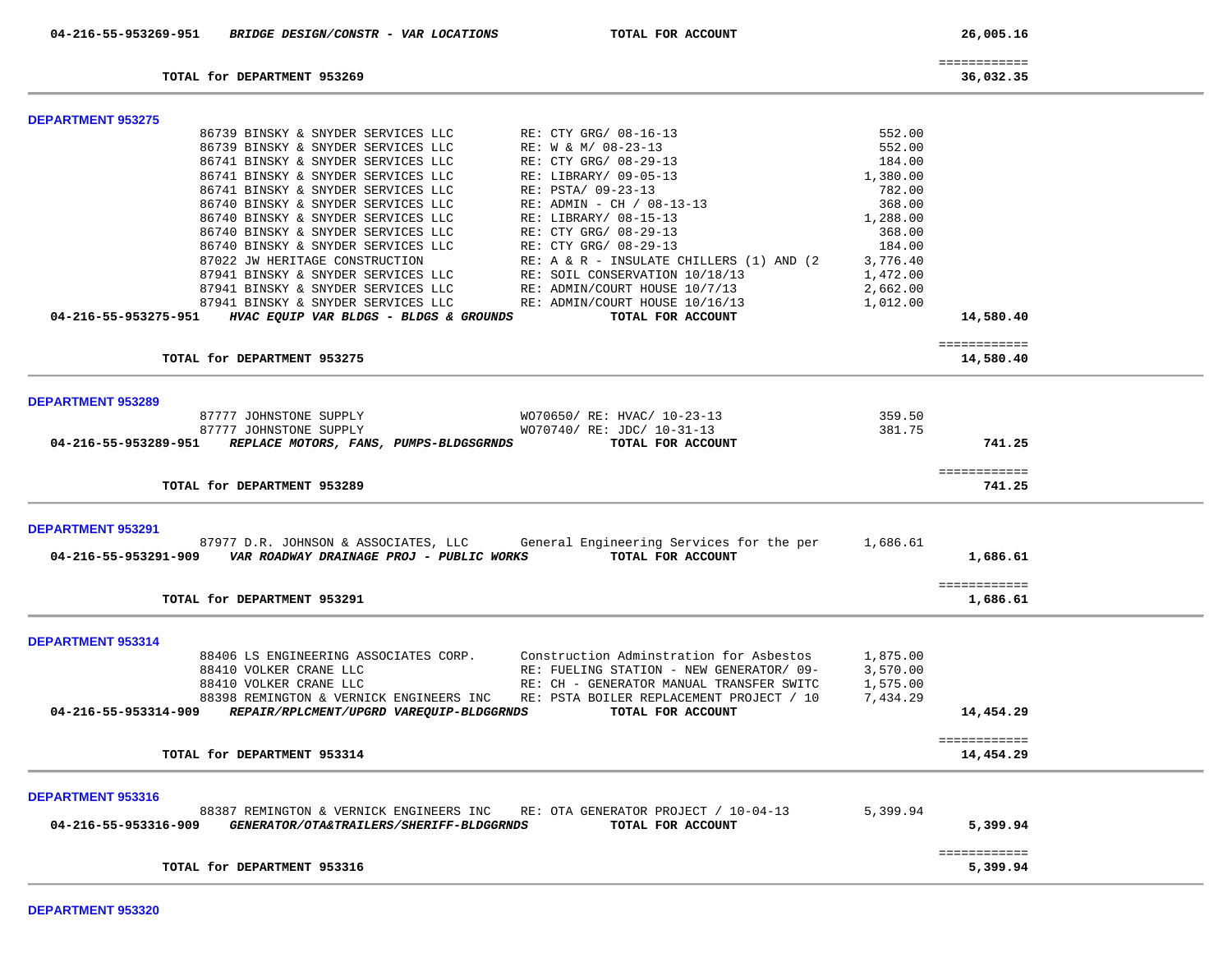| 04-216-55-953269-951<br>BRIDGE DESIGN/CONSTR - VAR LOCATIONS             | TOTAL FOR ACCOUNT                           |                  | 26,005.16                 |  |
|--------------------------------------------------------------------------|---------------------------------------------|------------------|---------------------------|--|
| TOTAL for DEPARTMENT 953269                                              |                                             |                  | ============<br>36,032.35 |  |
|                                                                          |                                             |                  |                           |  |
| <b>DEPARTMENT 953275</b><br>86739 BINSKY & SNYDER SERVICES LLC           | RE: CTY GRG/ 08-16-13                       |                  |                           |  |
|                                                                          |                                             | 552.00           |                           |  |
| 86739 BINSKY & SNYDER SERVICES LLC                                       | RE: W & M/ 08-23-13                         | 552.00           |                           |  |
| 86741 BINSKY & SNYDER SERVICES LLC                                       | RE: CTY GRG/ 08-29-13                       | 184.00           |                           |  |
| 86741 BINSKY & SNYDER SERVICES LLC<br>86741 BINSKY & SNYDER SERVICES LLC | RE: LIBRARY/ 09-05-13<br>RE: PSTA/ 09-23-13 | 1,380.00         |                           |  |
| 86740 BINSKY & SNYDER SERVICES LLC                                       | RE: ADMIN - CH / 08-13-13                   | 782.00<br>368.00 |                           |  |
| 86740 BINSKY & SNYDER SERVICES LLC                                       | RE: LIBRARY/ 08-15-13                       | 1,288.00         |                           |  |
| 86740 BINSKY & SNYDER SERVICES LLC                                       | RE: CTY GRG/ 08-29-13                       | 368.00           |                           |  |
| 86740 BINSKY & SNYDER SERVICES LLC                                       | RE: CTY GRG/ 08-29-13                       | 184.00           |                           |  |
| 87022 JW HERITAGE CONSTRUCTION                                           | RE: A & R - INSULATE CHILLERS (1) AND (2)   | 3,776.40         |                           |  |
| 87941 BINSKY & SNYDER SERVICES LLC                                       | RE: SOIL CONSERVATION 10/18/13              | 1,472.00         |                           |  |
| 87941 BINSKY & SNYDER SERVICES LLC                                       | RE: ADMIN/COURT HOUSE 10/7/13               | 2,662.00         |                           |  |
| 87941 BINSKY & SNYDER SERVICES LLC                                       | RE: ADMIN/COURT HOUSE 10/16/13              | 1,012.00         |                           |  |
| 04-216-55-953275-951<br>HVAC EQUIP VAR BLDGS - BLDGS & GROUNDS           | TOTAL FOR ACCOUNT                           |                  | 14,580.40                 |  |
|                                                                          |                                             |                  |                           |  |
|                                                                          |                                             |                  | ============              |  |
| TOTAL for DEPARTMENT 953275                                              |                                             |                  | 14,580.40                 |  |
|                                                                          |                                             |                  |                           |  |
| <b>DEPARTMENT 953289</b><br>87777 JOHNSTONE SUPPLY                       | WO70650/ RE: HVAC/ 10-23-13                 | 359.50           |                           |  |
| 87777 JOHNSTONE SUPPLY                                                   | WO70740/ RE: JDC/ 10-31-13                  | 381.75           |                           |  |
| 04-216-55-953289-951<br>REPLACE MOTORS, FANS, PUMPS-BLDGSGRNDS           | TOTAL FOR ACCOUNT                           |                  | 741.25                    |  |
|                                                                          |                                             |                  |                           |  |
| TOTAL for DEPARTMENT 953289                                              |                                             |                  | ============<br>741.25    |  |
|                                                                          |                                             |                  |                           |  |
| <b>DEPARTMENT 953291</b><br>87977 D.R. JOHNSON & ASSOCIATES, LLC         | General Engineering Services for the per    | 1,686.61         |                           |  |
| 04-216-55-953291-909<br>VAR ROADWAY DRAINAGE PROJ - PUBLIC WORKS         | TOTAL FOR ACCOUNT                           |                  | 1,686.61                  |  |
|                                                                          |                                             |                  | ============              |  |
| TOTAL for DEPARTMENT 953291                                              |                                             |                  | 1,686.61                  |  |
|                                                                          |                                             |                  |                           |  |
| <b>DEPARTMENT 953314</b>                                                 |                                             |                  |                           |  |
| 88406 LS ENGINEERING ASSOCIATES CORP.                                    | Construction Adminstration for Asbestos     | 1,875.00         |                           |  |
| 88410 VOLKER CRANE LLC                                                   | RE: FUELING STATION - NEW GENERATOR/09-     | 3,570.00         |                           |  |
| 88410 VOLKER CRANE LLC                                                   | RE: CH - GENERATOR MANUAL TRANSFER SWITC    | 1,575.00         |                           |  |
| 88398 REMINGTON & VERNICK ENGINEERS INC                                  | RE: PSTA BOILER REPLACEMENT PROJECT / 10    | 7,434.29         |                           |  |
| REPAIR/RPLCMENT/UPGRD VAREQUIP-BLDGGRNDS<br>04-216-55-953314-909         | TOTAL FOR ACCOUNT                           |                  | 14,454.29                 |  |
|                                                                          |                                             |                  | ============              |  |
| TOTAL for DEPARTMENT 953314                                              |                                             |                  | 14,454.29                 |  |
|                                                                          |                                             |                  |                           |  |
| <b>DEPARTMENT 953316</b><br>88387 REMINGTON & VERNICK ENGINEERS INC      | RE: OTA GENERATOR PROJECT / 10-04-13        | 5,399.94         |                           |  |
| 04-216-55-953316-909<br>GENERATOR/OTA&TRAILERS/SHERIFF-BLDGGRNDS         | TOTAL FOR ACCOUNT                           |                  | 5,399.94                  |  |
|                                                                          |                                             |                  |                           |  |
|                                                                          |                                             |                  | ============              |  |
| TOTAL for DEPARTMENT 953316                                              |                                             |                  | 5,399.94                  |  |
|                                                                          |                                             |                  |                           |  |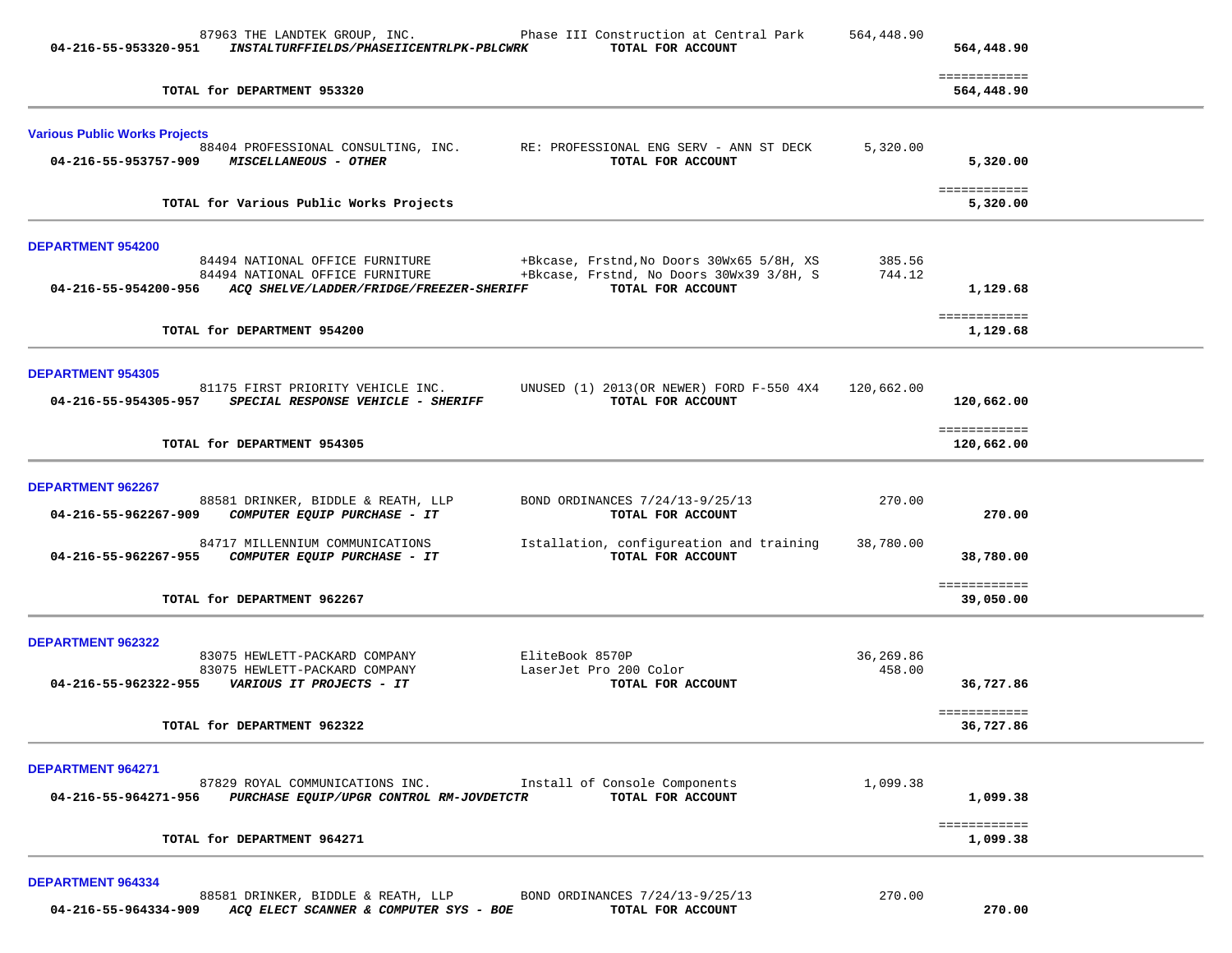| 04-216-55-953320-951                 | 87963 THE LANDTEK GROUP, INC.<br>INSTALTURFFIELDS/PHASEIICENTRLPK-PBLCWRK                                                           | Phase III Construction at Central Park<br>TOTAL FOR ACCOUNT                                                | 564,448.90          | 564,448.90                 |  |
|--------------------------------------|-------------------------------------------------------------------------------------------------------------------------------------|------------------------------------------------------------------------------------------------------------|---------------------|----------------------------|--|
|                                      | TOTAL for DEPARTMENT 953320                                                                                                         |                                                                                                            |                     | ============<br>564,448.90 |  |
| <b>Various Public Works Projects</b> |                                                                                                                                     |                                                                                                            |                     |                            |  |
|                                      | 04-216-55-953757-909 MISCELLANEOUS - OTHER                                                                                          | 88404 PROFESSIONAL CONSULTING, INC. RE: PROFESSIONAL ENG SERV - ANN ST DECK<br>TOTAL FOR ACCOUNT           | 5,320.00            | 5,320.00                   |  |
|                                      | TOTAL for Various Public Works Projects                                                                                             |                                                                                                            |                     | ============<br>5,320.00   |  |
| <b>DEPARTMENT 954200</b>             |                                                                                                                                     |                                                                                                            |                     |                            |  |
|                                      | 84494 NATIONAL OFFICE FURNITURE<br>84494 NATIONAL OFFICE FURNITURE<br>04-216-55-954200-956 ACQ SHELVE/LADDER/FRIDGE/FREEZER-SHERIFF | +Bkcase, Frstnd, No Doors 30Wx65 5/8H, XS<br>+Bkcase, Frstnd, No Doors 30Wx39 3/8H, S<br>TOTAL FOR ACCOUNT | 385.56<br>744.12    | 1,129.68                   |  |
|                                      | TOTAL for DEPARTMENT 954200                                                                                                         |                                                                                                            |                     | ============<br>1,129.68   |  |
| <b>DEPARTMENT 954305</b>             |                                                                                                                                     |                                                                                                            |                     |                            |  |
|                                      | 81175 FIRST PRIORITY VEHICLE INC.<br>04-216-55-954305-957 SPECIAL RESPONSE VEHICLE - SHERIFF                                        | UNUSED (1) 2013 (OR NEWER) FORD F-550 4X4<br>TOTAL FOR ACCOUNT                                             | 120,662.00          | 120,662.00                 |  |
|                                      | TOTAL for DEPARTMENT 954305                                                                                                         |                                                                                                            |                     | ============<br>120,662.00 |  |
| DEPARTMENT 962267                    |                                                                                                                                     |                                                                                                            |                     |                            |  |
| 04-216-55-962267-909                 | 88581 DRINKER, BIDDLE & REATH, LLP<br>COMPUTER EQUIP PURCHASE - IT                                                                  | BOND ORDINANCES 7/24/13-9/25/13<br>TOTAL FOR ACCOUNT                                                       | 270.00              | 270.00                     |  |
| 04-216-55-962267-955                 | 84717 MILLENNIUM COMMUNICATIONS<br>COMPUTER EQUIP PURCHASE - IT                                                                     | Istallation, configureation and training<br>TOTAL FOR ACCOUNT                                              | 38,780.00           | 38,780.00                  |  |
|                                      | TOTAL for DEPARTMENT 962267                                                                                                         |                                                                                                            |                     | ============<br>39,050.00  |  |
| <b>DEPARTMENT 962322</b>             |                                                                                                                                     |                                                                                                            |                     |                            |  |
|                                      | 83075 HEWLETT-PACKARD COMPANY<br>83075 HEWLETT-PACKARD COMPANY                                                                      | EliteBook 8570P<br>LaserJet Pro 200 Color<br>TOTAL FOR ACCOUNT                                             | 36,269.86<br>458.00 | 36,727.86                  |  |
|                                      | TOTAL for DEPARTMENT 962322                                                                                                         |                                                                                                            |                     | ============<br>36,727.86  |  |
| <b>DEPARTMENT 964271</b>             |                                                                                                                                     |                                                                                                            |                     |                            |  |
| 04-216-55-964271-956                 | 87829 ROYAL COMMUNICATIONS INC.<br>PURCHASE EQUIP/UPGR CONTROL RM-JOVDETCTR                                                         | Install of Console Components<br>TOTAL FOR ACCOUNT                                                         | 1,099.38            | 1,099.38                   |  |
|                                      | TOTAL for DEPARTMENT 964271                                                                                                         |                                                                                                            |                     | ============<br>1,099.38   |  |
| DEPARTMENT 964334                    |                                                                                                                                     |                                                                                                            |                     |                            |  |
|                                      | 88581 DRINKER, BIDDLE & REATH, LLP                                                                                                  | BOND ORDINANCES 7/24/13-9/25/13                                                                            | 270.00              |                            |  |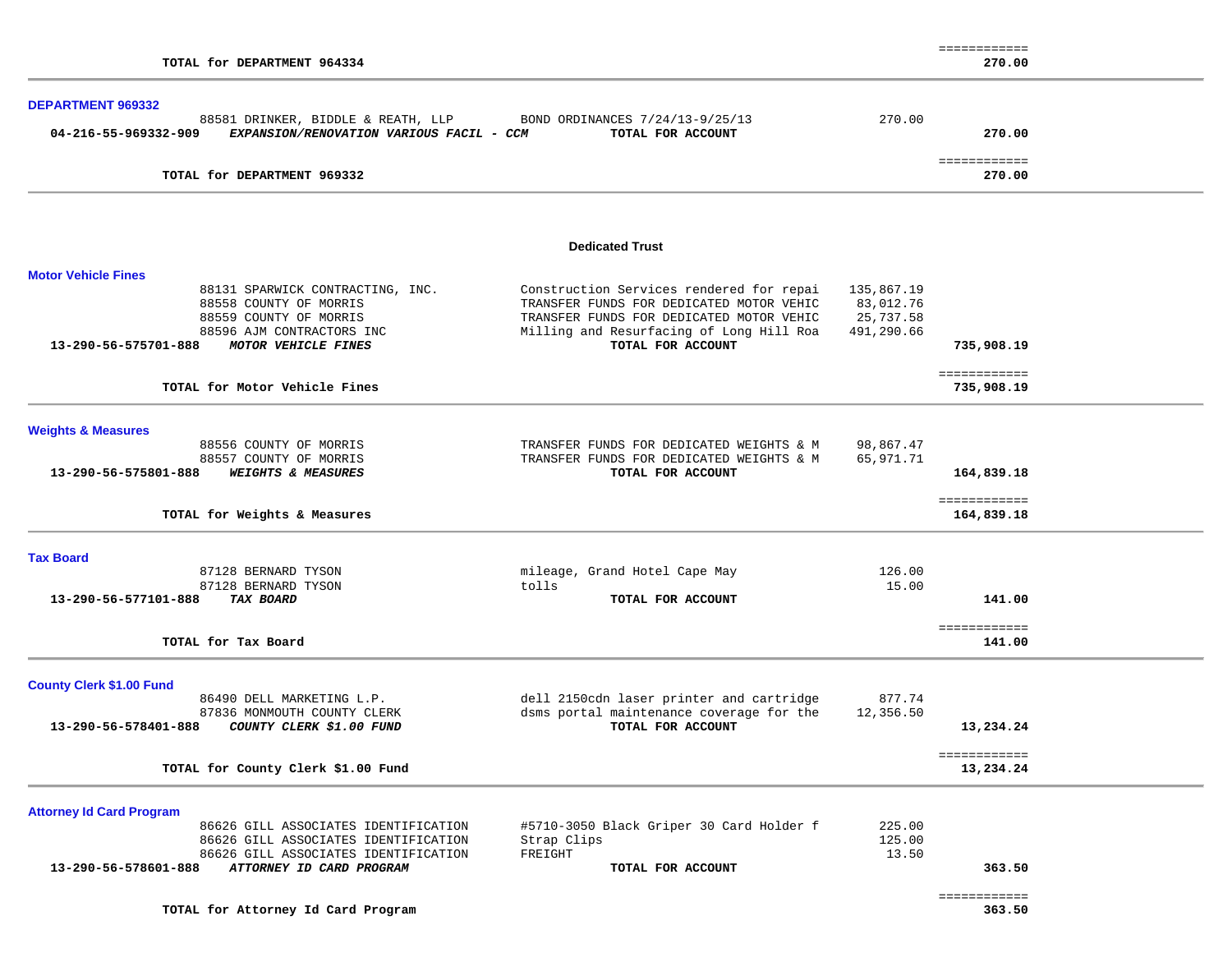|                                                                  |                                          |            | ============           |  |
|------------------------------------------------------------------|------------------------------------------|------------|------------------------|--|
| TOTAL for DEPARTMENT 964334                                      |                                          |            | 270.00                 |  |
|                                                                  |                                          |            |                        |  |
| DEPARTMENT 969332                                                |                                          |            |                        |  |
| 88581 DRINKER, BIDDLE & REATH, LLP                               | BOND ORDINANCES 7/24/13-9/25/13          | 270.00     |                        |  |
| 04-216-55-969332-909<br>EXPANSION/RENOVATION VARIOUS FACIL - CCM | TOTAL FOR ACCOUNT                        |            | 270.00                 |  |
| TOTAL for DEPARTMENT 969332                                      |                                          |            | ============<br>270.00 |  |
|                                                                  |                                          |            |                        |  |
|                                                                  |                                          |            |                        |  |
|                                                                  | <b>Dedicated Trust</b>                   |            |                        |  |
| <b>Motor Vehicle Fines</b>                                       |                                          |            |                        |  |
| 88131 SPARWICK CONTRACTING, INC.                                 | Construction Services rendered for repai | 135,867.19 |                        |  |
| 88558 COUNTY OF MORRIS                                           | TRANSFER FUNDS FOR DEDICATED MOTOR VEHIC | 83,012.76  |                        |  |
| 88559 COUNTY OF MORRIS                                           | TRANSFER FUNDS FOR DEDICATED MOTOR VEHIC | 25,737.58  |                        |  |
| 88596 AJM CONTRACTORS INC                                        | Milling and Resurfacing of Long Hill Roa | 491,290.66 |                        |  |
| 13-290-56-575701-888<br>MOTOR VEHICLE FINES                      | TOTAL FOR ACCOUNT                        |            | 735,908.19             |  |
|                                                                  |                                          |            |                        |  |
|                                                                  |                                          |            | ============           |  |
| TOTAL for Motor Vehicle Fines                                    |                                          |            | 735,908.19             |  |
|                                                                  |                                          |            |                        |  |
| <b>Weights &amp; Measures</b><br>88556 COUNTY OF MORRIS          | TRANSFER FUNDS FOR DEDICATED WEIGHTS & M | 98,867.47  |                        |  |
| 88557 COUNTY OF MORRIS                                           | TRANSFER FUNDS FOR DEDICATED WEIGHTS & M | 65,971.71  |                        |  |
|                                                                  |                                          |            |                        |  |
| <b>WEIGHTS &amp; MEASURES</b><br>13-290-56-575801-888            | TOTAL FOR ACCOUNT                        |            | 164,839.18             |  |
|                                                                  |                                          |            | ============           |  |
| TOTAL for Weights & Measures                                     |                                          |            | 164,839.18             |  |
| <b>Tax Board</b>                                                 |                                          |            |                        |  |
| 87128 BERNARD TYSON                                              | mileage, Grand Hotel Cape May            | 126.00     |                        |  |
|                                                                  | tolls                                    | 15.00      |                        |  |
| 87128 BERNARD TYSON                                              |                                          |            |                        |  |
| 13-290-56-577101-888<br>TAX BOARD                                | TOTAL FOR ACCOUNT                        |            | 141.00                 |  |
|                                                                  |                                          |            | ============           |  |
| TOTAL for Tax Board                                              |                                          |            | 141.00                 |  |
| <b>County Clerk \$1.00 Fund</b>                                  |                                          |            |                        |  |
| 86490 DELL MARKETING L.P.                                        | dell 2150cdn laser printer and cartridge | 877.74     |                        |  |
| 87836 MONMOUTH COUNTY CLERK                                      | dsms portal maintenance coverage for the | 12,356.50  |                        |  |
| 13-290-56-578401-888                                             | TOTAL FOR ACCOUNT                        |            | 13,234.24              |  |
| COUNTY CLERK \$1.00 FUND                                         |                                          |            |                        |  |
|                                                                  |                                          |            | ============           |  |
| TOTAL for County Clerk \$1.00 Fund                               |                                          |            | 13,234.24              |  |
| <b>Attorney Id Card Program</b>                                  |                                          |            |                        |  |
|                                                                  |                                          |            |                        |  |
| 86626 GILL ASSOCIATES IDENTIFICATION                             | #5710-3050 Black Griper 30 Card Holder f | 225.00     |                        |  |
| 86626 GILL ASSOCIATES IDENTIFICATION                             | Strap Clips                              | 125.00     |                        |  |
| 86626 GILL ASSOCIATES IDENTIFICATION                             | FREIGHT                                  | 13.50      |                        |  |
| ATTORNEY ID CARD PROGRAM<br>13-290-56-578601-888                 | TOTAL FOR ACCOUNT                        |            | 363.50                 |  |
|                                                                  |                                          |            | ============           |  |
| TOTAL for Attorney Id Card Program                               |                                          |            | 363.50                 |  |